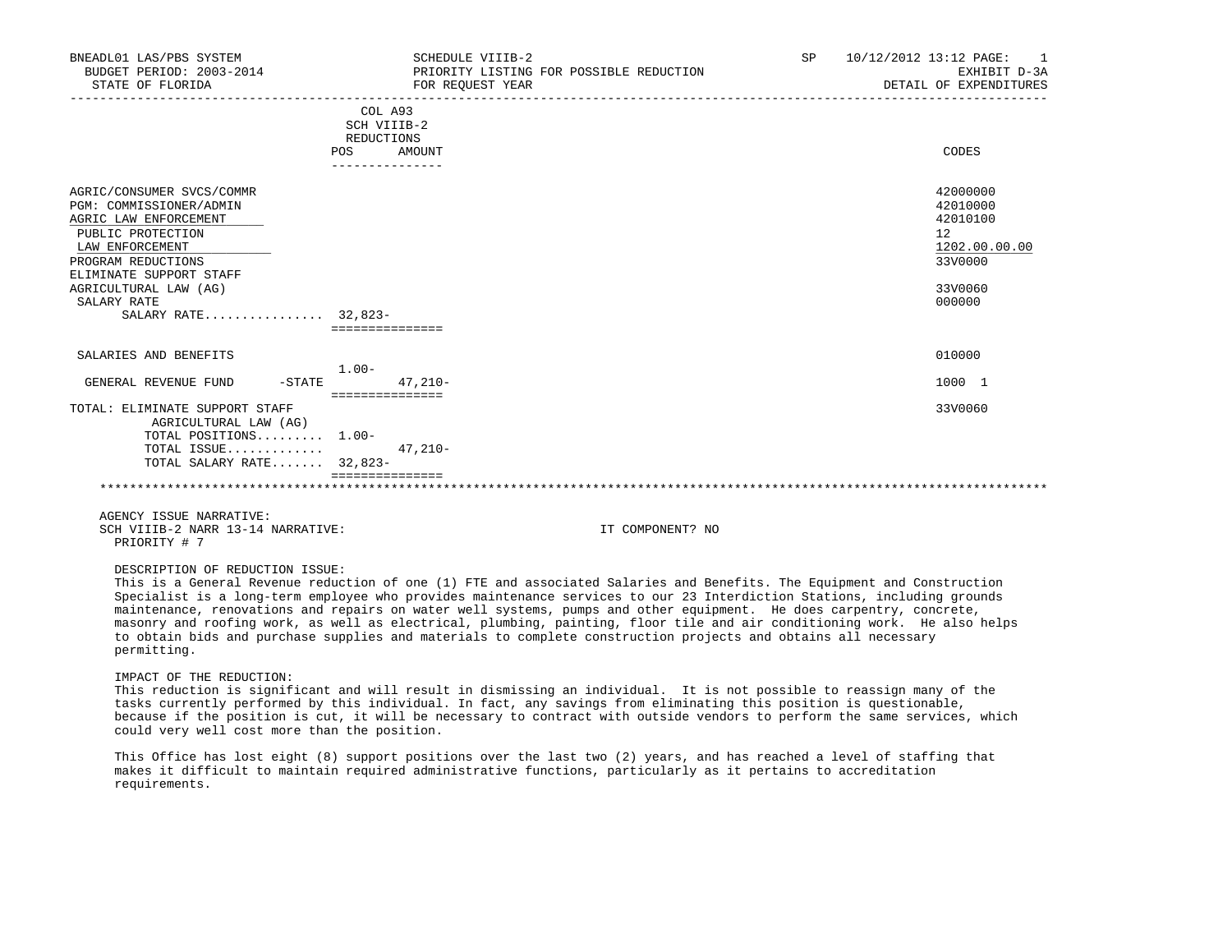| BNEADL01 LAS/PBS SYSTEM<br>BUDGET PERIOD: 2003-2014<br>STATE OF FLORIDA                                                                                                                                                               | SCHEDULE VIIIB-2<br>PRIORITY LISTING FOR POSSIBLE REDUCTION<br>FOR REOUEST YEAR | <b>SP</b> | 10/12/2012 13:12 PAGE:<br>EXHIBIT D-3A<br>DETAIL OF EXPENDITURES                        |
|---------------------------------------------------------------------------------------------------------------------------------------------------------------------------------------------------------------------------------------|---------------------------------------------------------------------------------|-----------|-----------------------------------------------------------------------------------------|
|                                                                                                                                                                                                                                       | COL A93<br>SCH VIIIB-2<br>REDUCTIONS<br><b>POS</b><br>AMOUNT<br>--------------- |           | CODES                                                                                   |
| AGRIC/CONSUMER SVCS/COMMR<br>PGM: COMMISSIONER/ADMIN<br>AGRIC LAW ENFORCEMENT<br>PUBLIC PROTECTION<br>LAW ENFORCEMENT<br>PROGRAM REDUCTIONS<br>ELIMINATE SUPPORT STAFF<br>AGRICULTURAL LAW (AG)<br>SALARY RATE<br>SALARY RATE 32,823- | ===============                                                                 |           | 42000000<br>42010000<br>42010100<br>12<br>1202.00.00.00<br>33V0000<br>33V0060<br>000000 |
| SALARIES AND BENEFITS<br>GENERAL REVENUE FUND<br>$-$ STATE                                                                                                                                                                            | $1.00 -$<br>$47.210 -$                                                          |           | 010000<br>1000 1                                                                        |
| TOTAL: ELIMINATE SUPPORT STAFF<br>AGRICULTURAL LAW (AG)<br>TOTAL POSITIONS 1.00-<br>TOTAL ISSUE<br>TOTAL SALARY RATE 32,823-                                                                                                          | ===============<br>$47.210 -$                                                   |           | 33V0060                                                                                 |

# DESCRIPTION OF REDUCTION ISSUE:

 This is a General Revenue reduction of one (1) FTE and associated Salaries and Benefits. The Equipment and Construction Specialist is a long-term employee who provides maintenance services to our 23 Interdiction Stations, including grounds maintenance, renovations and repairs on water well systems, pumps and other equipment. He does carpentry, concrete, masonry and roofing work, as well as electrical, plumbing, painting, floor tile and air conditioning work. He also helps to obtain bids and purchase supplies and materials to complete construction projects and obtains all necessary permitting.

## IMPACT OF THE REDUCTION:

 This reduction is significant and will result in dismissing an individual. It is not possible to reassign many of the tasks currently performed by this individual. In fact, any savings from eliminating this position is questionable, because if the position is cut, it will be necessary to contract with outside vendors to perform the same services, which could very well cost more than the position.

 This Office has lost eight (8) support positions over the last two (2) years, and has reached a level of staffing that makes it difficult to maintain required administrative functions, particularly as it pertains to accreditation requirements.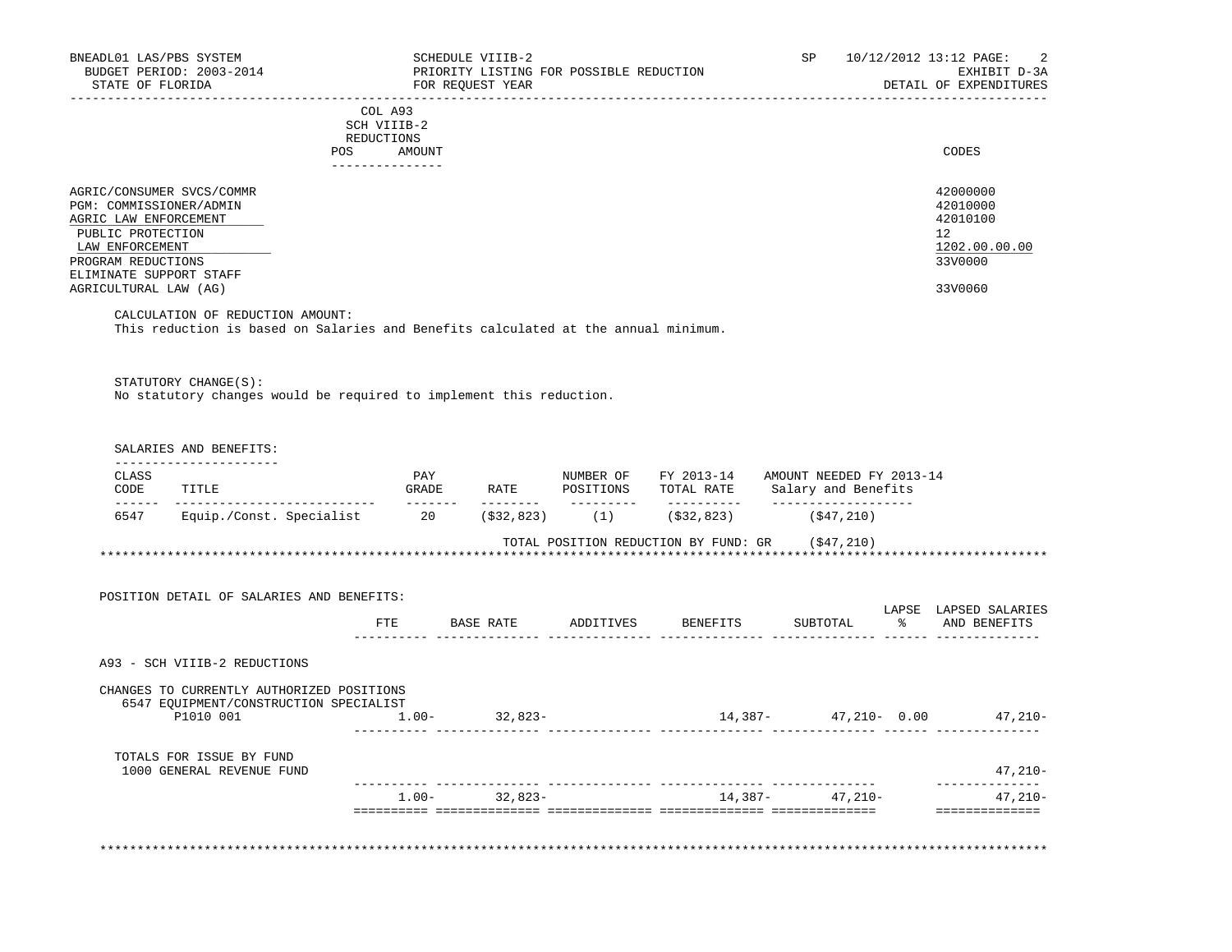| BNEADL01 LAS/PBS SYSTEM<br>BUDGET PERIOD: 2003-2014<br>STATE OF FLORIDA                                                                                                           |                          | SCHEDULE VIIIB-2<br>PRIORITY LISTING FOR POSSIBLE REDUCTION<br>FOR REOUEST YEAR |  | SP<br>______________________________                                                                 | 10/12/2012 13:12 PAGE:<br>2<br>EXHIBIT D-3A<br>DETAIL OF EXPENDITURES |
|-----------------------------------------------------------------------------------------------------------------------------------------------------------------------------------|--------------------------|---------------------------------------------------------------------------------|--|------------------------------------------------------------------------------------------------------|-----------------------------------------------------------------------|
|                                                                                                                                                                                   | COL A93                  |                                                                                 |  |                                                                                                      |                                                                       |
|                                                                                                                                                                                   | SCH VIIIB-2              |                                                                                 |  |                                                                                                      |                                                                       |
|                                                                                                                                                                                   | REDUCTIONS<br>POS AMOUNT |                                                                                 |  |                                                                                                      | CODES                                                                 |
|                                                                                                                                                                                   | ---------------          |                                                                                 |  |                                                                                                      |                                                                       |
| AGRIC/CONSUMER SVCS/COMMR<br>PGM: COMMISSIONER/ADMIN<br>AGRIC LAW ENFORCEMENT<br>PUBLIC PROTECTION                                                                                |                          |                                                                                 |  |                                                                                                      | 42000000<br>42010000<br>42010100<br>12                                |
| LAW ENFORCEMENT                                                                                                                                                                   |                          |                                                                                 |  |                                                                                                      | 1202.00.00.00                                                         |
| PROGRAM REDUCTIONS<br>ELIMINATE SUPPORT STAFF                                                                                                                                     |                          |                                                                                 |  |                                                                                                      | 33V0000                                                               |
| AGRICULTURAL LAW (AG)                                                                                                                                                             |                          |                                                                                 |  |                                                                                                      | 33V0060                                                               |
| This reduction is based on Salaries and Benefits calculated at the annual minimum.<br>STATUTORY CHANGE(S):<br>No statutory changes would be required to implement this reduction. |                          |                                                                                 |  |                                                                                                      |                                                                       |
| SALARIES AND BENEFITS:                                                                                                                                                            |                          |                                                                                 |  |                                                                                                      |                                                                       |
| ----------------------<br>CLASS<br>CODE<br>TITLE                                                                                                                                  | PAY                      |                                                                                 |  | NUMBER OF FY 2013-14 AMOUNT NEEDED FY 2013-14<br>GRADE RATE POSITIONS TOTAL RATE Salary and Benefits |                                                                       |
| 6547 Equip./Const. Specialist 20 (\$32,823) (1) (\$32,823)                                                                                                                        |                          |                                                                                 |  | _____________________<br>(\$47,210)                                                                  |                                                                       |
|                                                                                                                                                                                   |                          |                                                                                 |  | TOTAL POSITION REDUCTION BY FUND: GR (\$47,210)                                                      |                                                                       |
|                                                                                                                                                                                   |                          |                                                                                 |  |                                                                                                      |                                                                       |
|                                                                                                                                                                                   |                          |                                                                                 |  |                                                                                                      |                                                                       |
| POSITION DETAIL OF SALARIES AND BENEFITS:                                                                                                                                         |                          |                                                                                 |  |                                                                                                      |                                                                       |
|                                                                                                                                                                                   |                          |                                                                                 |  | FTE BASE RATE ADDITIVES BENEFITS SUBTOTAL $\text{\$}$ and benefits                                   | LAPSE LAPSED SALARIES                                                 |
|                                                                                                                                                                                   |                          |                                                                                 |  |                                                                                                      |                                                                       |
| A93 - SCH VIIIB-2 REDUCTIONS                                                                                                                                                      |                          |                                                                                 |  |                                                                                                      |                                                                       |
|                                                                                                                                                                                   |                          |                                                                                 |  |                                                                                                      |                                                                       |
| CHANGES TO CURRENTLY AUTHORIZED POSITIONS<br>6547 EQUIPMENT/CONSTRUCTION SPECIALIST                                                                                               |                          |                                                                                 |  |                                                                                                      |                                                                       |
| P1010 001 1.00- 32,823-                                                                                                                                                           |                          |                                                                                 |  | $14,387 47,210-$ 0.00 $47,210-$                                                                      |                                                                       |
|                                                                                                                                                                                   |                          |                                                                                 |  |                                                                                                      |                                                                       |
| TOTALS FOR ISSUE BY FUND                                                                                                                                                          |                          |                                                                                 |  |                                                                                                      |                                                                       |
| 1000 GENERAL REVENUE FUND                                                                                                                                                         |                          |                                                                                 |  |                                                                                                      | $47,210-$<br>--------------                                           |
|                                                                                                                                                                                   |                          | $1.00 - 32,823 -$                                                               |  | $14,387 47,210-$                                                                                     | 47,210-                                                               |
|                                                                                                                                                                                   |                          |                                                                                 |  |                                                                                                      | ==============                                                        |
|                                                                                                                                                                                   |                          |                                                                                 |  |                                                                                                      |                                                                       |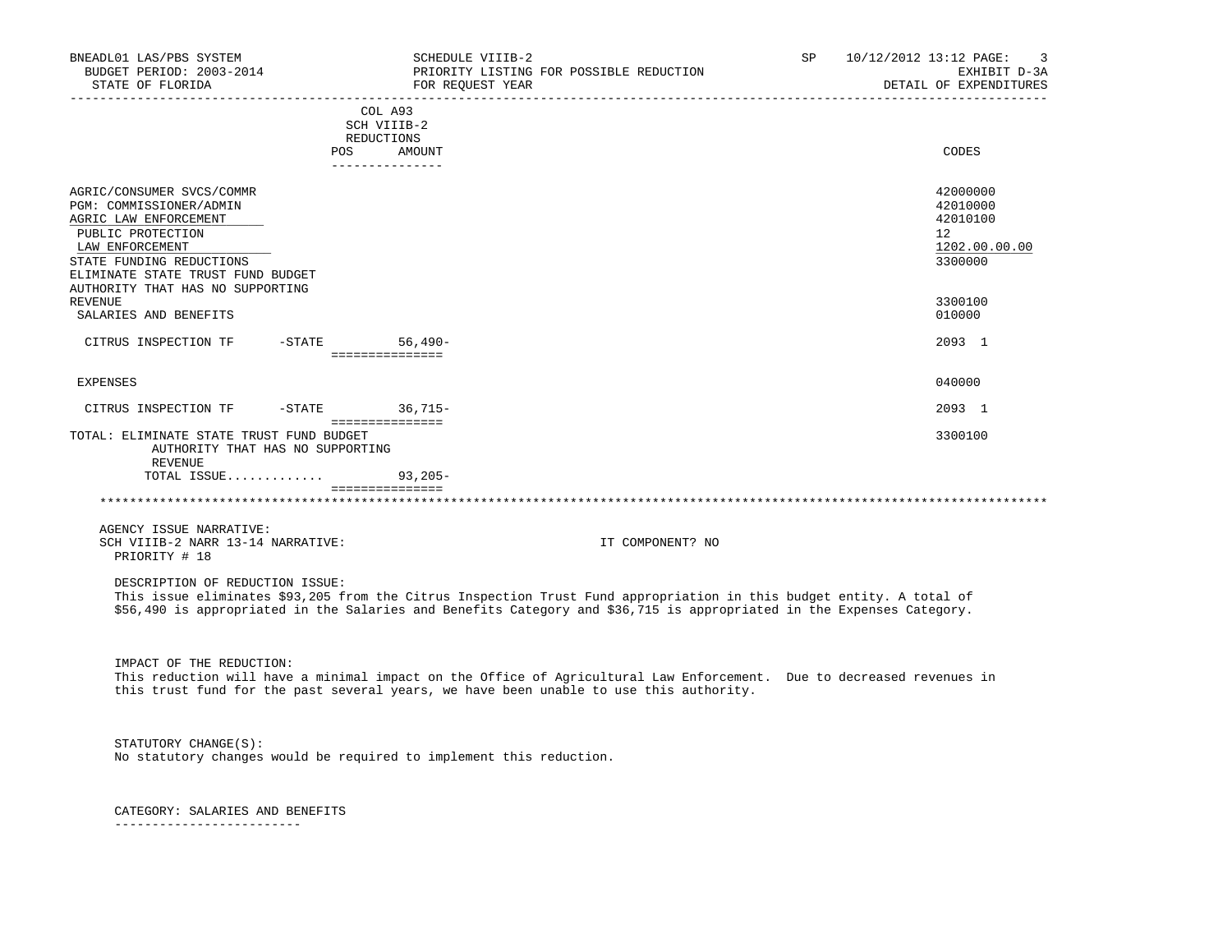| BNEADL01 LAS/PBS SYSTEM<br>BUDGET PERIOD: 2003-2014<br>STATE OF FLORIDA                                                                                                                                                                      |                                                                | FOR REQUEST YEAR | SCHEDULE VIIIB-2<br>PRIORITY LISTING FOR POSSIBLE REDUCTION                                                                                                                                                                                   | SP | 10/12/2012 13:12 PAGE: |                                                                           | 3<br>EXHIBIT D-3A<br>DETAIL OF EXPENDITURES |
|----------------------------------------------------------------------------------------------------------------------------------------------------------------------------------------------------------------------------------------------|----------------------------------------------------------------|------------------|-----------------------------------------------------------------------------------------------------------------------------------------------------------------------------------------------------------------------------------------------|----|------------------------|---------------------------------------------------------------------------|---------------------------------------------|
|                                                                                                                                                                                                                                              | COL A93<br>SCH VIIIB-2<br>REDUCTIONS<br>POS<br>--------------- | AMOUNT           |                                                                                                                                                                                                                                               |    |                        | CODES                                                                     |                                             |
| AGRIC/CONSUMER SVCS/COMMR<br>PGM: COMMISSIONER/ADMIN<br>AGRIC LAW ENFORCEMENT<br>PUBLIC PROTECTION<br>LAW ENFORCEMENT<br>STATE FUNDING REDUCTIONS<br>ELIMINATE STATE TRUST FUND BUDGET<br>AUTHORITY THAT HAS NO SUPPORTING<br><b>REVENUE</b> |                                                                |                  |                                                                                                                                                                                                                                               |    |                        | 42000000<br>42010000<br>42010100<br>12 <sup>°</sup><br>3300000<br>3300100 | 1202.00.00.00                               |
| SALARIES AND BENEFITS                                                                                                                                                                                                                        |                                                                |                  |                                                                                                                                                                                                                                               |    |                        | 010000                                                                    |                                             |
| CITRUS INSPECTION TF -STATE 56,490-                                                                                                                                                                                                          | ===============                                                |                  |                                                                                                                                                                                                                                               |    |                        | 2093 1                                                                    |                                             |
| <b>EXPENSES</b>                                                                                                                                                                                                                              |                                                                |                  |                                                                                                                                                                                                                                               |    |                        | 040000                                                                    |                                             |
| CITRUS INSPECTION TF                                                                                                                                                                                                                         |                                                                | -STATE 36,715-   |                                                                                                                                                                                                                                               |    |                        | 2093 1                                                                    |                                             |
| TOTAL: ELIMINATE STATE TRUST FUND BUDGET<br>AUTHORITY THAT HAS NO SUPPORTING<br>REVENUE<br>TOTAL ISSUE                                                                                                                                       | ===============                                                | $93,205-$        |                                                                                                                                                                                                                                               |    |                        | 3300100                                                                   |                                             |
|                                                                                                                                                                                                                                              | ________________                                               |                  |                                                                                                                                                                                                                                               |    |                        |                                                                           |                                             |
| AGENCY ISSUE NARRATIVE:<br>SCH VIIIB-2 NARR 13-14 NARRATIVE:<br>PRIORITY # 18                                                                                                                                                                |                                                                |                  | IT COMPONENT? NO                                                                                                                                                                                                                              |    |                        |                                                                           |                                             |
| DESCRIPTION OF REDUCTION ISSUE:                                                                                                                                                                                                              |                                                                |                  | This issue eliminates \$93,205 from the Citrus Inspection Trust Fund appropriation in this budget entity. A total of<br>\$56,490 is appropriated in the Salaries and Benefits Category and \$36,715 is appropriated in the Expenses Category. |    |                        |                                                                           |                                             |
| IMPACT OF THE REDUCTION:                                                                                                                                                                                                                     |                                                                |                  | This reduction will have a minimal impact on the Office of Agricultural Law Enforcement. Due to decreased revenues in<br>this trust fund for the past several years, we have been unable to use this authority.                               |    |                        |                                                                           |                                             |
| STATUTORY CHANGE(S):<br>No statutory changes would be required to implement this reduction.                                                                                                                                                  |                                                                |                  |                                                                                                                                                                                                                                               |    |                        |                                                                           |                                             |
| CATEGORY: SALARIES AND BENEFITS                                                                                                                                                                                                              |                                                                |                  |                                                                                                                                                                                                                                               |    |                        |                                                                           |                                             |

-------------------------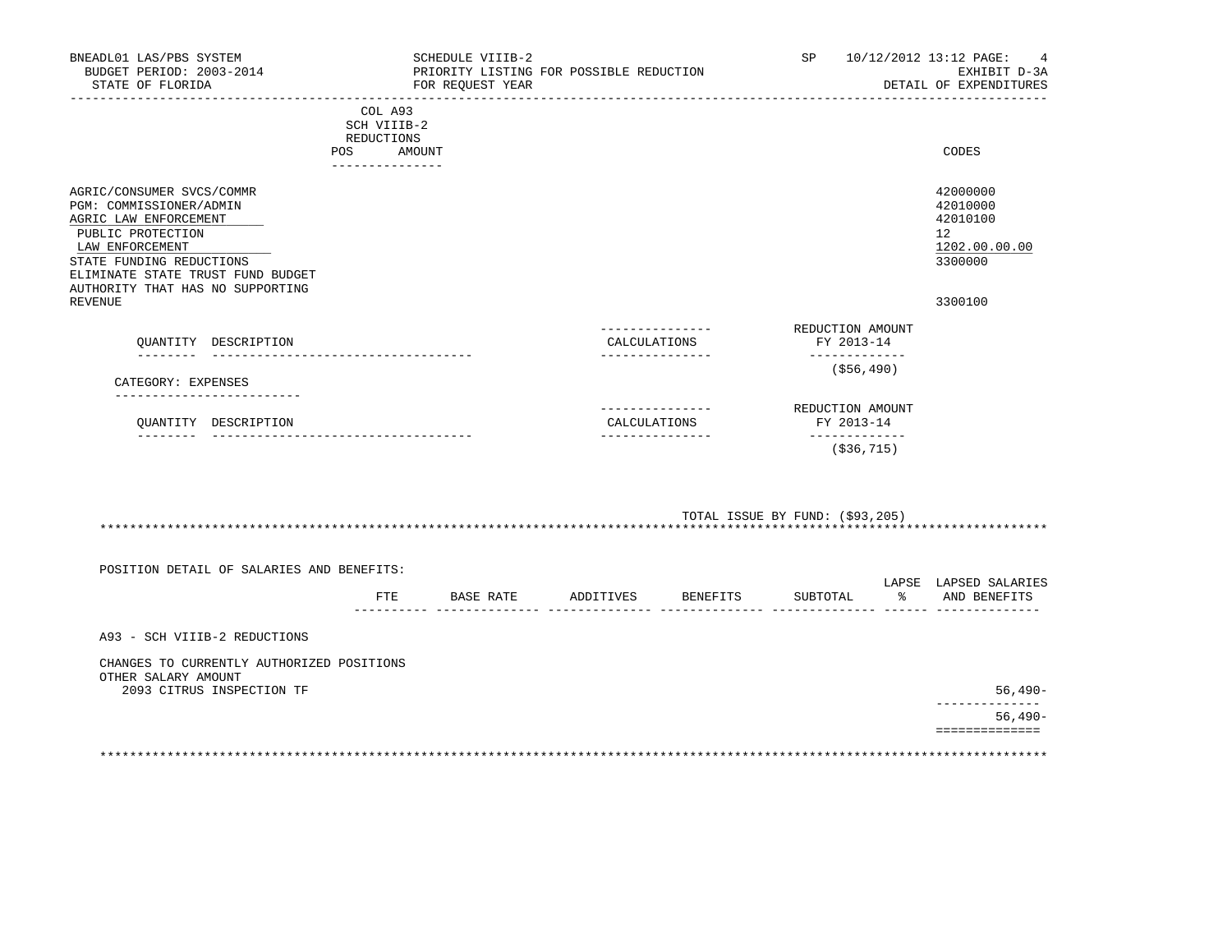| BNEADL01 LAS/PBS SYSTEM<br>BUDGET PERIOD: 2003-2014<br>STATE OF FLORIDA                                                                                                                                                    |                                                                       | SCHEDULE VIIIB-2<br>PRIORITY LISTING FOR POSSIBLE REDUCTION<br>FOR REOUEST YEAR |                                 |                 | SP                                                              | 10/12/2012 13:12 PAGE:<br>4<br>EXHIBIT D-3A<br>DETAIL OF EXPENDITURES |
|----------------------------------------------------------------------------------------------------------------------------------------------------------------------------------------------------------------------------|-----------------------------------------------------------------------|---------------------------------------------------------------------------------|---------------------------------|-----------------|-----------------------------------------------------------------|-----------------------------------------------------------------------|
|                                                                                                                                                                                                                            | COL A93<br>SCH VIIIB-2<br>REDUCTIONS<br>POS AMOUNT<br>--------------- |                                                                                 |                                 |                 |                                                                 | CODES                                                                 |
| AGRIC/CONSUMER SVCS/COMMR<br>PGM: COMMISSIONER/ADMIN<br>AGRIC LAW ENFORCEMENT<br>PUBLIC PROTECTION<br>LAW ENFORCEMENT<br>STATE FUNDING REDUCTIONS<br>ELIMINATE STATE TRUST FUND BUDGET<br>AUTHORITY THAT HAS NO SUPPORTING |                                                                       |                                                                                 |                                 |                 |                                                                 | 42000000<br>42010000<br>42010100<br>12<br>1202.00.00.00<br>3300000    |
| <b>REVENUE</b>                                                                                                                                                                                                             |                                                                       |                                                                                 |                                 | --------------- | REDUCTION AMOUNT                                                | 3300100                                                               |
| OUANTITY DESCRIPTION                                                                                                                                                                                                       |                                                                       |                                                                                 | CALCULATIONS<br>--------------- |                 | FY 2013-14<br>-------------                                     |                                                                       |
| CATEGORY: EXPENSES                                                                                                                                                                                                         |                                                                       |                                                                                 |                                 |                 | ( \$56, 490)                                                    |                                                                       |
| OUANTITY DESCRIPTION                                                                                                                                                                                                       |                                                                       |                                                                                 | CALCULATIONS<br>--------------- | --------------- | REDUCTION AMOUNT<br>FY 2013-14<br>-------------<br>( \$36, 715) |                                                                       |
|                                                                                                                                                                                                                            |                                                                       |                                                                                 |                                 |                 |                                                                 |                                                                       |
|                                                                                                                                                                                                                            |                                                                       |                                                                                 |                                 |                 | TOTAL ISSUE BY FUND: (\$93,205)                                 |                                                                       |
| POSITION DETAIL OF SALARIES AND BENEFITS:                                                                                                                                                                                  |                                                                       |                                                                                 |                                 |                 |                                                                 |                                                                       |
|                                                                                                                                                                                                                            | FTE                                                                   | BASE RATE                                                                       | ADDITIVES                       | <b>BENEFITS</b> | SUBTOTAL                                                        | LAPSE LAPSED SALARIES<br>% AND BENEFITS                               |
| A93 - SCH VIIIB-2 REDUCTIONS                                                                                                                                                                                               |                                                                       |                                                                                 |                                 |                 |                                                                 |                                                                       |
| CHANGES TO CURRENTLY AUTHORIZED POSITIONS                                                                                                                                                                                  |                                                                       |                                                                                 |                                 |                 |                                                                 |                                                                       |

OTHER SALARY AMOUNT

2093 CITRUS INSPECTION TF 56,490-

 -------------- 56,490- ==============

\*\*\*\*\*\*\*\*\*\*\*\*\*\*\*\*\*\*\*\*\*\*\*\*\*\*\*\*\*\*\*\*\*\*\*\*\*\*\*\*\*\*\*\*\*\*\*\*\*\*\*\*\*\*\*\*\*\*\*\*\*\*\*\*\*\*\*\*\*\*\*\*\*\*\*\*\*\*\*\*\*\*\*\*\*\*\*\*\*\*\*\*\*\*\*\*\*\*\*\*\*\*\*\*\*\*\*\*\*\*\*\*\*\*\*\*\*\*\*\*\*\*\*\*\*\*\*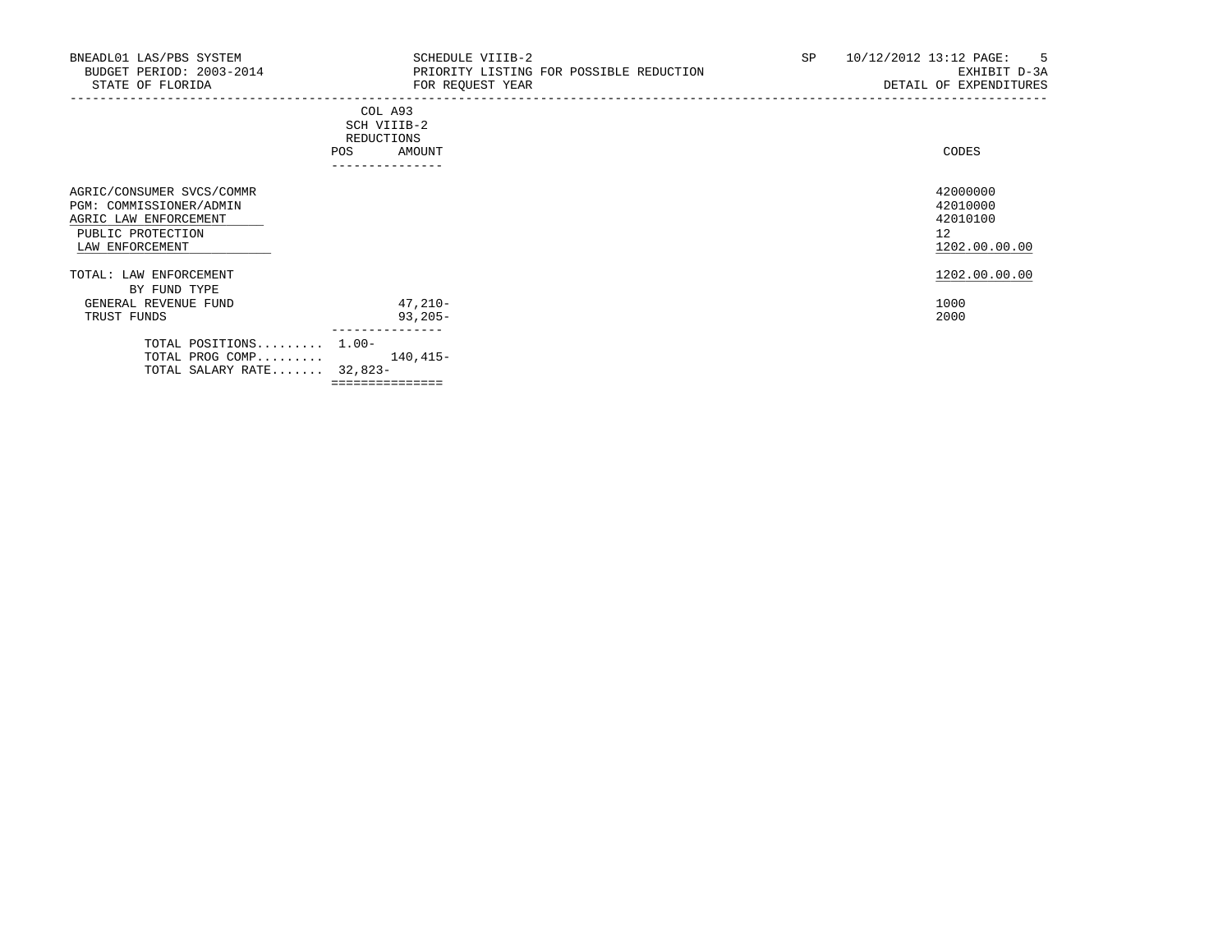| BNEADL01 LAS/PBS SYSTEM<br>BUDGET PERIOD: 2003-2014<br>STATE OF FLORIDA                                               | SCHEDULE VIIIB-2<br>PRIORITY LISTING FOR POSSIBLE REDUCTION<br>FOR REQUEST YEAR<br>------------------------------------- | SP | 10/12/2012 13:12 PAGE:<br>-5<br>EXHIBIT D-3A<br>DETAIL OF EXPENDITURES |
|-----------------------------------------------------------------------------------------------------------------------|--------------------------------------------------------------------------------------------------------------------------|----|------------------------------------------------------------------------|
|                                                                                                                       | COL A93<br>SCH VIIIB-2<br>REDUCTIONS<br>AMOUNT<br>POS<br>---------------                                                 |    | CODES                                                                  |
| AGRIC/CONSUMER SVCS/COMMR<br>PGM: COMMISSIONER/ADMIN<br>AGRIC LAW ENFORCEMENT<br>PUBLIC PROTECTION<br>LAW ENFORCEMENT |                                                                                                                          |    | 42000000<br>42010000<br>42010100<br>12<br>1202.00.00.00                |
| TOTAL: LAW ENFORCEMENT                                                                                                |                                                                                                                          |    | 1202.00.00.00                                                          |
| BY FUND TYPE<br>GENERAL REVENUE FUND<br>TRUST FUNDS                                                                   | 47,210-<br>$93,205-$                                                                                                     |    | 1000<br>2000                                                           |
| TOTAL POSITIONS 1.00-<br>TOTAL PROG COMP<br>TOTAL SALARY RATE 32,823-                                                 | 140,415-<br>===============                                                                                              |    |                                                                        |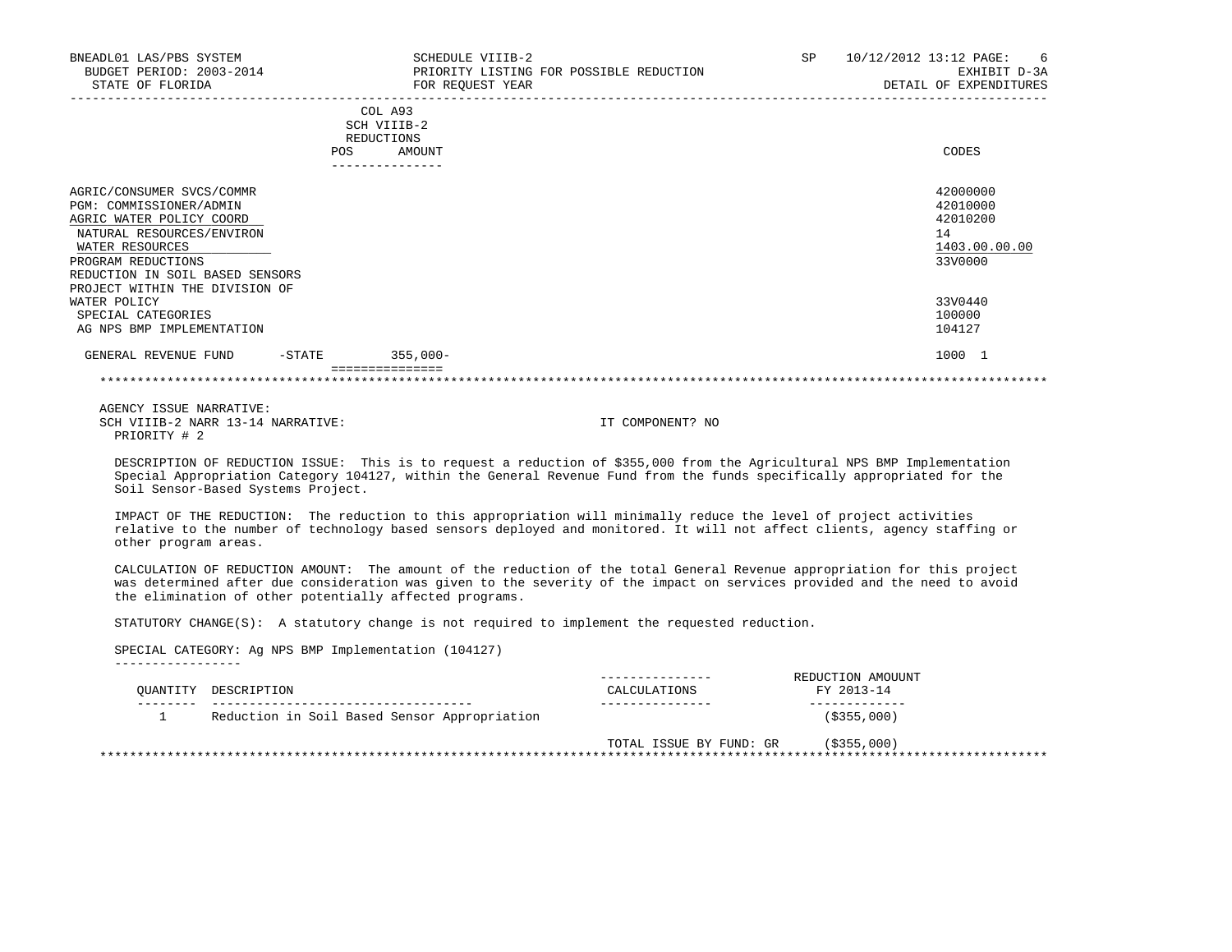| BNEADL01 LAS/PBS SYSTEM<br>BUDGET PERIOD: 2003-2014<br>STATE OF FLORIDA                                                                                                                                                     |                                                                | SCHEDULE VIIIB-2<br>PRIORITY LISTING FOR POSSIBLE REDUCTION<br>FOR REQUEST YEAR | <b>SP</b> | 10/12/2012 13:12 PAGE:<br>-6<br>EXHIBIT D-3A<br>DETAIL OF EXPENDITURES |
|-----------------------------------------------------------------------------------------------------------------------------------------------------------------------------------------------------------------------------|----------------------------------------------------------------|---------------------------------------------------------------------------------|-----------|------------------------------------------------------------------------|
|                                                                                                                                                                                                                             | COL A93<br>SCH VIIIB-2<br>REDUCTIONS<br>POS<br>--------------- | AMOUNT                                                                          |           | CODES                                                                  |
| AGRIC/CONSUMER SVCS/COMMR<br>PGM: COMMISSIONER/ADMIN<br>AGRIC WATER POLICY COORD<br>NATURAL RESOURCES/ENVIRON<br>WATER RESOURCES<br>PROGRAM REDUCTIONS<br>REDUCTION IN SOIL BASED SENSORS<br>PROJECT WITHIN THE DIVISION OF |                                                                |                                                                                 |           | 42000000<br>42010000<br>42010200<br>14<br>1403.00.00.00<br>33V0000     |
| WATER POLICY<br>SPECIAL CATEGORIES<br>AG NPS BMP IMPLEMENTATION                                                                                                                                                             |                                                                |                                                                                 |           | 33V0440<br>100000<br>104127                                            |
| GENERAL REVENUE FUND                                                                                                                                                                                                        | $355,000-$<br>-STATE                                           |                                                                                 |           | 1000 1                                                                 |

 DESCRIPTION OF REDUCTION ISSUE: This is to request a reduction of \$355,000 from the Agricultural NPS BMP Implementation Special Appropriation Category 104127, within the General Revenue Fund from the funds specifically appropriated for the Soil Sensor-Based Systems Project.

 IMPACT OF THE REDUCTION: The reduction to this appropriation will minimally reduce the level of project activities relative to the number of technology based sensors deployed and monitored. It will not affect clients, agency staffing or other program areas.

 CALCULATION OF REDUCTION AMOUNT: The amount of the reduction of the total General Revenue appropriation for this project was determined after due consideration was given to the severity of the impact on services provided and the need to avoid the elimination of other potentially affected programs.

STATUTORY CHANGE(S): A statutory change is not required to implement the requested reduction.

 SPECIAL CATEGORY: Ag NPS BMP Implementation (104127) -----------------

| CALCULATIONS | REDUCTION AMOUUNT<br>FY 2013-14 |
|--------------|---------------------------------|
|              | $($ \$355,000)                  |
|              | (S355,000)                      |
|              | TOTAL ISSUE BY FUND: GR         |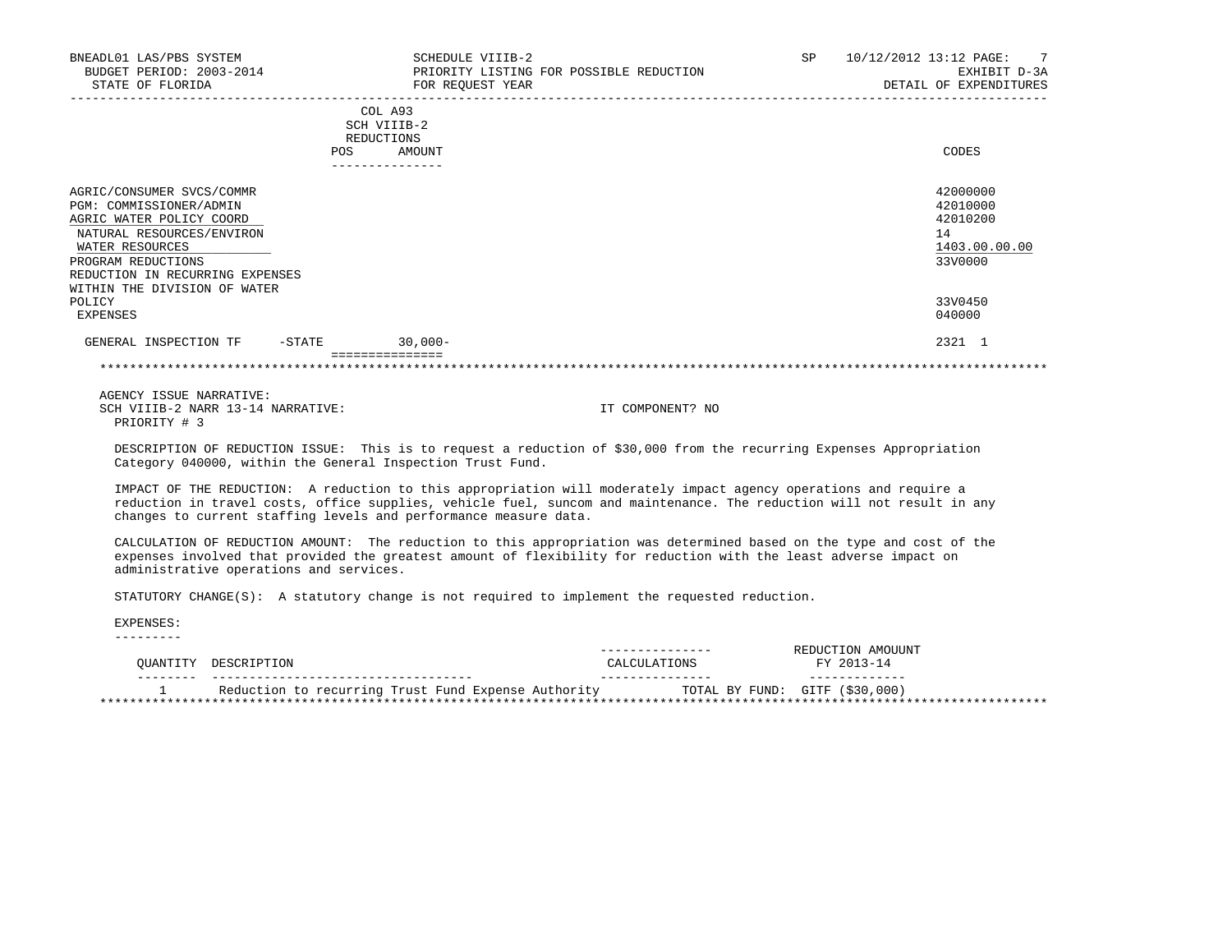| BNEADL01 LAS/PBS SYSTEM<br>BUDGET PERIOD: 2003-2014<br>STATE OF FLORIDA                                                                                                                                                   | SCHEDULE VIIIB-2<br>PRIORITY LISTING FOR POSSIBLE REDUCTION<br>FOR REQUEST YEAR | SP<br>$\overline{7}$<br>10/12/2012 13:12 PAGE:<br>EXHIBIT D-3A<br>DETAIL OF EXPENDITURES |
|---------------------------------------------------------------------------------------------------------------------------------------------------------------------------------------------------------------------------|---------------------------------------------------------------------------------|------------------------------------------------------------------------------------------|
|                                                                                                                                                                                                                           | COL A93<br>SCH VIIIB-2<br>REDUCTIONS<br>AMOUNT<br>POS<br>----------------       | CODES                                                                                    |
| AGRIC/CONSUMER SVCS/COMMR<br>PGM: COMMISSIONER/ADMIN<br>AGRIC WATER POLICY COORD<br>NATURAL RESOURCES/ENVIRON<br>WATER RESOURCES<br>PROGRAM REDUCTIONS<br>REDUCTION IN RECURRING EXPENSES<br>WITHIN THE DIVISION OF WATER |                                                                                 | 42000000<br>42010000<br>42010200<br>14<br>1403.00.00.00<br>33V0000                       |
| POLICY<br>EXPENSES                                                                                                                                                                                                        |                                                                                 | 33V0450<br>040000                                                                        |
| $-\mathtt{STATE}$<br>GENERAL INSPECTION TF                                                                                                                                                                                | $30,000 -$                                                                      | 2321 1                                                                                   |
|                                                                                                                                                                                                                           |                                                                                 |                                                                                          |
| AGENCY ISSUE NARRATIVE:<br>SCH VIIIB-2 NARR 13-14 NARRATIVE:                                                                                                                                                              | IT COMPONENT? NO                                                                |                                                                                          |

PRIORITY # 3

 DESCRIPTION OF REDUCTION ISSUE: This is to request a reduction of \$30,000 from the recurring Expenses Appropriation Category 040000, within the General Inspection Trust Fund.

 IMPACT OF THE REDUCTION: A reduction to this appropriation will moderately impact agency operations and require a reduction in travel costs, office supplies, vehicle fuel, suncom and maintenance. The reduction will not result in any changes to current staffing levels and performance measure data.

 CALCULATION OF REDUCTION AMOUNT: The reduction to this appropriation was determined based on the type and cost of the expenses involved that provided the greatest amount of flexibility for reduction with the least adverse impact on administrative operations and services.

STATUTORY CHANGE(S): A statutory change is not required to implement the requested reduction.

 EXPENSES: ---------

 --------------- REDUCTION AMOUUNT QUANTITY DESCRIPTION CALCULATIONS FY 2013-14 -------- ----------------------------------- --------------- ------------- 1 Reduction to recurring Trust Fund Expense Authority TOTAL BY FUND: GITF (\$30,000) \*\*\*\*\*\*\*\*\*\*\*\*\*\*\*\*\*\*\*\*\*\*\*\*\*\*\*\*\*\*\*\*\*\*\*\*\*\*\*\*\*\*\*\*\*\*\*\*\*\*\*\*\*\*\*\*\*\*\*\*\*\*\*\*\*\*\*\*\*\*\*\*\*\*\*\*\*\*\*\*\*\*\*\*\*\*\*\*\*\*\*\*\*\*\*\*\*\*\*\*\*\*\*\*\*\*\*\*\*\*\*\*\*\*\*\*\*\*\*\*\*\*\*\*\*\*\*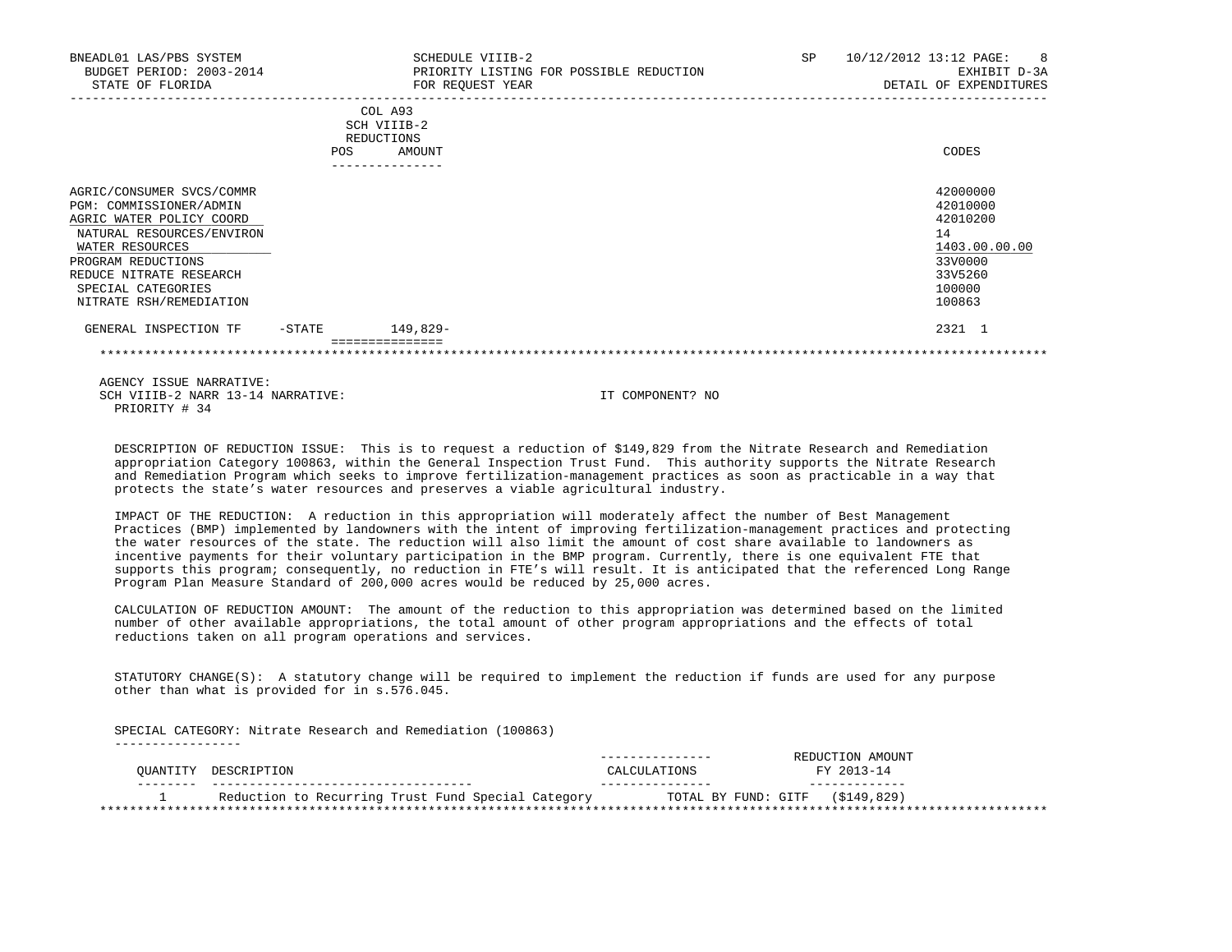| BNEADL01 LAS/PBS SYSTEM<br>BUDGET PERIOD: 2003-2014<br>STATE OF FLORIDA                                                                                                                                                            |            | SCHEDULE VIIIB-2<br>FOR REQUEST YEAR           | PRIORITY LISTING FOR POSSIBLE REDUCTION | SP. | 10/12/2012 13:12 PAGE:<br>-8<br>EXHIBIT D-3A<br>DETAIL OF EXPENDITURES                            |
|------------------------------------------------------------------------------------------------------------------------------------------------------------------------------------------------------------------------------------|------------|------------------------------------------------|-----------------------------------------|-----|---------------------------------------------------------------------------------------------------|
|                                                                                                                                                                                                                                    | <b>POS</b> | COL A93<br>SCH VIIIB-2<br>REDUCTIONS<br>AMOUNT |                                         |     | CODES                                                                                             |
| AGRIC/CONSUMER SVCS/COMMR<br>PGM: COMMISSIONER/ADMIN<br>AGRIC WATER POLICY COORD<br>NATURAL RESOURCES/ENVIRON<br>WATER RESOURCES<br>PROGRAM REDUCTIONS<br>REDUCE NITRATE RESEARCH<br>SPECIAL CATEGORIES<br>NITRATE RSH/REMEDIATION |            |                                                |                                         |     | 42000000<br>42010000<br>42010200<br>14<br>1403.00.00.00<br>33V0000<br>33V5260<br>100000<br>100863 |
| GENERAL INSPECTION TF                                                                                                                                                                                                              | $-$ STATE  | 149,829-<br>----------                         |                                         |     | 2321 1                                                                                            |
|                                                                                                                                                                                                                                    |            |                                                |                                         |     |                                                                                                   |

 DESCRIPTION OF REDUCTION ISSUE: This is to request a reduction of \$149,829 from the Nitrate Research and Remediation appropriation Category 100863, within the General Inspection Trust Fund. This authority supports the Nitrate Research and Remediation Program which seeks to improve fertilization-management practices as soon as practicable in a way that protects the state's water resources and preserves a viable agricultural industry.

 IMPACT OF THE REDUCTION: A reduction in this appropriation will moderately affect the number of Best Management Practices (BMP) implemented by landowners with the intent of improving fertilization-management practices and protecting the water resources of the state. The reduction will also limit the amount of cost share available to landowners as incentive payments for their voluntary participation in the BMP program. Currently, there is one equivalent FTE that supports this program; consequently, no reduction in FTE's will result. It is anticipated that the referenced Long Range Program Plan Measure Standard of 200,000 acres would be reduced by 25,000 acres.

 CALCULATION OF REDUCTION AMOUNT: The amount of the reduction to this appropriation was determined based on the limited number of other available appropriations, the total amount of other program appropriations and the effects of total reductions taken on all program operations and services.

 STATUTORY CHANGE(S): A statutory change will be required to implement the reduction if funds are used for any purpose other than what is provided for in s.576.045.

 SPECIAL CATEGORY: Nitrate Research and Remediation (100863) -----------------

|          |                                                    |                                 | REDUCTION AMOUNT |
|----------|----------------------------------------------------|---------------------------------|------------------|
| OUANTITY | DESCRIPTION                                        | CALCULATIONS                    | FY 2013-14       |
|          |                                                    |                                 |                  |
|          | Reduction to Recurring Trust Fund Special Category | TOTAL BY FUND: GITF (\$149,829) |                  |
|          |                                                    |                                 |                  |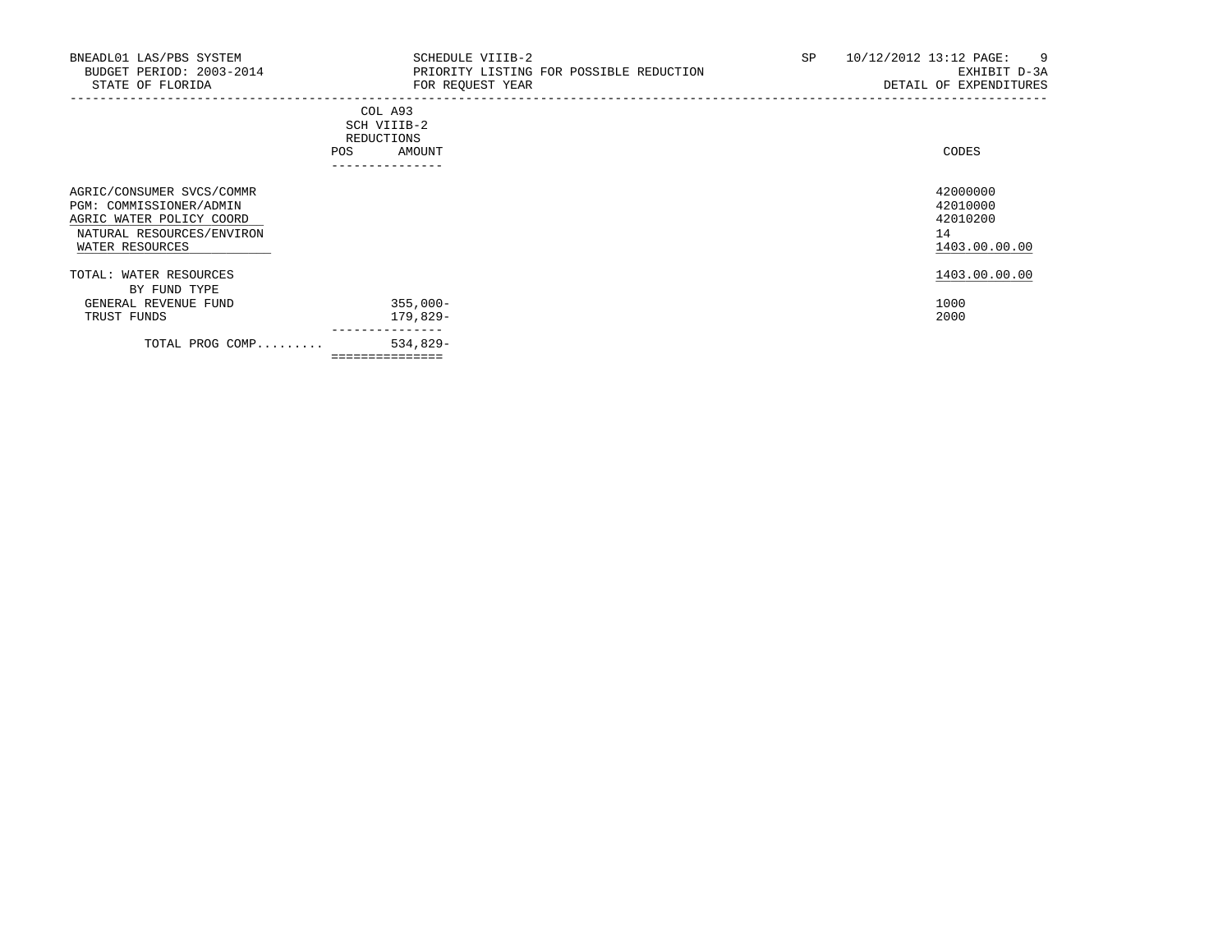| BNEADL01 LAS/PBS SYSTEM<br>BUDGET PERIOD: 2003-2014<br>STATE OF FLORIDA                                                          | SCHEDULE VIIIB-2<br>PRIORITY LISTING FOR POSSIBLE REDUCTION<br>FOR REQUEST YEAR | 10/12/2012 13:12 PAGE:<br>SP<br>-9<br>EXHIBIT D-3A<br>DETAIL OF EXPENDITURES |
|----------------------------------------------------------------------------------------------------------------------------------|---------------------------------------------------------------------------------|------------------------------------------------------------------------------|
|                                                                                                                                  | COL A93<br>SCH VIIIB-2<br>REDUCTIONS<br>AMOUNT<br>POS<br>---------------        | CODES                                                                        |
| AGRIC/CONSUMER SVCS/COMMR<br>PGM: COMMISSIONER/ADMIN<br>AGRIC WATER POLICY COORD<br>NATURAL RESOURCES/ENVIRON<br>WATER RESOURCES |                                                                                 | 42000000<br>42010000<br>42010200<br>14<br>1403.00.00.00                      |
| TOTAL: WATER RESOURCES                                                                                                           |                                                                                 | 1403.00.00.00                                                                |
| BY FUND TYPE<br>GENERAL REVENUE FUND<br>TRUST FUNDS                                                                              | 355,000-<br>179,829-                                                            | 1000<br>2000                                                                 |
| TOTAL PROG COMP                                                                                                                  | ---------------<br>534,829-<br>===============                                  |                                                                              |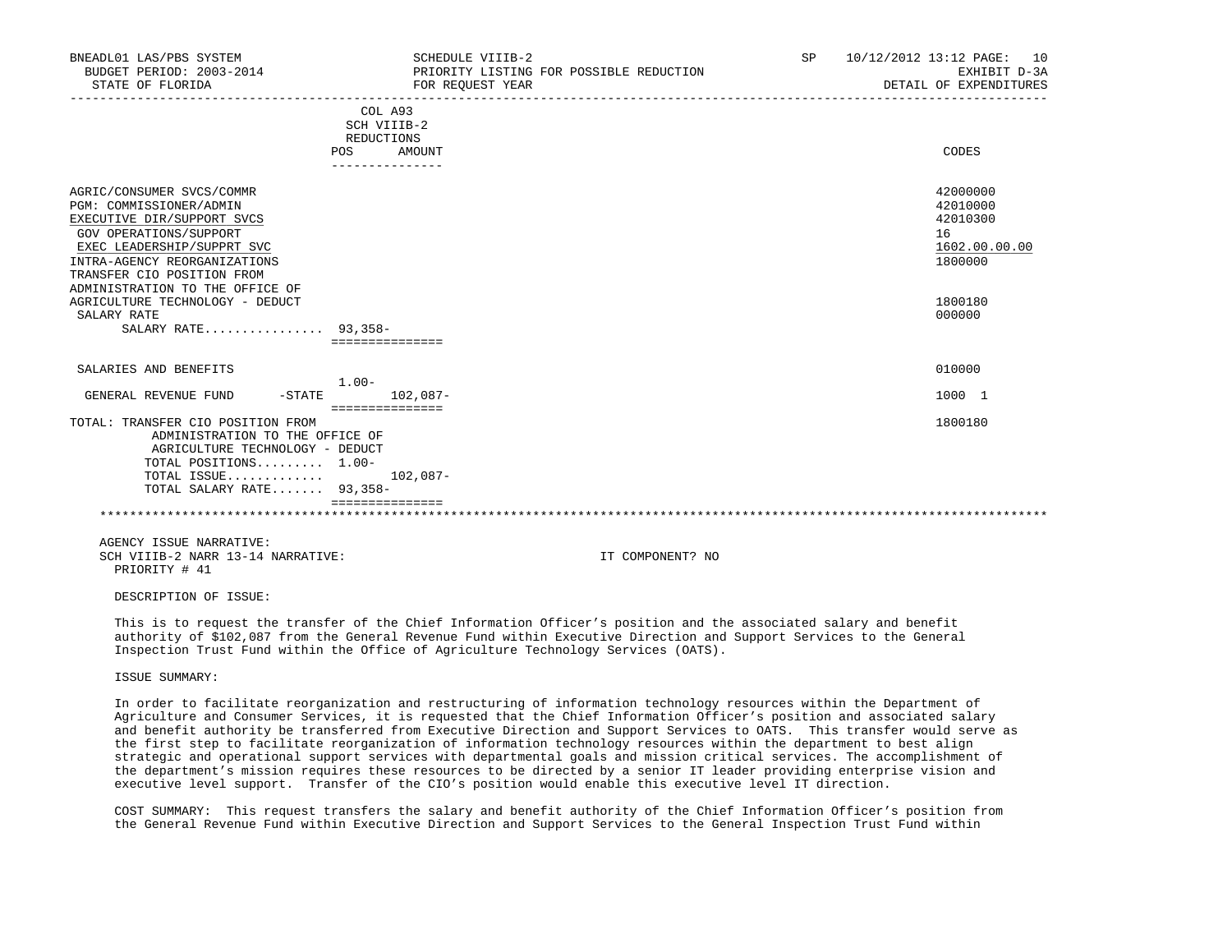| BNEADL01 LAS/PBS SYSTEM<br>BUDGET PERIOD: 2003-2014<br>STATE OF FLORIDA                                                                                                                                                                                                                                              | SCHEDULE VIIIB-2<br>PRIORITY LISTING FOR POSSIBLE REDUCTION<br>FOR REOUEST YEAR | SP 10/12/2012 13:12 PAGE: 10<br>EXHIBIT D-3A<br>DETAIL OF EXPENDITURES                  |
|----------------------------------------------------------------------------------------------------------------------------------------------------------------------------------------------------------------------------------------------------------------------------------------------------------------------|---------------------------------------------------------------------------------|-----------------------------------------------------------------------------------------|
|                                                                                                                                                                                                                                                                                                                      | COL A93<br>SCH VIIIB-2<br>REDUCTIONS<br>POS AMOUNT<br>---------------           | CODES                                                                                   |
| AGRIC/CONSUMER SVCS/COMMR<br>PGM: COMMISSIONER/ADMIN<br>EXECUTIVE DIR/SUPPORT SVCS<br>GOV OPERATIONS/SUPPORT<br>EXEC LEADERSHIP/SUPPRT SVC<br>INTRA-AGENCY REORGANIZATIONS<br>TRANSFER CIO POSITION FROM<br>ADMINISTRATION TO THE OFFICE OF<br>AGRICULTURE TECHNOLOGY - DEDUCT<br>SALARY RATE<br>SALARY RATE 93,358- | ===============                                                                 | 42000000<br>42010000<br>42010300<br>16<br>1602.00.00.00<br>1800000<br>1800180<br>000000 |
| SALARIES AND BENEFITS                                                                                                                                                                                                                                                                                                | $1.00 -$                                                                        | 010000                                                                                  |
| GENERAL REVENUE FUND                                                                                                                                                                                                                                                                                                 | $-STATE$ 102,087-                                                               | 1000 1                                                                                  |
| TOTAL: TRANSFER CIO POSITION FROM<br>ADMINISTRATION TO THE OFFICE OF<br>AGRICULTURE TECHNOLOGY - DEDUCT<br>TOTAL POSITIONS $1.00-$<br>TOTAL ISSUE $102,087-$<br>TOTAL SALARY RATE 93,358-                                                                                                                            | ===============<br>================                                             | 1800180                                                                                 |
|                                                                                                                                                                                                                                                                                                                      |                                                                                 |                                                                                         |
| AGENCY ISSUE NARRATIVE:<br>SCH VIIIB-2 NARR 13-14 NARRATIVE:                                                                                                                                                                                                                                                         | IT COMPONENT? NO                                                                |                                                                                         |

PRIORITY # 41

DESCRIPTION OF ISSUE:

 This is to request the transfer of the Chief Information Officer's position and the associated salary and benefit authority of \$102,087 from the General Revenue Fund within Executive Direction and Support Services to the General Inspection Trust Fund within the Office of Agriculture Technology Services (OATS).

ISSUE SUMMARY:

 In order to facilitate reorganization and restructuring of information technology resources within the Department of Agriculture and Consumer Services, it is requested that the Chief Information Officer's position and associated salary and benefit authority be transferred from Executive Direction and Support Services to OATS. This transfer would serve as the first step to facilitate reorganization of information technology resources within the department to best align strategic and operational support services with departmental goals and mission critical services. The accomplishment of the department's mission requires these resources to be directed by a senior IT leader providing enterprise vision and executive level support. Transfer of the CIO's position would enable this executive level IT direction.

 COST SUMMARY: This request transfers the salary and benefit authority of the Chief Information Officer's position from the General Revenue Fund within Executive Direction and Support Services to the General Inspection Trust Fund within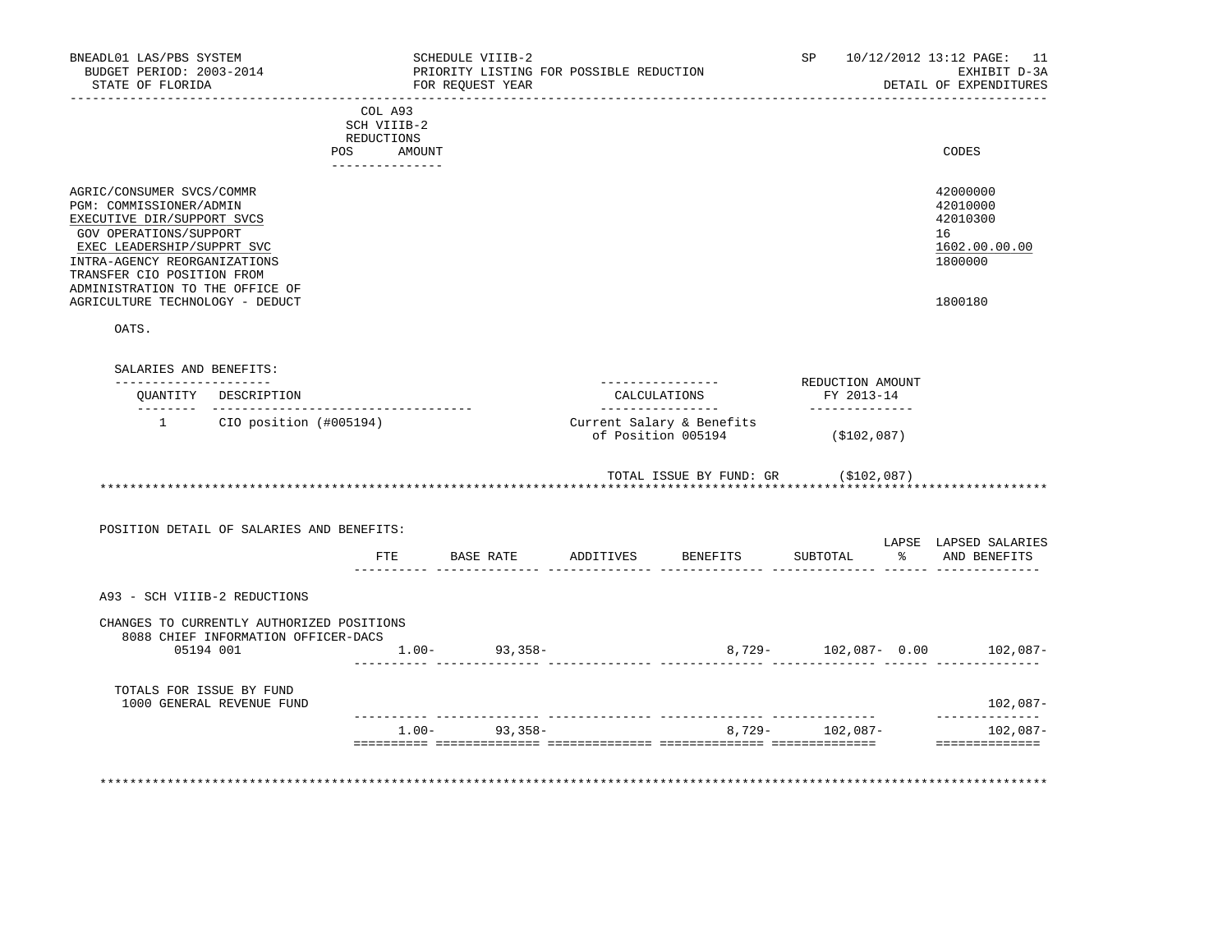| STATE OF FLORIDA                                                                                                                                                                                                                                                               | BNEADL01 LAS/PBS SYSTEM<br>BUDGET PERIOD: 2003-2014                              |                                                                          | SCHEDULE VIIIB-2<br>FOR REQUEST YEAR | PRIORITY LISTING FOR POSSIBLE REDUCTION                                                                        | ___________________                             | SP <sub>2</sub>              | 10/12/2012 13:12 PAGE: 11<br>EXHIBIT D-3A<br>DETAIL OF EXPENDITURES                        |
|--------------------------------------------------------------------------------------------------------------------------------------------------------------------------------------------------------------------------------------------------------------------------------|----------------------------------------------------------------------------------|--------------------------------------------------------------------------|--------------------------------------|----------------------------------------------------------------------------------------------------------------|-------------------------------------------------|------------------------------|--------------------------------------------------------------------------------------------|
|                                                                                                                                                                                                                                                                                |                                                                                  | COL A93<br>SCH VIIIB-2<br>REDUCTIONS<br>POS<br>AMOUNT<br>_______________ |                                      |                                                                                                                |                                                 |                              | CODES                                                                                      |
| AGRIC/CONSUMER SVCS/COMMR<br>PGM: COMMISSIONER/ADMIN<br>EXECUTIVE DIR/SUPPORT SVCS<br>GOV OPERATIONS/SUPPORT<br>EXEC LEADERSHIP/SUPPRT SVC<br>INTRA-AGENCY REORGANIZATIONS<br>TRANSFER CIO POSITION FROM<br>ADMINISTRATION TO THE OFFICE OF<br>AGRICULTURE TECHNOLOGY - DEDUCT |                                                                                  |                                                                          |                                      |                                                                                                                |                                                 |                              | 42000000<br>42010000<br>42010300<br>16<br>1602.00.00.00<br>1800000<br>1800180              |
| OATS.                                                                                                                                                                                                                                                                          |                                                                                  |                                                                          |                                      |                                                                                                                |                                                 |                              |                                                                                            |
| SALARIES AND BENEFITS:<br>---------------------                                                                                                                                                                                                                                |                                                                                  |                                                                          |                                      |                                                                                                                | ----------------                                | REDUCTION AMOUNT             |                                                                                            |
|                                                                                                                                                                                                                                                                                | OUANTITY DESCRIPTION                                                             |                                                                          |                                      |                                                                                                                | CALCULATIONS<br>----------------                | FY 2013-14<br>-------------- |                                                                                            |
|                                                                                                                                                                                                                                                                                | 1 CIO position (#005194)                                                         |                                                                          |                                      |                                                                                                                | Current Salary & Benefits<br>of Position 005194 | (\$102,087)                  |                                                                                            |
|                                                                                                                                                                                                                                                                                |                                                                                  |                                                                          |                                      |                                                                                                                | TOTAL ISSUE BY FUND: GR (\$102,087)             | ********************         |                                                                                            |
|                                                                                                                                                                                                                                                                                |                                                                                  |                                                                          |                                      |                                                                                                                |                                                 |                              |                                                                                            |
|                                                                                                                                                                                                                                                                                | POSITION DETAIL OF SALARIES AND BENEFITS:                                        |                                                                          |                                      |                                                                                                                |                                                 |                              |                                                                                            |
|                                                                                                                                                                                                                                                                                |                                                                                  |                                                                          | FTE BASE RATE                        | ADDITIVES BENEFITS                                                                                             |                                                 | SUBTOTAL                     | % AND BENEFITS                                                                             |
| A93 - SCH VIIIB-2 REDUCTIONS                                                                                                                                                                                                                                                   |                                                                                  |                                                                          |                                      |                                                                                                                |                                                 |                              | LAPSE LAPSED SALARIES                                                                      |
|                                                                                                                                                                                                                                                                                | CHANGES TO CURRENTLY AUTHORIZED POSITIONS<br>8088 CHIEF INFORMATION OFFICER-DACS |                                                                          |                                      |                                                                                                                |                                                 |                              |                                                                                            |
| 05194 001                                                                                                                                                                                                                                                                      |                                                                                  | $1.00 - 93,358 -$                                                        |                                      | , concerted and continuously according to the concerted and the continuously and the control of the control of |                                                 |                              |                                                                                            |
| TOTALS FOR ISSUE BY FUND                                                                                                                                                                                                                                                       | 1000 GENERAL REVENUE FUND                                                        |                                                                          |                                      |                                                                                                                |                                                 |                              |                                                                                            |
|                                                                                                                                                                                                                                                                                |                                                                                  |                                                                          | $1.00 - 93,358 -$                    |                                                                                                                |                                                 | $8,729 - 102,087 -$          | 8,729- 102,087- 0.00 102,087-<br>102,087-<br>--------------<br>102,087-<br>--------------- |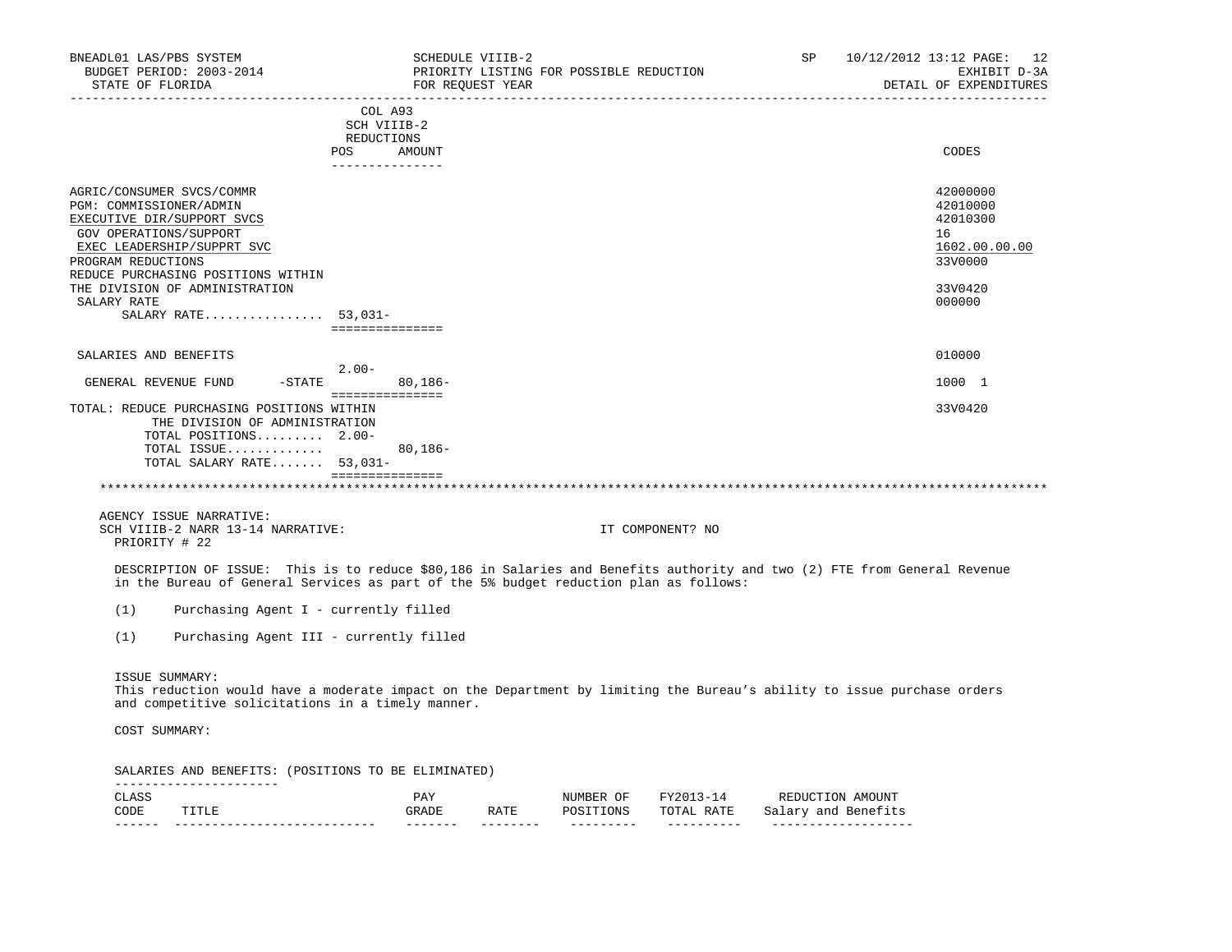| BNEADL01 LAS/PBS SYSTEM<br>BUDGET PERIOD: 2003-2014<br>STATE OF FLORIDA                                                                                                                                                                                 |                                                                | SCHEDULE VIIIB-2<br>FOR REQUEST YEAR |                  | PRIORITY LISTING FOR POSSIBLE REDUCTION |                                                         | SP                                           | 10/12/2012 13:12 PAGE: 12<br>EXHIBIT D-3A<br>DETAIL OF EXPENDITURES                     |
|---------------------------------------------------------------------------------------------------------------------------------------------------------------------------------------------------------------------------------------------------------|----------------------------------------------------------------|--------------------------------------|------------------|-----------------------------------------|---------------------------------------------------------|----------------------------------------------|-----------------------------------------------------------------------------------------|
|                                                                                                                                                                                                                                                         | COL A93<br>SCH VIIIB-2<br>REDUCTIONS<br>POS<br>_______________ | AMOUNT                               |                  |                                         | ________________________________                        |                                              | CODES                                                                                   |
| AGRIC/CONSUMER SVCS/COMMR<br>PGM: COMMISSIONER/ADMIN<br>EXECUTIVE DIR/SUPPORT SVCS<br>GOV OPERATIONS/SUPPORT<br>EXEC LEADERSHIP/SUPPRT SVC<br>PROGRAM REDUCTIONS<br>REDUCE PURCHASING POSITIONS WITHIN<br>THE DIVISION OF ADMINISTRATION<br>SALARY RATE |                                                                |                                      |                  |                                         |                                                         |                                              | 42000000<br>42010000<br>42010300<br>16<br>1602.00.00.00<br>33V0000<br>33V0420<br>000000 |
| SALARY RATE $53,031-$                                                                                                                                                                                                                                   | ===============                                                |                                      |                  |                                         |                                                         |                                              |                                                                                         |
| SALARIES AND BENEFITS                                                                                                                                                                                                                                   |                                                                |                                      |                  |                                         |                                                         |                                              | 010000                                                                                  |
| GENERAL REVENUE FUND                                                                                                                                                                                                                                    | $2.00-$<br>$-$ STATE                                           | $80,186-$                            |                  |                                         |                                                         |                                              | 1000 1                                                                                  |
| TOTAL: REDUCE PURCHASING POSITIONS WITHIN<br>THE DIVISION OF ADMINISTRATION<br>TOTAL POSITIONS 2.00-<br>TOTAL ISSUE<br>TOTAL SALARY RATE 53,031-                                                                                                        | <b>BEBBBBBBBBBBBBB</b>                                         | $80,186 -$                           |                  |                                         |                                                         |                                              | 33V0420                                                                                 |
|                                                                                                                                                                                                                                                         | ===============                                                |                                      |                  |                                         |                                                         |                                              |                                                                                         |
| AGENCY ISSUE NARRATIVE:<br>SCH VIIIB-2 NARR 13-14 NARRATIVE:<br>PRIORITY # 22                                                                                                                                                                           |                                                                |                                      |                  |                                         | IT COMPONENT? NO                                        |                                              |                                                                                         |
| DESCRIPTION OF ISSUE: This is to reduce \$80,186 in Salaries and Benefits authority and two (2) FTE from General Revenue<br>in the Bureau of General Services as part of the 5% budget reduction plan as follows:                                       |                                                                |                                      |                  |                                         |                                                         |                                              |                                                                                         |
| (1)<br>Purchasing Agent I - currently filled                                                                                                                                                                                                            |                                                                |                                      |                  |                                         |                                                         |                                              |                                                                                         |
| (1)<br>Purchasing Agent III - currently filled                                                                                                                                                                                                          |                                                                |                                      |                  |                                         |                                                         |                                              |                                                                                         |
| ISSUE SUMMARY:<br>This reduction would have a moderate impact on the Department by limiting the Bureau's ability to issue purchase orders<br>and competitive solicitations in a timely manner.<br>COST SUMMARY:                                         |                                                                |                                      |                  |                                         |                                                         |                                              |                                                                                         |
| SALARIES AND BENEFITS: (POSITIONS TO BE ELIMINATED)                                                                                                                                                                                                     |                                                                |                                      |                  |                                         |                                                         |                                              |                                                                                         |
| ----------------------<br>CLASS<br>CODE<br>TITLE<br>_____________________________                                                                                                                                                                       |                                                                | PAY<br>GRADE<br>$- - - - - - -$      | RATE<br>-------- | NUMBER OF<br>POSITIONS<br>----------    | FY2013-14 REDUCTION AMOUNT<br>TOTAL RATE<br>----------- | Salary and Benefits<br>_____________________ |                                                                                         |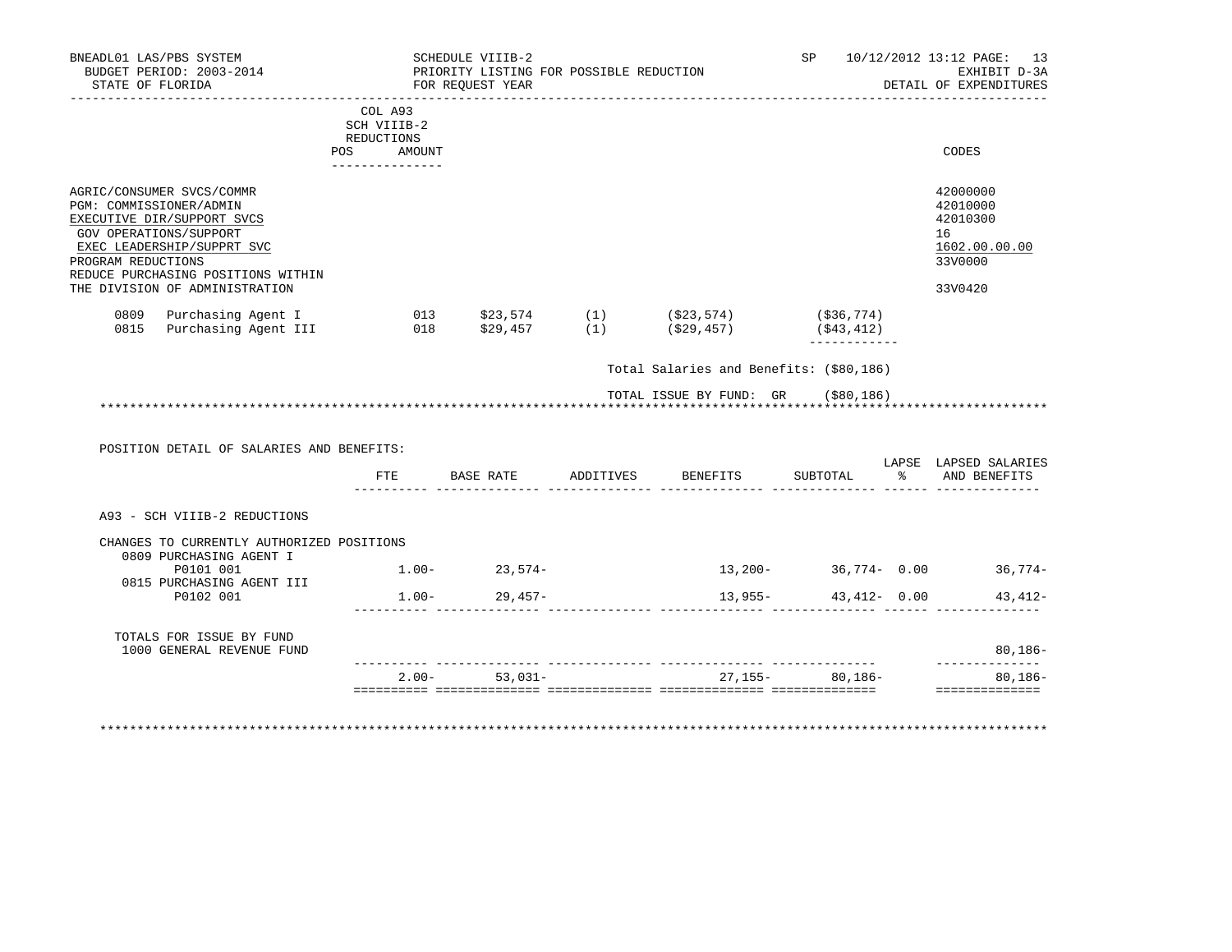| BNEADL01 LAS/PBS SYSTEM<br>BUDGET PERIOD: 2003-2014<br>STATE OF FLORIDA                                                                                                                                                                  | SCHEDULE VIIIB-2<br>PRIORITY LISTING FOR POSSIBLE REDUCTION<br>FOR REOUEST YEAR |                                   |                   |                                         |                              | SP 10/12/2012 13:12 PAGE: 13<br>EXHIBIT D-3A<br>DETAIL OF EXPENDITURES        |
|------------------------------------------------------------------------------------------------------------------------------------------------------------------------------------------------------------------------------------------|---------------------------------------------------------------------------------|-----------------------------------|-------------------|-----------------------------------------|------------------------------|-------------------------------------------------------------------------------|
|                                                                                                                                                                                                                                          | COL A93<br>SCH VIIIB-2<br>REDUCTIONS<br>POS AMOUNT                              | . _ _ _ _ _ _ _ _ _ _ _ _ _ _ _ _ |                   |                                         |                              | CODES                                                                         |
| AGRIC/CONSUMER SVCS/COMMR<br>PGM: COMMISSIONER/ADMIN<br>EXECUTIVE DIR/SUPPORT SVCS<br>GOV OPERATIONS/SUPPORT<br>EXEC LEADERSHIP/SUPPRT SVC<br>PROGRAM REDUCTIONS<br>REDUCE PURCHASING POSITIONS WITHIN<br>THE DIVISION OF ADMINISTRATION |                                                                                 |                                   |                   |                                         |                              | 42000000<br>42010000<br>42010300<br>16<br>1602.00.00.00<br>33V0000<br>33V0420 |
|                                                                                                                                                                                                                                          |                                                                                 |                                   |                   |                                         | ( \$36, 774)<br>( \$43, 412) |                                                                               |
|                                                                                                                                                                                                                                          |                                                                                 |                                   |                   | Total Salaries and Benefits: (\$80,186) |                              |                                                                               |
|                                                                                                                                                                                                                                          |                                                                                 |                                   |                   | TOTAL ISSUE BY FUND: GR (\$80,186)      |                              |                                                                               |
| POSITION DETAIL OF SALARIES AND BENEFITS:                                                                                                                                                                                                |                                                                                 |                                   |                   |                                         |                              |                                                                               |
|                                                                                                                                                                                                                                          | FTE                                                                             |                                   |                   | BASE RATE ADDITIVES BENEFITS            |                              | LAPSE LAPSED SALARIES<br>SUBTOTAL % AND BENEFITS                              |
| A93 - SCH VIIIB-2 REDUCTIONS                                                                                                                                                                                                             |                                                                                 |                                   |                   |                                         |                              |                                                                               |
| CHANGES TO CURRENTLY AUTHORIZED POSITIONS<br>0809 PURCHASING AGENT I                                                                                                                                                                     |                                                                                 |                                   |                   |                                         |                              |                                                                               |
| P0101 001<br>0815 PURCHASING AGENT III                                                                                                                                                                                                   |                                                                                 | $1.00 - 23,574 -$                 |                   | $13,200-36,774-0.00$ 36,774             |                              |                                                                               |
| P0102 001                                                                                                                                                                                                                                |                                                                                 | $1.00 - 29,457 -$                 |                   | $13,955-$                               |                              | $43,412 - 0.00$ $43,412 -$                                                    |
| TOTALS FOR ISSUE BY FUND<br>1000 GENERAL REVENUE FUND                                                                                                                                                                                    |                                                                                 |                                   |                   |                                         |                              | $80,186 -$                                                                    |
|                                                                                                                                                                                                                                          |                                                                                 |                                   | $2.00 - 53,031 -$ |                                         | 27, 155 - 80, 186 -          | --------------<br>80,186-                                                     |
|                                                                                                                                                                                                                                          |                                                                                 |                                   |                   |                                         |                              | ==============                                                                |

\*\*\*\*\*\*\*\*\*\*\*\*\*\*\*\*\*\*\*\*\*\*\*\*\*\*\*\*\*\*\*\*\*\*\*\*\*\*\*\*\*\*\*\*\*\*\*\*\*\*\*\*\*\*\*\*\*\*\*\*\*\*\*\*\*\*\*\*\*\*\*\*\*\*\*\*\*\*\*\*\*\*\*\*\*\*\*\*\*\*\*\*\*\*\*\*\*\*\*\*\*\*\*\*\*\*\*\*\*\*\*\*\*\*\*\*\*\*\*\*\*\*\*\*\*\*\*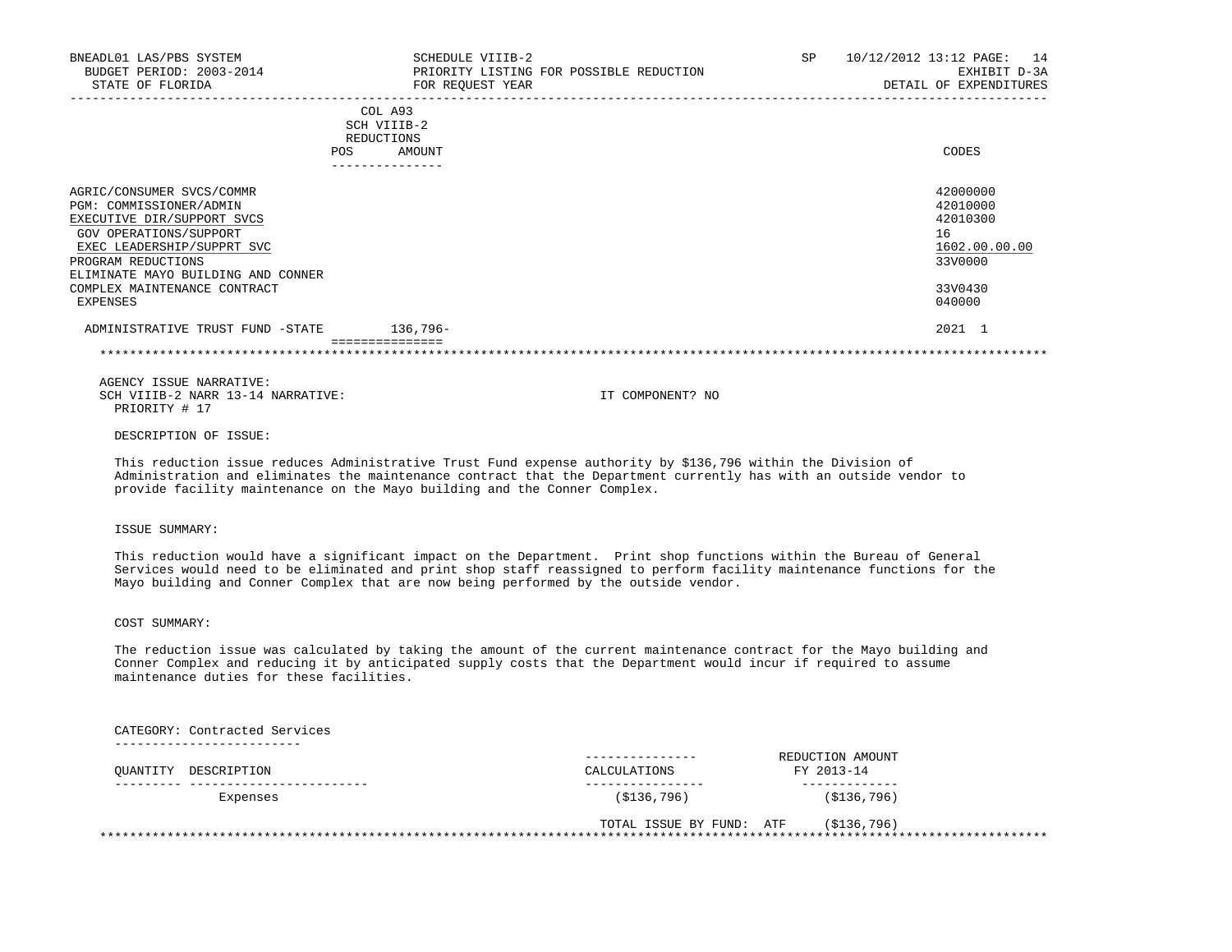| BNEADL01 LAS/PBS SYSTEM<br>BUDGET PERIOD: 2003-2014<br>STATE OF FLORIDA                                                                                                                                                                            | SCHEDULE VIIIB-2<br>PRIORITY LISTING FOR POSSIBLE REDUCTION<br>FOR REQUEST YEAR | SP. | 10/12/2012 13:12 PAGE:<br>14<br>EXHIBIT D-3A<br>DETAIL OF EXPENDITURES                  |
|----------------------------------------------------------------------------------------------------------------------------------------------------------------------------------------------------------------------------------------------------|---------------------------------------------------------------------------------|-----|-----------------------------------------------------------------------------------------|
|                                                                                                                                                                                                                                                    | COL A93<br>SCH VIIIB-2<br>REDUCTIONS<br>AMOUNT<br><b>POS</b>                    |     | CODES                                                                                   |
| AGRIC/CONSUMER SVCS/COMMR<br>PGM: COMMISSIONER/ADMIN<br>EXECUTIVE DIR/SUPPORT SVCS<br>GOV OPERATIONS/SUPPORT<br>EXEC LEADERSHIP/SUPPRT SVC<br>PROGRAM REDUCTIONS<br>ELIMINATE MAYO BUILDING AND CONNER<br>COMPLEX MAINTENANCE CONTRACT<br>EXPENSES |                                                                                 |     | 42000000<br>42010000<br>42010300<br>16<br>1602.00.00.00<br>33V0000<br>33V0430<br>040000 |
| ADMINISTRATIVE TRUST FUND -STATE                                                                                                                                                                                                                   | 136,796-                                                                        |     | 2021 1                                                                                  |
|                                                                                                                                                                                                                                                    |                                                                                 |     |                                                                                         |

DESCRIPTION OF ISSUE:

 This reduction issue reduces Administrative Trust Fund expense authority by \$136,796 within the Division of Administration and eliminates the maintenance contract that the Department currently has with an outside vendor to provide facility maintenance on the Mayo building and the Conner Complex.

# ISSUE SUMMARY:

 This reduction would have a significant impact on the Department. Print shop functions within the Bureau of General Services would need to be eliminated and print shop staff reassigned to perform facility maintenance functions for the Mayo building and Conner Complex that are now being performed by the outside vendor.

COST SUMMARY:

 The reduction issue was calculated by taking the amount of the current maintenance contract for the Mayo building and Conner Complex and reducing it by anticipated supply costs that the Department would incur if required to assume maintenance duties for these facilities.

 CATEGORY: Contracted Services -------------------------

| CALCULATIONS |                          |                                |
|--------------|--------------------------|--------------------------------|
| (S136, 796)  | (S136, 796)              |                                |
|              | (S136,796)               |                                |
|              | TOTAL ISSUE BY FUND: ATF | REDUCTION AMOUNT<br>FY 2013-14 |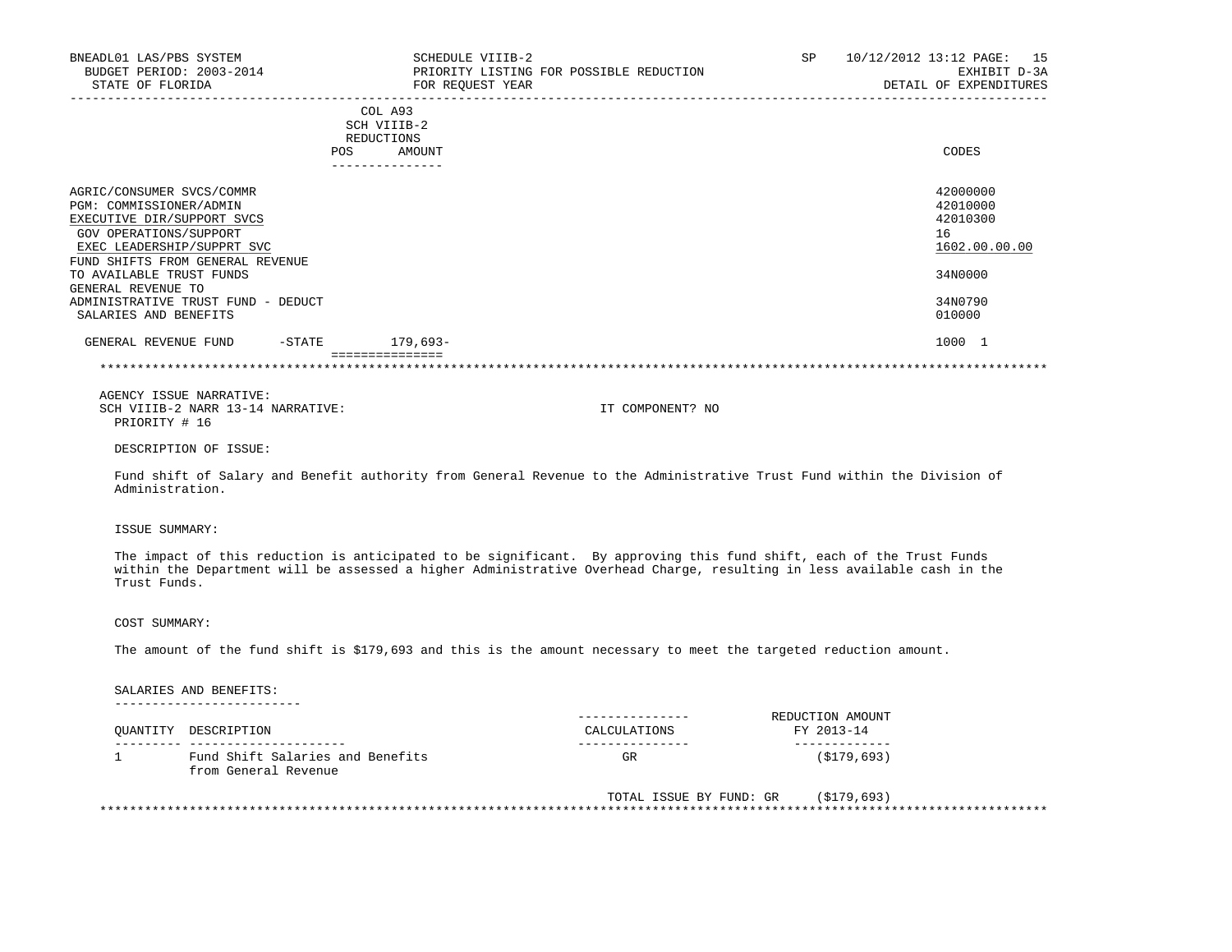| BNEADL01 LAS/PBS SYSTEM<br>BUDGET PERIOD: 2003-2014<br>STATE OF FLORIDA                                                                                                                                                          | SCHEDULE VIIIB-2<br>FOR REQUEST YEAR                                     | PRIORITY LISTING FOR POSSIBLE REDUCTION                                                                                                                                                                                                         | SP | 10/12/2012 13:12 PAGE: 15<br>EXHIBIT D-3A<br>DETAIL OF EXPENDITURES |
|----------------------------------------------------------------------------------------------------------------------------------------------------------------------------------------------------------------------------------|--------------------------------------------------------------------------|-------------------------------------------------------------------------------------------------------------------------------------------------------------------------------------------------------------------------------------------------|----|---------------------------------------------------------------------|
|                                                                                                                                                                                                                                  | COL A93<br>SCH VIIIB-2<br>REDUCTIONS<br>POS<br>AMOUNT<br>--------------- |                                                                                                                                                                                                                                                 |    | CODES                                                               |
| AGRIC/CONSUMER SVCS/COMMR<br>PGM: COMMISSIONER/ADMIN<br>EXECUTIVE DIR/SUPPORT SVCS<br>GOV OPERATIONS/SUPPORT<br>EXEC LEADERSHIP/SUPPRT SVC<br>FUND SHIFTS FROM GENERAL REVENUE<br>TO AVAILABLE TRUST FUNDS<br>GENERAL REVENUE TO |                                                                          |                                                                                                                                                                                                                                                 |    | 42000000<br>42010000<br>42010300<br>16<br>1602.00.00.00<br>34N0000  |
| ADMINISTRATIVE TRUST FUND - DEDUCT<br>SALARIES AND BENEFITS                                                                                                                                                                      |                                                                          |                                                                                                                                                                                                                                                 |    | 34N0790<br>010000                                                   |
| GENERAL REVENUE FUND -STATE 179,693-                                                                                                                                                                                             | ===============                                                          |                                                                                                                                                                                                                                                 |    | 1000 1                                                              |
|                                                                                                                                                                                                                                  |                                                                          |                                                                                                                                                                                                                                                 |    |                                                                     |
| AGENCY ISSUE NARRATIVE:<br>SCH VIIIB-2 NARR 13-14 NARRATIVE:<br>PRIORITY # 16                                                                                                                                                    |                                                                          | IT COMPONENT? NO                                                                                                                                                                                                                                |    |                                                                     |
| DESCRIPTION OF ISSUE:                                                                                                                                                                                                            |                                                                          |                                                                                                                                                                                                                                                 |    |                                                                     |
| Administration.                                                                                                                                                                                                                  |                                                                          | Fund shift of Salary and Benefit authority from General Revenue to the Administrative Trust Fund within the Division of                                                                                                                         |    |                                                                     |
| ISSUE SUMMARY:                                                                                                                                                                                                                   |                                                                          |                                                                                                                                                                                                                                                 |    |                                                                     |
| Trust Funds.                                                                                                                                                                                                                     |                                                                          | The impact of this reduction is anticipated to be significant. By approving this fund shift, each of the Trust Funds<br>within the Department will be assessed a higher Administrative Overhead Charge, resulting in less available cash in the |    |                                                                     |
| COST SUMMARY:                                                                                                                                                                                                                    |                                                                          |                                                                                                                                                                                                                                                 |    |                                                                     |
|                                                                                                                                                                                                                                  |                                                                          | The amount of the fund shift is \$179,693 and this is the amount necessary to meet the targeted reduction amount.                                                                                                                               |    |                                                                     |
| SALARIES AND BENEFITS:                                                                                                                                                                                                           |                                                                          |                                                                                                                                                                                                                                                 |    |                                                                     |

| $\overline{\phantom{0}}$ | ----------------<br>--- |
|--------------------------|-------------------------|
|                          |                         |
|                          |                         |

| OUANTITY DESCRIPTION                                     | CALCULATIONS | REDUCTION AMOUNT<br>FY 2013-14 |
|----------------------------------------------------------|--------------|--------------------------------|
|                                                          |              |                                |
| Fund Shift Salaries and Benefits<br>from General Revenue | GR           | (\$179,693)                    |

| TOTAL ISSUE BY FUND: GR | (\$179,693) |
|-------------------------|-------------|
|                         |             |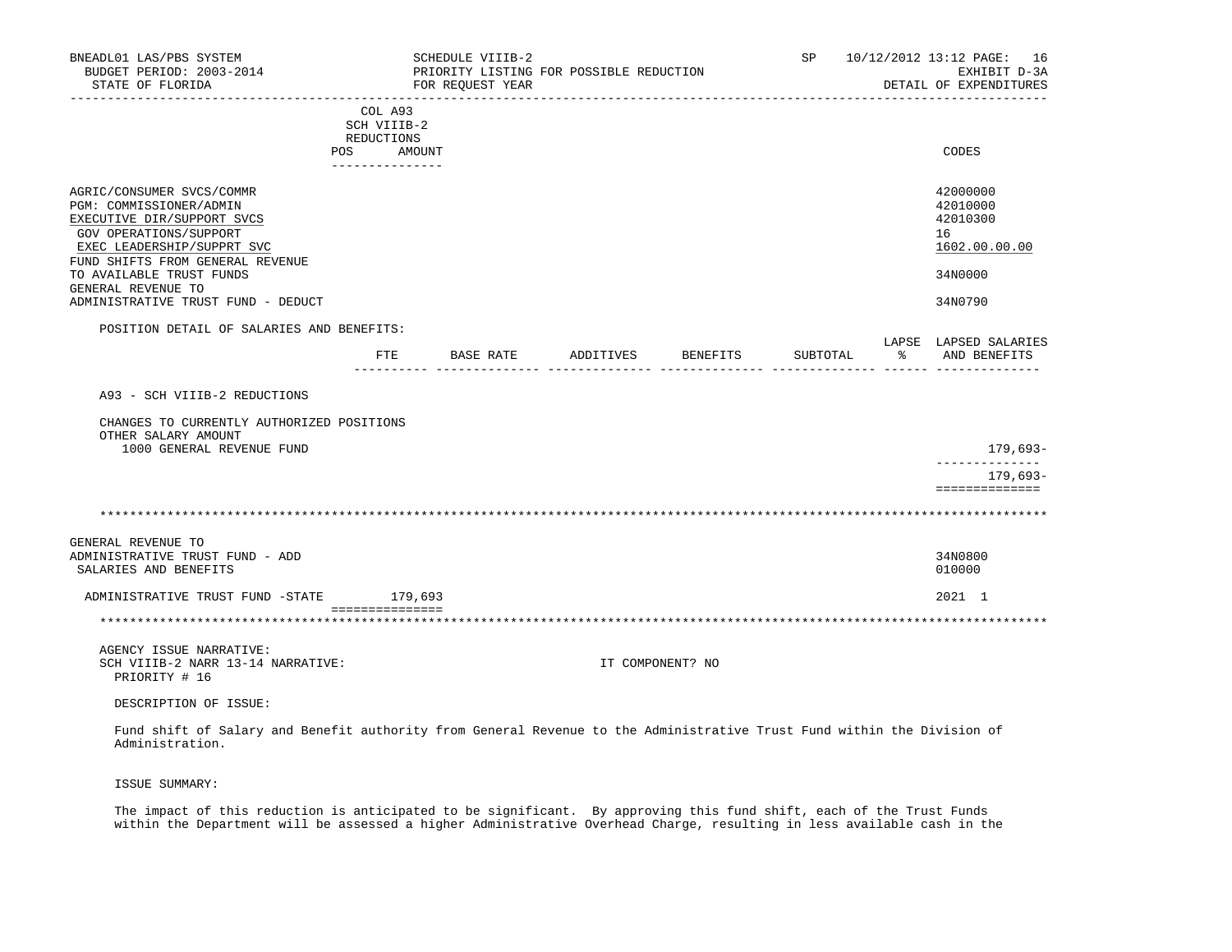| BNEADL01 LAS/PBS SYSTEM<br>BUDGET PERIOD: 2003-2014<br>STATE OF FLORIDA                                                                                                                                                                                                |                                                       | SCHEDULE VIIIB-2<br>PRIORITY LISTING FOR POSSIBLE REDUCTION<br>FOR REOUEST YEAR |                  |          |          |   | SP 10/12/2012 13:12 PAGE: 16<br>EXHIBIT D-3A<br>DETAIL OF EXPENDITURES        |
|------------------------------------------------------------------------------------------------------------------------------------------------------------------------------------------------------------------------------------------------------------------------|-------------------------------------------------------|---------------------------------------------------------------------------------|------------------|----------|----------|---|-------------------------------------------------------------------------------|
|                                                                                                                                                                                                                                                                        | COL A93<br>SCH VIIIB-2<br>REDUCTIONS<br>POS<br>AMOUNT |                                                                                 |                  |          |          |   | CODES                                                                         |
|                                                                                                                                                                                                                                                                        | ---------------                                       |                                                                                 |                  |          |          |   |                                                                               |
| AGRIC/CONSUMER SVCS/COMMR<br>PGM: COMMISSIONER/ADMIN<br>EXECUTIVE DIR/SUPPORT SVCS<br>GOV OPERATIONS/SUPPORT<br>EXEC LEADERSHIP/SUPPRT SVC<br>FUND SHIFTS FROM GENERAL REVENUE<br>TO AVAILABLE TRUST FUNDS<br>GENERAL REVENUE TO<br>ADMINISTRATIVE TRUST FUND - DEDUCT |                                                       |                                                                                 |                  |          |          |   | 42000000<br>42010000<br>42010300<br>16<br>1602.00.00.00<br>34N0000<br>34N0790 |
| POSITION DETAIL OF SALARIES AND BENEFITS:                                                                                                                                                                                                                              |                                                       |                                                                                 |                  |          |          |   |                                                                               |
|                                                                                                                                                                                                                                                                        |                                                       | FTE BASE RATE                                                                   | ADDITIVES        | BENEFITS | SUBTOTAL | ႜ | LAPSE LAPSED SALARIES<br>AND BENEFITS                                         |
| A93 - SCH VIIIB-2 REDUCTIONS<br>CHANGES TO CURRENTLY AUTHORIZED POSITIONS                                                                                                                                                                                              |                                                       |                                                                                 |                  |          |          |   |                                                                               |
| OTHER SALARY AMOUNT<br>1000 GENERAL REVENUE FUND                                                                                                                                                                                                                       |                                                       |                                                                                 |                  |          |          |   | 179,693–<br>______________<br>179,693-<br>==============                      |
|                                                                                                                                                                                                                                                                        |                                                       |                                                                                 |                  |          |          |   |                                                                               |
| GENERAL REVENUE TO<br>ADMINISTRATIVE TRUST FUND - ADD<br>SALARIES AND BENEFITS                                                                                                                                                                                         |                                                       |                                                                                 |                  |          |          |   | 34N0800<br>010000                                                             |
| ADMINISTRATIVE TRUST FUND -STATE 179,693                                                                                                                                                                                                                               |                                                       |                                                                                 |                  |          |          |   | 2021 1                                                                        |
|                                                                                                                                                                                                                                                                        | ===============                                       |                                                                                 |                  |          |          |   |                                                                               |
| AGENCY ISSUE NARRATIVE:<br>SCH VIIIB-2 NARR 13-14 NARRATIVE:<br>PRIORITY # 16                                                                                                                                                                                          |                                                       |                                                                                 | IT COMPONENT? NO |          |          |   |                                                                               |
| DESCRIPTION OF ISSUE:                                                                                                                                                                                                                                                  |                                                       |                                                                                 |                  |          |          |   |                                                                               |
| Fund shift of Salary and Benefit authority from General Revenue to the Administrative Trust Fund within the Division of<br>Administration.                                                                                                                             |                                                       |                                                                                 |                  |          |          |   |                                                                               |

ISSUE SUMMARY:

 The impact of this reduction is anticipated to be significant. By approving this fund shift, each of the Trust Funds within the Department will be assessed a higher Administrative Overhead Charge, resulting in less available cash in the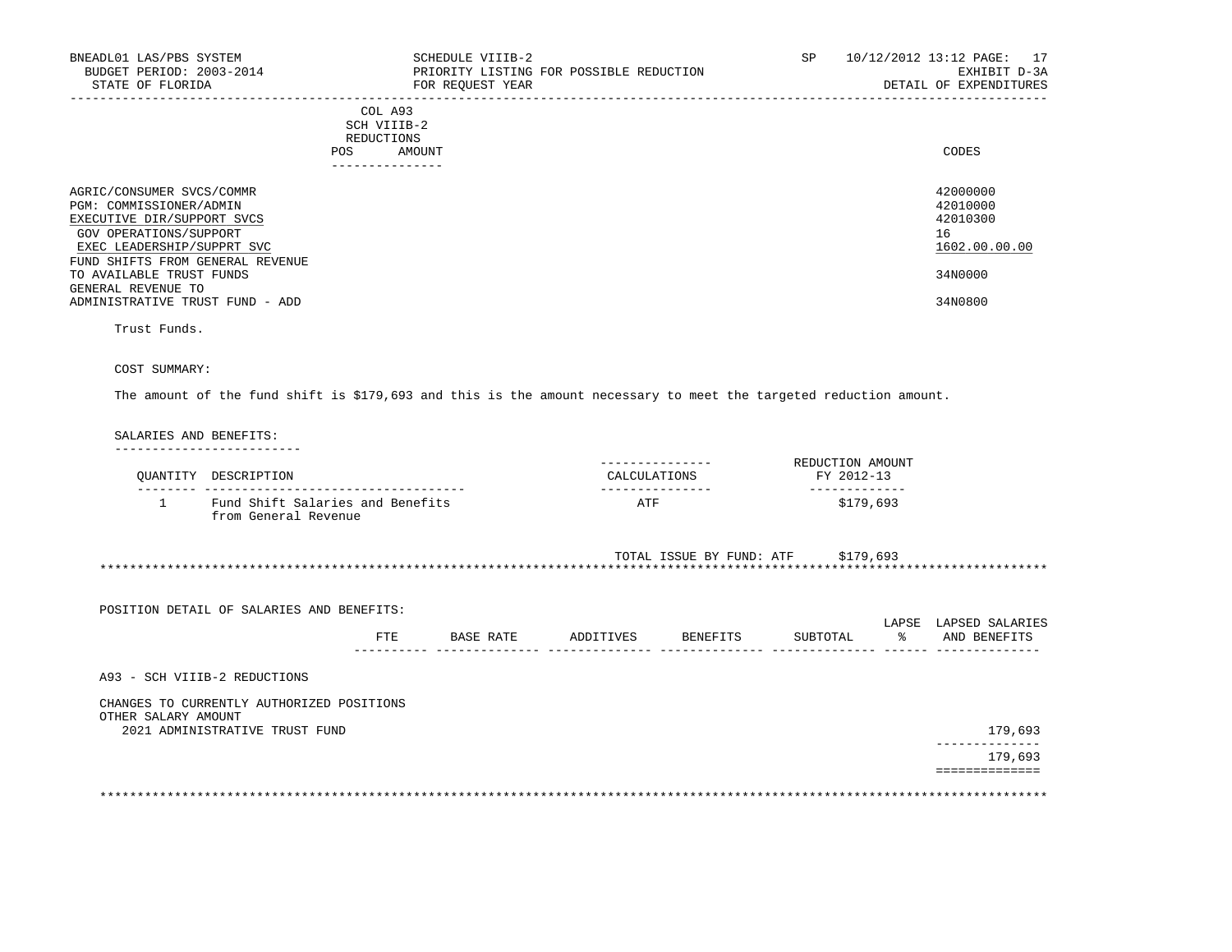| BNEADL01 LAS/PBS SYSTEM<br>BUDGET PERIOD: 2003-2014<br>STATE OF FLORIDA                                                                    | SCHEDULE VIIIB-2<br>PRIORITY LISTING FOR POSSIBLE REDUCTION<br>FOR REQUEST YEAR | SP | 10/12/2012 13:12 PAGE: 17<br>EXHIBIT D-3A<br>DETAIL OF EXPENDITURES |
|--------------------------------------------------------------------------------------------------------------------------------------------|---------------------------------------------------------------------------------|----|---------------------------------------------------------------------|
|                                                                                                                                            | COL A93<br>SCH VIIIB-2<br>REDUCTIONS<br>AMOUNT<br>POS                           |    | CODES                                                               |
| AGRIC/CONSUMER SVCS/COMMR<br>PGM: COMMISSIONER/ADMIN<br>EXECUTIVE DIR/SUPPORT SVCS<br>GOV OPERATIONS/SUPPORT<br>EXEC LEADERSHIP/SUPPRT SVC |                                                                                 |    | 42000000<br>42010000<br>42010300<br>16<br>1602.00.00.00             |
| FUND SHIFTS FROM GENERAL REVENUE<br>TO AVAILABLE TRUST FUNDS<br>GENERAL REVENUE TO<br>ADMINISTRATIVE TRUST FUND - ADD                      |                                                                                 |    | 34N0000<br>34N0800                                                  |

Trust Funds.

# COST SUMMARY:

The amount of the fund shift is \$179,693 and this is the amount necessary to meet the targeted reduction amount.

# SALARIES AND BENEFITS:

|                     | OUANTITY DESCRIPTION                                                        |     |                  | CALCULATIONS |                    | REDUCTION AMOUNT<br>FY 2012-13     |               |                        |
|---------------------|-----------------------------------------------------------------------------|-----|------------------|--------------|--------------------|------------------------------------|---------------|------------------------|
| $\mathbf{1}$        | Fund Shift Salaries and Benefits<br>from General Revenue                    |     |                  | ATF          |                    | \$179,693                          |               |                        |
|                     |                                                                             |     |                  |              |                    | TOTAL ISSUE BY FUND: ATF \$179,693 |               |                        |
|                     | POSITION DETAIL OF SALARIES AND BENEFITS:                                   |     |                  |              |                    |                                    |               | LAPSE LAPSED SALARIES  |
|                     |                                                                             | FTE | <b>BASE RATE</b> |              | ADDITIVES BENEFITS | SUBTOTAL                           | $\frac{1}{6}$ | AND BENEFITS           |
|                     | A93 - SCH VIIIB-2 REDUCTIONS                                                |     |                  |              |                    |                                    |               |                        |
| OTHER SALARY AMOUNT | CHANGES TO CURRENTLY AUTHORIZED POSITIONS<br>2021 ADMINISTRATIVE TRUST FUND |     |                  |              |                    |                                    |               | 179,693                |
|                     |                                                                             |     |                  |              |                    |                                    |               | -----------<br>179,693 |

 ============== \*\*\*\*\*\*\*\*\*\*\*\*\*\*\*\*\*\*\*\*\*\*\*\*\*\*\*\*\*\*\*\*\*\*\*\*\*\*\*\*\*\*\*\*\*\*\*\*\*\*\*\*\*\*\*\*\*\*\*\*\*\*\*\*\*\*\*\*\*\*\*\*\*\*\*\*\*\*\*\*\*\*\*\*\*\*\*\*\*\*\*\*\*\*\*\*\*\*\*\*\*\*\*\*\*\*\*\*\*\*\*\*\*\*\*\*\*\*\*\*\*\*\*\*\*\*\*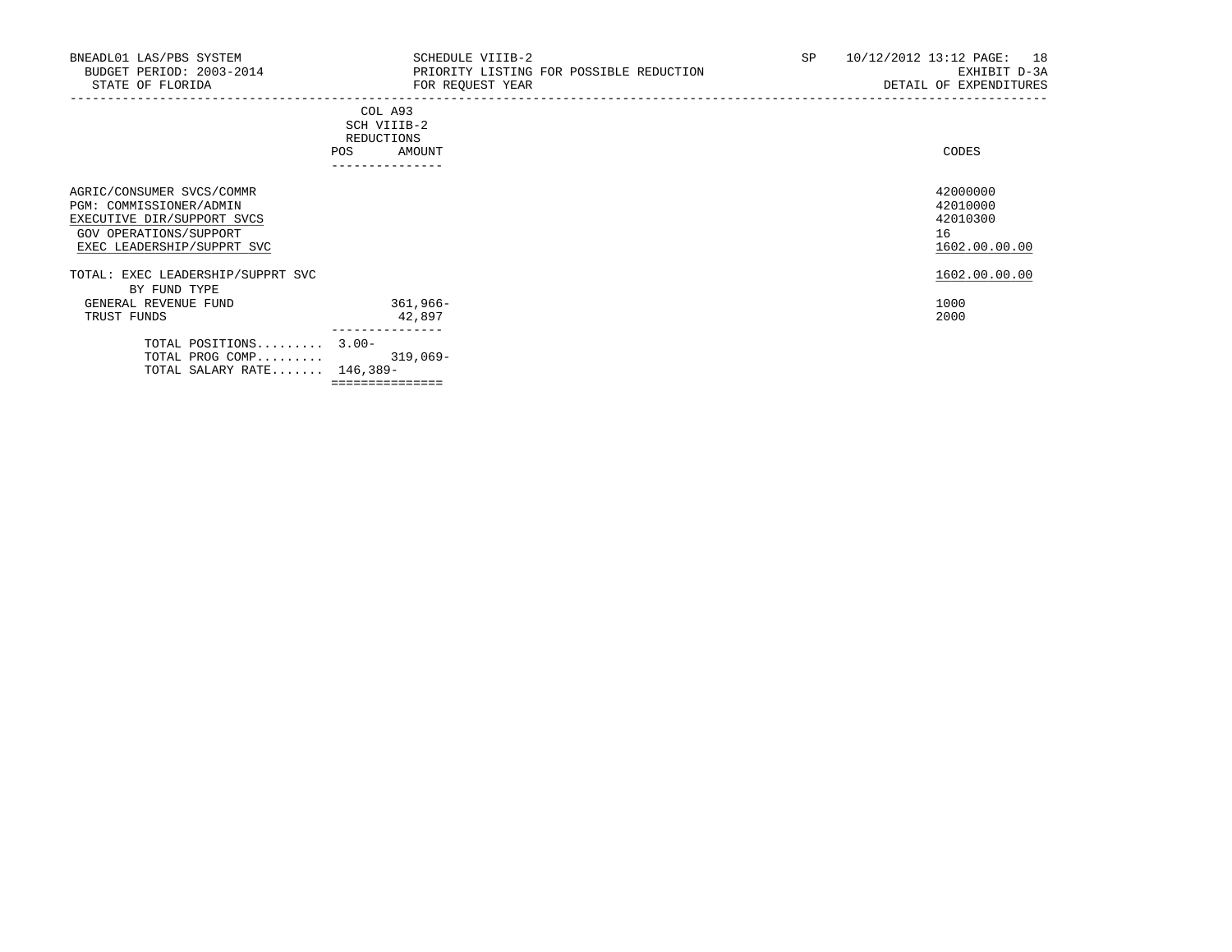| BNEADL01 LAS/PBS SYSTEM<br>BUDGET PERIOD: 2003-2014<br>STATE OF FLORIDA                                                                    | SCHEDULE VIIIB-2<br>PRIORITY LISTING FOR POSSIBLE REDUCTION<br>FOR REQUEST YEAR | SP | 18<br>10/12/2012 13:12 PAGE:<br>EXHIBIT D-3A<br>DETAIL OF EXPENDITURES |
|--------------------------------------------------------------------------------------------------------------------------------------------|---------------------------------------------------------------------------------|----|------------------------------------------------------------------------|
|                                                                                                                                            | COL A93<br>SCH VIIIB-2<br>REDUCTIONS<br><b>POS</b><br>AMOUNT<br>--------------  |    | CODES                                                                  |
| AGRIC/CONSUMER SVCS/COMMR<br>PGM: COMMISSIONER/ADMIN<br>EXECUTIVE DIR/SUPPORT SVCS<br>GOV OPERATIONS/SUPPORT<br>EXEC LEADERSHIP/SUPPRT SVC |                                                                                 |    | 42000000<br>42010000<br>42010300<br>16<br>1602.00.00.00                |
| TOTAL: EXEC LEADERSHIP/SUPPRT SVC                                                                                                          |                                                                                 |    | 1602.00.00.00                                                          |
| BY FUND TYPE<br>GENERAL REVENUE FUND<br>TRUST FUNDS                                                                                        | 361,966-<br>42,897                                                              |    | 1000<br>2000                                                           |
| TOTAL POSITIONS $3.00-$<br>TOTAL PROG COMP<br>TOTAL SALARY RATE $146,389-$                                                                 | ---------------<br>$319,069-$                                                   |    |                                                                        |

===============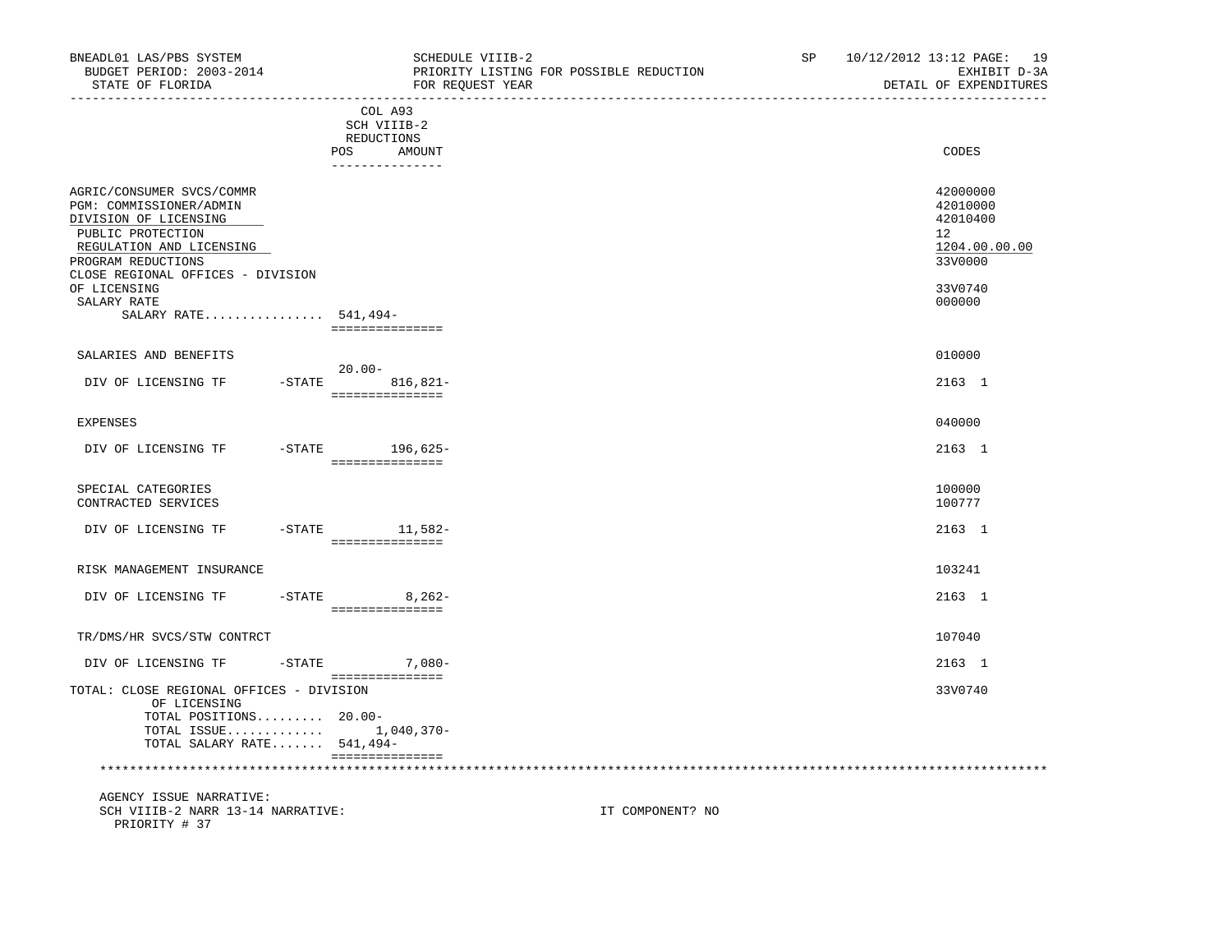| BNEADL01 LAS/PBS SYSTEM<br>BUDGET PERIOD: 2003-2014<br>STATE OF FLORIDA                                                                                                                                                                          | ____________________________________                                  | SCHEDULE VIIIB-2<br>PRIORITY LISTING FOR POSSIBLE REDUCTION<br>FOR REOUEST YEAR | SP | 10/12/2012 13:12 PAGE: 19<br>EXHIBIT D-3A<br>DETAIL OF EXPENDITURES                     |
|--------------------------------------------------------------------------------------------------------------------------------------------------------------------------------------------------------------------------------------------------|-----------------------------------------------------------------------|---------------------------------------------------------------------------------|----|-----------------------------------------------------------------------------------------|
|                                                                                                                                                                                                                                                  | COL A93<br>SCH VIIIB-2<br>REDUCTIONS<br>POS AMOUNT<br>_______________ |                                                                                 |    | CODES                                                                                   |
| AGRIC/CONSUMER SVCS/COMMR<br>PGM: COMMISSIONER/ADMIN<br>DIVISION OF LICENSING<br>PUBLIC PROTECTION<br>REGULATION AND LICENSING<br>PROGRAM REDUCTIONS<br>CLOSE REGIONAL OFFICES - DIVISION<br>OF LICENSING<br>SALARY RATE<br>SALARY RATE 541,494- | ===============                                                       |                                                                                 |    | 42000000<br>42010000<br>42010400<br>12<br>1204.00.00.00<br>33V0000<br>33V0740<br>000000 |
| SALARIES AND BENEFITS                                                                                                                                                                                                                            | 20.00-                                                                |                                                                                 |    | 010000                                                                                  |
| DIV OF LICENSING TF                                                                                                                                                                                                                              | $-$ STATE 816,821-<br>================                                |                                                                                 |    | 2163 1                                                                                  |
| EXPENSES                                                                                                                                                                                                                                         |                                                                       |                                                                                 |    | 040000                                                                                  |
| DIV OF LICENSING TF                                                                                                                                                                                                                              | -STATE 196,625-<br>_____________________                              |                                                                                 |    | 2163 1                                                                                  |
| SPECIAL CATEGORIES<br>CONTRACTED SERVICES                                                                                                                                                                                                        |                                                                       |                                                                                 |    | 100000<br>100777                                                                        |
| DIV OF LICENSING TF                                                                                                                                                                                                                              | -STATE 11,582-<br>===============                                     |                                                                                 |    | 2163 1                                                                                  |
| RISK MANAGEMENT INSURANCE                                                                                                                                                                                                                        |                                                                       |                                                                                 |    | 103241                                                                                  |
| DIV OF LICENSING TF                                                                                                                                                                                                                              | $-$ STATE 8, 262-<br>______________________                           |                                                                                 |    | 2163 1                                                                                  |
| TR/DMS/HR SVCS/STW CONTRCT                                                                                                                                                                                                                       |                                                                       |                                                                                 |    | 107040                                                                                  |
| DIV OF LICENSING TF                                                                                                                                                                                                                              | $-$ STATE 7,080 -                                                     |                                                                                 |    | 2163 1                                                                                  |
| TOTAL: CLOSE REGIONAL OFFICES - DIVISION<br>OF LICENSING<br>TOTAL POSITIONS 20.00-<br>TOTAL ISSUE 1,040,370-<br>TOTAL SALARY RATE 541,494-                                                                                                       | -----------------                                                     |                                                                                 |    | 33V0740                                                                                 |
| AGENCY ISSUE NARRATIVE:<br>SCH VIIIB-2 NARR 13-14 NARRATIVE:<br>PRIORITY # 37                                                                                                                                                                    |                                                                       | IT COMPONENT? NO                                                                |    |                                                                                         |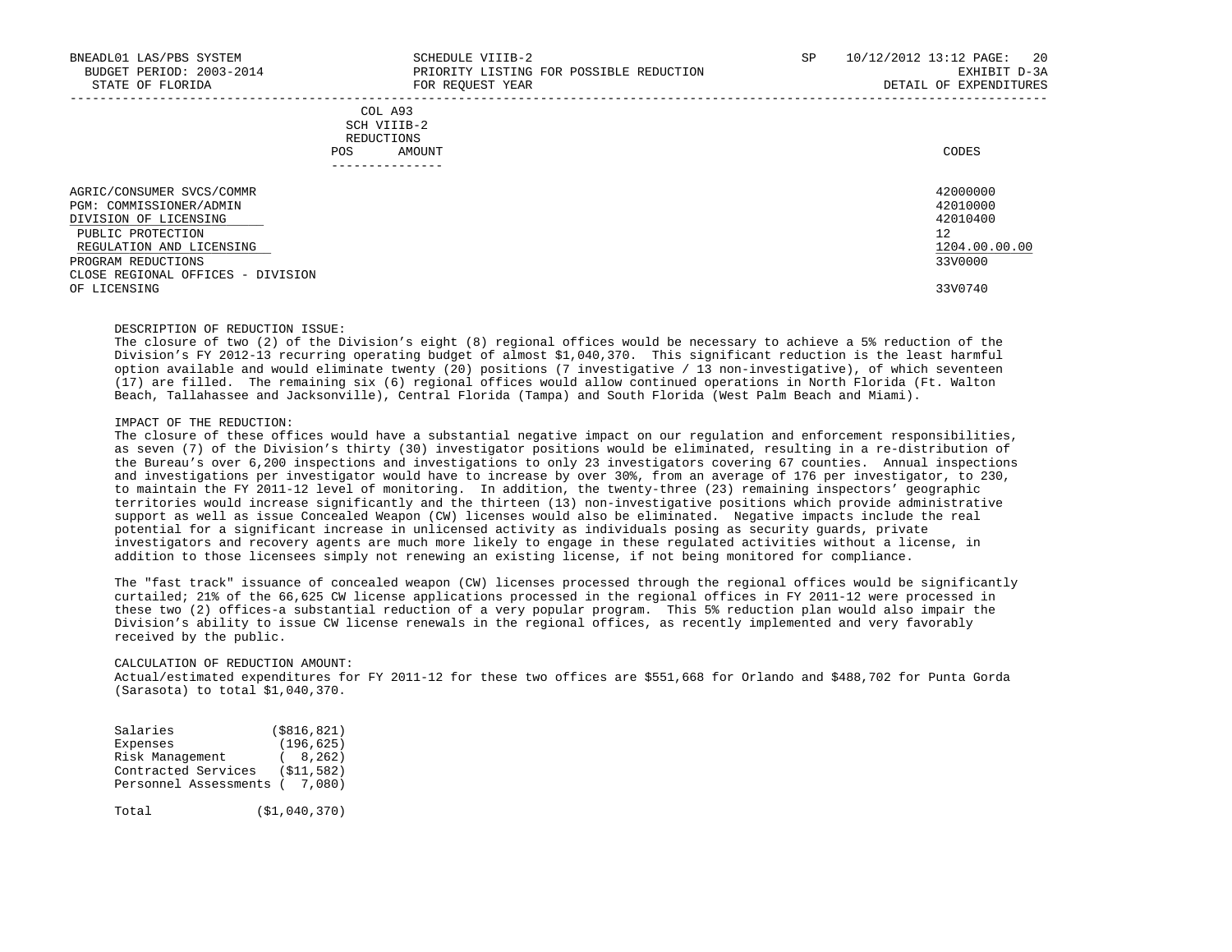| BNEADL01 LAS/PBS SYSTEM<br>BUDGET PERIOD: 2003-2014<br>STATE OF FLORIDA                                                                                                                   | SCHEDULE VIIIB-2<br>PRIORITY LISTING FOR POSSIBLE REDUCTION<br>FOR REOUEST YEAR | SP | 10/12/2012 13:12 PAGE:<br>20<br>EXHIBIT D-3A<br>DETAIL OF EXPENDITURES |
|-------------------------------------------------------------------------------------------------------------------------------------------------------------------------------------------|---------------------------------------------------------------------------------|----|------------------------------------------------------------------------|
|                                                                                                                                                                                           | COL A93<br>SCH VIIIB-2<br>REDUCTIONS<br>AMOUNT<br>POS.                          |    | CODES                                                                  |
| AGRIC/CONSUMER SVCS/COMMR<br>PGM: COMMISSIONER/ADMIN<br>DIVISION OF LICENSING<br>PUBLIC PROTECTION<br>REGULATION AND LICENSING<br>PROGRAM REDUCTIONS<br>CLOSE REGIONAL OFFICES - DIVISION |                                                                                 |    | 42000000<br>42010000<br>42010400<br>12<br>1204.00.00.00<br>33V0000     |
| OF LICENSING                                                                                                                                                                              |                                                                                 |    | 33V0740                                                                |

## DESCRIPTION OF REDUCTION ISSUE:

 The closure of two (2) of the Division's eight (8) regional offices would be necessary to achieve a 5% reduction of the Division's FY 2012-13 recurring operating budget of almost \$1,040,370. This significant reduction is the least harmful option available and would eliminate twenty (20) positions (7 investigative / 13 non-investigative), of which seventeen (17) are filled. The remaining six (6) regional offices would allow continued operations in North Florida (Ft. Walton Beach, Tallahassee and Jacksonville), Central Florida (Tampa) and South Florida (West Palm Beach and Miami).

## IMPACT OF THE REDUCTION:

 The closure of these offices would have a substantial negative impact on our regulation and enforcement responsibilities, as seven (7) of the Division's thirty (30) investigator positions would be eliminated, resulting in a re-distribution of the Bureau's over 6,200 inspections and investigations to only 23 investigators covering 67 counties. Annual inspections and investigations per investigator would have to increase by over 30%, from an average of 176 per investigator, to 230, to maintain the FY 2011-12 level of monitoring. In addition, the twenty-three (23) remaining inspectors' geographic territories would increase significantly and the thirteen (13) non-investigative positions which provide administrative support as well as issue Concealed Weapon (CW) licenses would also be eliminated. Negative impacts include the real potential for a significant increase in unlicensed activity as individuals posing as security guards, private investigators and recovery agents are much more likely to engage in these regulated activities without a license, in addition to those licensees simply not renewing an existing license, if not being monitored for compliance.

 The "fast track" issuance of concealed weapon (CW) licenses processed through the regional offices would be significantly curtailed; 21% of the 66,625 CW license applications processed in the regional offices in FY 2011-12 were processed in these two (2) offices-a substantial reduction of a very popular program. This 5% reduction plan would also impair the Division's ability to issue CW license renewals in the regional offices, as recently implemented and very favorably received by the public.

### CALCULATION OF REDUCTION AMOUNT:

 Actual/estimated expenditures for FY 2011-12 for these two offices are \$551,668 for Orlando and \$488,702 for Punta Gorda (Sarasota) to total \$1,040,370.

| Salaries                       | ( \$816, 821) |
|--------------------------------|---------------|
| Expenses                       | (196, 625)    |
| Risk Management                | (8, 262)      |
| Contracted Services            | (S11, 582)    |
| Personnel Assessments ( 7,080) |               |
|                                |               |

Total (\$1,040,370)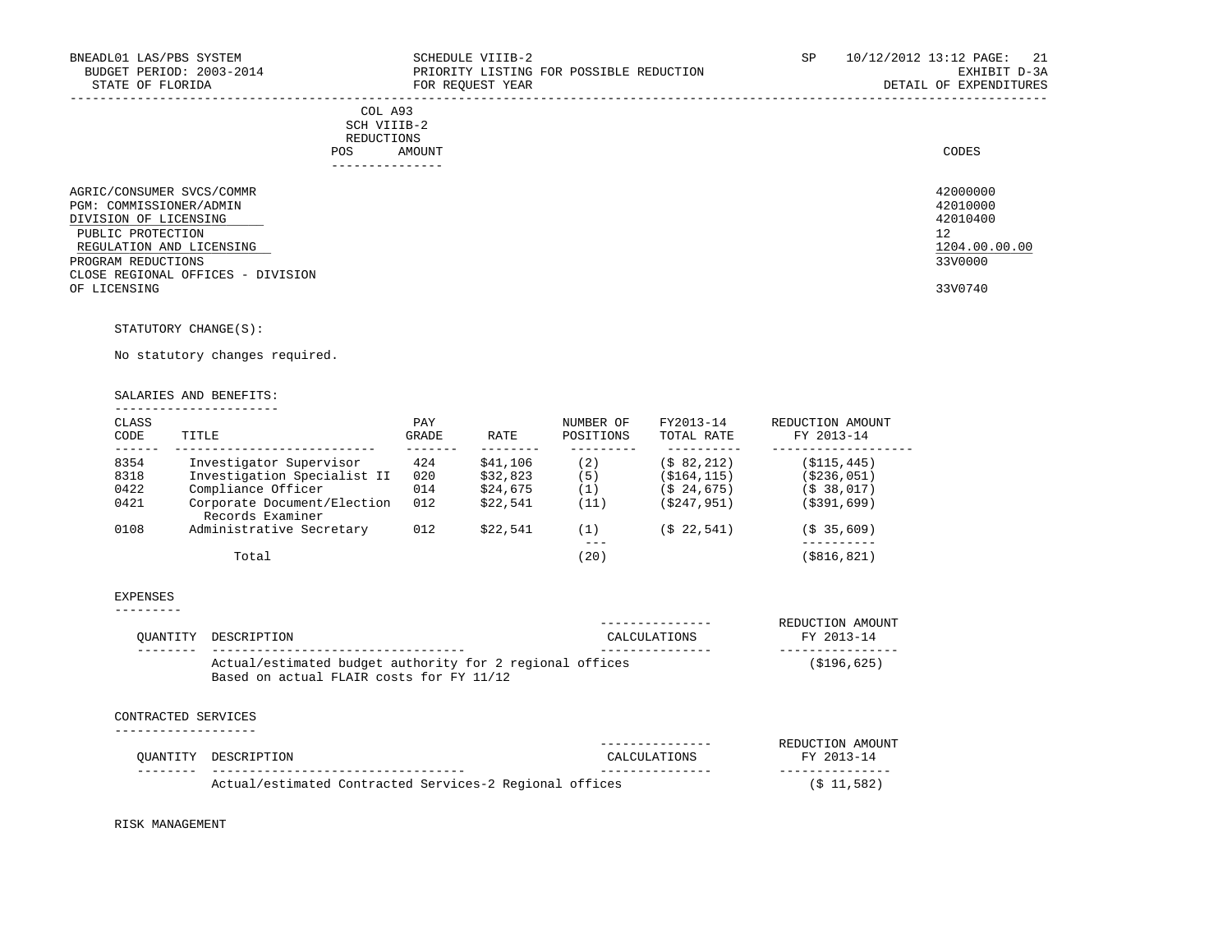|     | COL A93     |
|-----|-------------|
|     | SCH VIIIB-2 |
|     | REDUCTIONS  |
| POS | AMOUNT      |
|     |             |

|                                   | POS | AMOUNT        | CODES         |
|-----------------------------------|-----|---------------|---------------|
|                                   |     | ------------- |               |
| AGRIC/CONSUMER SVCS/COMMR         |     |               | 42000000      |
| PGM: COMMISSIONER/ADMIN           |     |               | 42010000      |
| DIVISION OF LICENSING             |     |               | 42010400      |
| PUBLIC PROTECTION                 |     |               | 12            |
| REGULATION AND LICENSING          |     |               | 1204.00.00.00 |
| PROGRAM REDUCTIONS                |     |               | 33V0000       |
| CLOSE REGIONAL OFFICES - DIVISION |     |               |               |
| OF LICENSING                      |     |               | 33V0740       |

STATUTORY CHANGE(S):

No statutory changes required.

### SALARIES AND BENEFITS: ----------------------

| CLASS<br>CODE | TITLE                                           | PAY<br>GRADE | RATE     | NUMBER OF<br>POSITIONS | FY2013-14<br>TOTAL RATE | REDUCTION AMOUNT<br>FY 2013-14 |
|---------------|-------------------------------------------------|--------------|----------|------------------------|-------------------------|--------------------------------|
| 8354          | Investigator Supervisor                         | 424          | \$41,106 | (2)                    | (\$82,212)              | (\$115,445)                    |
| 8318          | Investigation Specialist II                     | 020          | \$32,823 | (5)                    | (\$164,115)             | ( \$236, 051)                  |
| 0422          | Compliance Officer                              | 014          | \$24,675 | (1)                    | (\$24,675)              | (\$38,017)                     |
| 0421          | Corporate Document/Election<br>Records Examiner | 012          | \$22.541 | (11)                   | (\$247,951)             | (\$391,699)                    |
| 0108          | Administrative Secretary                        | 012          | \$22.541 | (1)                    | (\$22,541)              | (S <sub>35,609</sub> )         |
|               |                                                 |              |          | ---                    |                         |                                |
|               | Total                                           |              |          | 20 <sup>2</sup>        |                         | (\$816,821)                    |

#### EXPENSES ---------

| OUANTITY DESCRIPTION                                                                                 | CALCULATIONS | REDUCTION AMOUNT<br>FY 2013-14 |
|------------------------------------------------------------------------------------------------------|--------------|--------------------------------|
| Actual/estimated budget authority for 2 regional offices<br>Based on actual FLAIR costs for FY 11/12 |              | (S196, 625)                    |

### CONTRACTED SERVICES

|                                                         |              | REDUCTION AMOUNT |
|---------------------------------------------------------|--------------|------------------|
| OUANTITY DESCRIPTION                                    | CALCULATIONS | FY 2013-14       |
|                                                         |              |                  |
| Actual/estimated Contracted Services-2 Regional offices |              | $(S$ 11,582)     |

RISK MANAGEMENT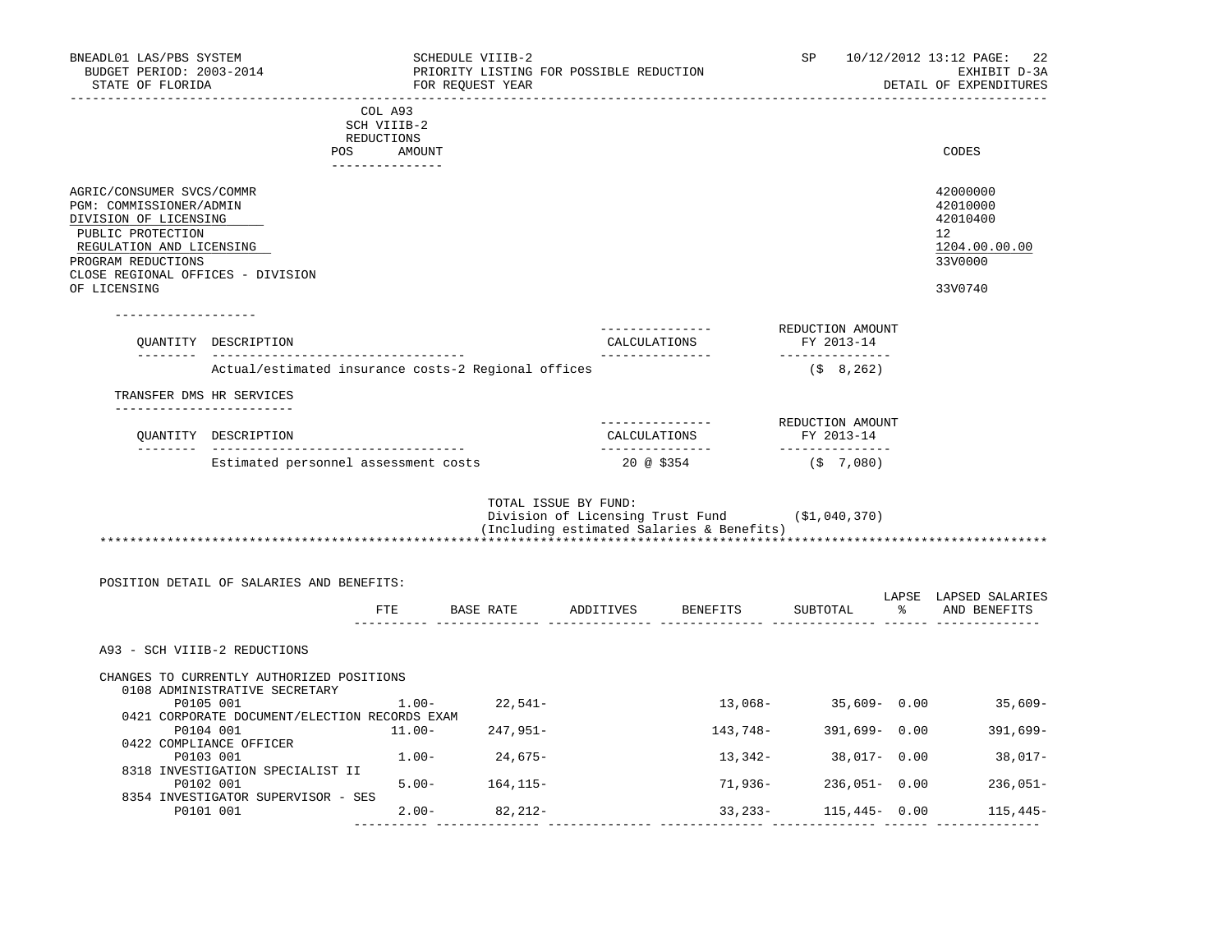| BNEADL01 LAS/PBS SYSTEM<br>BUDGET PERIOD: 2003-2014<br>STATE OF FLORIDA                                                                                                                   |                                                                            |                                                | SCHEDULE VIIIB-2<br>PRIORITY LISTING FOR POSSIBLE REDUCTION<br>FOR REQUEST YEAR |                      |                                                                                             | SP                               | 10/12/2012 13:12 PAGE:<br>22<br>EXHIBIT D-3A<br>DETAIL OF EXPENDITURES          |
|-------------------------------------------------------------------------------------------------------------------------------------------------------------------------------------------|----------------------------------------------------------------------------|------------------------------------------------|---------------------------------------------------------------------------------|----------------------|---------------------------------------------------------------------------------------------|----------------------------------|---------------------------------------------------------------------------------|
|                                                                                                                                                                                           | POS                                                                        | COL A93<br>SCH VIIIB-2<br>REDUCTIONS<br>AMOUNT |                                                                                 |                      |                                                                                             |                                  | CODES                                                                           |
| AGRIC/CONSUMER SVCS/COMMR<br>PGM: COMMISSIONER/ADMIN<br>DIVISION OF LICENSING<br>PUBLIC PROTECTION<br>REGULATION AND LICENSING<br>PROGRAM REDUCTIONS<br>CLOSE REGIONAL OFFICES - DIVISION |                                                                            | ----------------                               |                                                                                 |                      |                                                                                             |                                  | 42000000<br>42010000<br>42010400<br>12 <sup>°</sup><br>1204.00.00.00<br>33V0000 |
| OF LICENSING                                                                                                                                                                              | QUANTITY DESCRIPTION                                                       |                                                |                                                                                 |                      | --------------<br>CALCULATIONS                                                              | REDUCTION AMOUNT<br>FY 2013-14   | 33V0740                                                                         |
|                                                                                                                                                                                           | Actual/estimated insurance costs-2 Regional offices                        |                                                |                                                                                 |                      | _______________                                                                             | ---------------<br>$($ \$ 8,262) |                                                                                 |
| TRANSFER DMS HR SERVICES                                                                                                                                                                  |                                                                            |                                                |                                                                                 |                      |                                                                                             |                                  |                                                                                 |
|                                                                                                                                                                                           | ---------------------<br>OUANTITY DESCRIPTION                              |                                                |                                                                                 |                      | ---------------<br>CALCULATIONS                                                             | REDUCTION AMOUNT<br>FY 2013-14   |                                                                                 |
|                                                                                                                                                                                           | Estimated personnel assessment costs                                       |                                                |                                                                                 |                      | ---------------<br>20 @ \$354                                                               | ---------------<br>(\$7,080)     |                                                                                 |
|                                                                                                                                                                                           |                                                                            |                                                |                                                                                 | TOTAL ISSUE BY FUND: | Division of Licensing Trust Fund (\$1,040,370)<br>(Including estimated Salaries & Benefits) |                                  |                                                                                 |
|                                                                                                                                                                                           | POSITION DETAIL OF SALARIES AND BENEFITS:                                  | ETE                                            |                                                                                 |                      | BASE RATE ADDITIVES BENEFITS                                                                |                                  | LAPSE LAPSED SALARIES<br>SUBTOTAL % AND BENEFITS                                |
| A93 - SCH VIIIB-2 REDUCTIONS                                                                                                                                                              |                                                                            |                                                |                                                                                 |                      |                                                                                             |                                  |                                                                                 |
|                                                                                                                                                                                           | CHANGES TO CURRENTLY AUTHORIZED POSITIONS<br>0108 ADMINISTRATIVE SECRETARY |                                                |                                                                                 |                      |                                                                                             |                                  |                                                                                 |
|                                                                                                                                                                                           | P0105 001                                                                  | $1.00 -$                                       | 22,541-                                                                         |                      |                                                                                             |                                  | $13,068-$ 35,609- 0.00 35,609-                                                  |
|                                                                                                                                                                                           | 0421 CORPORATE DOCUMENT/ELECTION RECORDS EXAM<br>P0104 001                 | $11.00 -$                                      | 247,951-                                                                        |                      | 143,748-                                                                                    | 391,699-0.00                     | 391,699-                                                                        |
|                                                                                                                                                                                           | 0422 COMPLIANCE OFFICER<br>P0103 001                                       |                                                | $1.00 - 24,675 -$                                                               |                      | 13,342-                                                                                     | 38,017- 0.00                     | 38,017-                                                                         |
|                                                                                                                                                                                           | 8318 INVESTIGATION SPECIALIST II                                           |                                                |                                                                                 |                      |                                                                                             |                                  |                                                                                 |
|                                                                                                                                                                                           | P0102 001<br>8354 INVESTIGATOR SUPERVISOR - SES                            |                                                | $5.00 - 164, 115 -$                                                             |                      | 71,936-                                                                                     | $236,051 - 0.00$                 | $236,051-$                                                                      |
|                                                                                                                                                                                           | P0101 001                                                                  | $2.00 -$                                       | 82,212-                                                                         |                      | 33, 233 –                                                                                   | $115,445 - 0.00$                 | $115,445-$                                                                      |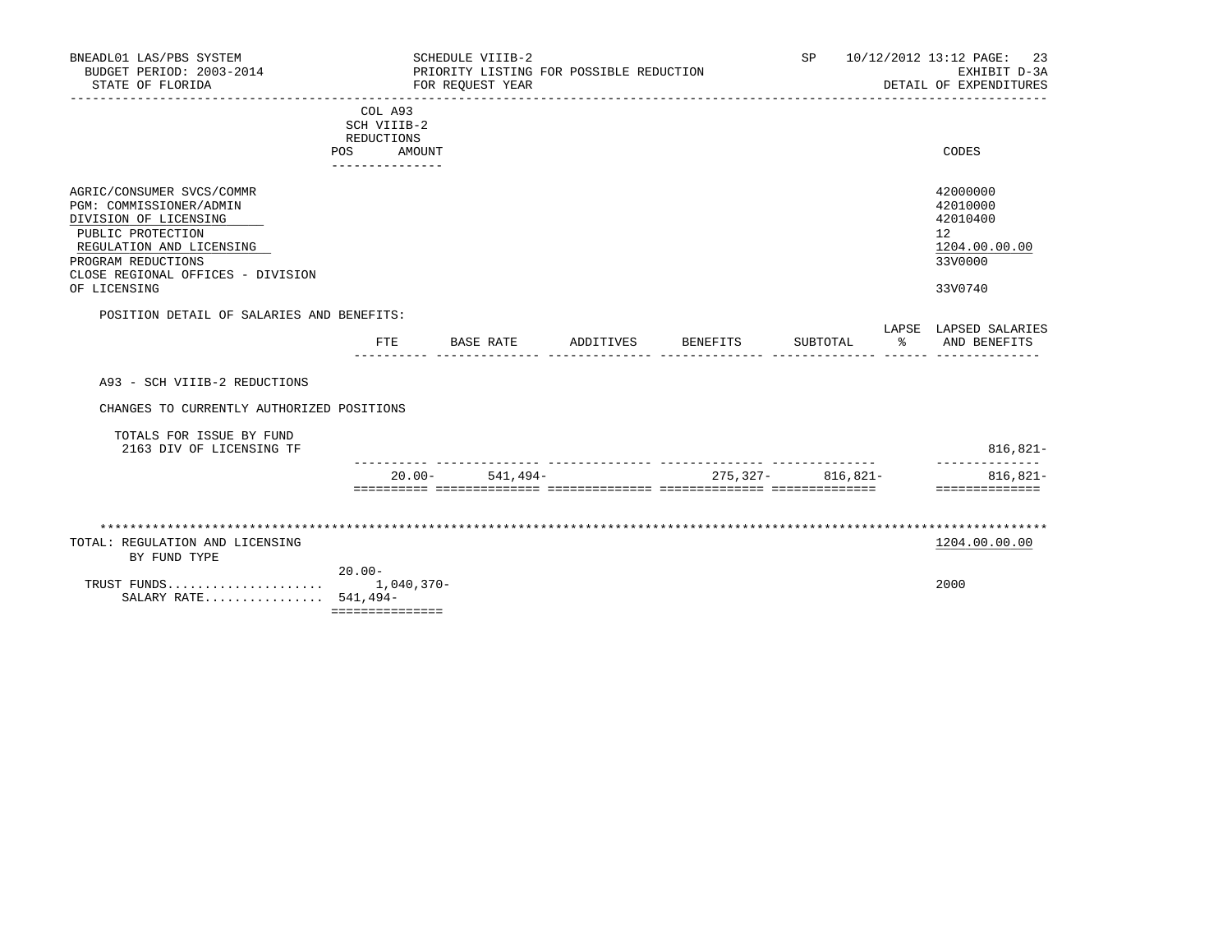| BNEADL01 LAS/PBS SYSTEM<br>BUDGET PERIOD: 2003-2014<br>STATE OF FLORIDA                                                                                                                                   |           | -----------------------                                               | SCHEDULE VIIIB-2<br>PRIORITY LISTING FOR POSSIBLE REDUCTION<br>FOR REOUEST YEAR |           |          | SP.                   | 10/12/2012 13:12 PAGE:<br>23<br>EXHIBIT D-3A<br>DETAIL OF EXPENDITURES        |
|-----------------------------------------------------------------------------------------------------------------------------------------------------------------------------------------------------------|-----------|-----------------------------------------------------------------------|---------------------------------------------------------------------------------|-----------|----------|-----------------------|-------------------------------------------------------------------------------|
|                                                                                                                                                                                                           |           | COL A93<br>SCH VIIIB-2<br>REDUCTIONS<br>POS AMOUNT<br>--------------- |                                                                                 |           |          |                       | CODES                                                                         |
| AGRIC/CONSUMER SVCS/COMMR<br>PGM: COMMISSIONER/ADMIN<br>DIVISION OF LICENSING<br>PUBLIC PROTECTION<br>REGULATION AND LICENSING<br>PROGRAM REDUCTIONS<br>CLOSE REGIONAL OFFICES - DIVISION<br>OF LICENSING |           |                                                                       |                                                                                 |           |          |                       | 42000000<br>42010000<br>42010400<br>12<br>1204.00.00.00<br>33V0000<br>33V0740 |
| POSITION DETAIL OF SALARIES AND BENEFITS:                                                                                                                                                                 |           |                                                                       |                                                                                 |           |          |                       | LAPSE LAPSED SALARIES                                                         |
|                                                                                                                                                                                                           |           | FTE                                                                   | BASE RATE                                                                       | ADDITIVES | BENEFITS | SUBTOTAL              | % AND BENEFITS                                                                |
| A93 - SCH VIIIB-2 REDUCTIONS                                                                                                                                                                              |           |                                                                       |                                                                                 |           |          |                       |                                                                               |
| CHANGES TO CURRENTLY AUTHORIZED POSITIONS                                                                                                                                                                 |           |                                                                       |                                                                                 |           |          |                       |                                                                               |
| TOTALS FOR ISSUE BY FUND<br>2163 DIV OF LICENSING TF                                                                                                                                                      |           |                                                                       |                                                                                 |           |          |                       | $816, 821 -$                                                                  |
|                                                                                                                                                                                                           |           | $20.00 -$                                                             | $541.494-$                                                                      |           |          | $275.327 - 816.821 -$ | --------------<br>816,821-<br>==============                                  |
|                                                                                                                                                                                                           |           |                                                                       |                                                                                 |           |          |                       |                                                                               |
| TOTAL: REGULATION AND LICENSING<br>BY FUND TYPE                                                                                                                                                           |           |                                                                       |                                                                                 |           |          |                       | 1204.00.00.00                                                                 |
| TRUST FUNDS<br>SALARY RATE 541,494-                                                                                                                                                                       | $20.00 -$ | $1,040,370-$<br>===============                                       |                                                                                 |           |          |                       | 2000                                                                          |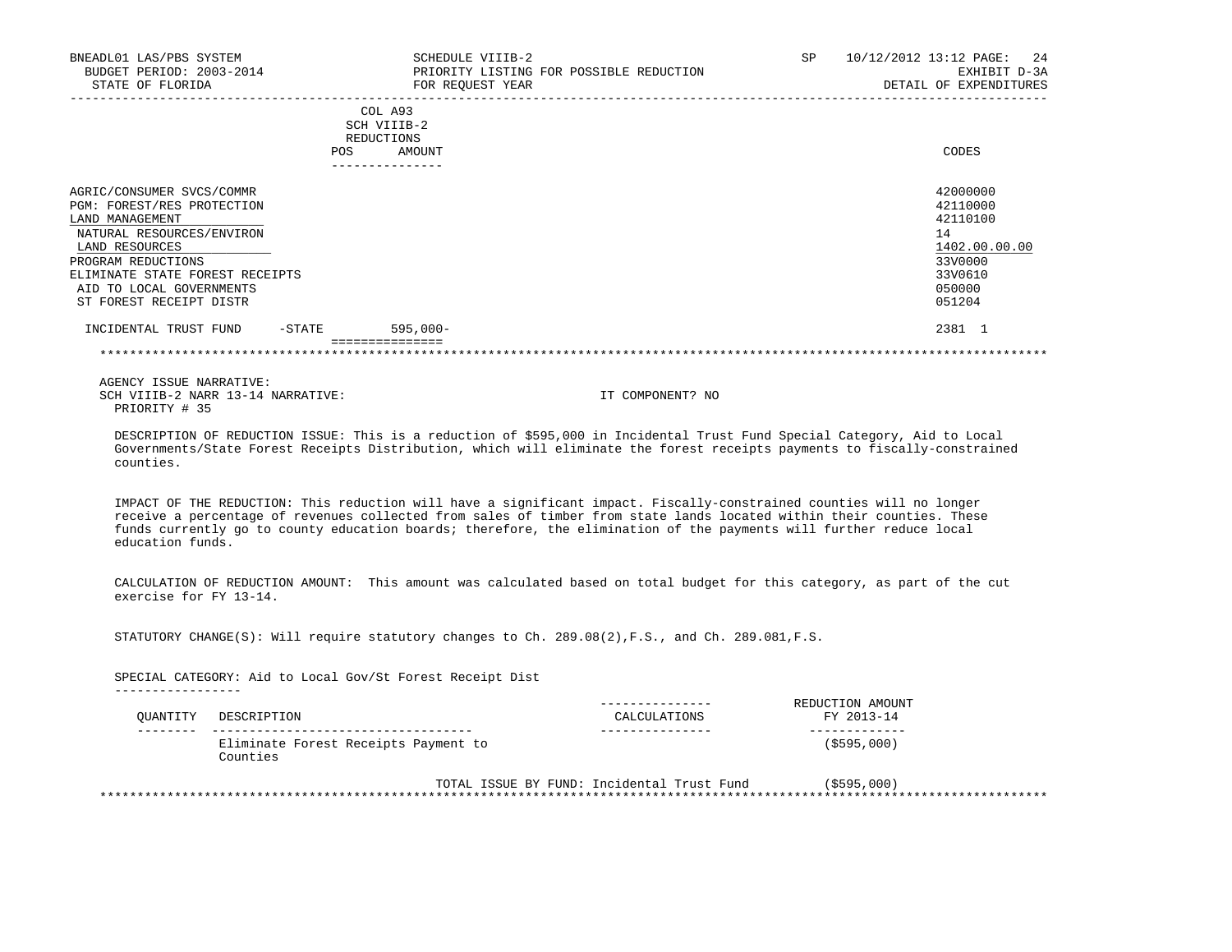| BNEADL01 LAS/PBS SYSTEM<br>BUDGET PERIOD: 2003-2014<br>STATE OF FLORIDA                                                                                                                                                                   |            | SCHEDULE VIIIB-2<br>FOR REQUEST YEAR                             | PRIORITY LISTING FOR POSSIBLE REDUCTION | SP | 10/12/2012 13:12 PAGE:<br>2.4<br>EXHIBIT D-3A<br>DETAIL OF EXPENDITURES                           |
|-------------------------------------------------------------------------------------------------------------------------------------------------------------------------------------------------------------------------------------------|------------|------------------------------------------------------------------|-----------------------------------------|----|---------------------------------------------------------------------------------------------------|
|                                                                                                                                                                                                                                           | <b>POS</b> | COL A93<br>SCH VIIIB-2<br>REDUCTIONS<br>AMOUNT<br>-------------- |                                         |    | CODES                                                                                             |
| AGRIC/CONSUMER SVCS/COMMR<br>PGM: FOREST/RES PROTECTION<br>LAND MANAGEMENT<br>NATURAL RESOURCES/ENVIRON<br>LAND RESOURCES<br>PROGRAM REDUCTIONS<br>ELIMINATE STATE FOREST RECEIPTS<br>AID TO LOCAL GOVERNMENTS<br>ST FOREST RECEIPT DISTR |            |                                                                  |                                         |    | 42000000<br>42110000<br>42110100<br>14<br>1402.00.00.00<br>33V0000<br>33V0610<br>050000<br>051204 |
| INCIDENTAL TRUST FUND                                                                                                                                                                                                                     | $-$ STATE  | $595,000-$                                                       |                                         |    | 2381 1                                                                                            |
|                                                                                                                                                                                                                                           |            |                                                                  |                                         |    |                                                                                                   |

 DESCRIPTION OF REDUCTION ISSUE: This is a reduction of \$595,000 in Incidental Trust Fund Special Category, Aid to Local Governments/State Forest Receipts Distribution, which will eliminate the forest receipts payments to fiscally-constrained counties.

 IMPACT OF THE REDUCTION: This reduction will have a significant impact. Fiscally-constrained counties will no longer receive a percentage of revenues collected from sales of timber from state lands located within their counties. These funds currently go to county education boards; therefore, the elimination of the payments will further reduce local education funds.

 CALCULATION OF REDUCTION AMOUNT: This amount was calculated based on total budget for this category, as part of the cut exercise for FY 13-14.

STATUTORY CHANGE(S): Will require statutory changes to Ch. 289.08(2),F.S., and Ch. 289.081,F.S.

 SPECIAL CATEGORY: Aid to Local Gov/St Forest Receipt Dist -----------------

| OUANTITY | DESCRIPTION                                      | CALCULATIONS                               | REDUCTION AMOUNT<br>FY 2013-14 |  |
|----------|--------------------------------------------------|--------------------------------------------|--------------------------------|--|
|          | Eliminate Forest Receipts Payment to<br>Counties |                                            | $($ \$595,000)                 |  |
|          |                                                  | TOTAL ISSUE BY FUND: Incidental Trust Fund | $($ \$595,000)                 |  |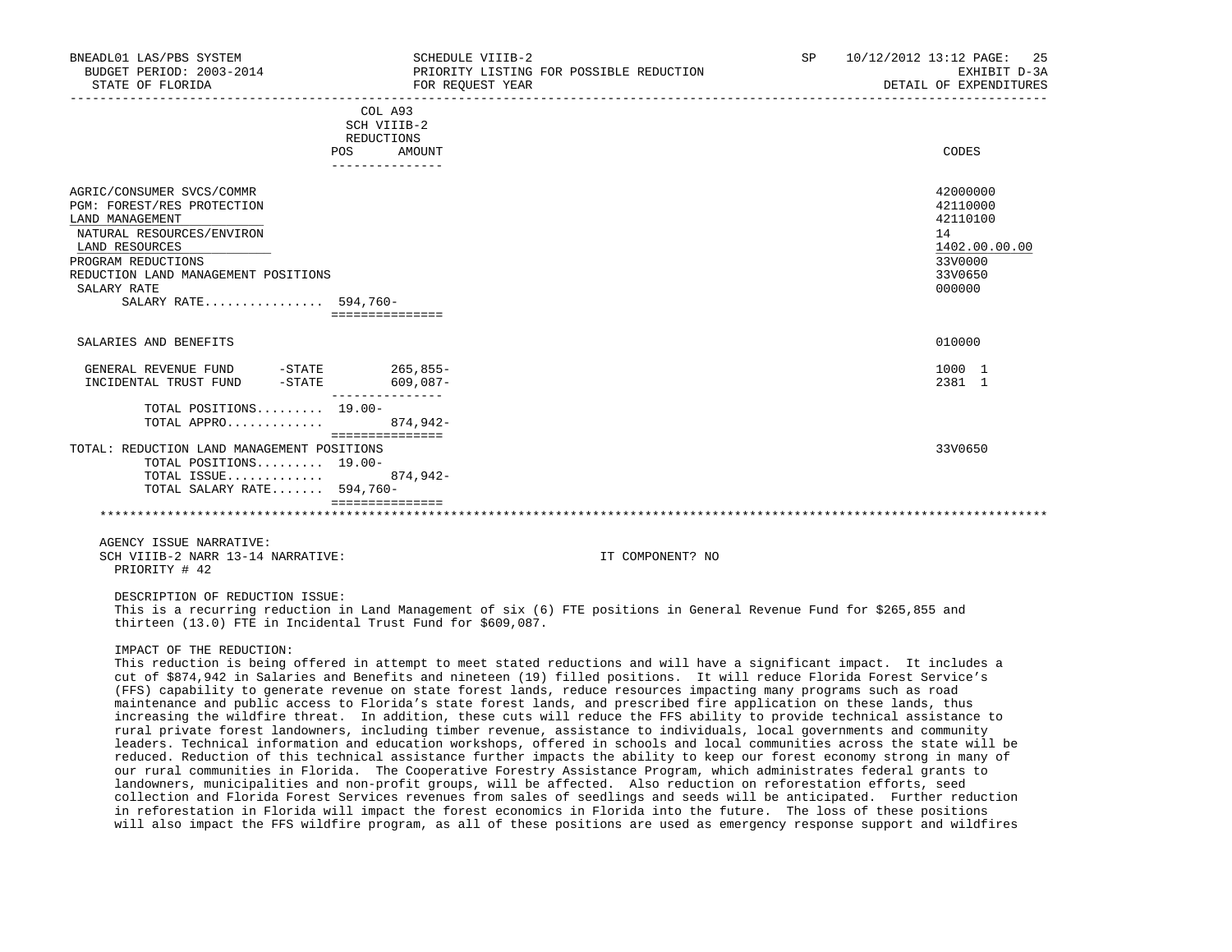| BNEADL01 LAS/PBS SYSTEM<br>BUDGET PERIOD: 2003-2014<br>STATE OF FLORIDA                                                                                                                                                       | SCHEDULE VIIIB-2<br>FOR REQUEST YEAR                      | PRIORITY LISTING FOR POSSIBLE REDUCTION                                                                             | SP | 10/12/2012 13:12 PAGE:<br>25<br>EXHIBIT D-3A<br>DETAIL OF EXPENDITURES                  |
|-------------------------------------------------------------------------------------------------------------------------------------------------------------------------------------------------------------------------------|-----------------------------------------------------------|---------------------------------------------------------------------------------------------------------------------|----|-----------------------------------------------------------------------------------------|
|                                                                                                                                                                                                                               | COL A93<br>SCH VIIIB-2<br>REDUCTIONS<br>POS FOR<br>AMOUNT |                                                                                                                     |    | CODES                                                                                   |
|                                                                                                                                                                                                                               | ---------------                                           |                                                                                                                     |    |                                                                                         |
| AGRIC/CONSUMER SVCS/COMMR<br>PGM: FOREST/RES PROTECTION<br>LAND MANAGEMENT<br>NATURAL RESOURCES/ENVIRON<br>LAND RESOURCES<br>PROGRAM REDUCTIONS<br>REDUCTION LAND MANAGEMENT POSITIONS<br>SALARY RATE<br>SALARY RATE 594,760- | ===============                                           |                                                                                                                     |    | 42000000<br>42110000<br>42110100<br>14<br>1402.00.00.00<br>33V0000<br>33V0650<br>000000 |
| SALARIES AND BENEFITS                                                                                                                                                                                                         |                                                           |                                                                                                                     |    | 010000                                                                                  |
| GENERAL REVENUE FUND -STATE 265,855-<br>INCIDENTAL TRUST FUND -STATE                                                                                                                                                          | $609,087-$                                                |                                                                                                                     |    | 1000 1<br>2381 1                                                                        |
| TOTAL POSITIONS $19.00-$<br>TOTAL APPRO                                                                                                                                                                                       | 874,942-<br>===============                               |                                                                                                                     |    |                                                                                         |
| TOTAL: REDUCTION LAND MANAGEMENT POSITIONS<br>TOTAL POSITIONS 19.00-<br>TOTAL ISSUE<br>TOTAL SALARY RATE 594,760-                                                                                                             | 874,942-                                                  |                                                                                                                     |    | 33V0650                                                                                 |
|                                                                                                                                                                                                                               |                                                           |                                                                                                                     |    |                                                                                         |
| AGENCY ISSUE NARRATIVE:<br>SCH VIIIB-2 NARR 13-14 NARRATIVE:<br>PRIORITY # 42                                                                                                                                                 |                                                           | IT COMPONENT? NO                                                                                                    |    |                                                                                         |
| DESCRIPTION OF REDUCTION ISSUE:                                                                                                                                                                                               |                                                           | This is a recurring reduction in Land Management of six (6) FTE positions in General Revenue Fund for \$265,855 and |    |                                                                                         |

IMPACT OF THE REDUCTION:

thirteen (13.0) FTE in Incidental Trust Fund for \$609,087.

 This reduction is being offered in attempt to meet stated reductions and will have a significant impact. It includes a cut of \$874,942 in Salaries and Benefits and nineteen (19) filled positions. It will reduce Florida Forest Service's (FFS) capability to generate revenue on state forest lands, reduce resources impacting many programs such as road maintenance and public access to Florida's state forest lands, and prescribed fire application on these lands, thus increasing the wildfire threat. In addition, these cuts will reduce the FFS ability to provide technical assistance to rural private forest landowners, including timber revenue, assistance to individuals, local governments and community leaders. Technical information and education workshops, offered in schools and local communities across the state will be reduced. Reduction of this technical assistance further impacts the ability to keep our forest economy strong in many of our rural communities in Florida. The Cooperative Forestry Assistance Program, which administrates federal grants to landowners, municipalities and non-profit groups, will be affected. Also reduction on reforestation efforts, seed collection and Florida Forest Services revenues from sales of seedlings and seeds will be anticipated. Further reduction in reforestation in Florida will impact the forest economics in Florida into the future. The loss of these positions will also impact the FFS wildfire program, as all of these positions are used as emergency response support and wildfires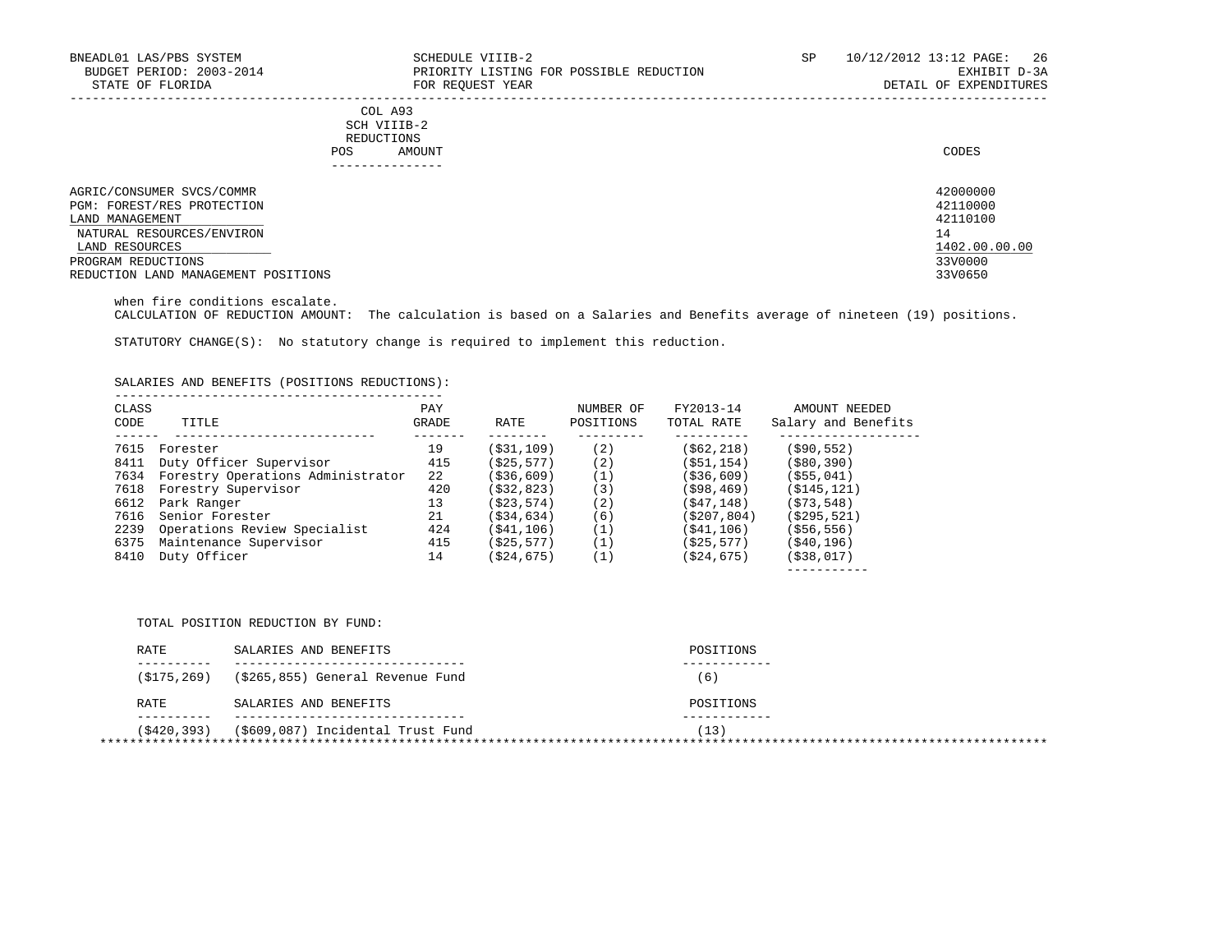| BNEADL01 LAS/PBS SYSTEM<br>BUDGET PERIOD: 2003-2014<br>STATE OF FLORIDA                                                                         | SCHEDULE VIIIB-2<br>PRIORITY LISTING FOR POSSIBLE REDUCTION<br>FOR REOUEST YEAR | SP | 10/12/2012 13:12 PAGE: 26<br>EXHIBIT D-3A<br>DETAIL OF EXPENDITURES |
|-------------------------------------------------------------------------------------------------------------------------------------------------|---------------------------------------------------------------------------------|----|---------------------------------------------------------------------|
|                                                                                                                                                 | COL A93<br>SCH VIIIB-2<br>REDUCTIONS<br>AMOUNT<br>POS                           |    | CODES                                                               |
| AGRIC/CONSUMER SVCS/COMMR<br>PGM: FOREST/RES PROTECTION<br>LAND MANAGEMENT<br>NATURAL RESOURCES/ENVIRON<br>LAND RESOURCES<br>PROGRAM REDUCTIONS |                                                                                 |    | 42000000<br>42110000<br>42110100<br>14<br>1402.00.00.00<br>33V0000  |
| REDUCTION LAND MANAGEMENT POSITIONS                                                                                                             |                                                                                 |    | 33V0650                                                             |

when fire conditions escalate.

CALCULATION OF REDUCTION AMOUNT: The calculation is based on a Salaries and Benefits average of nineteen (19) positions.

STATUTORY CHANGE(S): No statutory change is required to implement this reduction.

SALARIES AND BENEFITS (POSITIONS REDUCTIONS):

| CLASS<br><b>CODE</b> | TITLE                             | PAY<br>GRADE | RATE          | NUMBER OF<br>POSITIONS | FY2013-14<br>TOTAL RATE | AMOUNT NEEDED<br>Salary and Benefits |
|----------------------|-----------------------------------|--------------|---------------|------------------------|-------------------------|--------------------------------------|
| 7615                 | Forester                          | 19           | (S31, 109)    | (2)                    | (562, 218)              | $($ \$90,552)                        |
| 8411                 | Duty Officer Supervisor           | 415          | (S25, 577)    | (2)                    | (S51, 154)              | ( \$80, 390)                         |
| 7634                 | Forestry Operations Administrator | 2.2          | ( \$36, 609)  | (1)                    | ( \$36, 609)            | $($ \$55,041)                        |
| 7618                 | Forestry Supervisor               | 420          | (S32, 823)    | (3)                    | (598, 469)              | ( \$145, 121)                        |
| 6612                 | Park Ranger                       | 13           | (S23, 574)    | (2)                    | (S47, 148)              | (S73, 548)                           |
| 7616                 | Senior Forester                   | 21           | $($ \$34,634) | (6)                    | (S207, 804)             | ( \$295, 521)                        |
| 2239                 | Operations Review Specialist      | 424          | (S41, 106)    | (1)                    | (S41, 106)              | $($ \$56,556)                        |
| 6375                 | Maintenance Supervisor            | 415          | (S25, 577)    | (1)                    | (S25, 577)              | ( \$40, 196)                         |
| 8410                 | Duty Officer                      | 14           | ( \$24, 675)  |                        | (S24, 675)              | $($ \$38,017)                        |
|                      |                                   |              |               |                        |                         |                                      |

TOTAL POSITION REDUCTION BY FUND:

| RATE        | SALARIES AND BENEFITS             | POSITIONS |  |
|-------------|-----------------------------------|-----------|--|
| (S175, 269) | (\$265,855) General Revenue Fund  | 6)        |  |
| RATE        | SALARIES AND BENEFITS             | POSITIONS |  |
| (\$420,393) | (\$609,087) Incidental Trust Fund | (13)      |  |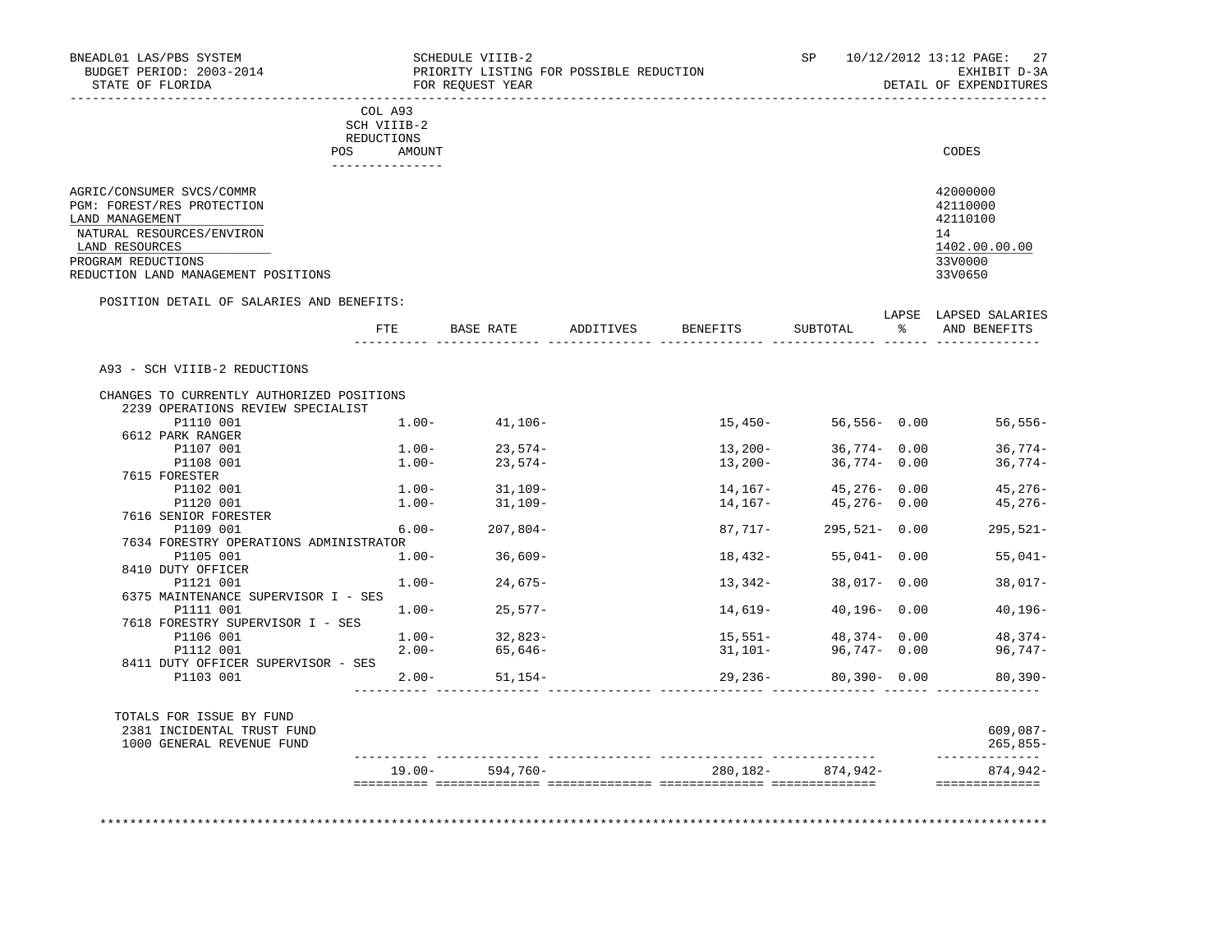| BNEADL01 LAS/PBS SYSTEM<br>BUDGET PERIOD: 2003-2014<br>STATE OF FLORIDA | SCHEDULE VIIIB-2<br>PRIORITY LISTING FOR POSSIBLE REDUCTION<br>FOR REQUEST YEAR | SP | 10/12/2012 13:12 PAGE: 27<br>EXHIBIT D-3A<br>DETAIL OF EXPENDITURES |
|-------------------------------------------------------------------------|---------------------------------------------------------------------------------|----|---------------------------------------------------------------------|
|                                                                         | COL A93<br>SCH VIIIB-2<br>REDUCTIONS                                            |    |                                                                     |
|                                                                         | AMOUNT<br>POS.                                                                  |    | CODES                                                               |
| AGRIC/CONSUMER SVCS/COMMR                                               |                                                                                 |    | 42000000                                                            |

| PGM: FOREST/RES PROTECTION          | 42110000      |
|-------------------------------------|---------------|
| LAND MANAGEMENT                     | 42110100      |
| NATURAL RESOURCES/ENVIRON           |               |
| LAND RESOURCES                      | 1402.00.00.00 |
| PROGRAM REDUCTIONS                  | 33V0000       |
| REDUCTION LAND MANAGEMENT POSITIONS | 33V0650       |

## POSITION DETAIL OF SALARIES AND BENEFITS:

|                                           | FTE      | <b>BASE RATE</b>  | ADDITIVES | BENEFITS  | SUBTOTAL         | LAPSE<br>ዱ | LAPSED SALARIES<br>AND BENEFITS |
|-------------------------------------------|----------|-------------------|-----------|-----------|------------------|------------|---------------------------------|
|                                           |          |                   |           |           |                  |            |                                 |
| A93 - SCH VIIIB-2 REDUCTIONS              |          |                   |           |           |                  |            |                                 |
| CHANGES TO CURRENTLY AUTHORIZED POSITIONS |          |                   |           |           |                  |            |                                 |
| 2239 OPERATIONS REVIEW SPECIALIST         |          |                   |           |           |                  |            |                                 |
| P1110 001                                 | $1.00-$  | 41,106-           |           | 15,450-   | $56,556 - 0.00$  |            | 56,556-                         |
| 6612 PARK RANGER                          |          |                   |           |           |                  |            |                                 |
| P1107 001                                 | $1.00-$  | $23.574-$         |           | $13,200-$ | $36.774 - 0.00$  |            | $36.774-$                       |
| P1108 001                                 | $1.00-$  | 23,574-           |           | 13,200-   | $36,774 - 0.00$  |            | $36,774-$                       |
| 7615 FORESTER                             |          |                   |           |           |                  |            |                                 |
| P1102 001                                 |          | $1.00 - 31.109 -$ |           | 14,167-   | $45,276 - 0.00$  |            | $45,276-$                       |
| P1120 001                                 | $1.00-$  | $31,109-$         |           | 14,167-   | 45,276- 0.00     |            | $45,276-$                       |
| 7616 SENIOR FORESTER                      |          |                   |           |           |                  |            |                                 |
| P1109 001                                 | 6.00-    | $207.804-$        |           | 87.717-   | $295.521 - 0.00$ |            | $295,521-$                      |
| 7634 FORESTRY OPERATIONS ADMINISTRATOR    |          |                   |           |           |                  |            |                                 |
| P1105 001                                 | $1.00 -$ | $36,609-$         |           | 18,432-   | $55,041 - 0.00$  |            | $55,041-$                       |
| 8410 DUTY OFFICER                         |          |                   |           |           |                  |            |                                 |
| P1121 001                                 | $1.00 -$ | $24.675-$         |           | 13,342-   | $38,017 - 0.00$  |            | 38,017-                         |
| 6375 MAINTENANCE SUPERVISOR I - SES       |          |                   |           |           |                  |            |                                 |
| P1111 001                                 | $1.00 -$ | $25.577-$         |           | 14,619–   | $40.196 - 0.00$  |            | $40, 196 -$                     |
| 7618 FORESTRY SUPERVISOR I - SES          |          |                   |           |           |                  |            |                                 |
| P1106 001                                 | $1.00-$  | $32.823-$         |           | 15,551-   | 48,374-0.00      |            | $48.374-$                       |
| P1112 001                                 | $2.00-$  | 65,646-           |           | $31,101-$ | 96,747- 0.00     |            | 96,747–                         |
| 8411 DUTY OFFICER SUPERVISOR - SES        |          |                   |           |           |                  |            |                                 |
| P1103 001                                 | $2.00 -$ | $51,154-$         |           | 29, 236-  | $80,390 - 0.00$  |            | 80,390-                         |

| TOTALS FOR ISSUE BY FUND<br>2381 INCIDENTAL TRUST FUND |           |          |          |          | 609,087-   |
|--------------------------------------------------------|-----------|----------|----------|----------|------------|
| 1000 GENERAL REVENUE FUND                              |           |          |          |          | $265,855-$ |
|                                                        | $19.00 -$ | 594,760- | 280,182- | 874.942- | 874,942-   |

\*\*\*\*\*\*\*\*\*\*\*\*\*\*\*\*\*\*\*\*\*\*\*\*\*\*\*\*\*\*\*\*\*\*\*\*\*\*\*\*\*\*\*\*\*\*\*\*\*\*\*\*\*\*\*\*\*\*\*\*\*\*\*\*\*\*\*\*\*\*\*\*\*\*\*\*\*\*\*\*\*\*\*\*\*\*\*\*\*\*\*\*\*\*\*\*\*\*\*\*\*\*\*\*\*\*\*\*\*\*\*\*\*\*\*\*\*\*\*\*\*\*\*\*\*\*\*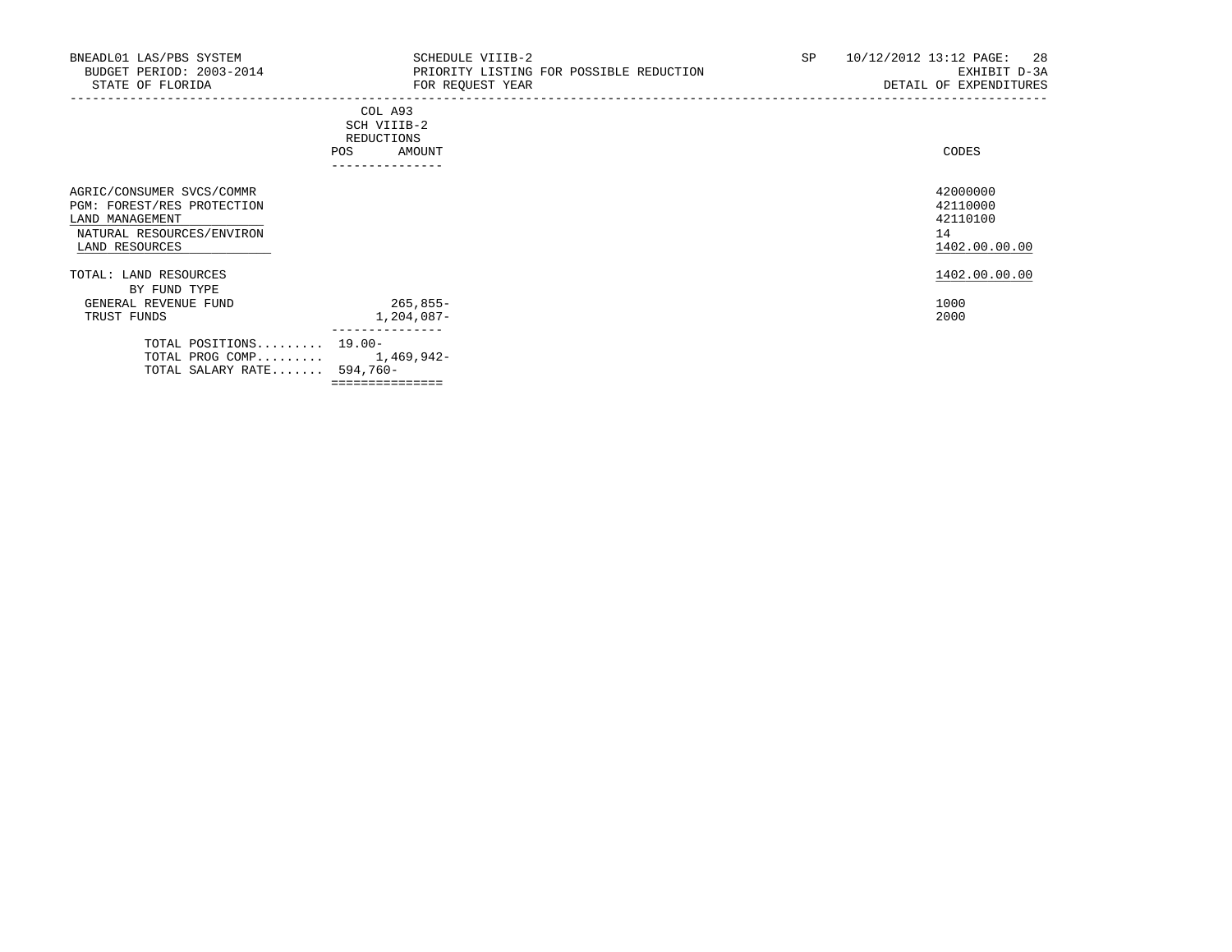| BNEADL01 LAS/PBS SYSTEM<br>BUDGET PERIOD: 2003-2014<br>STATE OF FLORIDA                                                   | SCHEDULE VIIIB-2<br>PRIORITY LISTING FOR POSSIBLE REDUCTION<br>FOR REQUEST YEAR<br>----------------------------------- | SP | 10/12/2012 13:12 PAGE:<br>- 28<br>EXHIBIT D-3A<br>DETAIL OF EXPENDITURES |
|---------------------------------------------------------------------------------------------------------------------------|------------------------------------------------------------------------------------------------------------------------|----|--------------------------------------------------------------------------|
|                                                                                                                           | COL A93<br>SCH VIIIB-2<br>REDUCTIONS<br>AMOUNT<br>POS<br>----------------                                              |    | CODES                                                                    |
| AGRIC/CONSUMER SVCS/COMMR<br>PGM: FOREST/RES PROTECTION<br>LAND MANAGEMENT<br>NATURAL RESOURCES/ENVIRON<br>LAND RESOURCES |                                                                                                                        |    | 42000000<br>42110000<br>42110100<br>14<br>1402.00.00.00                  |
| TOTAL: LAND RESOURCES                                                                                                     |                                                                                                                        |    | 1402.00.00.00                                                            |
| BY FUND TYPE<br>GENERAL REVENUE FUND<br>TRUST FUNDS                                                                       | $265,855-$<br>1,204,087-                                                                                               |    | 1000<br>2000                                                             |
| TOTAL POSITIONS 19.00-<br>TOTAL PROG COMP $1,469,942-$<br>TOTAL SALARY RATE 594,760-                                      | ===============                                                                                                        |    |                                                                          |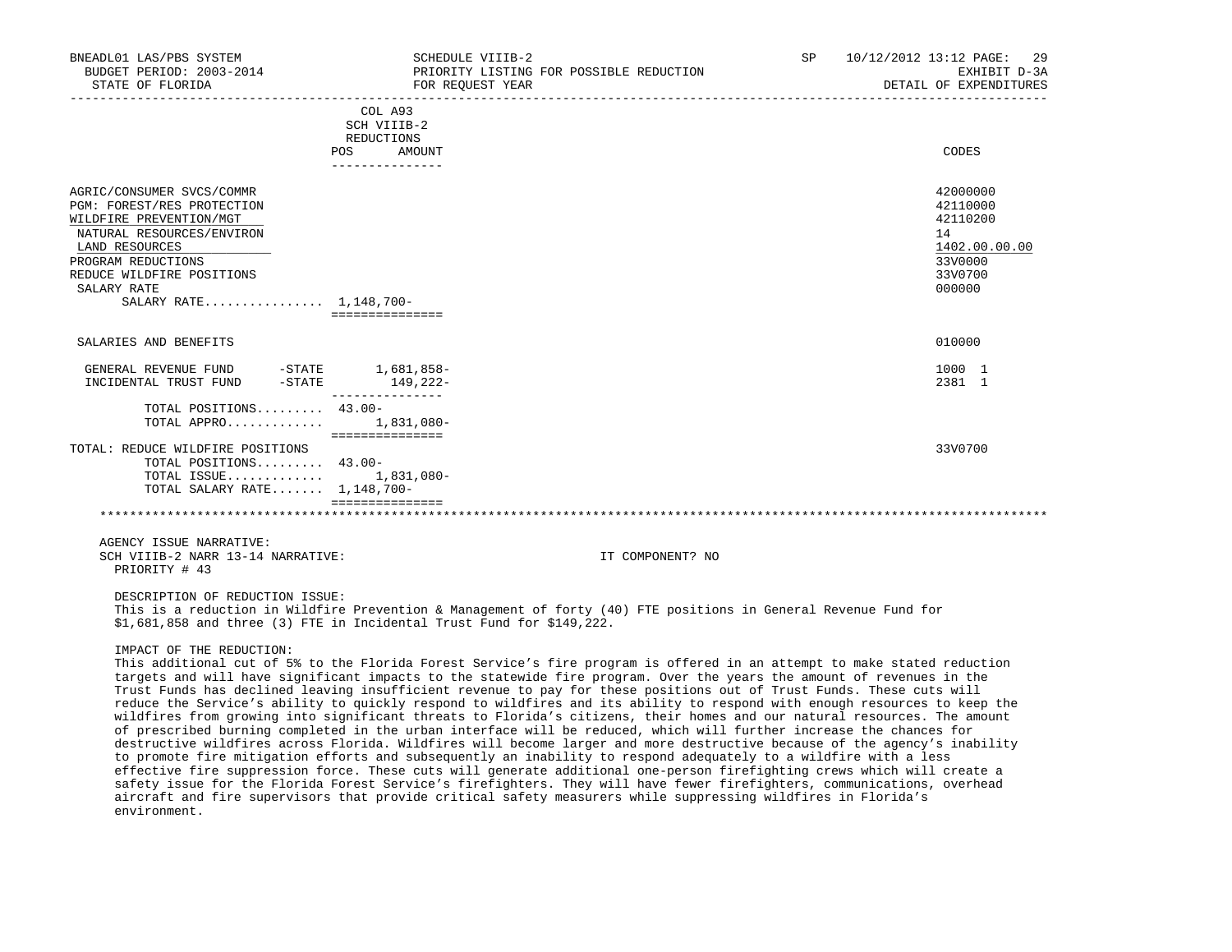| BNEADL01 LAS/PBS SYSTEM<br>BUDGET PERIOD: 2003-2014<br>STATE OF FLORIDA                                                                                                                                                       | SCHEDULE VIIIB-2<br>FOR REOUEST YEAR                                            | PRIORITY LISTING FOR POSSIBLE REDUCTION                                                                                                                                                                                                           | SP | 10/12/2012 13:12 PAGE: 29<br>EXHIBIT D-3A<br>DETAIL OF EXPENDITURES                     |
|-------------------------------------------------------------------------------------------------------------------------------------------------------------------------------------------------------------------------------|---------------------------------------------------------------------------------|---------------------------------------------------------------------------------------------------------------------------------------------------------------------------------------------------------------------------------------------------|----|-----------------------------------------------------------------------------------------|
|                                                                                                                                                                                                                               | COL A93<br>SCH VIIIB-2<br>REDUCTIONS<br><b>POS</b><br>AMOUNT<br>--------------- |                                                                                                                                                                                                                                                   |    | CODES                                                                                   |
| AGRIC/CONSUMER SVCS/COMMR<br>PGM: FOREST/RES PROTECTION<br>WILDFIRE PREVENTION/MGT<br>NATURAL RESOURCES/ENVIRON<br>LAND RESOURCES<br>PROGRAM REDUCTIONS<br>REDUCE WILDFIRE POSITIONS<br>SALARY RATE<br>SALARY RATE 1,148,700- | ===============                                                                 |                                                                                                                                                                                                                                                   |    | 42000000<br>42110000<br>42110200<br>14<br>1402.00.00.00<br>33V0000<br>33V0700<br>000000 |
| SALARIES AND BENEFITS                                                                                                                                                                                                         |                                                                                 |                                                                                                                                                                                                                                                   |    | 010000                                                                                  |
| GENERAL REVENUE FUND -STATE 1,681,858-<br>$-STATE$<br>INCIDENTAL TRUST FUND                                                                                                                                                   | 149,222-<br>---------------                                                     |                                                                                                                                                                                                                                                   |    | 1000 1<br>2381 1                                                                        |
| TOTAL POSITIONS 43.00-<br>TOTAL APPRO $1,831,080-$                                                                                                                                                                            | ===============                                                                 |                                                                                                                                                                                                                                                   |    |                                                                                         |
| TOTAL: REDUCE WILDFIRE POSITIONS<br>TOTAL POSITIONS 43.00-<br>TOTAL ISSUE<br>TOTAL SALARY RATE 1,148,700-                                                                                                                     | 1,831,080-                                                                      |                                                                                                                                                                                                                                                   |    | 33V0700                                                                                 |
|                                                                                                                                                                                                                               | ===============                                                                 |                                                                                                                                                                                                                                                   |    |                                                                                         |
| AGENCY ISSUE NARRATIVE:<br>SCH VIIIB-2 NARR 13-14 NARRATIVE:<br>PRIORITY # 43                                                                                                                                                 |                                                                                 | IT COMPONENT? NO                                                                                                                                                                                                                                  |    |                                                                                         |
| DESCRIPTION OF REDUCTION ISSUE:<br>\$1,681,858 and three (3) FTE in Incidental Trust Fund for \$149,222.                                                                                                                      |                                                                                 | This is a reduction in Wildfire Prevention & Management of forty (40) FTE positions in General Revenue Fund for                                                                                                                                   |    |                                                                                         |
| IMPACT OF THE REDUCTION:                                                                                                                                                                                                      |                                                                                 | This additional cut of 5% to the Florida Forest Service's fire program is offered in an attempt to make stated reduction<br>targets and will have significant impacts to the statewide fire program. Over the years the amount of revenues in the |    |                                                                                         |

 targets and will have significant impacts to the statewide fire program. Over the years the amount of revenues in the Trust Funds has declined leaving insufficient revenue to pay for these positions out of Trust Funds. These cuts will reduce the Service's ability to quickly respond to wildfires and its ability to respond with enough resources to keep the wildfires from growing into significant threats to Florida's citizens, their homes and our natural resources. The amount of prescribed burning completed in the urban interface will be reduced, which will further increase the chances for destructive wildfires across Florida. Wildfires will become larger and more destructive because of the agency's inability to promote fire mitigation efforts and subsequently an inability to respond adequately to a wildfire with a less effective fire suppression force. These cuts will generate additional one-person firefighting crews which will create a safety issue for the Florida Forest Service's firefighters. They will have fewer firefighters, communications, overhead aircraft and fire supervisors that provide critical safety measurers while suppressing wildfires in Florida's environment.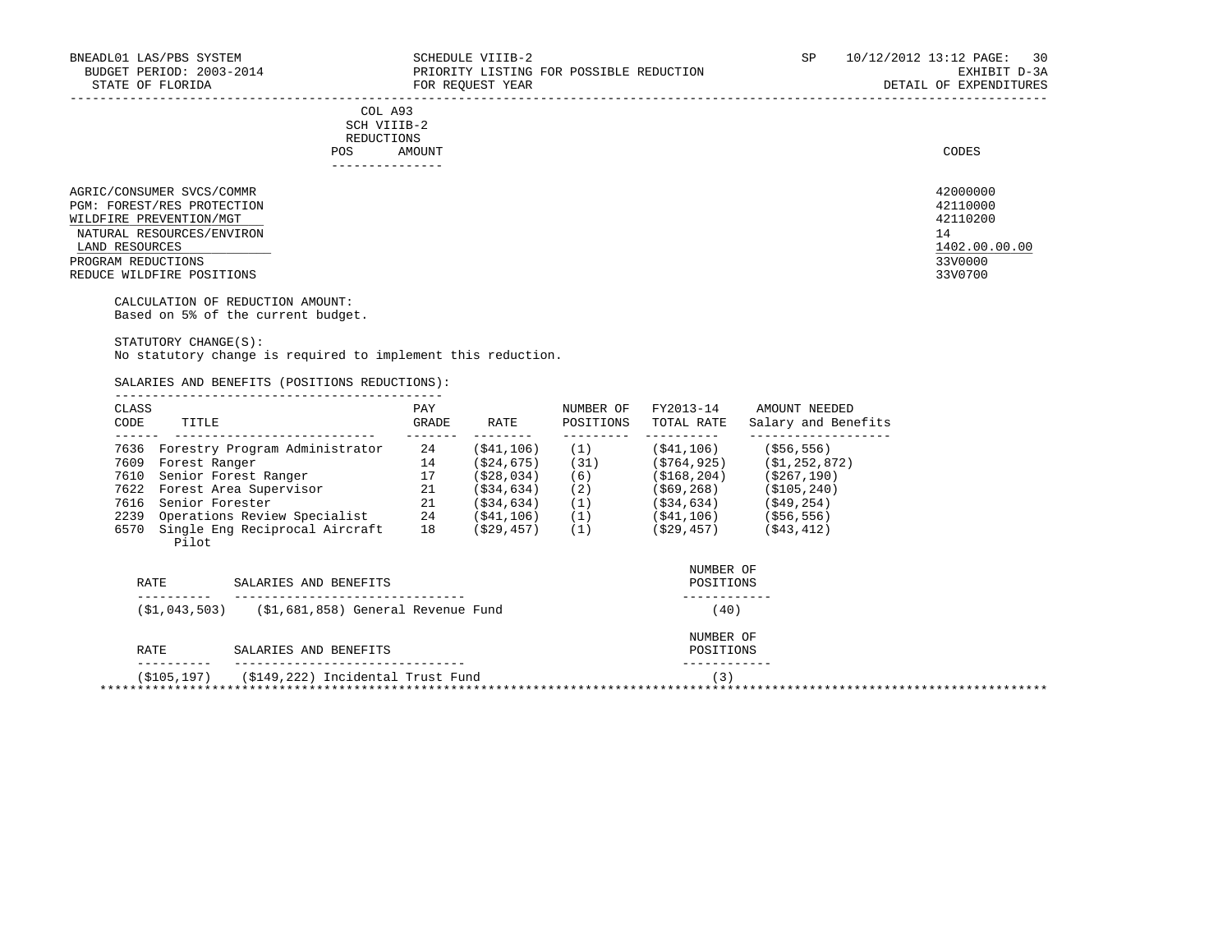| . _ _ _ _ _ _ _ _ _ _ _                                                                                                        |       |
|--------------------------------------------------------------------------------------------------------------------------------|-------|
| AMOUNT                                                                                                                         | CODES |
| <b>REDUCTIONS</b>                                                                                                              |       |
| SCH VIIIB-2<br>the contract of the contract of the contract of the contract of the contract of the contract of the contract of |       |
| COL A93                                                                                                                        |       |
|                                                                                                                                |       |

| ------------               |     |        |  |               |  |
|----------------------------|-----|--------|--|---------------|--|
|                            | POS | AMOUNT |  | CODES         |  |
|                            |     |        |  |               |  |
| AGRIC/CONSUMER SVCS/COMMR  |     |        |  | 42000000      |  |
| PGM: FOREST/RES PROTECTION |     |        |  | 42110000      |  |
| WILDFIRE PREVENTION/MGT    |     |        |  | 42110200      |  |
| NATURAL RESOURCES/ENVIRON  |     |        |  | 14            |  |
| LAND RESOURCES             |     |        |  | 1402.00.00.00 |  |
|                            |     |        |  |               |  |

PROGRAM REDUCTIONS 33V0000 33V0000 33V0000 33V0000 33V0000 33V0000 33V0000 33V0000 33V0000 33V0000 33V0000 33V0000 33V0000 33V0700 33V0700 33V0700 33V0700 33V0700 33V0700 33V0700 33V0700 33V0700 33V0700 33V0700 33V0700 33V REDUCE WILDFIRE POSITIONS

> CALCULATION OF REDUCTION AMOUNT: Based on 5% of the current budget.

 STATUTORY CHANGE(S): No statutory change is required to implement this reduction.

SALARIES AND BENEFITS (POSITIONS REDUCTIONS):

| CLASS<br>CODE | TITLE                                   | PAY<br>GRADE | RATE         | NUMBER OF<br>POSITIONS | FY2013-14<br>TOTAL RATE | AMOUNT NEEDED<br>Salary and Benefits |
|---------------|-----------------------------------------|--------------|--------------|------------------------|-------------------------|--------------------------------------|
| 7636          | Forestry Program Administrator          | 24           | ( \$41, 106) | (1)                    | (\$41,106)              | $($ \$56,556)                        |
| 7609          | Forest Ranger                           | 14           | ( \$24, 675) | (31)                   | (5764, 925)             | ( \$1, 252, 872)                     |
| 7610          | Senior Forest Ranger                    | 17           | (S28, 034)   | (6)                    | ( \$168, 204)           | ( \$267, 190)                        |
|               | 7622 Forest Area Supervisor             | 21           | (534, 634)   | (2)                    | ( \$69, 268)            | ( \$105, 240)                        |
| 7616          | Senior Forester                         | 21           | (534, 634)   | (1)                    | (\$34,634)              | (549, 254)                           |
| 2239          | Operations Review Specialist            | 24           | (541, 106)   | (1)                    | (\$41,106)              | ( \$56, 556)                         |
| 6570          | Single Eng Reciprocal Aircraft<br>Pilot | 18           | (\$29,457)   | (1)                    | (\$29,457)              | ( \$43, 412)                         |

|                                                      | NUMBER OF             |           |
|------------------------------------------------------|-----------------------|-----------|
|                                                      |                       |           |
| (\$1,681,858) General Revenue Fund<br>(S1, 043, 503) | (40)                  |           |
|                                                      | NUMBER OF             |           |
| SALARIES AND BENEFITS                                | POSITIONS             |           |
| (\$149,222) Incidental Trust Fund                    | 3)                    |           |
|                                                      | SALARIES AND BENEFITS | POSITIONS |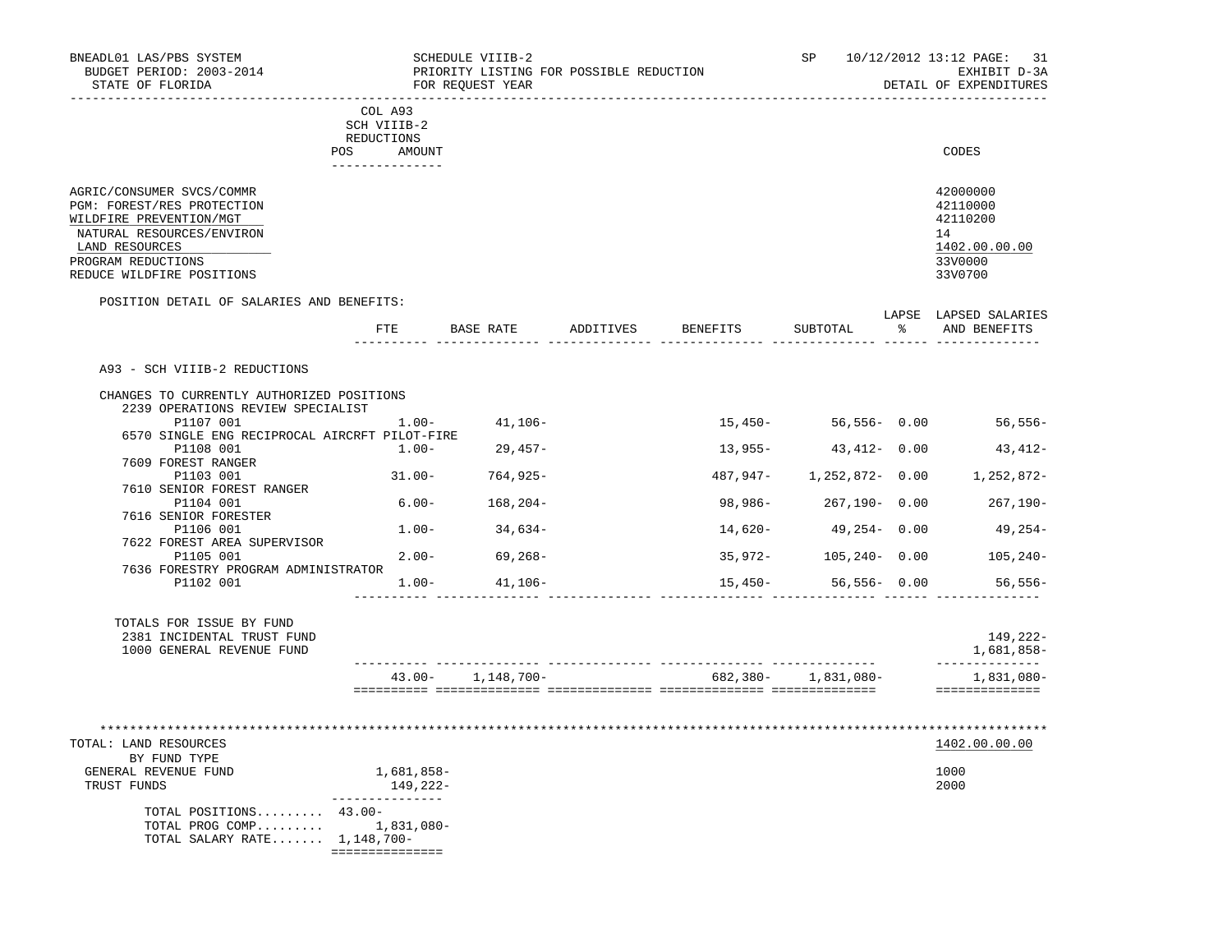|                                                                                                                                                                                      | <u>___________________</u> __                                     | SCHEDULE VIIIB-2<br>PRIORITY LISTING FOR POSSIBLE REDUCTION<br>FOR REQUEST YEAR |                    |         |                       | SP 10/12/2012 13:12 PAGE:<br>-31<br>EXHIBIT D-3A<br>DETAIL OF EXPENDITURES         |
|--------------------------------------------------------------------------------------------------------------------------------------------------------------------------------------|-------------------------------------------------------------------|---------------------------------------------------------------------------------|--------------------|---------|-----------------------|------------------------------------------------------------------------------------|
| POS                                                                                                                                                                                  | COL A93<br>SCH VIIIB-2<br>REDUCTIONS<br>AMOUNT<br>--------------- |                                                                                 |                    |         |                       | CODES                                                                              |
| AGRIC/CONSUMER SVCS/COMMR<br>PGM: FOREST/RES PROTECTION<br>WILDFIRE PREVENTION/MGT<br>NATURAL RESOURCES/ENVIRON<br>LAND RESOURCES<br>PROGRAM REDUCTIONS<br>REDUCE WILDFIRE POSITIONS |                                                                   |                                                                                 |                    |         |                       | 42000000<br>42110000<br>42110200<br>14<br>1402.00.00.00<br>33V0000<br>33V0700      |
| POSITION DETAIL OF SALARIES AND BENEFITS:                                                                                                                                            | FTE                                                               | BASE RATE                                                                       | ADDITIVES BENEFITS |         | SUBTOTAL              | LAPSE LAPSED SALARIES<br>% AND BENEFITS                                            |
| 2239 OPERATIONS REVIEW SPECIALIST<br>P1107 001<br>6570 SINGLE ENG RECIPROCAL AIRCRFT PILOT-FIRE<br>P1108 001<br>7609 FOREST RANGER<br>P1103 001<br>7610 SENIOR FOREST RANGER         | $1.00 -$<br>$1.00 -$                                              | $41,106-$<br>$29,457-$<br>$31.00 - 764,925 -$                                   |                    |         | $13,955 43,412-$ 0.00 | 15,450- 56,556- 0.00 56,556-<br>$43, 412 -$<br>487,947- 1,252,872- 0.00 1,252,872- |
| P1104 001<br>7616 SENIOR FORESTER<br>P1106 001                                                                                                                                       | $6.00 -$                                                          | $168,204-$<br>$1.00 - 34.634 -$                                                 |                    | 14,620- | 49,254-0.00           | 98,986- 267,190- 0.00 267,190-<br>49,254-                                          |
| 7622 FOREST AREA SUPERVISOR<br>P1105 001<br>7636 FORESTRY PROGRAM ADMINISTRATOR                                                                                                      | $2.00 -$                                                          | $69,268-$                                                                       |                    | 35,972- | $105, 240 - 0.00$     | 105,240-                                                                           |
| P1102 001                                                                                                                                                                            | $1.00 -$                                                          | 41,106–                                                                         |                    |         | $15,450-56,556-0.00$  | 56,556-                                                                            |
|                                                                                                                                                                                      |                                                                   |                                                                                 |                    |         |                       |                                                                                    |
| TOTALS FOR ISSUE BY FUND<br>2381 INCIDENTAL TRUST FUND<br>1000 GENERAL REVENUE FUND                                                                                                  |                                                                   |                                                                                 |                    |         |                       | 149,222-<br>1,681,858-<br>______________                                           |

| BY FUND TYPE                 |            |
|------------------------------|------------|
| GENERAL REVENUE FUND         | 1,681,858- |
| TRUST FUNDS                  | 149,222-   |
|                              |            |
| TOTAL POSITIONS 43.00-       |            |
| TOTAL PROG COMP $1,831,080-$ |            |
| TOTAL SALARY RATE 1,148,700- |            |

===============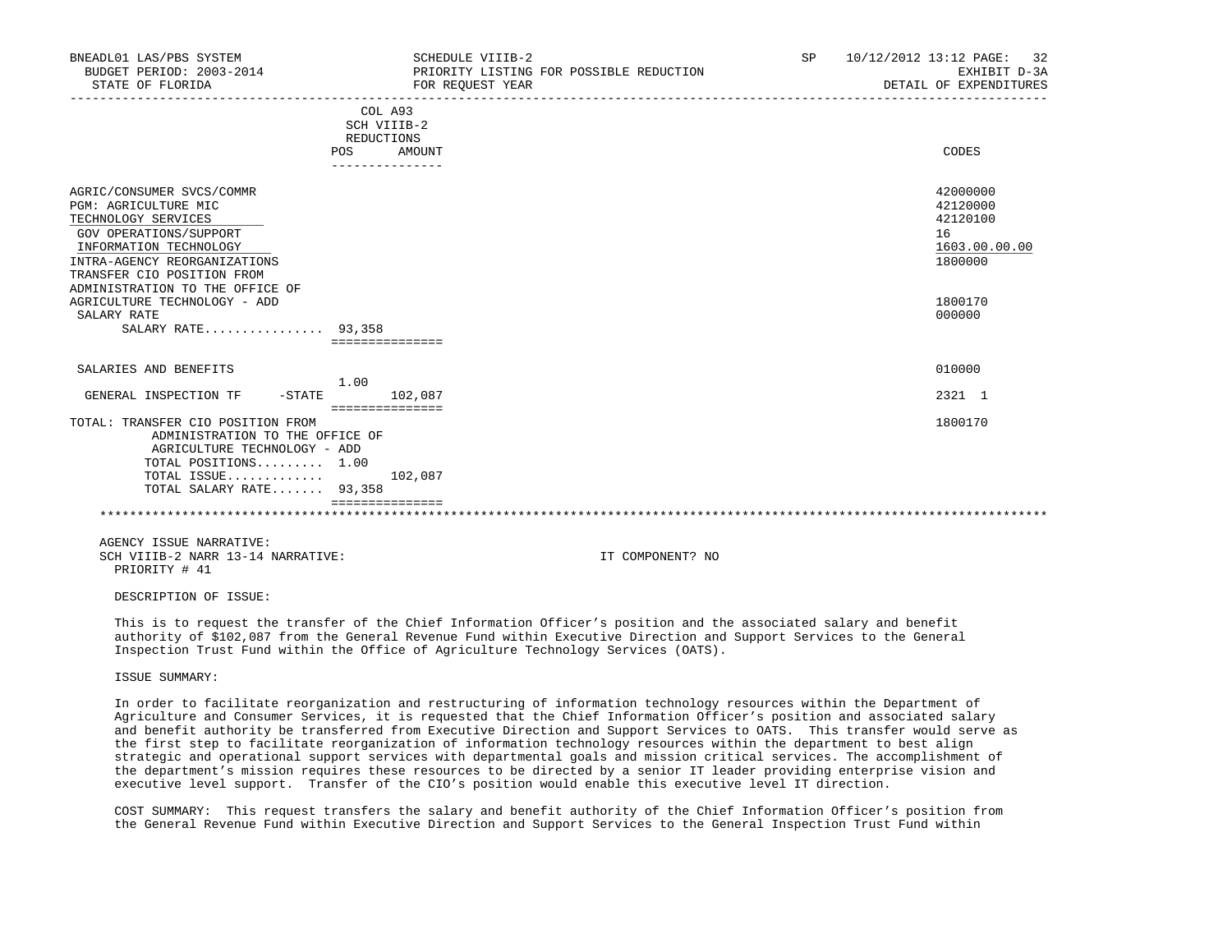| BNEADL01 LAS/PBS SYSTEM<br>BUDGET PERIOD: 2003-2014<br>STATE OF FLORIDA                                                                                                                                                                                                                            |                                                                       | SCHEDULE VIIIB-2<br>PRIORITY LISTING FOR POSSIBLE REDUCTION<br>FOR REQUEST YEAR |  | SP 10/12/2012 13:12 PAGE: 32<br>EXHIBIT D-3A<br>DETAIL OF EXPENDITURES                  |
|----------------------------------------------------------------------------------------------------------------------------------------------------------------------------------------------------------------------------------------------------------------------------------------------------|-----------------------------------------------------------------------|---------------------------------------------------------------------------------|--|-----------------------------------------------------------------------------------------|
|                                                                                                                                                                                                                                                                                                    | COL A93<br>SCH VIIIB-2<br>REDUCTIONS<br>POS AMOUNT<br>--------------- |                                                                                 |  | CODES                                                                                   |
| AGRIC/CONSUMER SVCS/COMMR<br>PGM: AGRICULTURE MIC<br>TECHNOLOGY SERVICES<br>GOV OPERATIONS/SUPPORT<br>INFORMATION TECHNOLOGY<br>INTRA-AGENCY REORGANIZATIONS<br>TRANSFER CIO POSITION FROM<br>ADMINISTRATION TO THE OFFICE OF<br>AGRICULTURE TECHNOLOGY - ADD<br>SALARY RATE<br>SALARY RATE 93,358 |                                                                       |                                                                                 |  | 42000000<br>42120000<br>42120100<br>16<br>1603.00.00.00<br>1800000<br>1800170<br>000000 |
|                                                                                                                                                                                                                                                                                                    | ===============                                                       |                                                                                 |  |                                                                                         |
| SALARIES AND BENEFITS                                                                                                                                                                                                                                                                              | 1.00                                                                  |                                                                                 |  | 010000                                                                                  |
| GENERAL INSPECTION TF                                                                                                                                                                                                                                                                              | $-STATE$ 102,087<br>===============                                   |                                                                                 |  | 2321 1                                                                                  |
| TOTAL: TRANSFER CIO POSITION FROM<br>ADMINISTRATION TO THE OFFICE OF<br>AGRICULTURE TECHNOLOGY - ADD<br>TOTAL POSITIONS 1.00<br>TOTAL ISSUE $102,087$<br>TOTAL SALARY RATE 93,358                                                                                                                  |                                                                       |                                                                                 |  | 1800170                                                                                 |
|                                                                                                                                                                                                                                                                                                    | ===============                                                       |                                                                                 |  |                                                                                         |
| AGENCY ISSUE NARRATIVE:<br>SCH VIIIB-2 NARR 13-14 NARRATIVE:                                                                                                                                                                                                                                       |                                                                       | IT COMPONENT? NO                                                                |  |                                                                                         |

PRIORITY # 41

DESCRIPTION OF ISSUE:

 This is to request the transfer of the Chief Information Officer's position and the associated salary and benefit authority of \$102,087 from the General Revenue Fund within Executive Direction and Support Services to the General Inspection Trust Fund within the Office of Agriculture Technology Services (OATS).

ISSUE SUMMARY:

 In order to facilitate reorganization and restructuring of information technology resources within the Department of Agriculture and Consumer Services, it is requested that the Chief Information Officer's position and associated salary and benefit authority be transferred from Executive Direction and Support Services to OATS. This transfer would serve as the first step to facilitate reorganization of information technology resources within the department to best align strategic and operational support services with departmental goals and mission critical services. The accomplishment of the department's mission requires these resources to be directed by a senior IT leader providing enterprise vision and executive level support. Transfer of the CIO's position would enable this executive level IT direction.

 COST SUMMARY: This request transfers the salary and benefit authority of the Chief Information Officer's position from the General Revenue Fund within Executive Direction and Support Services to the General Inspection Trust Fund within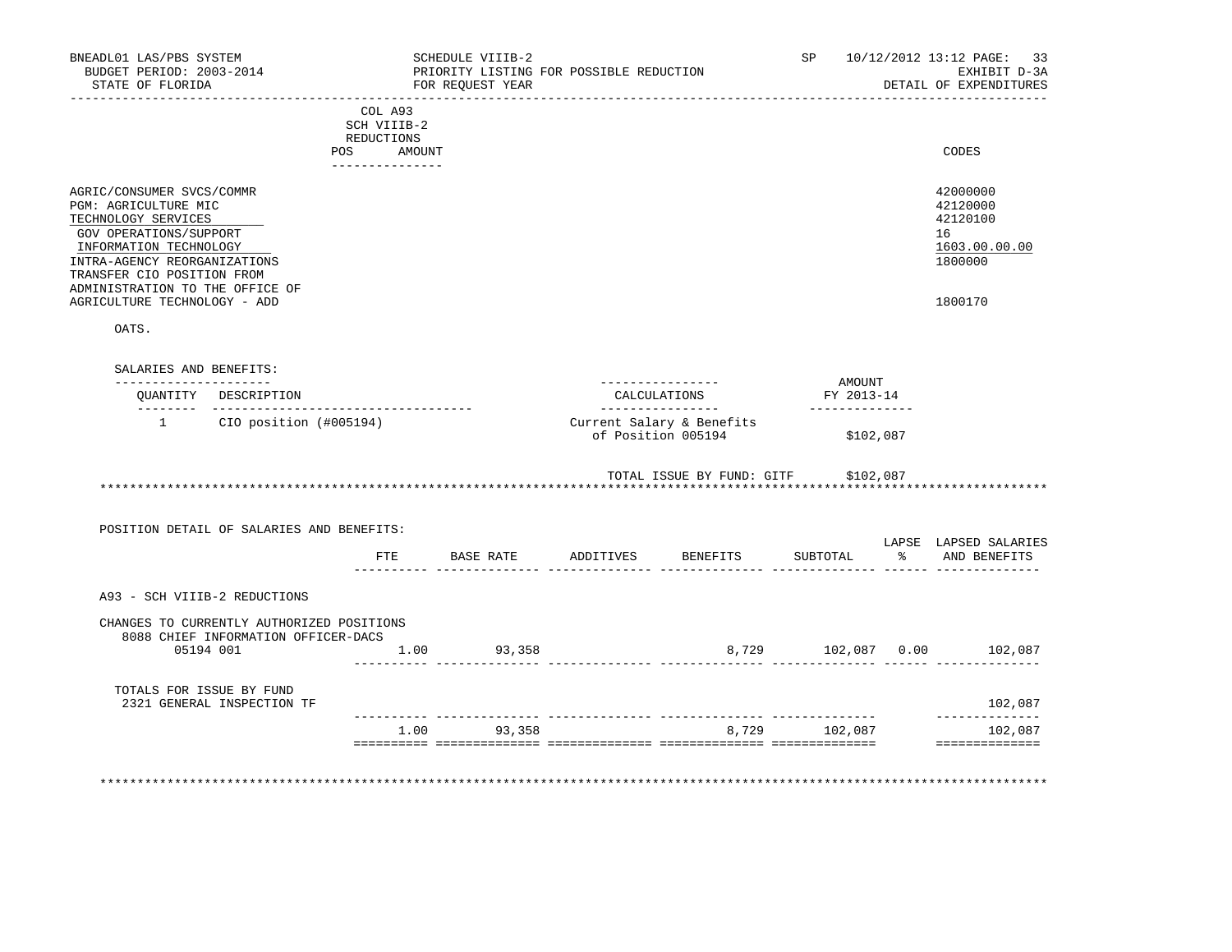| BNEADL01 LAS/PBS SYSTEM<br>BUDGET PERIOD: 2003-2014<br>STATE OF FLORIDA                                                                                                                                                       |                                           |                                                                   | SCHEDULE VIIIB-2<br>FOR REOUEST YEAR | PRIORITY LISTING FOR POSSIBLE REDUCTION |                                                 | SP                            | 10/12/2012 13:12 PAGE: 33<br>EXHIBIT D-3A<br>DETAIL OF EXPENDITURES |
|-------------------------------------------------------------------------------------------------------------------------------------------------------------------------------------------------------------------------------|-------------------------------------------|-------------------------------------------------------------------|--------------------------------------|-----------------------------------------|-------------------------------------------------|-------------------------------|---------------------------------------------------------------------|
|                                                                                                                                                                                                                               | POS                                       | COL A93<br>SCH VIIIB-2<br>REDUCTIONS<br>AMOUNT<br>_______________ |                                      |                                         |                                                 |                               | CODES                                                               |
| AGRIC/CONSUMER SVCS/COMMR<br>PGM: AGRICULTURE MIC<br>TECHNOLOGY SERVICES<br>GOV OPERATIONS/SUPPORT<br>INFORMATION TECHNOLOGY<br>INTRA-AGENCY REORGANIZATIONS<br>TRANSFER CIO POSITION FROM<br>ADMINISTRATION TO THE OFFICE OF |                                           |                                                                   |                                      |                                         |                                                 |                               | 42000000<br>42120000<br>42120100<br>16<br>1603.00.00.00<br>1800000  |
| AGRICULTURE TECHNOLOGY - ADD<br>OATS.                                                                                                                                                                                         |                                           |                                                                   |                                      |                                         |                                                 |                               | 1800170                                                             |
|                                                                                                                                                                                                                               |                                           |                                                                   |                                      |                                         |                                                 |                               |                                                                     |
| SALARIES AND BENEFITS:<br>______________________                                                                                                                                                                              |                                           |                                                                   |                                      |                                         | _________________                               | AMOUNT                        |                                                                     |
|                                                                                                                                                                                                                               | OUANTITY DESCRIPTION                      |                                                                   |                                      |                                         | CALCULATIONS<br>----------------                | FY 2013-14<br>--------------- |                                                                     |
|                                                                                                                                                                                                                               | 1 CIO position (#005194)                  |                                                                   |                                      |                                         | Current Salary & Benefits<br>of Position 005194 | \$102,087                     |                                                                     |
|                                                                                                                                                                                                                               |                                           |                                                                   |                                      |                                         | TOTAL ISSUE BY FUND: GITF \$102,087             |                               |                                                                     |
|                                                                                                                                                                                                                               | POSITION DETAIL OF SALARIES AND BENEFITS: |                                                                   |                                      |                                         |                                                 |                               |                                                                     |
|                                                                                                                                                                                                                               |                                           |                                                                   |                                      |                                         | FTE BASE RATE ADDITIVES BENEFITS                | SUBTOTAL                      | LAPSE LAPSED SALARIES<br>% AND BENEFITS                             |
| A93 - SCH VIIIB-2 REDUCTIONS                                                                                                                                                                                                  |                                           |                                                                   |                                      |                                         |                                                 |                               |                                                                     |
|                                                                                                                                                                                                                               | CHANGES TO CURRENTLY AUTHORIZED POSITIONS |                                                                   |                                      |                                         |                                                 |                               |                                                                     |
| 05194 001                                                                                                                                                                                                                     | 8088 CHIEF INFORMATION OFFICER-DACS       |                                                                   | 1.00 93,358                          |                                         |                                                 |                               |                                                                     |
| TOTALS FOR ISSUE BY FUND                                                                                                                                                                                                      | 2321 GENERAL INSPECTION TF                |                                                                   |                                      |                                         |                                                 |                               | 102,087                                                             |
|                                                                                                                                                                                                                               |                                           |                                                                   | 1.00 93,358                          |                                         |                                                 | 8,729 102,087                 | ______________<br>102,087                                           |
|                                                                                                                                                                                                                               |                                           |                                                                   |                                      |                                         |                                                 |                               | ==============                                                      |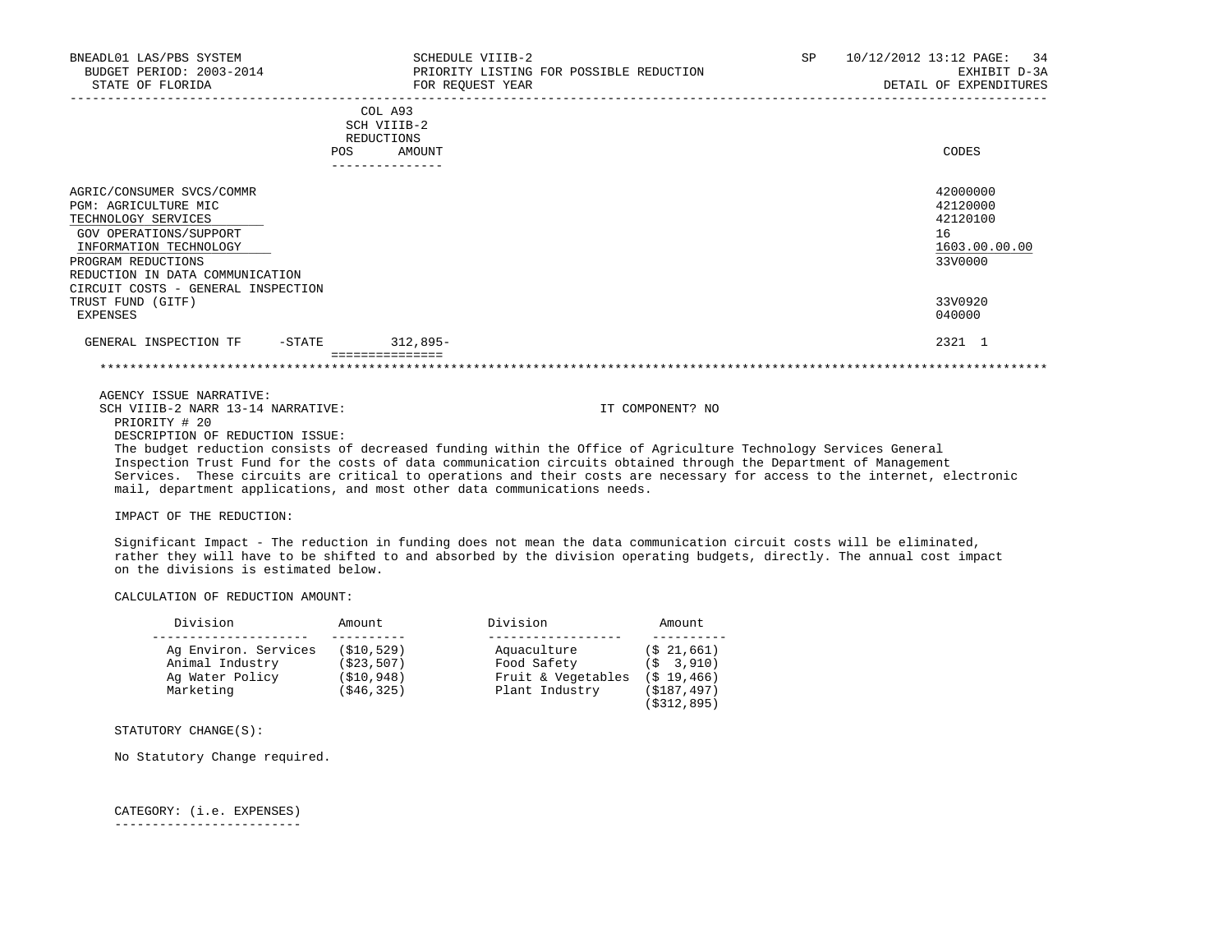| BNEADL01 LAS/PBS SYSTEM<br>BUDGET PERIOD: 2003-2014<br>STATE OF FLORIDA                                                                                                                                                                                      |     | SCHEDULE VIIIB-2<br>FOR REOUEST YEAR           | PRIORITY LISTING FOR POSSIBLE REDUCTION | SP <sub>2</sub> | 10/12/2012 13:12 PAGE: 34<br>EXHIBIT D-3A<br>DETAIL OF EXPENDITURES                     |
|--------------------------------------------------------------------------------------------------------------------------------------------------------------------------------------------------------------------------------------------------------------|-----|------------------------------------------------|-----------------------------------------|-----------------|-----------------------------------------------------------------------------------------|
|                                                                                                                                                                                                                                                              | POS | COL A93<br>SCH VIIIB-2<br>REDUCTIONS<br>AMOUNT |                                         |                 | CODES                                                                                   |
| AGRIC/CONSUMER SVCS/COMMR<br>PGM: AGRICULTURE MIC<br>TECHNOLOGY SERVICES<br>GOV OPERATIONS/SUPPORT<br>INFORMATION TECHNOLOGY<br>PROGRAM REDUCTIONS<br>REDUCTION IN DATA COMMUNICATION<br>CIRCUIT COSTS - GENERAL INSPECTION<br>TRUST FUND (GITF)<br>EXPENSES |     |                                                |                                         |                 | 42000000<br>42120000<br>42120100<br>16<br>1603.00.00.00<br>33V0000<br>33V0920<br>040000 |
| GENERAL INSPECTION TF - STATE 312,895-                                                                                                                                                                                                                       |     |                                                |                                         |                 | 2321 1                                                                                  |
| AGENCY ISSUE NARRATIVE:<br>SCH VIIIB-2 NARR 13-14 NARRATIVE:<br>PRIORITY # 20                                                                                                                                                                                |     |                                                | IT COMPONENT? NO                        |                 |                                                                                         |

DESCRIPTION OF REDUCTION ISSUE:

 The budget reduction consists of decreased funding within the Office of Agriculture Technology Services General Inspection Trust Fund for the costs of data communication circuits obtained through the Department of Management Services. These circuits are critical to operations and their costs are necessary for access to the internet, electronic mail, department applications, and most other data communications needs.

IMPACT OF THE REDUCTION:

 Significant Impact - The reduction in funding does not mean the data communication circuit costs will be eliminated, rather they will have to be shifted to and absorbed by the division operating budgets, directly. The annual cost impact on the divisions is estimated below.

CALCULATION OF REDUCTION AMOUNT:

| Division                                                                | Amount                                                   | Division                                                           | Amount                                                                       |
|-------------------------------------------------------------------------|----------------------------------------------------------|--------------------------------------------------------------------|------------------------------------------------------------------------------|
| Ag Environ. Services<br>Animal Industry<br>Ag Water Policy<br>Marketing | (\$10,529)<br>( \$23, 507)<br>( \$10, 948)<br>(\$46,325) | Aquaculture<br>Food Safety<br>Fruit & Vegetables<br>Plant Industry | (S 21, 661)<br>3,910)<br>∈Ŝ.<br>$(S$ 19,466)<br>(\$187,497)<br>( \$312, 895) |

STATUTORY CHANGE(S):

No Statutory Change required.

 CATEGORY: (i.e. EXPENSES) -------------------------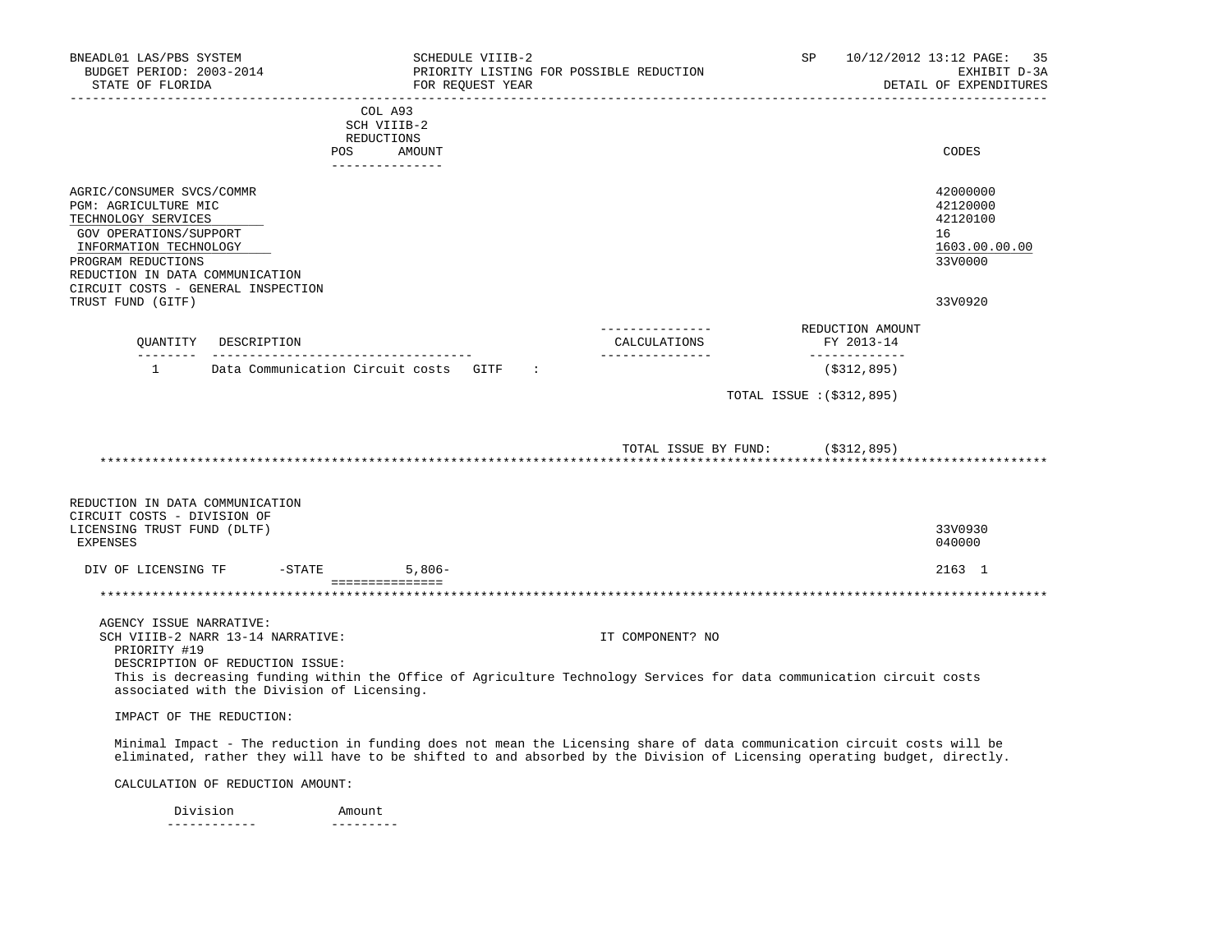| BNEADL01 LAS/PBS SYSTEM<br>BUDGET PERIOD: 2003-2014<br>STATE OF FLORIDA                                                                                                                                                     |                                                                                                                    |                                                       | SCHEDULE VIIIB-2<br>FOR REQUEST YEAR | PRIORITY LISTING FOR POSSIBLE REDUCTION                                                                                                                                                                                                             | SP <sub>2</sub> |                                | 10/12/2012 13:12 PAGE: 35<br>EXHIBIT D-3A<br>DETAIL OF EXPENDITURES |
|-----------------------------------------------------------------------------------------------------------------------------------------------------------------------------------------------------------------------------|--------------------------------------------------------------------------------------------------------------------|-------------------------------------------------------|--------------------------------------|-----------------------------------------------------------------------------------------------------------------------------------------------------------------------------------------------------------------------------------------------------|-----------------|--------------------------------|---------------------------------------------------------------------|
|                                                                                                                                                                                                                             |                                                                                                                    | COL A93<br>SCH VIIIB-2<br>REDUCTIONS<br>POS<br>AMOUNT |                                      |                                                                                                                                                                                                                                                     |                 |                                | CODES                                                               |
| AGRIC/CONSUMER SVCS/COMMR<br>PGM: AGRICULTURE MIC<br>TECHNOLOGY SERVICES<br>GOV OPERATIONS/SUPPORT<br>INFORMATION TECHNOLOGY<br>PROGRAM REDUCTIONS<br>REDUCTION IN DATA COMMUNICATION<br>CIRCUIT COSTS - GENERAL INSPECTION |                                                                                                                    |                                                       |                                      |                                                                                                                                                                                                                                                     |                 |                                | 42000000<br>42120000<br>42120100<br>16<br>1603.00.00.00<br>33V0000  |
| TRUST FUND (GITF)                                                                                                                                                                                                           |                                                                                                                    |                                                       |                                      |                                                                                                                                                                                                                                                     |                 |                                | 33V0920                                                             |
|                                                                                                                                                                                                                             | OUANTITY DESCRIPTION                                                                                               |                                                       |                                      | ----------------<br>CALCULATIONS                                                                                                                                                                                                                    |                 | REDUCTION AMOUNT<br>FY 2013-14 |                                                                     |
| $\mathbf{1}$                                                                                                                                                                                                                |                                                                                                                    | Data Communication Circuit costs GITF :               |                                      |                                                                                                                                                                                                                                                     |                 | -------------<br>(S312, 895)   |                                                                     |
|                                                                                                                                                                                                                             |                                                                                                                    |                                                       |                                      | TOTAL ISSUE BY FUND: (\$312,895)                                                                                                                                                                                                                    |                 |                                |                                                                     |
| REDUCTION IN DATA COMMUNICATION<br>CIRCUIT COSTS - DIVISION OF<br>LICENSING TRUST FUND (DLTF)<br>EXPENSES                                                                                                                   |                                                                                                                    |                                                       |                                      |                                                                                                                                                                                                                                                     |                 |                                | 33V0930<br>040000                                                   |
| DIV OF LICENSING TF                                                                                                                                                                                                         |                                                                                                                    | $5,806-$<br>$-STATE$                                  |                                      |                                                                                                                                                                                                                                                     |                 |                                | 2163 1                                                              |
|                                                                                                                                                                                                                             |                                                                                                                    | ===============                                       |                                      | ********************************                                                                                                                                                                                                                    |                 |                                |                                                                     |
| AGENCY ISSUE NARRATIVE:<br>PRIORITY #19                                                                                                                                                                                     | SCH VIIIB-2 NARR 13-14 NARRATIVE:<br>DESCRIPTION OF REDUCTION ISSUE:<br>associated with the Division of Licensing. |                                                       |                                      | IT COMPONENT? NO<br>This is decreasing funding within the Office of Agriculture Technology Services for data communication circuit costs                                                                                                            |                 |                                |                                                                     |
| IMPACT OF THE REDUCTION:                                                                                                                                                                                                    |                                                                                                                    |                                                       |                                      |                                                                                                                                                                                                                                                     |                 |                                |                                                                     |
|                                                                                                                                                                                                                             |                                                                                                                    |                                                       |                                      | Minimal Impact - The reduction in funding does not mean the Licensing share of data communication circuit costs will be<br>eliminated, rather they will have to be shifted to and absorbed by the Division of Licensing operating budget, directly. |                 |                                |                                                                     |
|                                                                                                                                                                                                                             | CALCULATION OF REDUCTION AMOUNT:                                                                                   |                                                       |                                      |                                                                                                                                                                                                                                                     |                 |                                |                                                                     |

Division **Amount** ------------ ---------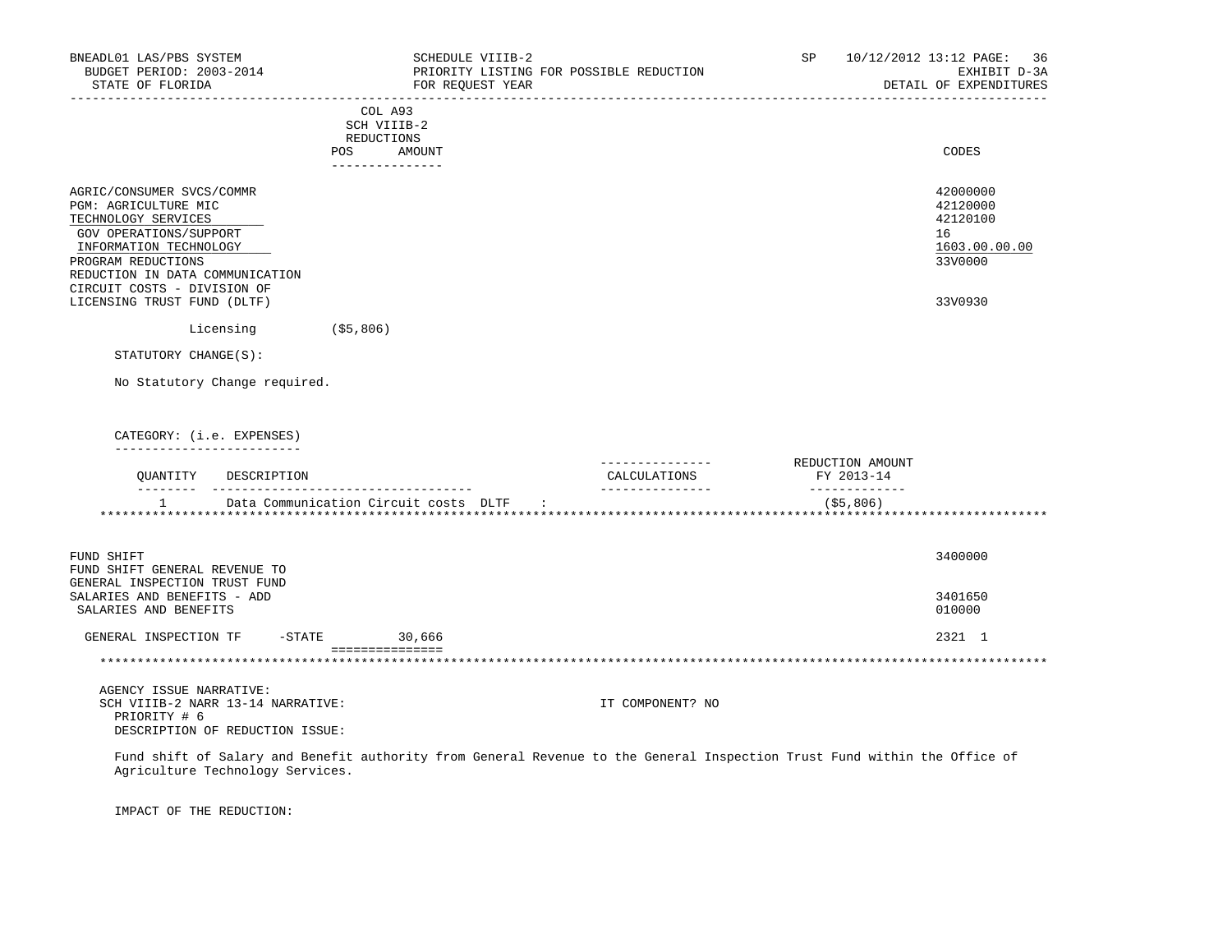| BNEADL01 LAS/PBS SYSTEM<br>BUDGET PERIOD: 2003-2014<br>STATE OF FLORIDA<br>____________________                                                                                                                                                     |                                                                       | SCHEDULE VIIIB-2<br>PRIORITY LISTING FOR POSSIBLE REDUCTION<br>FOR REOUEST YEAR |                                  | SP               |               | 10/12/2012 13:12 PAGE: 36<br>EXHIBIT D-3A<br>DETAIL OF EXPENDITURES           |
|-----------------------------------------------------------------------------------------------------------------------------------------------------------------------------------------------------------------------------------------------------|-----------------------------------------------------------------------|---------------------------------------------------------------------------------|----------------------------------|------------------|---------------|-------------------------------------------------------------------------------|
|                                                                                                                                                                                                                                                     | COL A93<br>SCH VIIIB-2<br>REDUCTIONS<br>POS AMOUNT<br>--------------- |                                                                                 |                                  |                  |               | CODES                                                                         |
| AGRIC/CONSUMER SVCS/COMMR<br>PGM: AGRICULTURE MIC<br>TECHNOLOGY SERVICES<br>GOV OPERATIONS/SUPPORT<br>INFORMATION TECHNOLOGY<br>PROGRAM REDUCTIONS<br>REDUCTION IN DATA COMMUNICATION<br>CIRCUIT COSTS - DIVISION OF<br>LICENSING TRUST FUND (DLTF) |                                                                       |                                                                                 |                                  |                  |               | 42000000<br>42120000<br>42120100<br>16<br>1603.00.00.00<br>33V0000<br>33V0930 |
| Licensing                                                                                                                                                                                                                                           | $($ \$5,806)                                                          |                                                                                 |                                  |                  |               |                                                                               |
| STATUTORY CHANGE(S):                                                                                                                                                                                                                                |                                                                       |                                                                                 |                                  |                  |               |                                                                               |
| No Statutory Change required.                                                                                                                                                                                                                       |                                                                       |                                                                                 |                                  |                  |               |                                                                               |
| CATEGORY: (i.e. EXPENSES)<br>____________________                                                                                                                                                                                                   |                                                                       |                                                                                 | ---------------                  | REDUCTION AMOUNT |               |                                                                               |
| OUANTITY DESCRIPTION                                                                                                                                                                                                                                |                                                                       |                                                                                 | CALCULATIONS<br>________________ | FY 2013-14       | _____________ |                                                                               |
| $\mathbf{1}$<br>Data Communication Circuit costs DLTF                                                                                                                                                                                               |                                                                       | $\sim$ 1.100 $\pm$                                                              |                                  |                  | ( \$5, 806)   |                                                                               |
| FUND SHIFT<br>FUND SHIFT GENERAL REVENUE TO<br>GENERAL INSPECTION TRUST FUND                                                                                                                                                                        |                                                                       |                                                                                 |                                  |                  |               | 3400000                                                                       |
| SALARIES AND BENEFITS - ADD<br>SALARIES AND BENEFITS                                                                                                                                                                                                |                                                                       |                                                                                 |                                  |                  |               | 3401650<br>010000                                                             |
| GENERAL INSPECTION TF                                                                                                                                                                                                                               | $-STATE$<br>30,666                                                    |                                                                                 |                                  |                  |               | 2321 1                                                                        |
|                                                                                                                                                                                                                                                     | ===============                                                       |                                                                                 |                                  |                  |               |                                                                               |
| AGENCY ISSUE NARRATIVE:<br>SCH VIIIB-2 NARR 13-14 NARRATIVE:<br>PRIORITY # 6<br>DESCRIPTION OF REDUCTION ISSUE:                                                                                                                                     |                                                                       |                                                                                 | IT COMPONENT? NO                 |                  |               |                                                                               |

 Fund shift of Salary and Benefit authority from General Revenue to the General Inspection Trust Fund within the Office of Agriculture Technology Services.

IMPACT OF THE REDUCTION: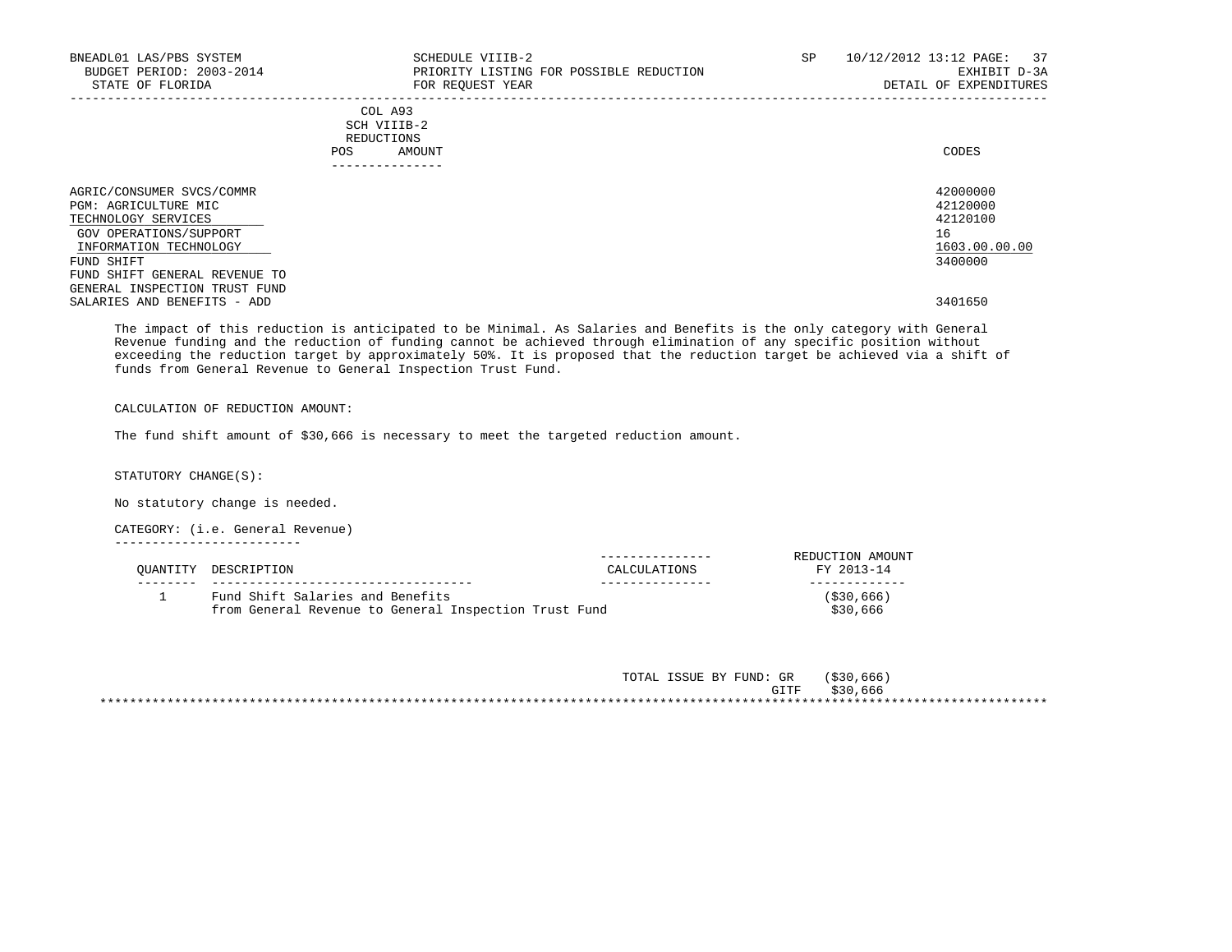| BNEADL01 LAS/PBS SYSTEM<br>BUDGET PERIOD: 2003-2014<br>STATE OF FLORIDA                                                      | SCHEDULE VIIIB-2<br>PRIORITY LISTING FOR POSSIBLE REDUCTION<br>FOR REQUEST YEAR      | SP | 10/12/2012 13:12 PAGE: 37<br>EXHIBIT D-3A<br>DETAIL OF EXPENDITURES |
|------------------------------------------------------------------------------------------------------------------------------|--------------------------------------------------------------------------------------|----|---------------------------------------------------------------------|
|                                                                                                                              | COL A93<br>SCH VIIIB-2<br>REDUCTIONS<br>AMOUNT<br>POS<br>. _ _ _ _ _ _ _ _ _ _ _ _ _ |    | CODES                                                               |
| AGRIC/CONSUMER SVCS/COMMR<br>PGM: AGRICULTURE MIC<br>TECHNOLOGY SERVICES<br>GOV OPERATIONS/SUPPORT<br>INFORMATION TECHNOLOGY |                                                                                      |    | 42000000<br>42120000<br>42120100<br>16<br>1603.00.00.00             |
| FUND SHIFT<br>FUND SHIFT GENERAL REVENUE TO<br>GENERAL INSPECTION TRUST FUND<br>SALARIES AND BENEFITS - ADD                  |                                                                                      |    | 3400000<br>3401650                                                  |

 The impact of this reduction is anticipated to be Minimal. As Salaries and Benefits is the only category with General Revenue funding and the reduction of funding cannot be achieved through elimination of any specific position without exceeding the reduction target by approximately 50%. It is proposed that the reduction target be achieved via a shift of funds from General Revenue to General Inspection Trust Fund.

### CALCULATION OF REDUCTION AMOUNT:

The fund shift amount of \$30,666 is necessary to meet the targeted reduction amount.

STATUTORY CHANGE(S):

No statutory change is needed.

CATEGORY: (i.e. General Revenue)

-------------------------

| OUANTITY DESCRIPTION                                                                      | CALCULATIONS | REDUCTION AMOUNT<br>FY 2013-14 |
|-------------------------------------------------------------------------------------------|--------------|--------------------------------|
| Fund Shift Salaries and Benefits<br>from General Revenue to General Inspection Trust Fund |              | ( \$30, 666)<br>\$30,666       |

| . ISSUE BY FUND: GR<br>TOTAL | ( \$30, 666) |
|------------------------------|--------------|
| GITF                         | \$30,666     |
|                              |              |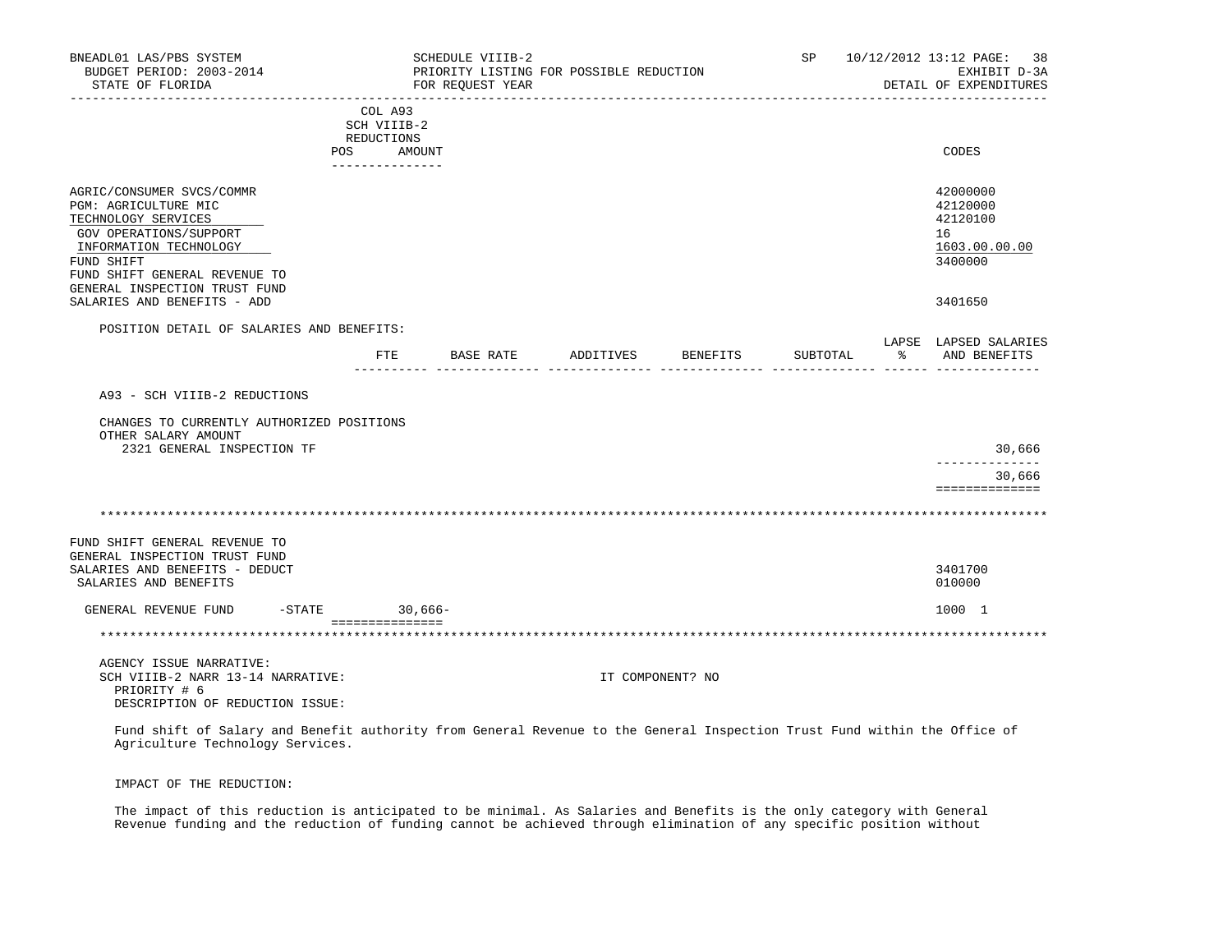| BNEADL01 LAS/PBS SYSTEM<br>BUDGET PERIOD: 2003-2014<br>STATE OF FLORIDA                                                   |                        | SCHEDULE VIIIB-2<br>PRIORITY LISTING FOR POSSIBLE REDUCTION<br>FOR REQUEST YEAR |                  |          |          |   | SP 10/12/2012 13:12 PAGE:<br>38<br>EXHIBIT D-3A<br>DETAIL OF EXPENDITURES |
|---------------------------------------------------------------------------------------------------------------------------|------------------------|---------------------------------------------------------------------------------|------------------|----------|----------|---|---------------------------------------------------------------------------|
|                                                                                                                           | COL A93<br>SCH VIIIB-2 |                                                                                 |                  |          |          |   |                                                                           |
|                                                                                                                           | REDUCTIONS             |                                                                                 |                  |          |          |   |                                                                           |
|                                                                                                                           | POS<br>AMOUNT          |                                                                                 |                  |          |          |   | CODES                                                                     |
|                                                                                                                           | _______________        |                                                                                 |                  |          |          |   |                                                                           |
| AGRIC/CONSUMER SVCS/COMMR<br>PGM: AGRICULTURE MIC<br>TECHNOLOGY SERVICES<br>GOV OPERATIONS/SUPPORT                        |                        |                                                                                 |                  |          |          |   | 42000000<br>42120000<br>42120100<br>16                                    |
| INFORMATION TECHNOLOGY                                                                                                    |                        |                                                                                 |                  |          |          |   | 1603.00.00.00                                                             |
| FUND SHIFT                                                                                                                |                        |                                                                                 |                  |          |          |   | 3400000                                                                   |
| FUND SHIFT GENERAL REVENUE TO                                                                                             |                        |                                                                                 |                  |          |          |   |                                                                           |
| GENERAL INSPECTION TRUST FUND<br>SALARIES AND BENEFITS - ADD                                                              |                        |                                                                                 |                  |          |          |   | 3401650                                                                   |
|                                                                                                                           |                        |                                                                                 |                  |          |          |   |                                                                           |
| POSITION DETAIL OF SALARIES AND BENEFITS:                                                                                 |                        |                                                                                 |                  |          |          |   | LAPSE LAPSED SALARIES                                                     |
|                                                                                                                           | FTE                    | BASE RATE                                                                       | ADDITIVES        | BENEFITS | SUBTOTAL | ႜ | AND BENEFITS                                                              |
|                                                                                                                           |                        |                                                                                 |                  |          |          |   |                                                                           |
| A93 - SCH VIIIB-2 REDUCTIONS                                                                                              |                        |                                                                                 |                  |          |          |   |                                                                           |
|                                                                                                                           |                        |                                                                                 |                  |          |          |   |                                                                           |
| CHANGES TO CURRENTLY AUTHORIZED POSITIONS<br>OTHER SALARY AMOUNT<br>2321 GENERAL INSPECTION TF                            |                        |                                                                                 |                  |          |          |   | 30,666                                                                    |
|                                                                                                                           |                        |                                                                                 |                  |          |          |   |                                                                           |
|                                                                                                                           |                        |                                                                                 |                  |          |          |   | 30,666                                                                    |
|                                                                                                                           |                        |                                                                                 |                  |          |          |   | ==============                                                            |
|                                                                                                                           |                        |                                                                                 |                  |          |          |   |                                                                           |
|                                                                                                                           |                        |                                                                                 |                  |          |          |   |                                                                           |
| FUND SHIFT GENERAL REVENUE TO                                                                                             |                        |                                                                                 |                  |          |          |   |                                                                           |
| GENERAL INSPECTION TRUST FUND                                                                                             |                        |                                                                                 |                  |          |          |   |                                                                           |
| SALARIES AND BENEFITS - DEDUCT                                                                                            |                        |                                                                                 |                  |          |          |   | 3401700                                                                   |
| SALARIES AND BENEFITS                                                                                                     |                        |                                                                                 |                  |          |          |   | 010000                                                                    |
| GENERAL REVENUE FUND<br>$-$ STATE                                                                                         |                        | $30,666-$                                                                       |                  |          |          |   | 1000 1                                                                    |
|                                                                                                                           | ================       |                                                                                 |                  |          |          |   |                                                                           |
|                                                                                                                           |                        |                                                                                 |                  |          |          |   |                                                                           |
| AGENCY ISSUE NARRATIVE:                                                                                                   |                        |                                                                                 |                  |          |          |   |                                                                           |
| SCH VIIIB-2 NARR 13-14 NARRATIVE:                                                                                         |                        |                                                                                 | IT COMPONENT? NO |          |          |   |                                                                           |
| PRIORITY # 6                                                                                                              |                        |                                                                                 |                  |          |          |   |                                                                           |
| DESCRIPTION OF REDUCTION ISSUE:                                                                                           |                        |                                                                                 |                  |          |          |   |                                                                           |
| Fund shift of Salary and Benefit authority from General Revenue to the General Inspection Trust Fund within the Office of |                        |                                                                                 |                  |          |          |   |                                                                           |

IMPACT OF THE REDUCTION:

 The impact of this reduction is anticipated to be minimal. As Salaries and Benefits is the only category with General Revenue funding and the reduction of funding cannot be achieved through elimination of any specific position without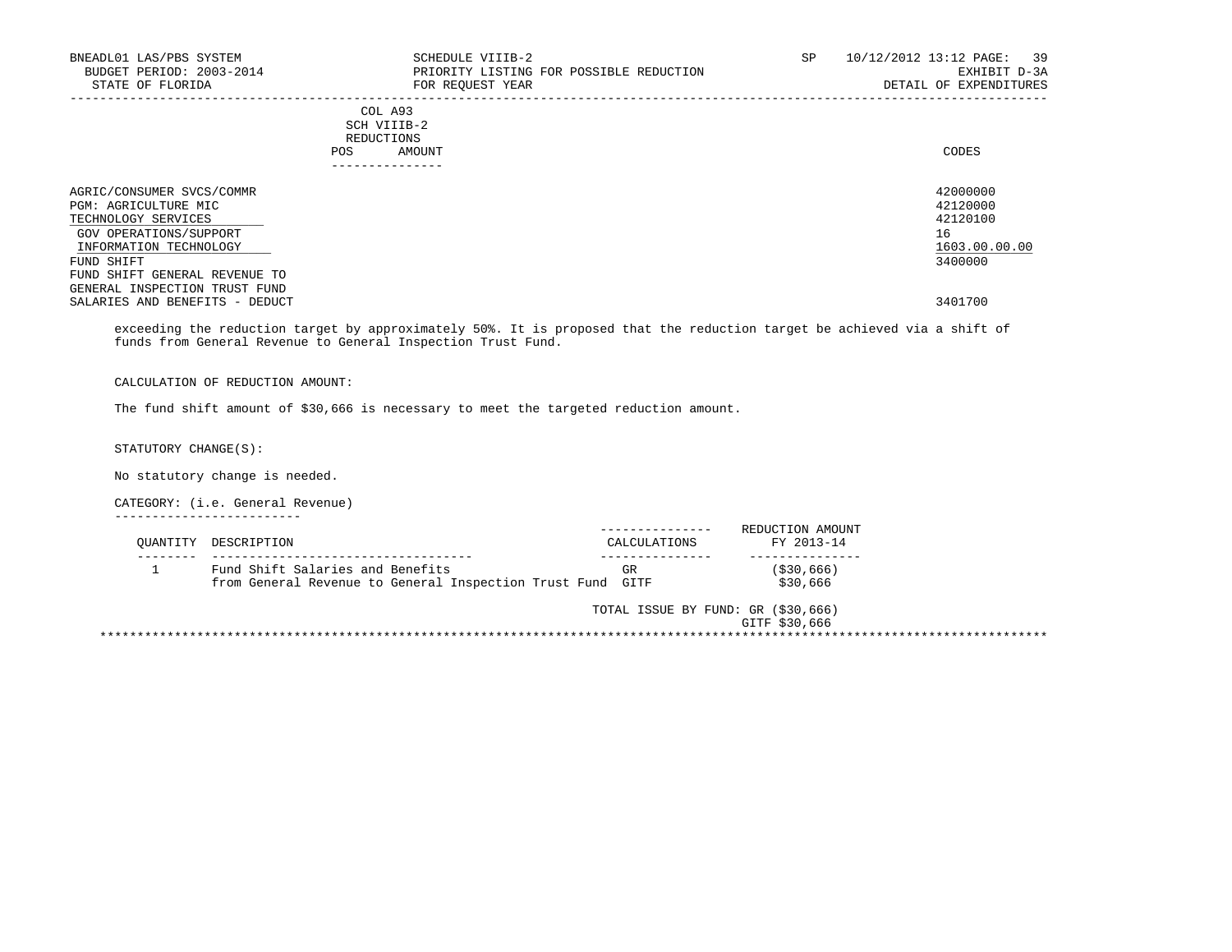| BNEADL01 LAS/PBS SYSTEM<br>BUDGET PERIOD: 2003-2014<br>STATE OF FLORIDA                                                      | SCHEDULE VIIIB-2<br>PRIORITY LISTING FOR POSSIBLE REDUCTION<br>FOR REQUEST YEAR | SP | 10/12/2012 13:12 PAGE: 39<br>EXHIBIT D-3A<br>DETAIL OF EXPENDITURES |
|------------------------------------------------------------------------------------------------------------------------------|---------------------------------------------------------------------------------|----|---------------------------------------------------------------------|
|                                                                                                                              | COL A93<br>SCH VIIIB-2<br>REDUCTIONS<br><b>POS</b><br>AMOUNT<br>_____________   |    | CODES                                                               |
| AGRIC/CONSUMER SVCS/COMMR<br>PGM: AGRICULTURE MIC<br>TECHNOLOGY SERVICES<br>GOV OPERATIONS/SUPPORT<br>INFORMATION TECHNOLOGY |                                                                                 |    | 42000000<br>42120000<br>42120100<br>16<br>1603.00.00.00             |
| FUND SHIFT<br>FUND SHIFT GENERAL REVENUE TO<br>GENERAL INSPECTION TRUST FUND<br>SALARIES AND BENEFITS - DEDUCT               |                                                                                 |    | 3400000<br>3401700                                                  |

 exceeding the reduction target by approximately 50%. It is proposed that the reduction target be achieved via a shift of funds from General Revenue to General Inspection Trust Fund.

CALCULATION OF REDUCTION AMOUNT:

The fund shift amount of \$30,666 is necessary to meet the targeted reduction amount.

STATUTORY CHANGE(S):

No statutory change is needed.

CATEGORY: (i.e. General Revenue)

-------------------------

| OUANTITY | DESCRIPTION                                                | CALCULATIONS                       | REDUCTION AMOUNT<br>FY 2013-14 |
|----------|------------------------------------------------------------|------------------------------------|--------------------------------|
|          | Fund Shift Salaries and Benefits                           | GR                                 | ( \$30, 666)                   |
|          | from General Revenue to General Inspection Trust Fund GITF |                                    | \$30,666                       |
|          |                                                            | TOTAL ISSUE BY FUND: GR (\$30,666) |                                |
|          |                                                            |                                    | GITF \$30,666                  |
|          |                                                            |                                    |                                |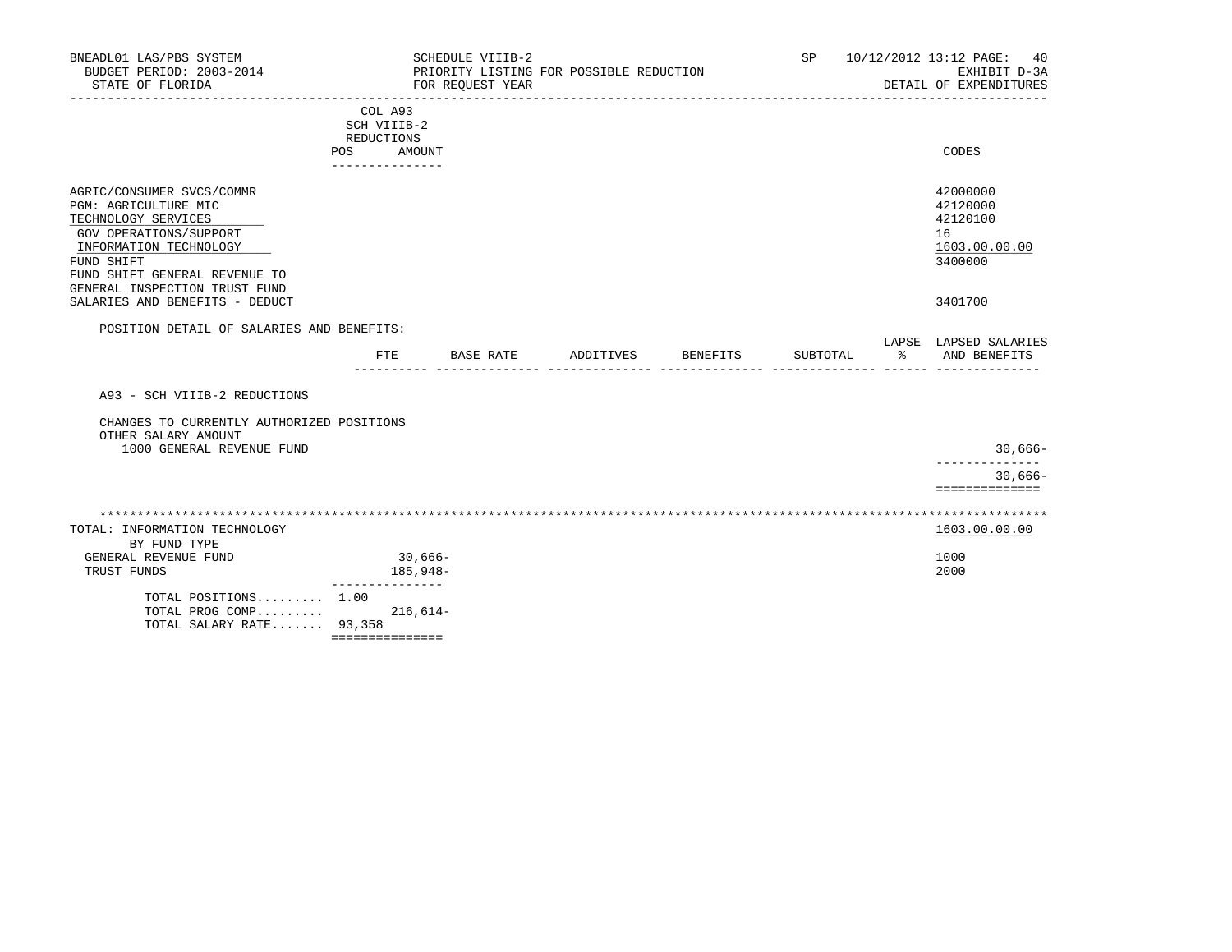| BNEADL01 LAS/PBS SYSTEM<br>BUDGET PERIOD: 2003-2014<br>STATE OF FLORIDA                                                                                                                                                                        |                                                                         | SCHEDULE VIIIB-2<br>FOR REQUEST YEAR |           | PRIORITY LISTING FOR POSSIBLE REDUCTION |          | SP       |    | 10/12/2012 13:12 PAGE:<br>40<br>EXHIBIT D-3A<br>DETAIL OF EXPENDITURES        |
|------------------------------------------------------------------------------------------------------------------------------------------------------------------------------------------------------------------------------------------------|-------------------------------------------------------------------------|--------------------------------------|-----------|-----------------------------------------|----------|----------|----|-------------------------------------------------------------------------------|
|                                                                                                                                                                                                                                                | COL A93<br>SCH VIIIB-2<br>REDUCTIONS<br>AMOUNT<br>POS<br>-------------- |                                      |           |                                         |          |          |    | CODES                                                                         |
| AGRIC/CONSUMER SVCS/COMMR<br>PGM: AGRICULTURE MIC<br>TECHNOLOGY SERVICES<br>GOV OPERATIONS/SUPPORT<br>INFORMATION TECHNOLOGY<br>FUND SHIFT<br>FUND SHIFT GENERAL REVENUE TO<br>GENERAL INSPECTION TRUST FUND<br>SALARIES AND BENEFITS - DEDUCT |                                                                         |                                      |           |                                         |          |          |    | 42000000<br>42120000<br>42120100<br>16<br>1603.00.00.00<br>3400000<br>3401700 |
| POSITION DETAIL OF SALARIES AND BENEFITS:                                                                                                                                                                                                      |                                                                         |                                      |           |                                         |          |          |    |                                                                               |
|                                                                                                                                                                                                                                                | FTE                                                                     |                                      | BASE RATE | ADDITIVES                               | BENEFITS | SUBTOTAL | ፝ዼ | LAPSE LAPSED SALARIES<br>AND BENEFITS                                         |
| A93 - SCH VIIIB-2 REDUCTIONS                                                                                                                                                                                                                   |                                                                         |                                      |           |                                         |          |          |    |                                                                               |
| CHANGES TO CURRENTLY AUTHORIZED POSITIONS<br>OTHER SALARY AMOUNT<br>1000 GENERAL REVENUE FUND                                                                                                                                                  |                                                                         |                                      |           |                                         |          |          |    | $30,666-$<br>-------------                                                    |
|                                                                                                                                                                                                                                                |                                                                         |                                      |           |                                         |          |          |    | $30,666-$<br>==============                                                   |
| TOTAL: INFORMATION TECHNOLOGY                                                                                                                                                                                                                  |                                                                         |                                      |           |                                         |          |          |    | 1603.00.00.00                                                                 |
| BY FUND TYPE<br>GENERAL REVENUE FUND<br>TRUST FUNDS                                                                                                                                                                                            | _______________                                                         | $30,666-$<br>185,948-                |           |                                         |          |          |    | 1000<br>2000                                                                  |
| TOTAL POSITIONS 1.00<br>TOTAL PROG COMP<br>TOTAL SALARY RATE 93,358                                                                                                                                                                            | ===============                                                         | 216,614-                             |           |                                         |          |          |    |                                                                               |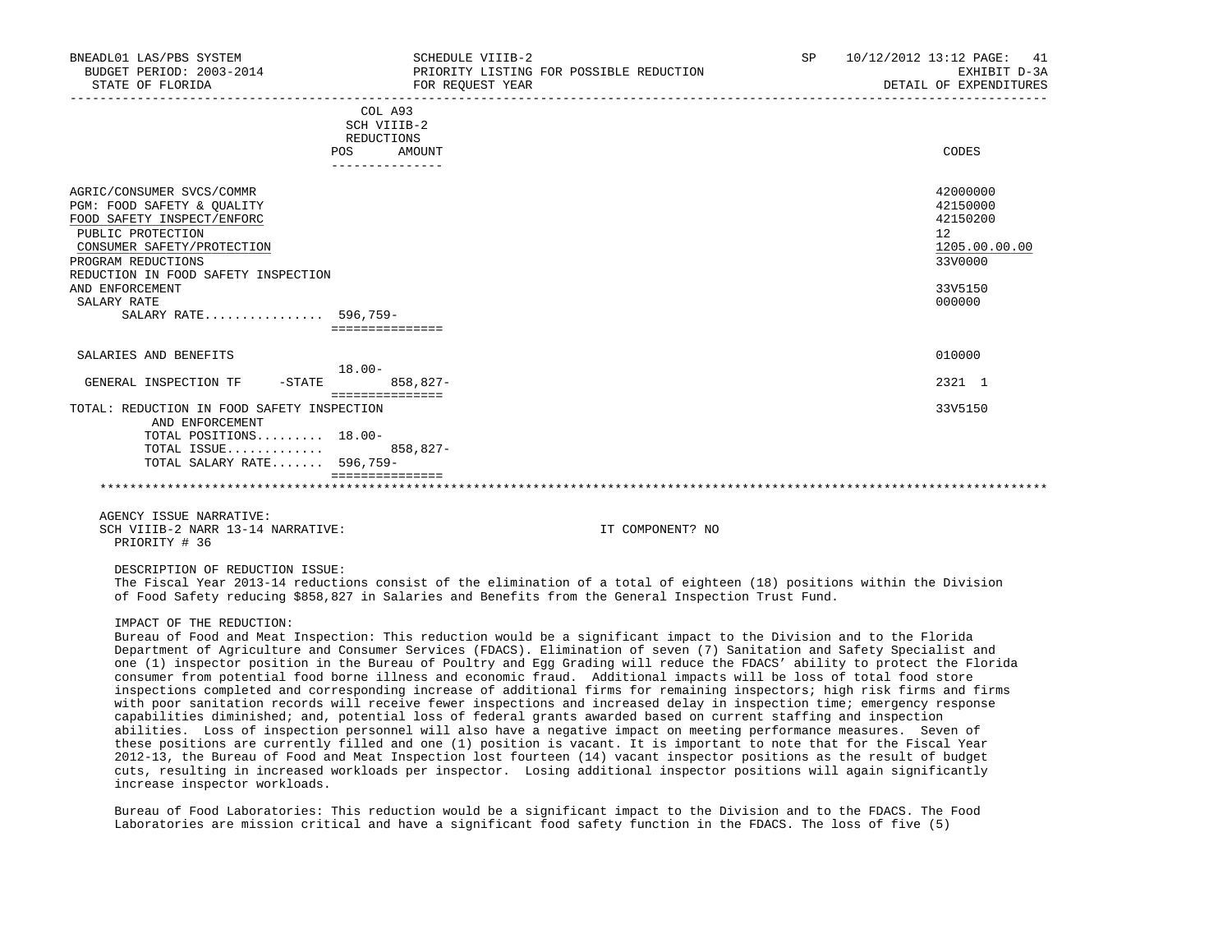| BNEADL01 LAS/PBS SYSTEM<br>BUDGET PERIOD: 2003-2014<br>STATE OF FLORIDA                                                                                                                                                                                         | SCHEDULE VIIIB-2<br>PRIORITY LISTING FOR POSSIBLE REDUCTION<br>FOR REOUEST YEAR | SP | 10/12/2012 13:12 PAGE: 41<br>EXHIBIT D-3A<br>DETAIL OF EXPENDITURES                     |
|-----------------------------------------------------------------------------------------------------------------------------------------------------------------------------------------------------------------------------------------------------------------|---------------------------------------------------------------------------------|----|-----------------------------------------------------------------------------------------|
|                                                                                                                                                                                                                                                                 | COL A93<br>SCH VIIIB-2<br>REDUCTIONS                                            |    |                                                                                         |
|                                                                                                                                                                                                                                                                 | AMOUNT<br><b>POS</b>                                                            |    | CODES                                                                                   |
| AGRIC/CONSUMER SVCS/COMMR<br>PGM: FOOD SAFETY & OUALITY<br>FOOD SAFETY INSPECT/ENFORC<br>PUBLIC PROTECTION<br>CONSUMER SAFETY/PROTECTION<br>PROGRAM REDUCTIONS<br>REDUCTION IN FOOD SAFETY INSPECTION<br>AND ENFORCEMENT<br>SALARY RATE<br>SALARY RATE 596,759- | ===============                                                                 |    | 42000000<br>42150000<br>42150200<br>12<br>1205.00.00.00<br>33V0000<br>33V5150<br>000000 |
| SALARIES AND BENEFITS                                                                                                                                                                                                                                           | $18.00 -$                                                                       |    | 010000                                                                                  |
| GENERAL INSPECTION TF<br>$-$ STATE                                                                                                                                                                                                                              | $858.827 -$<br>===============                                                  |    | 2321 1                                                                                  |
| TOTAL: REDUCTION IN FOOD SAFETY INSPECTION<br>AND ENFORCEMENT                                                                                                                                                                                                   |                                                                                 |    | 33V5150                                                                                 |
| TOTAL POSITIONS 18.00-<br>TOTAL ISSUE<br>TOTAL SALARY RATE 596,759-                                                                                                                                                                                             | 858,827-                                                                        |    |                                                                                         |
|                                                                                                                                                                                                                                                                 |                                                                                 |    |                                                                                         |
| AGENCY ISSUE NARRATIVE:                                                                                                                                                                                                                                         |                                                                                 |    |                                                                                         |

SCH VIIIB-2 NARR 13-14 NARRATIVE: IT COMPONENT? NO PRIORITY # 36

DESCRIPTION OF REDUCTION ISSUE:

 The Fiscal Year 2013-14 reductions consist of the elimination of a total of eighteen (18) positions within the Division of Food Safety reducing \$858,827 in Salaries and Benefits from the General Inspection Trust Fund.

### IMPACT OF THE REDUCTION:

 Bureau of Food and Meat Inspection: This reduction would be a significant impact to the Division and to the Florida Department of Agriculture and Consumer Services (FDACS). Elimination of seven (7) Sanitation and Safety Specialist and one (1) inspector position in the Bureau of Poultry and Egg Grading will reduce the FDACS' ability to protect the Florida consumer from potential food borne illness and economic fraud. Additional impacts will be loss of total food store inspections completed and corresponding increase of additional firms for remaining inspectors; high risk firms and firms with poor sanitation records will receive fewer inspections and increased delay in inspection time; emergency response capabilities diminished; and, potential loss of federal grants awarded based on current staffing and inspection abilities. Loss of inspection personnel will also have a negative impact on meeting performance measures. Seven of these positions are currently filled and one (1) position is vacant. It is important to note that for the Fiscal Year 2012-13, the Bureau of Food and Meat Inspection lost fourteen (14) vacant inspector positions as the result of budget cuts, resulting in increased workloads per inspector. Losing additional inspector positions will again significantly increase inspector workloads.

 Bureau of Food Laboratories: This reduction would be a significant impact to the Division and to the FDACS. The Food Laboratories are mission critical and have a significant food safety function in the FDACS. The loss of five (5)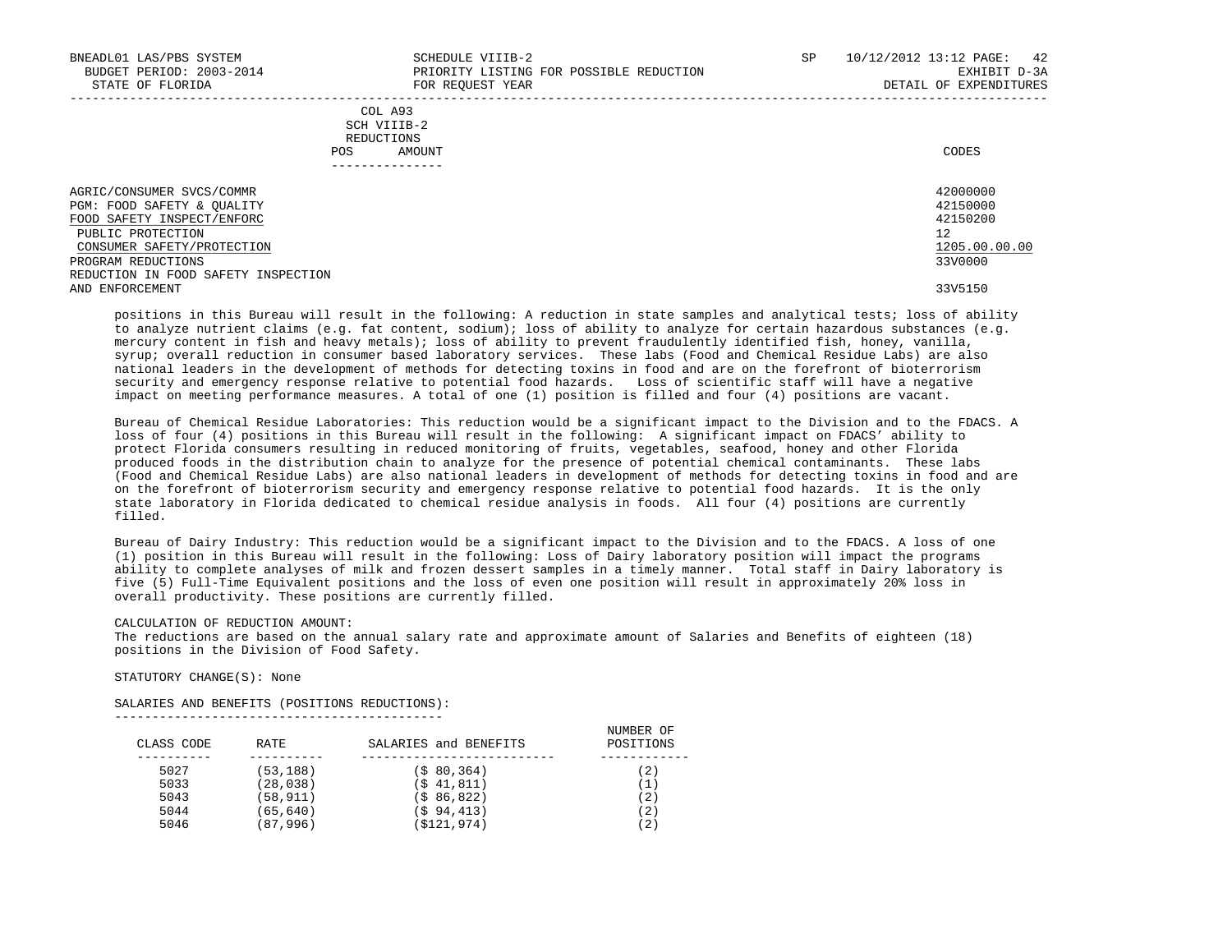| BNEADL01 LAS/PBS SYSTEM<br>BUDGET PERIOD: 2003-2014<br>STATE OF FLORIDA               | SCHEDULE VIIIB-2<br>PRIORITY LISTING FOR POSSIBLE REDUCTION<br>FOR REOUEST YEAR | SP | 10/12/2012 13:12 PAGE:<br>42<br>EXHIBIT D-3A<br>DETAIL OF EXPENDITURES |
|---------------------------------------------------------------------------------------|---------------------------------------------------------------------------------|----|------------------------------------------------------------------------|
|                                                                                       | COL A93<br>SCH VIIIB-2<br>REDUCTIONS<br>AMOUNT<br>POS                           |    | CODES                                                                  |
|                                                                                       |                                                                                 |    |                                                                        |
| AGRIC/CONSUMER SVCS/COMMR<br>PGM: FOOD SAFETY & OUALITY<br>FOOD SAFETY INSPECT/ENFORC |                                                                                 |    | 42000000<br>42150000<br>42150200                                       |
| PUBLIC PROTECTION<br>CONSUMER SAFETY/PROTECTION                                       |                                                                                 |    | 12<br>1205.00.00.00                                                    |
| PROGRAM REDUCTIONS<br>REDUCTION IN FOOD SAFETY INSPECTION                             |                                                                                 |    | 33V0000                                                                |
| AND ENFORCEMENT                                                                       |                                                                                 |    | 33V5150                                                                |

 positions in this Bureau will result in the following: A reduction in state samples and analytical tests; loss of ability to analyze nutrient claims (e.g. fat content, sodium); loss of ability to analyze for certain hazardous substances (e.g. mercury content in fish and heavy metals); loss of ability to prevent fraudulently identified fish, honey, vanilla, syrup; overall reduction in consumer based laboratory services. These labs (Food and Chemical Residue Labs) are also national leaders in the development of methods for detecting toxins in food and are on the forefront of bioterrorism security and emergency response relative to potential food hazards. Loss of scientific staff will have a negative impact on meeting performance measures. A total of one (1) position is filled and four (4) positions are vacant.

 Bureau of Chemical Residue Laboratories: This reduction would be a significant impact to the Division and to the FDACS. A loss of four (4) positions in this Bureau will result in the following: A significant impact on FDACS' ability to protect Florida consumers resulting in reduced monitoring of fruits, vegetables, seafood, honey and other Florida produced foods in the distribution chain to analyze for the presence of potential chemical contaminants. These labs (Food and Chemical Residue Labs) are also national leaders in development of methods for detecting toxins in food and are on the forefront of bioterrorism security and emergency response relative to potential food hazards. It is the only state laboratory in Florida dedicated to chemical residue analysis in foods. All four (4) positions are currently filled.

 Bureau of Dairy Industry: This reduction would be a significant impact to the Division and to the FDACS. A loss of one (1) position in this Bureau will result in the following: Loss of Dairy laboratory position will impact the programs ability to complete analyses of milk and frozen dessert samples in a timely manner. Total staff in Dairy laboratory is five (5) Full-Time Equivalent positions and the loss of even one position will result in approximately 20% loss in overall productivity. These positions are currently filled.

### CALCULATION OF REDUCTION AMOUNT:

 The reductions are based on the annual salary rate and approximate amount of Salaries and Benefits of eighteen (18) positions in the Division of Food Safety.

STATUTORY CHANGE(S): None

SALARIES AND BENEFITS (POSITIONS REDUCTIONS):

--------------------------------------------

| CLASS CODE | RATE      | SALARIES and BENEFITS | NUMBER OF<br>POSITIONS |
|------------|-----------|-----------------------|------------------------|
| 5027       | (53, 188) | (\$80,364)            | (2)                    |
| 5033       | (28, 038) | (\$41,811)            | (1)                    |
| 5043       | (58, 911) | (\$86,822)            | (2)                    |
| 5044       | (65, 640) | (\$94,413)            | (2)                    |
| 5046       | (87,996)  | (\$121,974)           | (2)                    |
|            |           |                       |                        |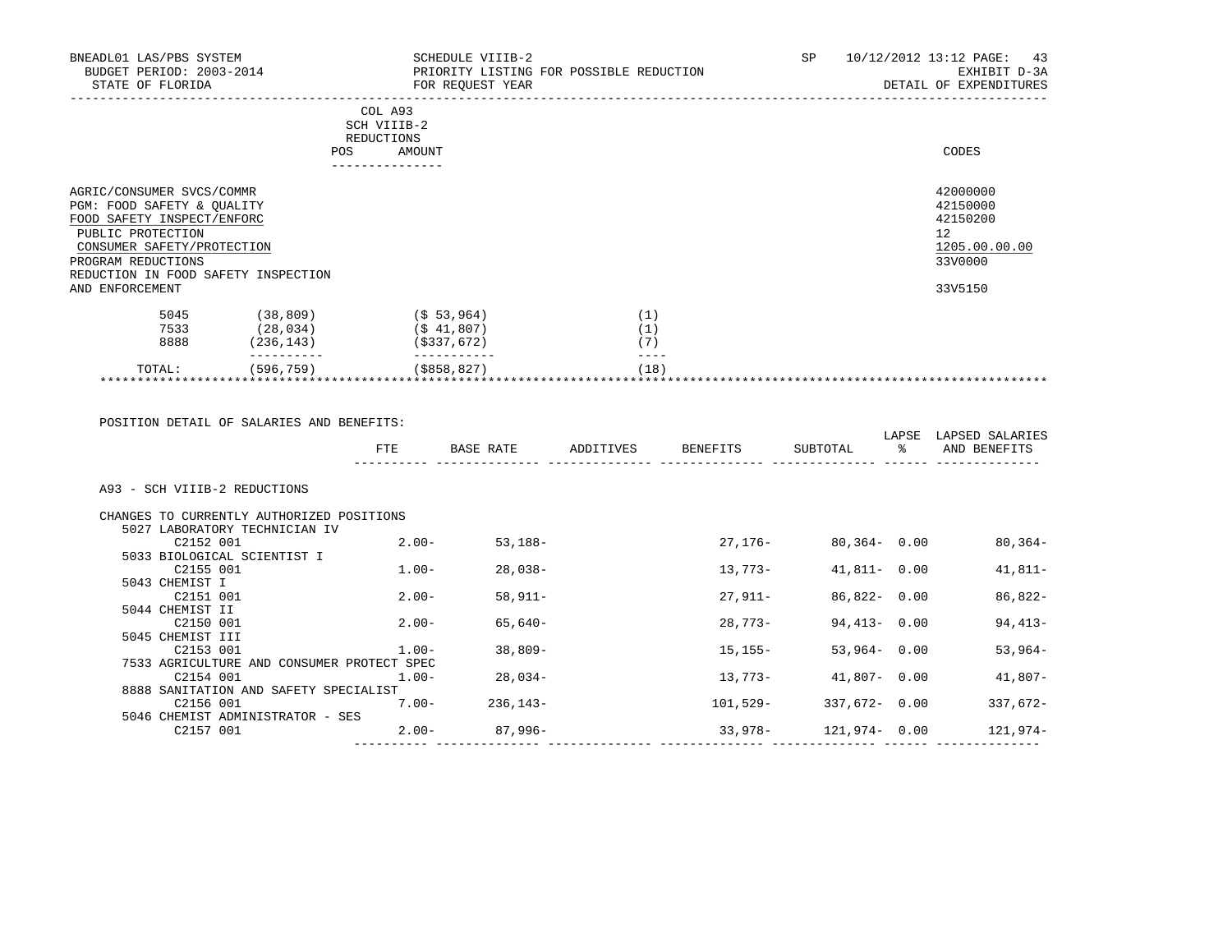| BNEADL01 LAS/PBS SYSTEM<br>BUDGET PERIOD: 2003-2014<br>STATE OF FLORIDA                                                                                                                               | -------------                                         | SCHEDULE VIIIB-2<br>PRIORITY LISTING FOR POSSIBLE REDUCTION<br>FOR REQUEST YEAR | SP<br>10/12/2012 13:12 PAGE:<br>43<br>EXHIBIT D-3A<br>DETAIL OF EXPENDITURES |
|-------------------------------------------------------------------------------------------------------------------------------------------------------------------------------------------------------|-------------------------------------------------------|---------------------------------------------------------------------------------|------------------------------------------------------------------------------|
|                                                                                                                                                                                                       | COL A93<br>SCH VIIIB-2<br>REDUCTIONS<br>AMOUNT<br>POS |                                                                                 | CODES                                                                        |
| AGRIC/CONSUMER SVCS/COMMR<br>PGM: FOOD SAFETY & OUALITY<br>FOOD SAFETY INSPECT/ENFORC<br>PUBLIC PROTECTION<br>CONSUMER SAFETY/PROTECTION<br>PROGRAM REDUCTIONS<br>REDUCTION IN FOOD SAFETY INSPECTION |                                                       |                                                                                 | 42000000<br>42150000<br>42150200<br>12<br>1205.00.00.00<br>33V0000           |
| AND ENFORCEMENT                                                                                                                                                                                       |                                                       |                                                                                 | 33V5150                                                                      |
| 5045<br>(38, 809)<br>7533<br>(28, 034)<br>8888<br>(236, 143)                                                                                                                                          | $(\$ 53, 964)$<br>$($ \$41,807)<br>( \$337, 672)      | (1)<br>(1)<br>(7)                                                               |                                                                              |
| (596, 759)<br>TOTAL:                                                                                                                                                                                  | $($ \$858,827)                                        | (18)                                                                            |                                                                              |

 POSITION DETAIL OF SALARIES AND BENEFITS: LAPSE LAPSED SALARIES FTE BASE RATE ADDITIVES BENEFITS SUBTOTAL % AND BENEFITS ---------- -------------- -------------- -------------- -------------- ------ -------------- A93 - SCH VIIIB-2 REDUCTIONS CHANGES TO CURRENTLY AUTHORIZED POSITIONS 5027 LABORATORY TECHNICIAN IV C2152 001 2.00- 53,188- 27,176- 80,364- 0.00 80,364- 5033 BIOLOGICAL SCIENTIST I C2155 001 1.00- 28,038- 13,773- 41,811- 0.00 41,811- 5043 CHEMIST I  $C2151$  001  $C2151$  001  $C2151$   $C2151$  000  $C2151$  000  $C2151$  000  $C2151$  0.00  $C2151$  0.00  $C2151$  0.00  $C2151$  0.00  $C2151$  0.00  $C2151$  0.00  $C2151$  0.00  $C2151$  0.00  $C2151$  0.00  $C2151$  0.00  $C2151$  0.00  $C2151$  0. 5044 CHEMIST II  $C2150\hspace{0.09cm}001$  2.00- 65,640- 28,773- 94,413- 0.00 94,413- 5045 CHEMIST III C2153 001 1.00- 38,809- 15,155- 53,964- 0.00 53,964- 7533 AGRICULTURE AND CONSUMER PROTECT SPEC C2154 001 1.00- 28,034- 13,773- 41,807- 0.00 41,807- 8888 SANITATION AND SAFETY SPECIALIST C2156 001 7.00- 236,143- 101,529- 337,672- 0.00 337,672- 5046 CHEMIST ADMINISTRATOR - SES C2157 001 2.00- 87,996- 33,978- 121,974- 0.00 121,974- ---------- -------------- -------------- -------------- -------------- ------ --------------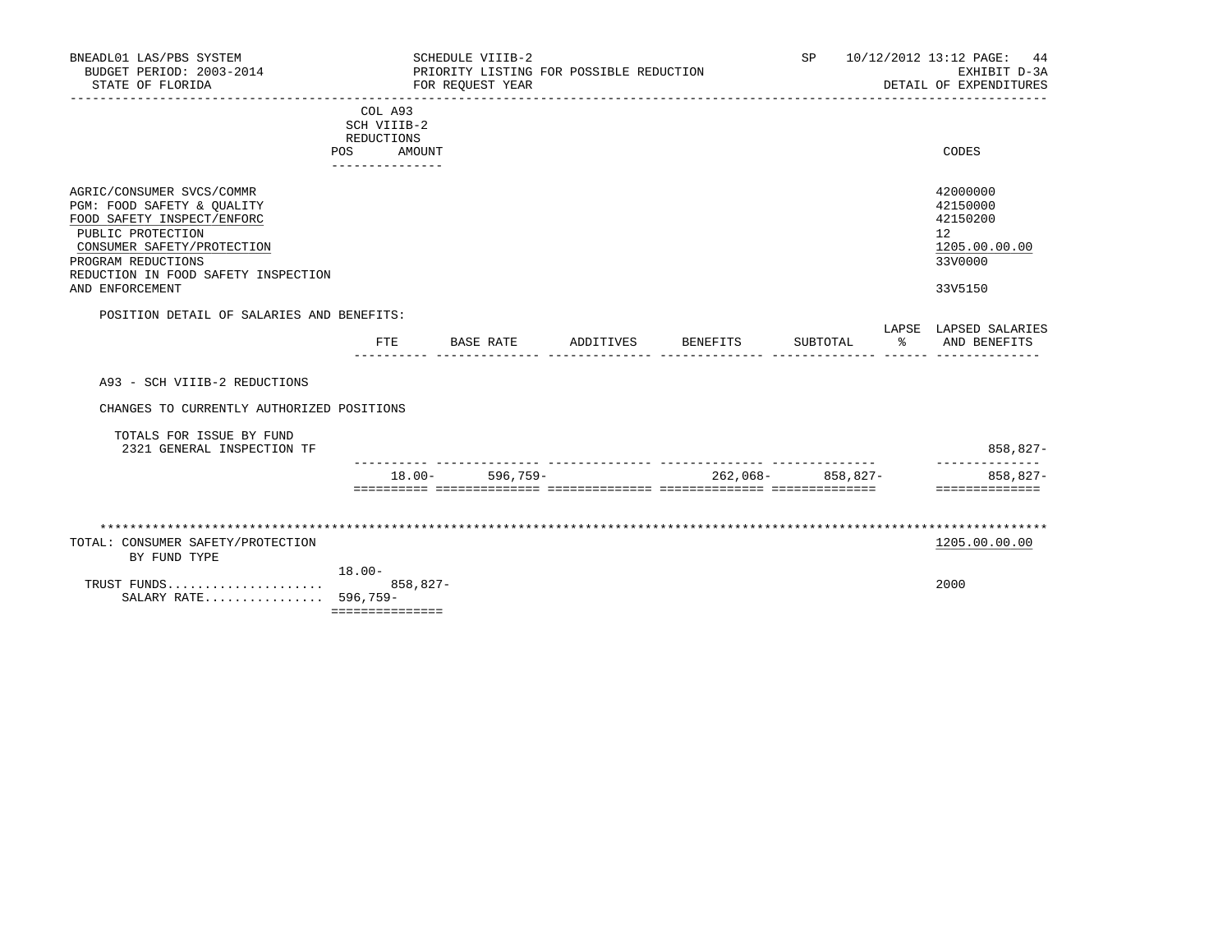| BNEADL01 LAS/PBS SYSTEM<br>BUDGET PERIOD: 2003-2014<br>STATE OF FLORIDA                                                                                                                                                  |                                                                       |             | SCHEDULE VIIIB-2<br>FOR REOUEST YEAR | PRIORITY LISTING FOR POSSIBLE REDUCTION |          | <b>SP</b>           |                  | 10/12/2012 13:12 PAGE:<br>44<br>EXHIBIT D-3A<br>DETAIL OF EXPENDITURES        |
|--------------------------------------------------------------------------------------------------------------------------------------------------------------------------------------------------------------------------|-----------------------------------------------------------------------|-------------|--------------------------------------|-----------------------------------------|----------|---------------------|------------------|-------------------------------------------------------------------------------|
|                                                                                                                                                                                                                          | COL A93<br>SCH VIIIB-2<br>REDUCTIONS<br>POS AMOUNT<br>_______________ |             |                                      |                                         |          |                     |                  | CODES                                                                         |
| AGRIC/CONSUMER SVCS/COMMR<br>PGM: FOOD SAFETY & OUALITY<br>FOOD SAFETY INSPECT/ENFORC<br>PUBLIC PROTECTION<br>CONSUMER SAFETY/PROTECTION<br>PROGRAM REDUCTIONS<br>REDUCTION IN FOOD SAFETY INSPECTION<br>AND ENFORCEMENT |                                                                       |             |                                      |                                         |          |                     |                  | 42000000<br>42150000<br>42150200<br>12<br>1205.00.00.00<br>33V0000<br>33V5150 |
| POSITION DETAIL OF SALARIES AND BENEFITS:                                                                                                                                                                                |                                                                       |             |                                      |                                         |          |                     |                  | LAPSE LAPSED SALARIES                                                         |
|                                                                                                                                                                                                                          | ETE                                                                   |             | BASE RATE                            | ADDITIVES                               | BENEFITS | SUBTOTAL            | $\sim$ $\approx$ | AND BENEFITS                                                                  |
| A93 - SCH VIIIB-2 REDUCTIONS                                                                                                                                                                                             |                                                                       |             |                                      |                                         |          |                     |                  |                                                                               |
| CHANGES TO CURRENTLY AUTHORIZED POSITIONS                                                                                                                                                                                |                                                                       |             |                                      |                                         |          |                     |                  |                                                                               |
| TOTALS FOR ISSUE BY FUND<br>2321 GENERAL INSPECTION TF                                                                                                                                                                   |                                                                       |             |                                      |                                         |          |                     |                  | 858,827-                                                                      |
|                                                                                                                                                                                                                          |                                                                       |             | $18.00 - 596,759 -$                  |                                         |          | $262,068-$ 858,827- |                  | 858,827-<br>==============                                                    |
|                                                                                                                                                                                                                          |                                                                       |             |                                      |                                         |          |                     |                  |                                                                               |
| TOTAL: CONSUMER SAFETY/PROTECTION<br>BY FUND TYPE                                                                                                                                                                        |                                                                       |             |                                      |                                         |          |                     |                  | 1205.00.00.00                                                                 |
| TRUST FUNDS<br>SALARY RATE 596,759-                                                                                                                                                                                      | $18.00 -$<br>===============                                          | $858.827 -$ |                                      |                                         |          |                     |                  | 2000                                                                          |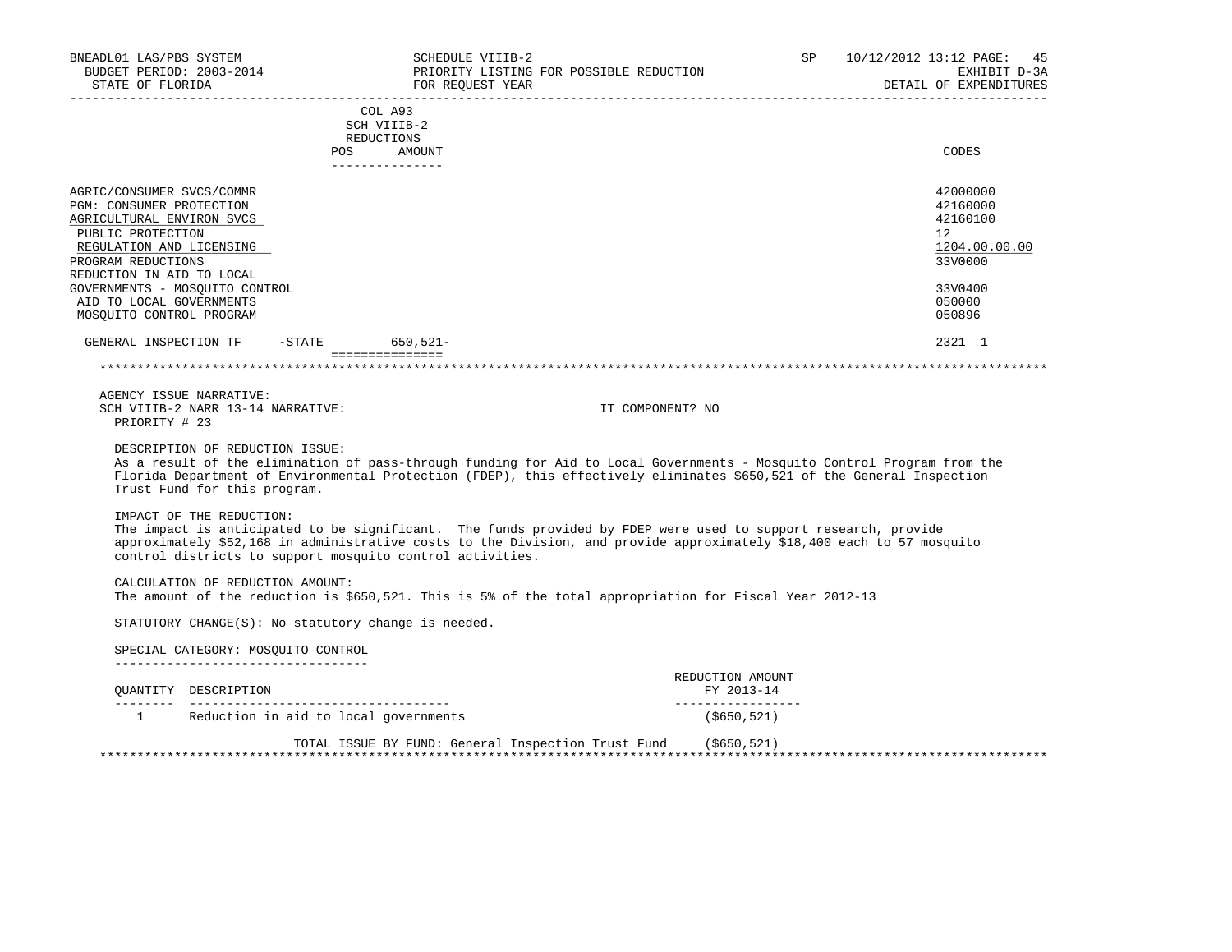| BNEADL01 LAS/PBS SYSTEM<br>BUDGET PERIOD: 2003-2014<br>STATE OF FLORIDA<br>______________________________________                                                                      | SCHEDULE VIIIB-2<br>FOR REQUEST YEAR                      | PRIORITY LISTING FOR POSSIBLE REDUCTION<br>__________________________                                                                                                                                                                             | SP 10/12/2012 13:12 PAGE: 45 | EXHIBIT D-3A<br>DETAIL OF EXPENDITURES                       |
|----------------------------------------------------------------------------------------------------------------------------------------------------------------------------------------|-----------------------------------------------------------|---------------------------------------------------------------------------------------------------------------------------------------------------------------------------------------------------------------------------------------------------|------------------------------|--------------------------------------------------------------|
|                                                                                                                                                                                        | ----------------------<br>COL A93<br>SCH VIIIB-2          |                                                                                                                                                                                                                                                   | --------------------         |                                                              |
|                                                                                                                                                                                        | REDUCTIONS<br>POS AMOUNT<br>---------------               |                                                                                                                                                                                                                                                   |                              | CODES                                                        |
| AGRIC/CONSUMER SVCS/COMMR<br>PGM: CONSUMER PROTECTION<br>AGRICULTURAL ENVIRON SVCS<br>PUBLIC PROTECTION<br>REGULATION AND LICENSING<br>PROGRAM REDUCTIONS<br>REDUCTION IN AID TO LOCAL |                                                           |                                                                                                                                                                                                                                                   | $12^{\circ}$                 | 42000000<br>42160000<br>42160100<br>1204.00.00.00<br>33V0000 |
| GOVERNMENTS - MOSQUITO CONTROL<br>AID TO LOCAL GOVERNMENTS<br>MOSQUITO CONTROL PROGRAM                                                                                                 |                                                           |                                                                                                                                                                                                                                                   |                              | 33V0400<br>050000<br>050896                                  |
| GENERAL INSPECTION TF -STATE 650,521-                                                                                                                                                  | ===============                                           |                                                                                                                                                                                                                                                   |                              | 2321 1                                                       |
| AGENCY ISSUE NARRATIVE:<br>SCH VIIIB-2 NARR 13-14 NARRATIVE:<br>PRIORITY # 23                                                                                                          |                                                           | IT COMPONENT? NO                                                                                                                                                                                                                                  |                              |                                                              |
| DESCRIPTION OF REDUCTION ISSUE:<br>Trust Fund for this program.                                                                                                                        |                                                           | As a result of the elimination of pass-through funding for Aid to Local Governments - Mosquito Control Program from the<br>Florida Department of Environmental Protection (FDEP), this effectively eliminates \$650,521 of the General Inspection |                              |                                                              |
| IMPACT OF THE REDUCTION:                                                                                                                                                               | control districts to support mosquito control activities. | The impact is anticipated to be significant. The funds provided by FDEP were used to support research, provide<br>approximately \$52,168 in administrative costs to the Division, and provide approximately \$18,400 each to 57 mosquito          |                              |                                                              |
| CALCULATION OF REDUCTION AMOUNT:                                                                                                                                                       |                                                           | The amount of the reduction is \$650,521. This is 5% of the total appropriation for Fiscal Year 2012-13                                                                                                                                           |                              |                                                              |
|                                                                                                                                                                                        | STATUTORY CHANGE(S): No statutory change is needed.       |                                                                                                                                                                                                                                                   |                              |                                                              |
| SPECIAL CATEGORY: MOSOUITO CONTROL<br>______________________________________                                                                                                           |                                                           |                                                                                                                                                                                                                                                   |                              |                                                              |
| OUANTITY DESCRIPTION                                                                                                                                                                   |                                                           | REDUCTION AMOUNT<br>FY 2013-14<br>__________________                                                                                                                                                                                              |                              |                                                              |
|                                                                                                                                                                                        | 1 Reduction in aid to local governments                   | (\$650,521)                                                                                                                                                                                                                                       |                              |                                                              |
|                                                                                                                                                                                        |                                                           | TOTAL ISSUE BY FUND: General Inspection Trust Fund (\$650,521)                                                                                                                                                                                    |                              |                                                              |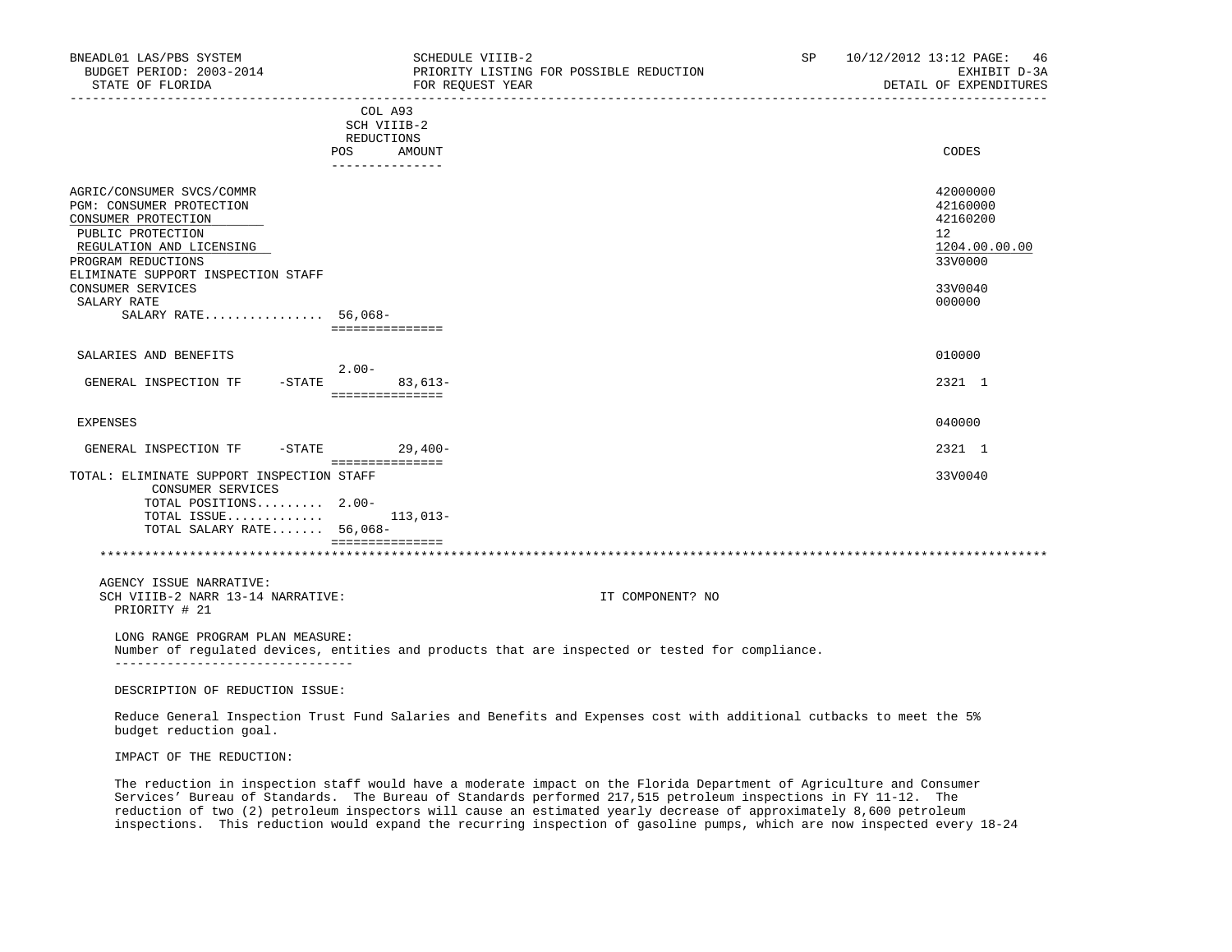| BNEADL01 LAS/PBS SYSTEM<br>BUDGET PERIOD: 2003-2014<br>STATE OF FLORIDA                                                                                                                   | SCHEDULE VIIIB-2<br>PRIORITY LISTING FOR POSSIBLE REDUCTION<br>FOR REQUEST YEAR                                      | SP 10/12/2012 13:12 PAGE: 46<br>EXHIBIT D-3A<br>DETAIL OF EXPENDITURES          |
|-------------------------------------------------------------------------------------------------------------------------------------------------------------------------------------------|----------------------------------------------------------------------------------------------------------------------|---------------------------------------------------------------------------------|
|                                                                                                                                                                                           | COL A93<br>SCH VIIIB-2<br>REDUCTIONS<br>POS<br>AMOUNT                                                                | CODES                                                                           |
|                                                                                                                                                                                           | ---------------                                                                                                      |                                                                                 |
| AGRIC/CONSUMER SVCS/COMMR<br>PGM: CONSUMER PROTECTION<br>CONSUMER PROTECTION<br>PUBLIC PROTECTION<br>REGULATION AND LICENSING<br>PROGRAM REDUCTIONS<br>ELIMINATE SUPPORT INSPECTION STAFF |                                                                                                                      | 42000000<br>42160000<br>42160200<br>12 <sup>°</sup><br>1204.00.00.00<br>33V0000 |
| CONSUMER SERVICES<br>SALARY RATE                                                                                                                                                          |                                                                                                                      | 33V0040<br>000000                                                               |
| SALARY RATE 56,068-                                                                                                                                                                       | ===============                                                                                                      |                                                                                 |
| SALARIES AND BENEFITS                                                                                                                                                                     | $2.00 -$                                                                                                             | 010000                                                                          |
| GENERAL INSPECTION TF -STATE 83,613-                                                                                                                                                      | ===============                                                                                                      | 2321 1                                                                          |
| <b>EXPENSES</b>                                                                                                                                                                           |                                                                                                                      | 040000                                                                          |
| GENERAL INSPECTION TF -STATE 29,400-                                                                                                                                                      | ===============                                                                                                      | 2321 1                                                                          |
| TOTAL: ELIMINATE SUPPORT INSPECTION STAFF<br>CONSUMER SERVICES<br>TOTAL POSITIONS 2.00-<br>TOTAL ISSUE<br>TOTAL SALARY RATE 56,068-                                                       | 113,013-                                                                                                             | 33V0040                                                                         |
|                                                                                                                                                                                           | ===============                                                                                                      |                                                                                 |
| AGENCY ISSUE NARRATIVE:<br>SCH VIIIB-2 NARR 13-14 NARRATIVE:<br>PRIORITY # 21                                                                                                             | IT COMPONENT? NO                                                                                                     |                                                                                 |
| LONG RANGE PROGRAM PLAN MEASURE:<br>---------------------------------                                                                                                                     | Number of regulated devices, entities and products that are inspected or tested for compliance.                      |                                                                                 |
| DESCRIPTION OF REDUCTION ISSUE:                                                                                                                                                           |                                                                                                                      |                                                                                 |
| budget reduction goal.                                                                                                                                                                    | Reduce General Inspection Trust Fund Salaries and Benefits and Expenses cost with additional cutbacks to meet the 5% |                                                                                 |
| IMPACT OF THE REDUCTION:                                                                                                                                                                  |                                                                                                                      |                                                                                 |
|                                                                                                                                                                                           |                                                                                                                      |                                                                                 |

 The reduction in inspection staff would have a moderate impact on the Florida Department of Agriculture and Consumer Services' Bureau of Standards. The Bureau of Standards performed 217,515 petroleum inspections in FY 11-12. The reduction of two (2) petroleum inspectors will cause an estimated yearly decrease of approximately 8,600 petroleum inspections. This reduction would expand the recurring inspection of gasoline pumps, which are now inspected every 18-24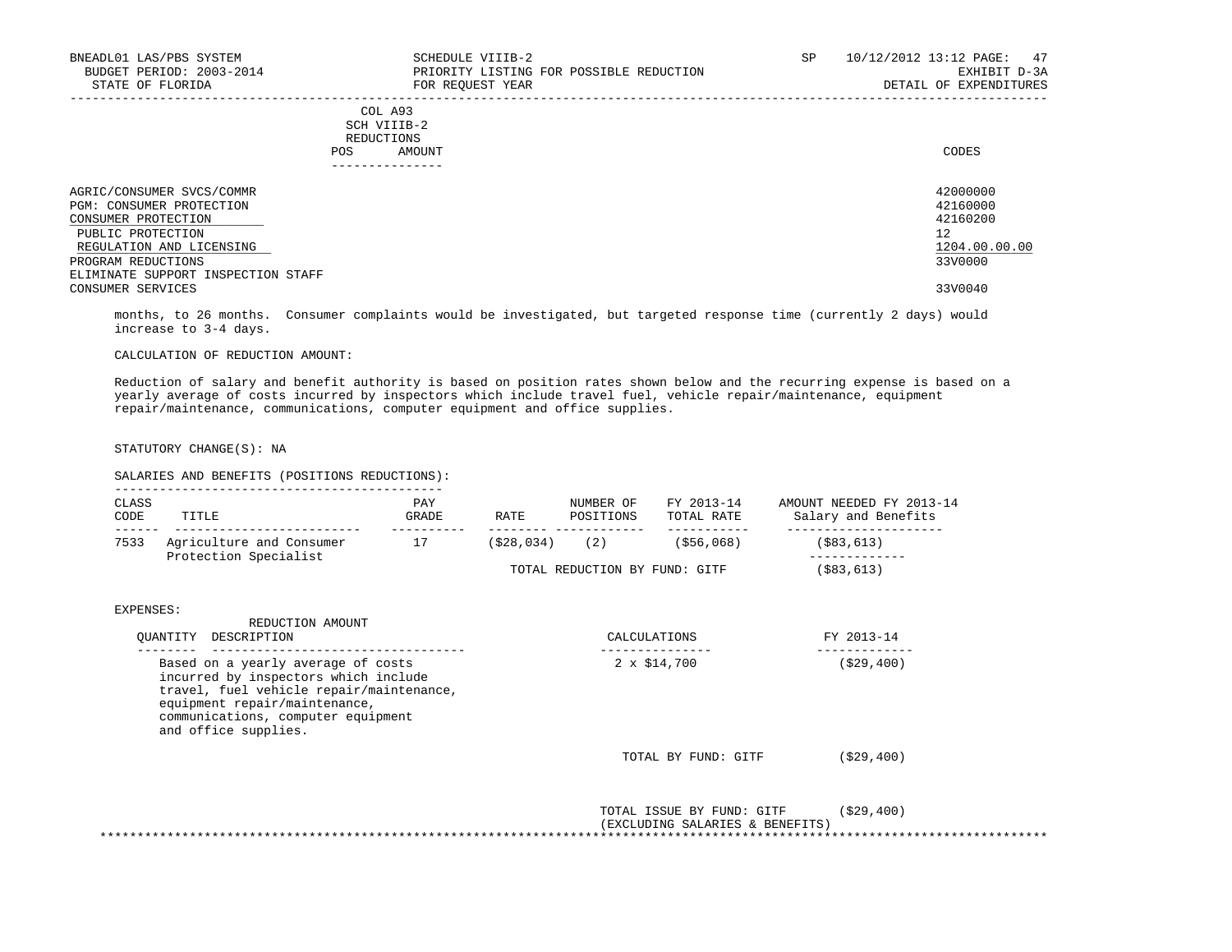| BNEADL01 LAS/PBS SYSTEM<br>BUDGET PERIOD: 2003-2014<br>STATE OF FLORIDA                                                                                                                   | SCHEDULE VIIIB-2<br>PRIORITY LISTING FOR POSSIBLE REDUCTION<br>FOR REOUEST YEAR | SP | 10/12/2012 13:12 PAGE: 47<br>EXHIBIT D-3A<br>DETAIL OF EXPENDITURES |
|-------------------------------------------------------------------------------------------------------------------------------------------------------------------------------------------|---------------------------------------------------------------------------------|----|---------------------------------------------------------------------|
|                                                                                                                                                                                           | COL A93<br>SCH VIIIB-2<br>REDUCTIONS<br>AMOUNT<br>POS.                          |    | CODES                                                               |
| AGRIC/CONSUMER SVCS/COMMR<br>PGM: CONSUMER PROTECTION<br>CONSUMER PROTECTION<br>PUBLIC PROTECTION<br>REGULATION AND LICENSING<br>PROGRAM REDUCTIONS<br>ELIMINATE SUPPORT INSPECTION STAFF |                                                                                 |    | 42000000<br>42160000<br>42160200<br>12<br>1204.00.00.00<br>33V0000  |
| CONSUMER SERVICES                                                                                                                                                                         |                                                                                 |    | 33V0040                                                             |

 months, to 26 months. Consumer complaints would be investigated, but targeted response time (currently 2 days) would increase to 3-4 days.

## CALCULATION OF REDUCTION AMOUNT:

 Reduction of salary and benefit authority is based on position rates shown below and the recurring expense is based on a yearly average of costs incurred by inspectors which include travel fuel, vehicle repair/maintenance, equipment repair/maintenance, communications, computer equipment and office supplies.

STATUTORY CHANGE(S): NA

| CLASS<br>CODE | TITLE                                                                                                                                                                                                                 | PAY<br>GRADE | RATE | POSITIONS                     | TOTAL RATE          | NUMBER OF FY 2013-14 AMOUNT NEEDED FY 2013-14<br>Salary and Benefits |  |
|---------------|-----------------------------------------------------------------------------------------------------------------------------------------------------------------------------------------------------------------------|--------------|------|-------------------------------|---------------------|----------------------------------------------------------------------|--|
| 7533          | Agriculture and Consumer 17 (\$28,034) (2) (\$56,068)                                                                                                                                                                 |              |      |                               |                     | -------------------<br>(\$83,613)                                    |  |
|               | Protection Specialist                                                                                                                                                                                                 |              |      | TOTAL REDUCTION BY FUND: GITF |                     | (\$83,613)                                                           |  |
| EXPENSES:     | REDUCTION AMOUNT                                                                                                                                                                                                      |              |      |                               |                     |                                                                      |  |
|               | QUANTITY DESCRIPTION<br>---------------------                                                                                                                                                                         |              |      |                               | CALCULATIONS        | FY 2013-14                                                           |  |
|               | Based on a yearly average of costs<br>incurred by inspectors which include<br>travel, fuel vehicle repair/maintenance,<br>equipment repair/maintenance,<br>communications, computer equipment<br>and office supplies. |              |      |                               | $2 \times \$14,700$ | ( \$29, 400)                                                         |  |
|               |                                                                                                                                                                                                                       |              |      |                               | TOTAL BY FUND: GITF | ( \$29, 400)                                                         |  |
|               |                                                                                                                                                                                                                       |              |      |                               |                     |                                                                      |  |

(EXCLUDING SALARIES & BENEFITS)

\*\*\*\*\*\*\*\*\*\*\*\*\*\*\*\*\*\*\*\*\*\*\*\*\*\*\*\*\*\*\*\*\*\*\*\*\*\*\*\*\*\*\*\*\*\*\*\*\*\*\*\*\*\*\*\*\*\*\*\*\*\*\*\*\*\*\*\*\*\*\*\*\*\*\*\*\*\*\*\*\*\*\*\*\*\*\*\*\*\*\*\*\*\*\*\*\*\*\*\*\*\*\*\*\*\*\*\*\*\*\*\*\*\*\*\*\*\*\*\*\*\*\*\*\*\*\*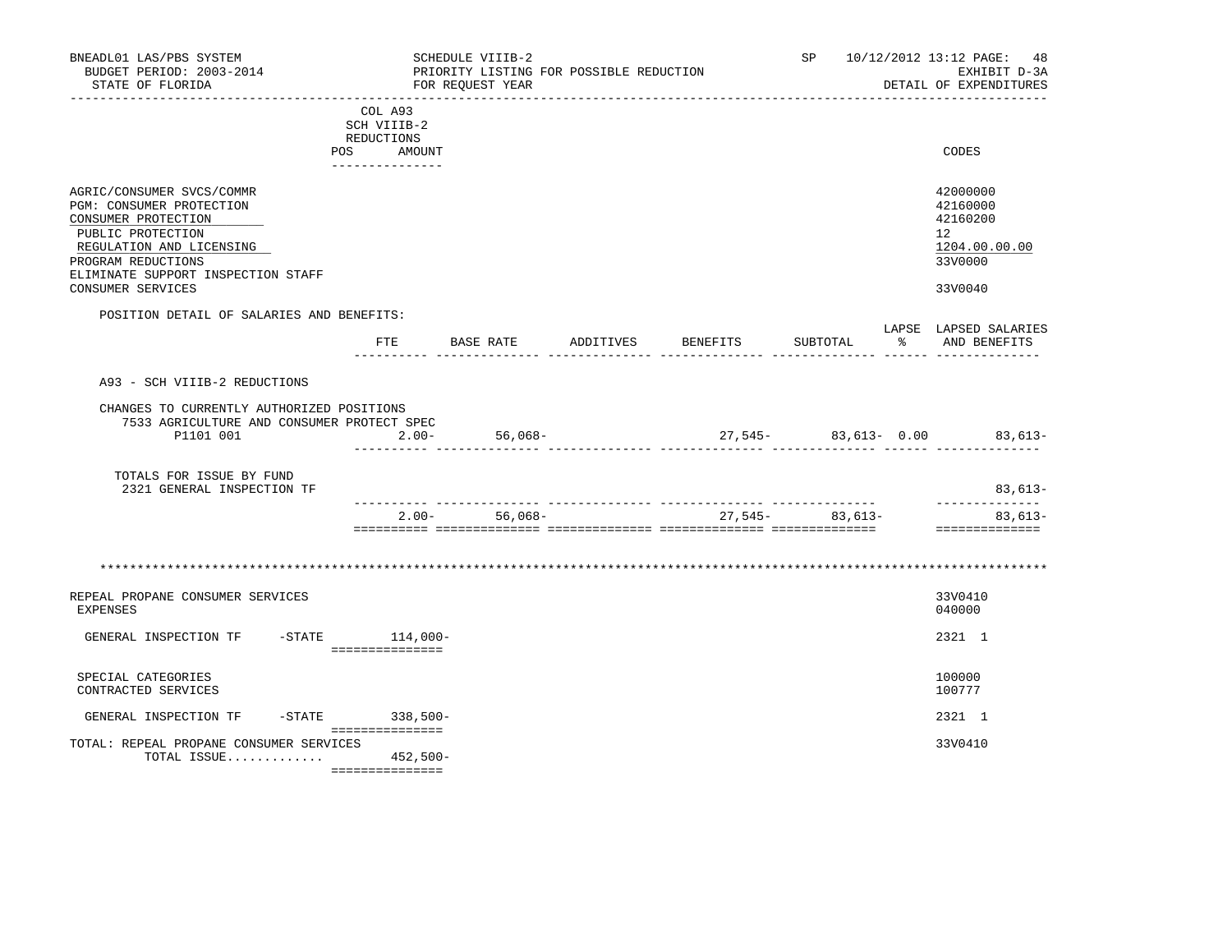| BNEADL01 LAS/PBS SYSTEM<br>BUDGET PERIOD: 2003-2014<br>STATE OF FLORIDA                                                                                                                   |                                                                       | SCHEDULE VIIIB-2<br>PRIORITY LISTING FOR POSSIBLE REDUCTION<br>FOR REQUEST YEAR |           |          |                                                  |   | SP 10/12/2012 13:12 PAGE: 48<br>EXHIBIT D-3A<br>DETAIL OF EXPENDITURES |
|-------------------------------------------------------------------------------------------------------------------------------------------------------------------------------------------|-----------------------------------------------------------------------|---------------------------------------------------------------------------------|-----------|----------|--------------------------------------------------|---|------------------------------------------------------------------------|
|                                                                                                                                                                                           | COL A93<br>SCH VIIIB-2<br>REDUCTIONS<br>POS AMOUNT<br>--------------- |                                                                                 |           |          |                                                  |   | CODES                                                                  |
| AGRIC/CONSUMER SVCS/COMMR<br>PGM: CONSUMER PROTECTION<br>CONSUMER PROTECTION<br>PUBLIC PROTECTION<br>REGULATION AND LICENSING<br>PROGRAM REDUCTIONS<br>ELIMINATE SUPPORT INSPECTION STAFF |                                                                       |                                                                                 |           |          |                                                  |   | 42000000<br>42160000<br>42160200<br>12<br>1204.00.00.00<br>33V0000     |
| CONSUMER SERVICES                                                                                                                                                                         |                                                                       |                                                                                 |           |          |                                                  |   | 33V0040                                                                |
| POSITION DETAIL OF SALARIES AND BENEFITS:                                                                                                                                                 |                                                                       | FTE BASE RATE                                                                   | ADDITIVES | BENEFITS | SUBTOTAL                                         | ႜ | LAPSE LAPSED SALARIES<br>AND BENEFITS                                  |
| A93 - SCH VIIIB-2 REDUCTIONS                                                                                                                                                              |                                                                       |                                                                                 |           |          |                                                  |   |                                                                        |
| CHANGES TO CURRENTLY AUTHORIZED POSITIONS<br>7533 AGRICULTURE AND CONSUMER PROTECT SPEC<br>P1101 001                                                                                      | $2.00 -$                                                              | $56,068-$                                                                       |           |          |                                                  |   | $27,545-$ 83,613- 0.00 83,613-                                         |
| TOTALS FOR ISSUE BY FUND<br>2321 GENERAL INSPECTION TF                                                                                                                                    |                                                                       |                                                                                 |           |          |                                                  |   | $83,613-$                                                              |
|                                                                                                                                                                                           |                                                                       | $2.00 - 56,068 -$                                                               |           |          | ___________________________<br>$27,545-$ 83,613- |   | --------------<br>83,613-<br>==============                            |
|                                                                                                                                                                                           |                                                                       |                                                                                 |           |          |                                                  |   |                                                                        |
| REPEAL PROPANE CONSUMER SERVICES<br>EXPENSES                                                                                                                                              |                                                                       |                                                                                 |           |          |                                                  |   | 33V0410<br>040000                                                      |
| GENERAL INSPECTION TF                                                                                                                                                                     | $-$ STATE $114,000-$<br>===============                               |                                                                                 |           |          |                                                  |   | 2321 1                                                                 |
| SPECIAL CATEGORIES<br>CONTRACTED SERVICES                                                                                                                                                 |                                                                       |                                                                                 |           |          |                                                  |   | 100000<br>100777                                                       |
| GENERAL INSPECTION TF                                                                                                                                                                     | -STATE 338,500-                                                       |                                                                                 |           |          |                                                  |   | 2321 1                                                                 |
| TOTAL: REPEAL PROPANE CONSUMER SERVICES<br>TOTAL ISSUE                                                                                                                                    | 452,500-<br>===============                                           |                                                                                 |           |          |                                                  |   | 33V0410                                                                |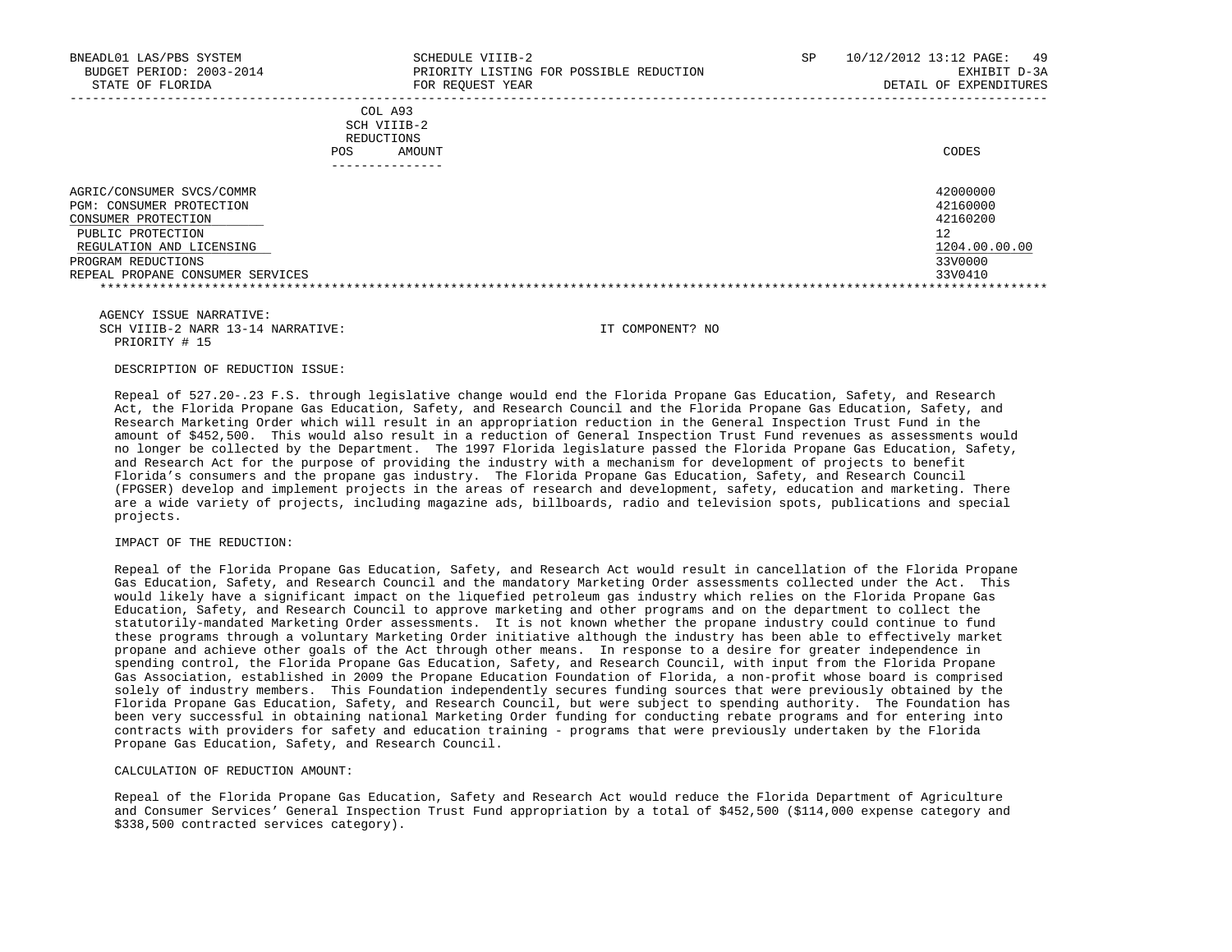| BNEADL01 LAS/PBS SYSTEM<br>BUDGET PERIOD: 2003-2014<br>STATE OF FLORIDA                                                                                                                 | SCHEDULE VIIIB-2<br>PRIORITY LISTING FOR POSSIBLE REDUCTION<br>FOR REOUEST YEAR | SP | 10/12/2012 13:12 PAGE:<br>-49<br>EXHIBIT D-3A<br>DETAIL OF EXPENDITURES       |
|-----------------------------------------------------------------------------------------------------------------------------------------------------------------------------------------|---------------------------------------------------------------------------------|----|-------------------------------------------------------------------------------|
|                                                                                                                                                                                         | COL A93<br>SCH VIIIB-2<br>REDUCTIONS<br>AMOUNT<br><b>POS</b>                    |    | CODES                                                                         |
| AGRIC/CONSUMER SVCS/COMMR<br>PGM: CONSUMER PROTECTION<br>CONSUMER PROTECTION<br>PUBLIC PROTECTION<br>REGULATION AND LICENSING<br>PROGRAM REDUCTIONS<br>REPEAL PROPANE CONSUMER SERVICES |                                                                                 |    | 42000000<br>42160000<br>42160200<br>12<br>1204.00.00.00<br>33V0000<br>33V0410 |

 AGENCY ISSUE NARRATIVE: SCH VIIIB-2 NARR 13-14 NARRATIVE: IT COMPONENT? NO PRIORITY # 15

### DESCRIPTION OF REDUCTION ISSUE:

 Repeal of 527.20-.23 F.S. through legislative change would end the Florida Propane Gas Education, Safety, and Research Act, the Florida Propane Gas Education, Safety, and Research Council and the Florida Propane Gas Education, Safety, and Research Marketing Order which will result in an appropriation reduction in the General Inspection Trust Fund in the amount of \$452,500. This would also result in a reduction of General Inspection Trust Fund revenues as assessments would no longer be collected by the Department. The 1997 Florida legislature passed the Florida Propane Gas Education, Safety, and Research Act for the purpose of providing the industry with a mechanism for development of projects to benefit Florida's consumers and the propane gas industry. The Florida Propane Gas Education, Safety, and Research Council (FPGSER) develop and implement projects in the areas of research and development, safety, education and marketing. There are a wide variety of projects, including magazine ads, billboards, radio and television spots, publications and special projects.

### IMPACT OF THE REDUCTION:

 Repeal of the Florida Propane Gas Education, Safety, and Research Act would result in cancellation of the Florida Propane Gas Education, Safety, and Research Council and the mandatory Marketing Order assessments collected under the Act. This would likely have a significant impact on the liquefied petroleum gas industry which relies on the Florida Propane Gas Education, Safety, and Research Council to approve marketing and other programs and on the department to collect the statutorily-mandated Marketing Order assessments. It is not known whether the propane industry could continue to fund these programs through a voluntary Marketing Order initiative although the industry has been able to effectively market propane and achieve other goals of the Act through other means. In response to a desire for greater independence in spending control, the Florida Propane Gas Education, Safety, and Research Council, with input from the Florida Propane Gas Association, established in 2009 the Propane Education Foundation of Florida, a non-profit whose board is comprised solely of industry members. This Foundation independently secures funding sources that were previously obtained by the Florida Propane Gas Education, Safety, and Research Council, but were subject to spending authority. The Foundation has been very successful in obtaining national Marketing Order funding for conducting rebate programs and for entering into contracts with providers for safety and education training - programs that were previously undertaken by the Florida Propane Gas Education, Safety, and Research Council.

### CALCULATION OF REDUCTION AMOUNT:

 Repeal of the Florida Propane Gas Education, Safety and Research Act would reduce the Florida Department of Agriculture and Consumer Services' General Inspection Trust Fund appropriation by a total of \$452,500 (\$114,000 expense category and \$338,500 contracted services category).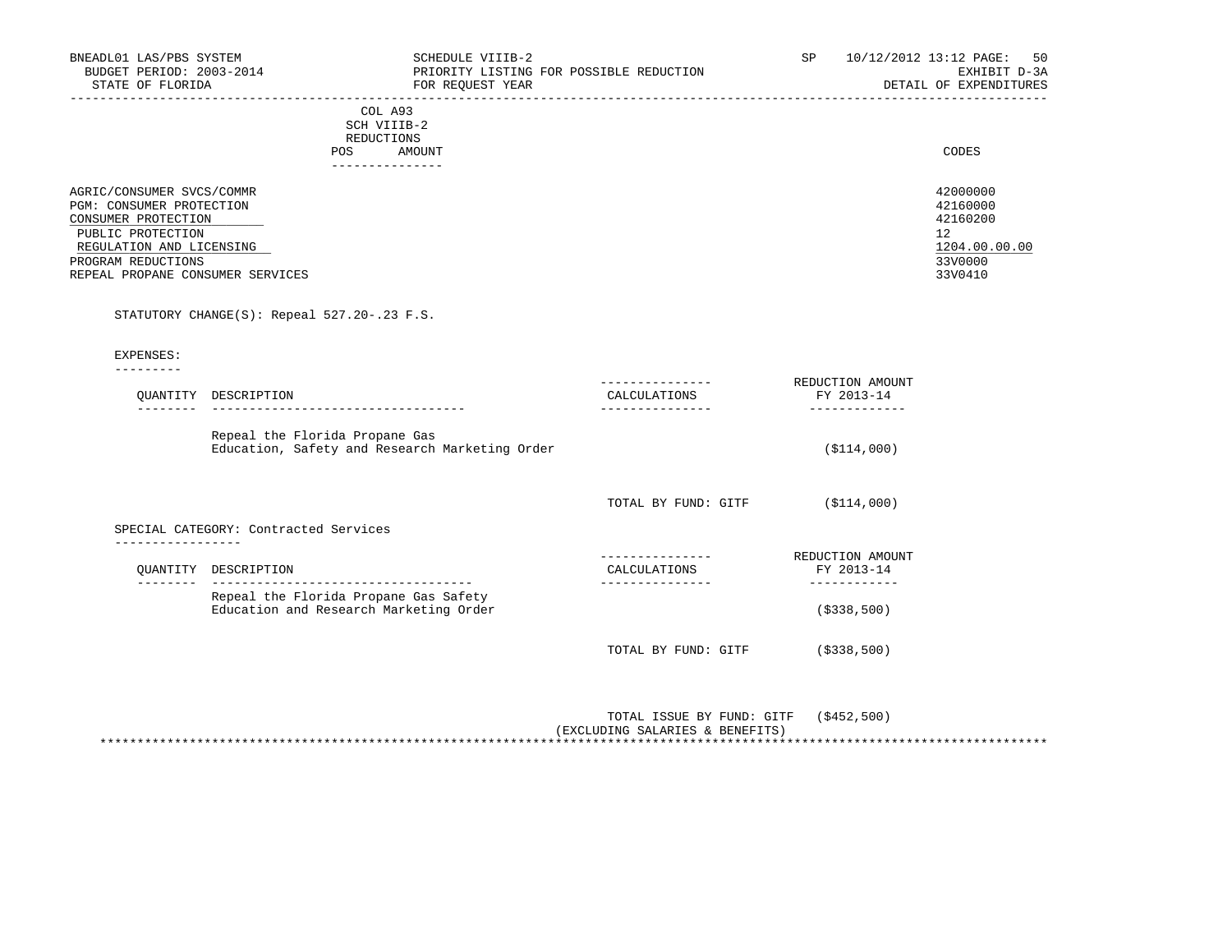| BNEADL01 LAS/PBS SYSTEM<br>BUDGET PERIOD: 2003-2014<br>STATE OF FLORIDA      | SCHEDULE VIIIB-2<br>PRIORITY LISTING FOR POSSIBLE REDUCTION<br>FOR REQUEST YEAR | SP. | 50<br>10/12/2012 13:12 PAGE:<br>EXHIBIT D-3A<br>DETAIL OF EXPENDITURES |
|------------------------------------------------------------------------------|---------------------------------------------------------------------------------|-----|------------------------------------------------------------------------|
|                                                                              | COL A93<br>SCH VIIIB-2<br>REDUCTIONS<br>AMOUNT<br>POS                           |     | CODES                                                                  |
| AGRIC/CONSUMER SVCS/COMMR<br>PGM: CONSUMER PROTECTION<br>CONSUMER PROTECTION |                                                                                 |     | 42000000<br>42160000<br>42160200                                       |
| PUBLIC PROTECTION                                                            |                                                                                 |     | $12^{\circ}$                                                           |
| REGULATION AND LICENSING                                                     |                                                                                 |     | 1204.00.00.00                                                          |
| PROGRAM REDUCTIONS                                                           |                                                                                 |     | 33V0000                                                                |
| REPEAL PROPANE CONSUMER SERVICES                                             |                                                                                 |     | 33V0410                                                                |

# STATUTORY CHANGE(S): Repeal 527.20-.23 F.S.

 EXPENSES: ---------

|                  | QUANTITY DESCRIPTION                                                             | CALCULATIONS<br>--------------- | REDUCTION AMOUNT<br>FY 2013-14 |
|------------------|----------------------------------------------------------------------------------|---------------------------------|--------------------------------|
|                  | Repeal the Florida Propane Gas<br>Education, Safety and Research Marketing Order |                                 | ( \$114,000)                   |
|                  |                                                                                  | TOTAL BY FUND: GITF             | ( \$114,000)                   |
| ---------------- | SPECIAL CATEGORY: Contracted Services                                            |                                 |                                |
|                  |                                                                                  |                                 | REDUCTION AMOUNT               |
|                  | OUANTITY DESCRIPTION                                                             | CALCULATIONS                    | FY 2013-14                     |
|                  | Repeal the Florida Propane Gas Safety<br>Education and Research Marketing Order  |                                 | ( \$338, 500)                  |

| (S452, 500)<br>TOTAL ISSUE BY FUND: GITF |
|------------------------------------------|
| (EXCLUDING SALARIES & BENEFITS)          |
|                                          |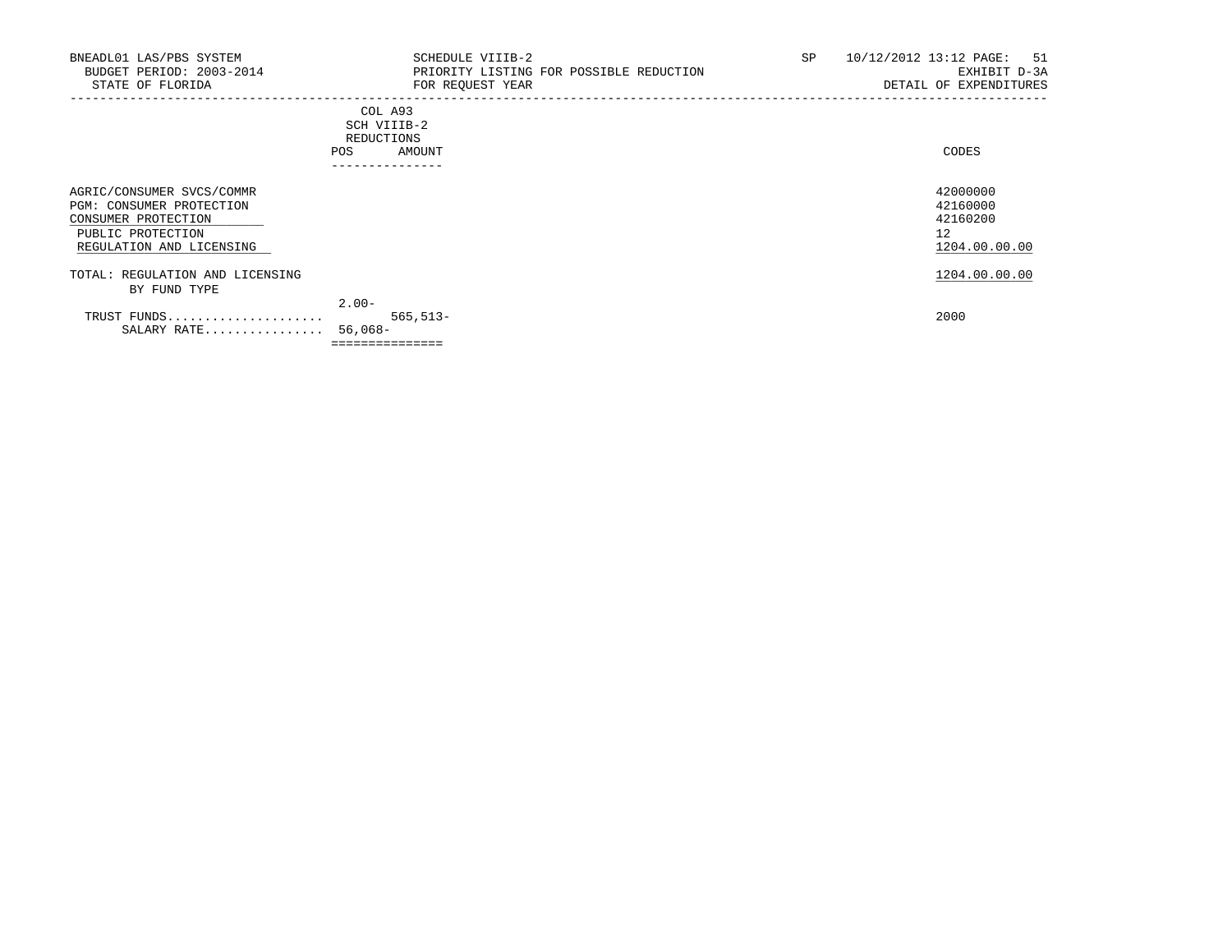| BNEADL01 LAS/PBS SYSTEM<br>BUDGET PERIOD: 2003-2014<br>STATE OF FLORIDA                                                       | SCHEDULE VIIIB-2<br>PRIORITY LISTING FOR POSSIBLE REDUCTION<br>FOR REQUEST YEAR | SP | 10/12/2012 13:12 PAGE: 51<br>EXHIBIT D-3A<br>DETAIL OF EXPENDITURES |
|-------------------------------------------------------------------------------------------------------------------------------|---------------------------------------------------------------------------------|----|---------------------------------------------------------------------|
|                                                                                                                               | COL A93<br>SCH VIIIB-2<br>REDUCTIONS<br><b>POS</b><br>AMOUNT                    |    | CODES                                                               |
| AGRIC/CONSUMER SVCS/COMMR<br>PGM: CONSUMER PROTECTION<br>CONSUMER PROTECTION<br>PUBLIC PROTECTION<br>REGULATION AND LICENSING |                                                                                 |    | 42000000<br>42160000<br>42160200<br>12<br>1204.00.00.00             |
| TOTAL: REGULATION AND LICENSING<br>BY FUND TYPE                                                                               |                                                                                 |    | 1204.00.00.00                                                       |
| TRUST FUNDS<br>SALARY RATE 56,068-                                                                                            | $2.00 -$<br>$565, 513 -$<br>===============                                     |    | 2000                                                                |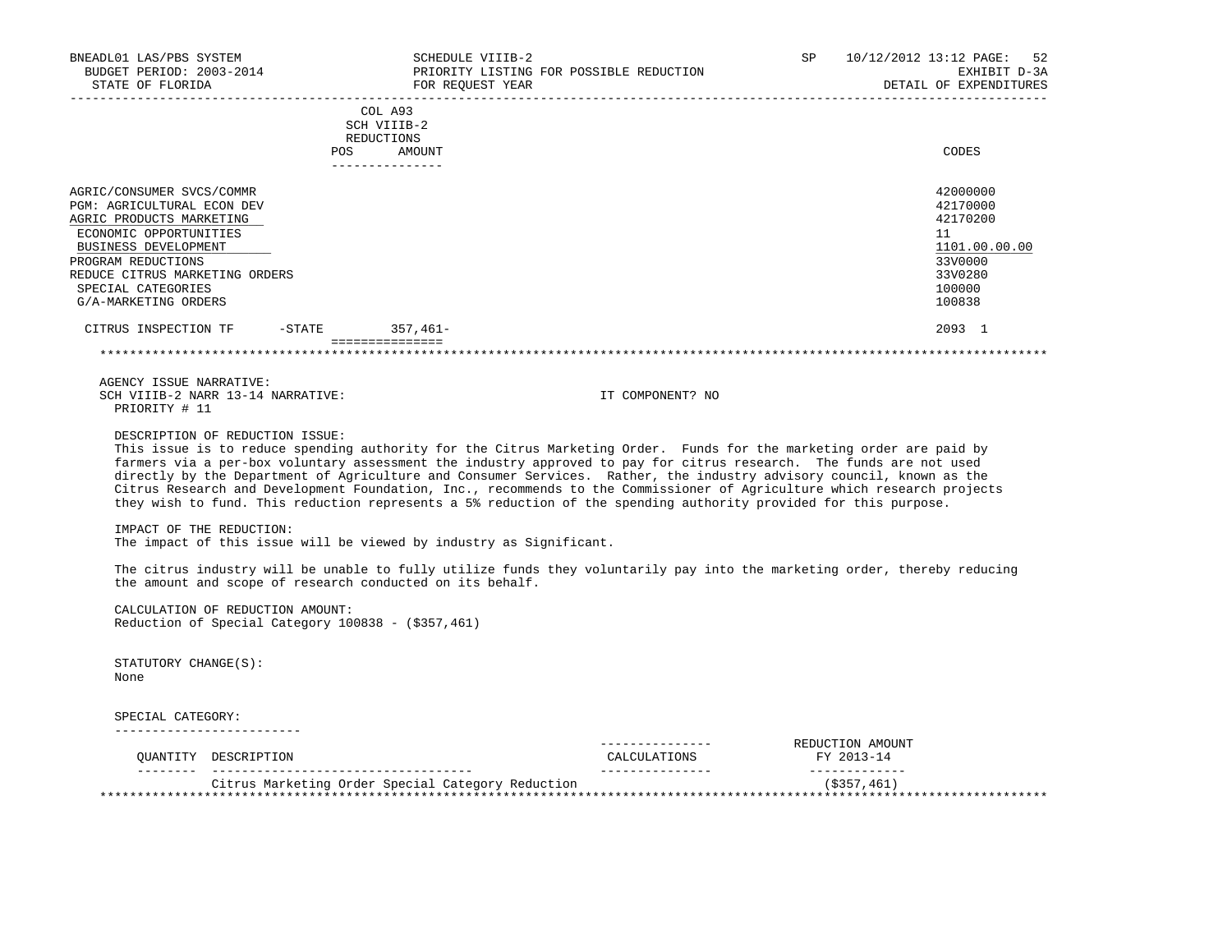| BNEADL01 LAS/PBS SYSTEM<br>BUDGET PERIOD: 2003-2014<br>STATE OF FLORIDA                                                                                                                                             | SCHEDULE VIIIB-2<br>PRIORITY LISTING FOR POSSIBLE REDUCTION<br>FOR REQUEST YEAR                                                                                                                                                                                                                                                                                                                                                                                                                                                                                                                                    | <b>SP</b> | 10/12/2012 13:12 PAGE:<br>52<br>EXHIBIT D-3A<br>DETAIL OF EXPENDITURES                  |
|---------------------------------------------------------------------------------------------------------------------------------------------------------------------------------------------------------------------|--------------------------------------------------------------------------------------------------------------------------------------------------------------------------------------------------------------------------------------------------------------------------------------------------------------------------------------------------------------------------------------------------------------------------------------------------------------------------------------------------------------------------------------------------------------------------------------------------------------------|-----------|-----------------------------------------------------------------------------------------|
| POS                                                                                                                                                                                                                 | COL A93<br>SCH VIIIB-2<br>REDUCTIONS<br>AMOUNT                                                                                                                                                                                                                                                                                                                                                                                                                                                                                                                                                                     |           | CODES                                                                                   |
|                                                                                                                                                                                                                     | _______________                                                                                                                                                                                                                                                                                                                                                                                                                                                                                                                                                                                                    |           |                                                                                         |
| AGRIC/CONSUMER SVCS/COMMR<br>PGM: AGRICULTURAL ECON DEV<br>AGRIC PRODUCTS MARKETING<br>ECONOMIC OPPORTUNITIES<br>BUSINESS DEVELOPMENT<br>PROGRAM REDUCTIONS<br>REDUCE CITRUS MARKETING ORDERS<br>SPECIAL CATEGORIES |                                                                                                                                                                                                                                                                                                                                                                                                                                                                                                                                                                                                                    |           | 42000000<br>42170000<br>42170200<br>11<br>1101.00.00.00<br>33V0000<br>33V0280<br>100000 |
| G/A-MARKETING ORDERS                                                                                                                                                                                                |                                                                                                                                                                                                                                                                                                                                                                                                                                                                                                                                                                                                                    |           | 100838                                                                                  |
| CITRUS INSPECTION TF<br>-STATE 357,461-                                                                                                                                                                             |                                                                                                                                                                                                                                                                                                                                                                                                                                                                                                                                                                                                                    |           | 2093 1                                                                                  |
|                                                                                                                                                                                                                     | essessessessess                                                                                                                                                                                                                                                                                                                                                                                                                                                                                                                                                                                                    |           |                                                                                         |
|                                                                                                                                                                                                                     |                                                                                                                                                                                                                                                                                                                                                                                                                                                                                                                                                                                                                    |           |                                                                                         |
| AGENCY ISSUE NARRATIVE:<br>SCH VIIIB-2 NARR 13-14 NARRATIVE:<br>PRIORITY # 11                                                                                                                                       | IT COMPONENT? NO                                                                                                                                                                                                                                                                                                                                                                                                                                                                                                                                                                                                   |           |                                                                                         |
| DESCRIPTION OF REDUCTION ISSUE:                                                                                                                                                                                     | This issue is to reduce spending authority for the Citrus Marketing Order. Funds for the marketing order are paid by<br>farmers via a per-box voluntary assessment the industry approved to pay for citrus research. The funds are not used<br>directly by the Department of Agriculture and Consumer Services. Rather, the industry advisory council, known as the<br>Citrus Research and Development Foundation, Inc., recommends to the Commissioner of Agriculture which research projects<br>they wish to fund. This reduction represents a 5% reduction of the spending authority provided for this purpose. |           |                                                                                         |
| IMPACT OF THE REDUCTION:<br>The impact of this issue will be viewed by industry as Significant.                                                                                                                     |                                                                                                                                                                                                                                                                                                                                                                                                                                                                                                                                                                                                                    |           |                                                                                         |
| the amount and scope of research conducted on its behalf.                                                                                                                                                           | The citrus industry will be unable to fully utilize funds they voluntarily pay into the marketing order, thereby reducing                                                                                                                                                                                                                                                                                                                                                                                                                                                                                          |           |                                                                                         |
| CALCULATION OF REDUCTION AMOUNT:<br>Reduction of Special Category $100838 - (5357, 461)$                                                                                                                            |                                                                                                                                                                                                                                                                                                                                                                                                                                                                                                                                                                                                                    |           |                                                                                         |
| STATUTORY CHANGE(S):<br>None                                                                                                                                                                                        |                                                                                                                                                                                                                                                                                                                                                                                                                                                                                                                                                                                                                    |           |                                                                                         |
| SPECIAL CATEGORY:                                                                                                                                                                                                   |                                                                                                                                                                                                                                                                                                                                                                                                                                                                                                                                                                                                                    |           |                                                                                         |
|                                                                                                                                                                                                                     | ---------------                                                                                                                                                                                                                                                                                                                                                                                                                                                                                                                                                                                                    |           | REDUCTION AMOUNT                                                                        |
| OUANTITY DESCRIPTION                                                                                                                                                                                                | CALCULATIONS<br>_______________                                                                                                                                                                                                                                                                                                                                                                                                                                                                                                                                                                                    |           | FY 2013-14                                                                              |
|                                                                                                                                                                                                                     | Citrus Marketing Order Special Category Reduction                                                                                                                                                                                                                                                                                                                                                                                                                                                                                                                                                                  |           | -------------<br>$($ \$357,461)<br>**************                                       |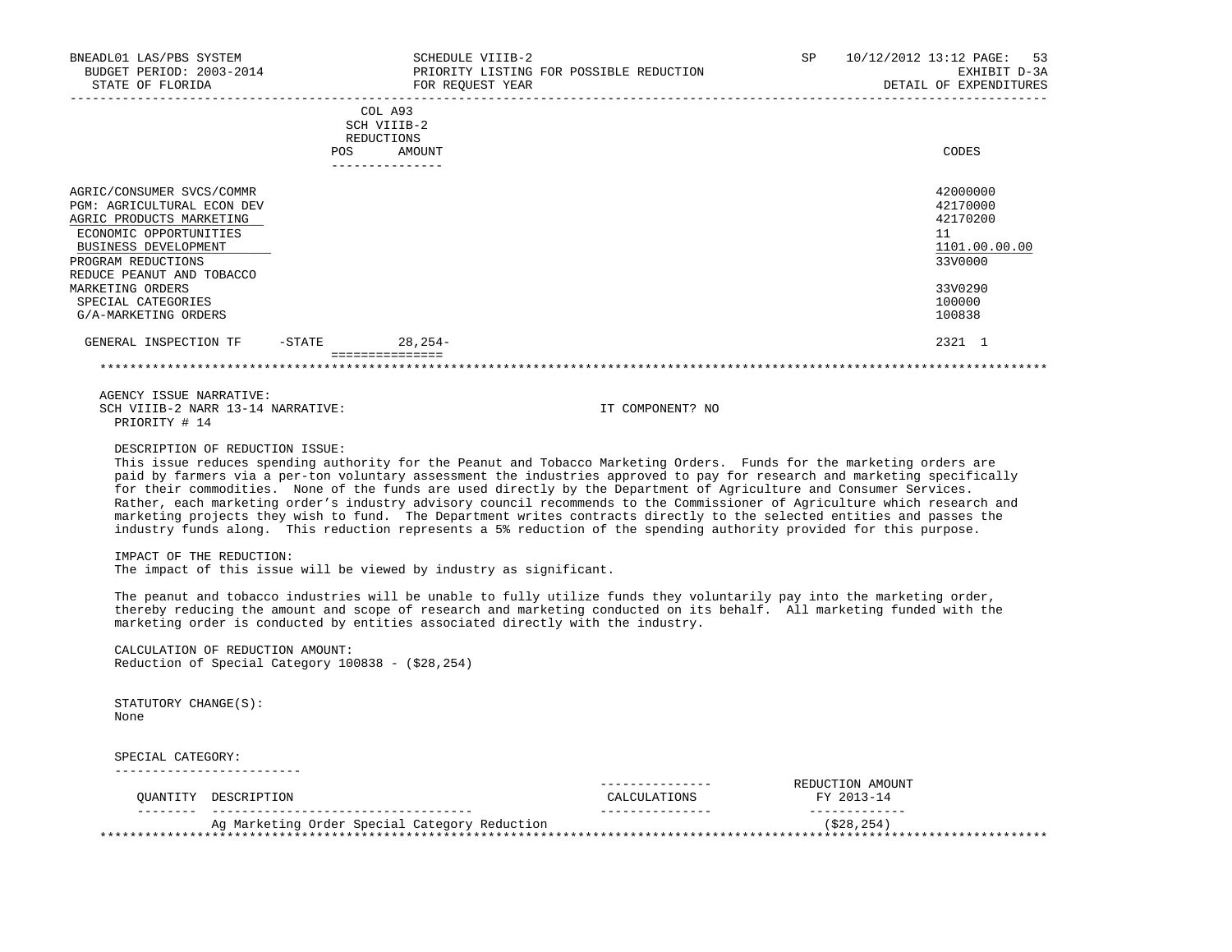| BNEADL01 LAS/PBS SYSTEM<br>BUDGET PERIOD: 2003-2014<br>STATE OF FLORIDA                                                                                                                                                                                    |                                                                                       |                                                                       | SCHEDULE VIIIB-2<br>PRIORITY LISTING FOR POSSIBLE REDUCTION<br>FOR REQUEST YEAR                                                                        |                                                                                                                                                                                                                                                                                                                                                                                                                                                                                                                                                                                                                                                                                                                                                                      | SP | 10/12/2012 13:12 PAGE:<br>53<br>EXHIBIT D-3A<br>DETAIL OF EXPENDITURES                                                                                                                                                                                 |
|------------------------------------------------------------------------------------------------------------------------------------------------------------------------------------------------------------------------------------------------------------|---------------------------------------------------------------------------------------|-----------------------------------------------------------------------|--------------------------------------------------------------------------------------------------------------------------------------------------------|----------------------------------------------------------------------------------------------------------------------------------------------------------------------------------------------------------------------------------------------------------------------------------------------------------------------------------------------------------------------------------------------------------------------------------------------------------------------------------------------------------------------------------------------------------------------------------------------------------------------------------------------------------------------------------------------------------------------------------------------------------------------|----|--------------------------------------------------------------------------------------------------------------------------------------------------------------------------------------------------------------------------------------------------------|
|                                                                                                                                                                                                                                                            |                                                                                       | COL A93<br>SCH VIIIB-2<br>REDUCTIONS<br>POS AMOUNT<br>--------------- |                                                                                                                                                        |                                                                                                                                                                                                                                                                                                                                                                                                                                                                                                                                                                                                                                                                                                                                                                      |    | CODES                                                                                                                                                                                                                                                  |
| AGRIC/CONSUMER SVCS/COMMR<br>PGM: AGRICULTURAL ECON DEV<br>AGRIC PRODUCTS MARKETING<br>ECONOMIC OPPORTUNITIES<br>BUSINESS DEVELOPMENT<br>PROGRAM REDUCTIONS<br>REDUCE PEANUT AND TOBACCO<br>MARKETING ORDERS<br>SPECIAL CATEGORIES<br>G/A-MARKETING ORDERS |                                                                                       |                                                                       |                                                                                                                                                        |                                                                                                                                                                                                                                                                                                                                                                                                                                                                                                                                                                                                                                                                                                                                                                      |    | 42000000<br>42170000<br>42170200<br>11<br>1101.00.00.00<br>33V0000<br>33V0290<br>100000<br>100838                                                                                                                                                      |
| GENERAL INSPECTION TF -STATE 28,254-                                                                                                                                                                                                                       |                                                                                       |                                                                       |                                                                                                                                                        |                                                                                                                                                                                                                                                                                                                                                                                                                                                                                                                                                                                                                                                                                                                                                                      |    | 2321 1                                                                                                                                                                                                                                                 |
|                                                                                                                                                                                                                                                            |                                                                                       | ===============                                                       |                                                                                                                                                        |                                                                                                                                                                                                                                                                                                                                                                                                                                                                                                                                                                                                                                                                                                                                                                      |    |                                                                                                                                                                                                                                                        |
| AGENCY ISSUE NARRATIVE:<br>SCH VIIIB-2 NARR 13-14 NARRATIVE:<br>PRIORITY # 14<br>IMPACT OF THE REDUCTION:                                                                                                                                                  | DESCRIPTION OF REDUCTION ISSUE:                                                       |                                                                       | The impact of this issue will be viewed by industry as significant.<br>marketing order is conducted by entities associated directly with the industry. | IT COMPONENT? NO<br>This issue reduces spending authority for the Peanut and Tobacco Marketing Orders. Funds for the marketing orders are<br>for their commodities. None of the funds are used directly by the Department of Agriculture and Consumer Services.<br>marketing projects they wish to fund. The Department writes contracts directly to the selected entities and passes the<br>industry funds along. This reduction represents a 5% reduction of the spending authority provided for this purpose.<br>The peanut and tobacco industries will be unable to fully utilize funds they voluntarily pay into the marketing order,<br>thereby reducing the amount and scope of research and marketing conducted on its behalf. All marketing funded with the |    | paid by farmers via a per-ton voluntary assessment the industries approved to pay for research and marketing specifically<br>Rather, each marketing order's industry advisory council recommends to the Commissioner of Agriculture which research and |
|                                                                                                                                                                                                                                                            | CALCULATION OF REDUCTION AMOUNT:<br>Reduction of Special Category $100838 - (28,254)$ |                                                                       |                                                                                                                                                        |                                                                                                                                                                                                                                                                                                                                                                                                                                                                                                                                                                                                                                                                                                                                                                      |    |                                                                                                                                                                                                                                                        |
| STATUTORY CHANGE(S):<br>None                                                                                                                                                                                                                               |                                                                                       |                                                                       |                                                                                                                                                        |                                                                                                                                                                                                                                                                                                                                                                                                                                                                                                                                                                                                                                                                                                                                                                      |    |                                                                                                                                                                                                                                                        |
| SPECIAL CATEGORY:<br>__________________________                                                                                                                                                                                                            |                                                                                       |                                                                       |                                                                                                                                                        |                                                                                                                                                                                                                                                                                                                                                                                                                                                                                                                                                                                                                                                                                                                                                                      |    |                                                                                                                                                                                                                                                        |
| QUANTITY DESCRIPTION                                                                                                                                                                                                                                       |                                                                                       |                                                                       |                                                                                                                                                        | --------------<br>CALCULATIONS<br>---------------                                                                                                                                                                                                                                                                                                                                                                                                                                                                                                                                                                                                                                                                                                                    |    | REDUCTION AMOUNT<br>FY 2013-14<br>-------------                                                                                                                                                                                                        |
|                                                                                                                                                                                                                                                            |                                                                                       |                                                                       | Ag Marketing Order Special Category Reduction                                                                                                          |                                                                                                                                                                                                                                                                                                                                                                                                                                                                                                                                                                                                                                                                                                                                                                      |    | ( \$28, 254)                                                                                                                                                                                                                                           |
|                                                                                                                                                                                                                                                            |                                                                                       |                                                                       |                                                                                                                                                        |                                                                                                                                                                                                                                                                                                                                                                                                                                                                                                                                                                                                                                                                                                                                                                      |    |                                                                                                                                                                                                                                                        |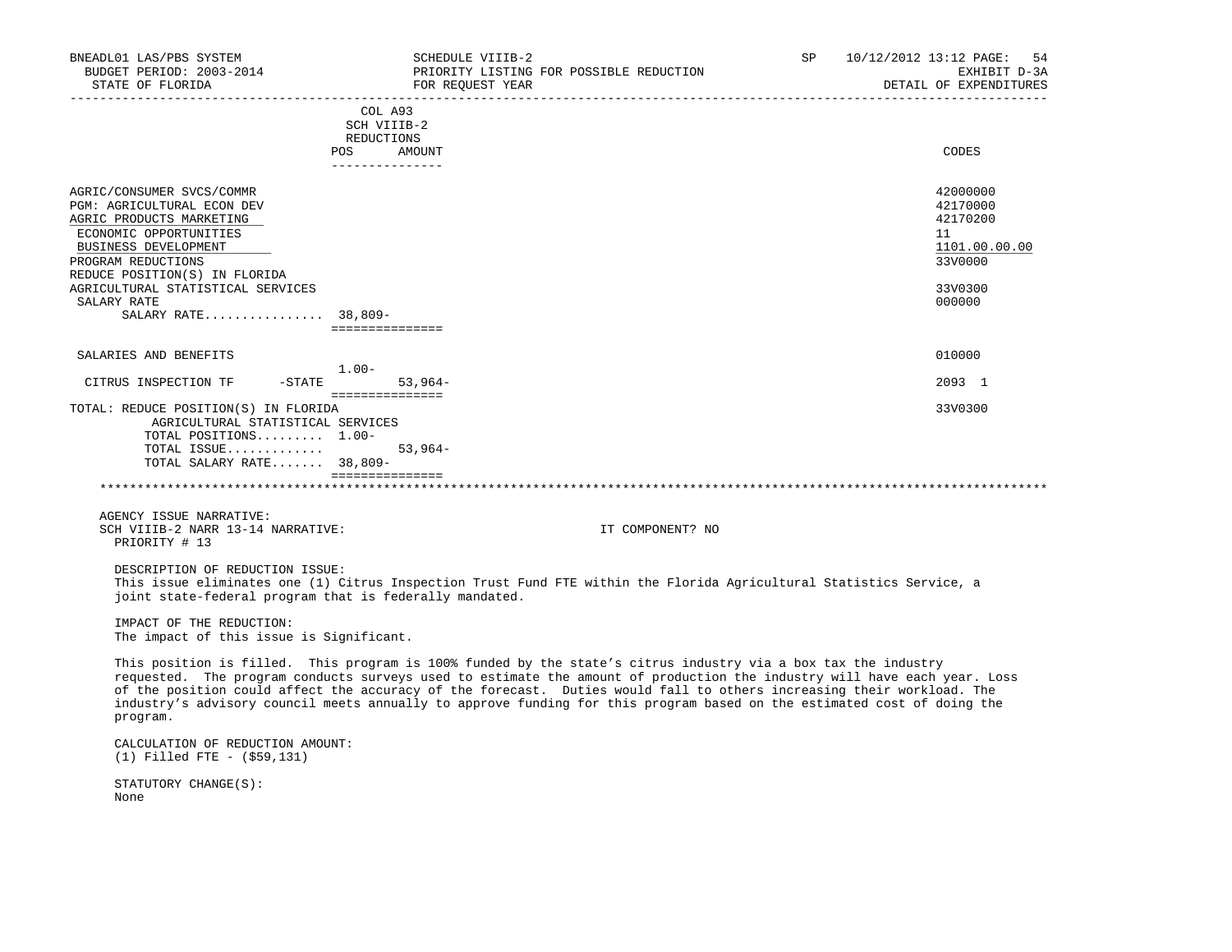| BNEADL01 LAS/PBS SYSTEM<br>BUDGET PERIOD: 2003-2014<br>STATE OF FLORIDA                                                                                                                                                                                                 |                                     | SCHEDULE VIIIB-2<br>PRIORITY LISTING FOR POSSIBLE REDUCTION<br>FOR REQUEST YEAR                                                                                                                                                                                                                                                                                                                                                                                                                | SP | 10/12/2012 13:12 PAGE: 54<br>EXHIBIT D-3A<br>DETAIL OF EXPENDITURES<br>---------------------- |
|-------------------------------------------------------------------------------------------------------------------------------------------------------------------------------------------------------------------------------------------------------------------------|-------------------------------------|------------------------------------------------------------------------------------------------------------------------------------------------------------------------------------------------------------------------------------------------------------------------------------------------------------------------------------------------------------------------------------------------------------------------------------------------------------------------------------------------|----|-----------------------------------------------------------------------------------------------|
|                                                                                                                                                                                                                                                                         | REDUCTIONS<br>POS AMOUNT            | COL A93<br>SCH VIIIB-2                                                                                                                                                                                                                                                                                                                                                                                                                                                                         |    | CODES                                                                                         |
| AGRIC/CONSUMER SVCS/COMMR<br>PGM: AGRICULTURAL ECON DEV<br>AGRIC PRODUCTS MARKETING<br>ECONOMIC OPPORTUNITIES<br>BUSINESS DEVELOPMENT<br>PROGRAM REDUCTIONS<br>REDUCE POSITION(S) IN FLORIDA<br>AGRICULTURAL STATISTICAL SERVICES<br>SALARY RATE<br>SALARY RATE 38,809- | ================                    | _______________                                                                                                                                                                                                                                                                                                                                                                                                                                                                                |    | 42000000<br>42170000<br>42170200<br>11<br>1101.00.00.00<br>33V0000<br>33V0300<br>000000       |
| SALARIES AND BENEFITS                                                                                                                                                                                                                                                   |                                     |                                                                                                                                                                                                                                                                                                                                                                                                                                                                                                |    | 010000                                                                                        |
| CITRUS INSPECTION TF<br>$-STATE$                                                                                                                                                                                                                                        | $1.00-$                             | $53,964-$                                                                                                                                                                                                                                                                                                                                                                                                                                                                                      |    | 2093 1                                                                                        |
| TOTAL: REDUCE POSITION(S) IN FLORIDA<br>AGRICULTURAL STATISTICAL SERVICES<br>TOTAL POSITIONS 1.00-<br>TOTAL ISSUE<br>TOTAL SALARY RATE 38,809-                                                                                                                          | ===============<br>---------------- | $53,964-$                                                                                                                                                                                                                                                                                                                                                                                                                                                                                      |    | 33V0300                                                                                       |
|                                                                                                                                                                                                                                                                         |                                     |                                                                                                                                                                                                                                                                                                                                                                                                                                                                                                |    |                                                                                               |
| AGENCY ISSUE NARRATIVE:<br>SCH VIIIB-2 NARR 13-14 NARRATIVE:<br>PRIORITY # 13                                                                                                                                                                                           |                                     | IT COMPONENT? NO                                                                                                                                                                                                                                                                                                                                                                                                                                                                               |    |                                                                                               |
| DESCRIPTION OF REDUCTION ISSUE:<br>joint state-federal program that is federally mandated.                                                                                                                                                                              |                                     | This issue eliminates one (1) Citrus Inspection Trust Fund FTE within the Florida Agricultural Statistics Service, a                                                                                                                                                                                                                                                                                                                                                                           |    |                                                                                               |
| IMPACT OF THE REDUCTION:<br>The impact of this issue is Significant.                                                                                                                                                                                                    |                                     |                                                                                                                                                                                                                                                                                                                                                                                                                                                                                                |    |                                                                                               |
| program.                                                                                                                                                                                                                                                                |                                     | This position is filled. This program is 100% funded by the state's citrus industry via a box tax the industry<br>requested. The program conducts surveys used to estimate the amount of production the industry will have each year. Loss<br>of the position could affect the accuracy of the forecast. Duties would fall to others increasing their workload. The<br>industry's advisory council meets annually to approve funding for this program based on the estimated cost of doing the |    |                                                                                               |
| CALCULATION OF REDUCTION AMOUNT:<br>$(1)$ Filled FTE - $( $59, 131)$                                                                                                                                                                                                    |                                     |                                                                                                                                                                                                                                                                                                                                                                                                                                                                                                |    |                                                                                               |
| STATUTORY CHANGE(S):<br>None                                                                                                                                                                                                                                            |                                     |                                                                                                                                                                                                                                                                                                                                                                                                                                                                                                |    |                                                                                               |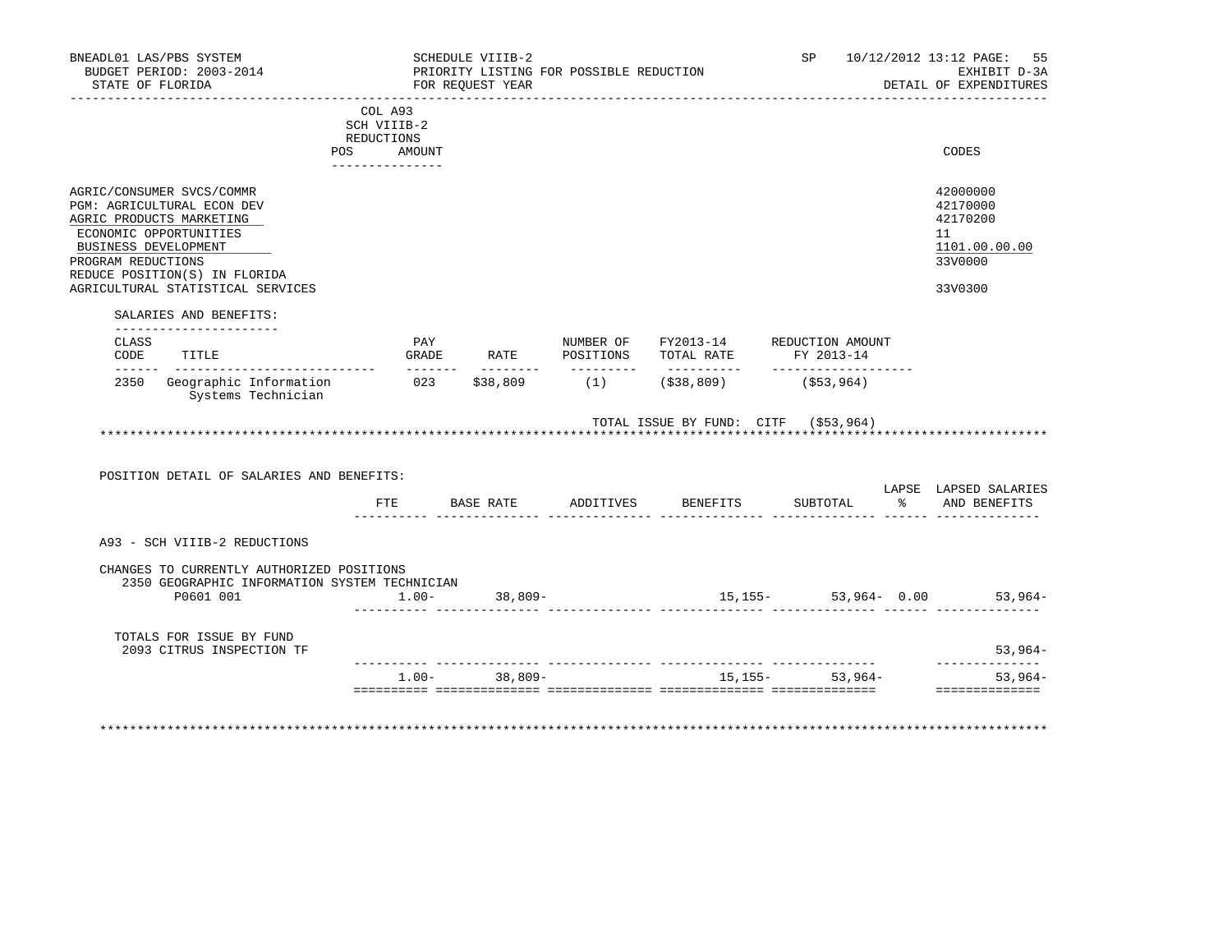|                                                                                                                                                                                                                                   | COL A93<br>SCH VIIIB-2<br>REDUCTIONS<br>POS AMOUNT | _______________   |            |                                            |                                      |                                                                               |
|-----------------------------------------------------------------------------------------------------------------------------------------------------------------------------------------------------------------------------------|----------------------------------------------------|-------------------|------------|--------------------------------------------|--------------------------------------|-------------------------------------------------------------------------------|
|                                                                                                                                                                                                                                   |                                                    |                   |            |                                            |                                      | CODES                                                                         |
|                                                                                                                                                                                                                                   |                                                    |                   |            |                                            |                                      |                                                                               |
| AGRIC/CONSUMER SVCS/COMMR<br>PGM: AGRICULTURAL ECON DEV<br>AGRIC PRODUCTS MARKETING<br>ECONOMIC OPPORTUNITIES<br>BUSINESS DEVELOPMENT<br>PROGRAM REDUCTIONS<br>REDUCE POSITION(S) IN FLORIDA<br>AGRICULTURAL STATISTICAL SERVICES |                                                    |                   |            |                                            |                                      | 42000000<br>42170000<br>42170200<br>11<br>1101.00.00.00<br>33V0000<br>33V0300 |
| SALARIES AND BENEFITS:                                                                                                                                                                                                            |                                                    |                   |            |                                            |                                      |                                                                               |
| CLASS<br>CODE<br>TITLE                                                                                                                                                                                                            | PAY                                                |                   |            | GRADE RATE POSITIONS TOTAL RATE FY 2013-14 | NUMBER OF FY2013-14 REDUCTION AMOUNT |                                                                               |
| _______________________________<br>$- - - - - - -$<br>Geographic Information 023 \$38,809 (1) (\$38,809)<br>2350<br>Systems Technician                                                                                            | $- - - - - - -$                                    |                   | __________ |                                            | -------------------<br>(\$53,964)    |                                                                               |
| POSITION DETAIL OF SALARIES AND BENEFITS:                                                                                                                                                                                         | FTE                                                |                   |            | BASE RATE ADDITIVES BENEFITS               | TOTAL ISSUE BY FUND: CITF (\$53,964) | LAPSE LAPSED SALARIES<br>SUBTOTAL % AND BENEFITS                              |
| A93 - SCH VIIIB-2 REDUCTIONS                                                                                                                                                                                                      |                                                    |                   |            |                                            |                                      |                                                                               |
| CHANGES TO CURRENTLY AUTHORIZED POSITIONS<br>2350 GEOGRAPHIC INFORMATION SYSTEM TECHNICIAN<br>P0601 001                                                                                                                           |                                                    | $1.00 - 38,809 -$ |            |                                            | $15, 155 - 53, 964 - 0.00$ 53,964    |                                                                               |
|                                                                                                                                                                                                                                   |                                                    |                   |            |                                            |                                      |                                                                               |
| TOTALS FOR ISSUE BY FUND<br>2093 CITRUS INSPECTION TF                                                                                                                                                                             |                                                    |                   |            |                                            |                                      | $53,964-$                                                                     |
|                                                                                                                                                                                                                                   |                                                    | $1.00 - 38.809 -$ |            |                                            | $15.155 - 53.964 -$                  | $53,964-$<br>==============                                                   |
|                                                                                                                                                                                                                                   |                                                    |                   |            |                                            |                                      |                                                                               |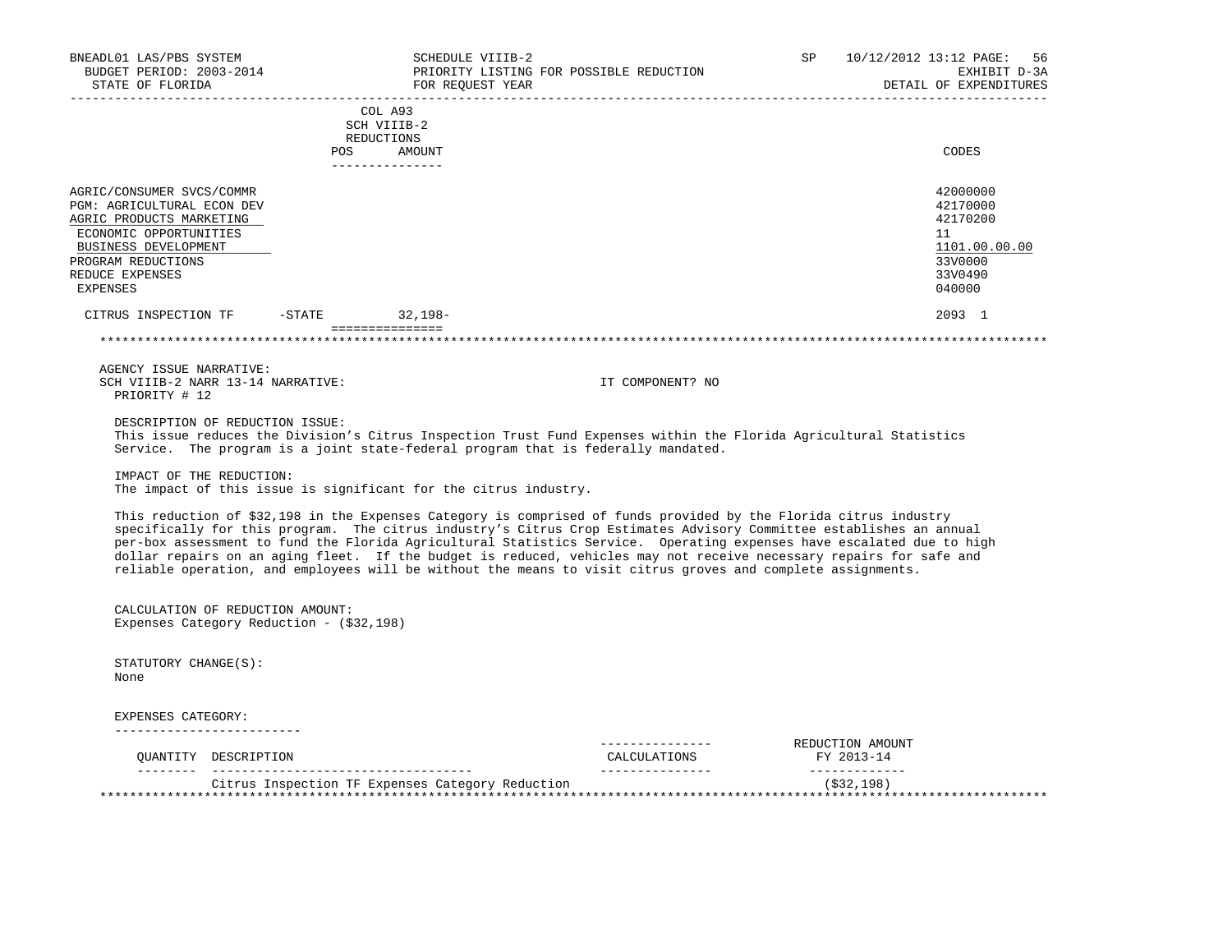| BNEADL01 LAS/PBS SYSTEM<br>BUDGET PERIOD: 2003-2014<br>STATE OF FLORIDA                                                                                                                    |                        | SCHEDULE VIIIB-2<br>PRIORITY LISTING FOR POSSIBLE REDUCTION<br>FOR REOUEST YEAR   |                                                                                                                                                                                                                                                                                                                                                                                                                                                                                                                                                                                                          | SP | 10/12/2012 13:12 PAGE:<br>56<br>EXHIBIT D-3A<br>DETAIL OF EXPENDITURES                  |
|--------------------------------------------------------------------------------------------------------------------------------------------------------------------------------------------|------------------------|-----------------------------------------------------------------------------------|----------------------------------------------------------------------------------------------------------------------------------------------------------------------------------------------------------------------------------------------------------------------------------------------------------------------------------------------------------------------------------------------------------------------------------------------------------------------------------------------------------------------------------------------------------------------------------------------------------|----|-----------------------------------------------------------------------------------------|
|                                                                                                                                                                                            | REDUCTIONS<br>POS      | COL A93<br>SCH VIIIB-2<br>AMOUNT                                                  |                                                                                                                                                                                                                                                                                                                                                                                                                                                                                                                                                                                                          |    | CODES                                                                                   |
|                                                                                                                                                                                            |                        | _______________                                                                   |                                                                                                                                                                                                                                                                                                                                                                                                                                                                                                                                                                                                          |    |                                                                                         |
| AGRIC/CONSUMER SVCS/COMMR<br>PGM: AGRICULTURAL ECON DEV<br>AGRIC PRODUCTS MARKETING<br>ECONOMIC OPPORTUNITIES<br>BUSINESS DEVELOPMENT<br>PROGRAM REDUCTIONS<br>REDUCE EXPENSES<br>EXPENSES |                        |                                                                                   |                                                                                                                                                                                                                                                                                                                                                                                                                                                                                                                                                                                                          |    | 42000000<br>42170000<br>42170200<br>11<br>1101.00.00.00<br>33V0000<br>33V0490<br>040000 |
| CITRUS INSPECTION TF - STATE                                                                                                                                                               |                        | 32,198-                                                                           |                                                                                                                                                                                                                                                                                                                                                                                                                                                                                                                                                                                                          |    | 2093 1                                                                                  |
|                                                                                                                                                                                            | ______________________ |                                                                                   |                                                                                                                                                                                                                                                                                                                                                                                                                                                                                                                                                                                                          |    |                                                                                         |
| AGENCY ISSUE NARRATIVE:                                                                                                                                                                    |                        |                                                                                   |                                                                                                                                                                                                                                                                                                                                                                                                                                                                                                                                                                                                          |    |                                                                                         |
| SCH VIIIB-2 NARR 13-14 NARRATIVE:<br>PRIORITY # 12                                                                                                                                         |                        |                                                                                   | IT COMPONENT? NO                                                                                                                                                                                                                                                                                                                                                                                                                                                                                                                                                                                         |    |                                                                                         |
| DESCRIPTION OF REDUCTION ISSUE:                                                                                                                                                            |                        | Service. The program is a joint state-federal program that is federally mandated. | This issue reduces the Division's Citrus Inspection Trust Fund Expenses within the Florida Agricultural Statistics                                                                                                                                                                                                                                                                                                                                                                                                                                                                                       |    |                                                                                         |
| IMPACT OF THE REDUCTION:                                                                                                                                                                   |                        | The impact of this issue is significant for the citrus industry.                  |                                                                                                                                                                                                                                                                                                                                                                                                                                                                                                                                                                                                          |    |                                                                                         |
|                                                                                                                                                                                            |                        |                                                                                   | This reduction of \$32,198 in the Expenses Category is comprised of funds provided by the Florida citrus industry<br>specifically for this program. The citrus industry's Citrus Crop Estimates Advisory Committee establishes an annual<br>per-box assessment to fund the Florida Agricultural Statistics Service. Operating expenses have escalated due to high<br>dollar repairs on an aging fleet. If the budget is reduced, vehicles may not receive necessary repairs for safe and<br>reliable operation, and employees will be without the means to visit citrus groves and complete assignments. |    |                                                                                         |
| CALCULATION OF REDUCTION AMOUNT:<br>Expenses Category Reduction - (\$32,198)                                                                                                               |                        |                                                                                   |                                                                                                                                                                                                                                                                                                                                                                                                                                                                                                                                                                                                          |    |                                                                                         |
| STATUTORY CHANGE(S):<br>None                                                                                                                                                               |                        |                                                                                   |                                                                                                                                                                                                                                                                                                                                                                                                                                                                                                                                                                                                          |    |                                                                                         |
| EXPENSES CATEGORY:                                                                                                                                                                         |                        |                                                                                   |                                                                                                                                                                                                                                                                                                                                                                                                                                                                                                                                                                                                          |    |                                                                                         |
| OUANTITY DESCRIPTION                                                                                                                                                                       |                        |                                                                                   | _______________<br>CALCULATIONS                                                                                                                                                                                                                                                                                                                                                                                                                                                                                                                                                                          |    | REDUCTION AMOUNT<br>FY 2013-14<br>_____________                                         |
|                                                                                                                                                                                            |                        | Citrus Inspection TF Expenses Category Reduction                                  |                                                                                                                                                                                                                                                                                                                                                                                                                                                                                                                                                                                                          |    | (\$32,198)                                                                              |
|                                                                                                                                                                                            |                        |                                                                                   |                                                                                                                                                                                                                                                                                                                                                                                                                                                                                                                                                                                                          |    |                                                                                         |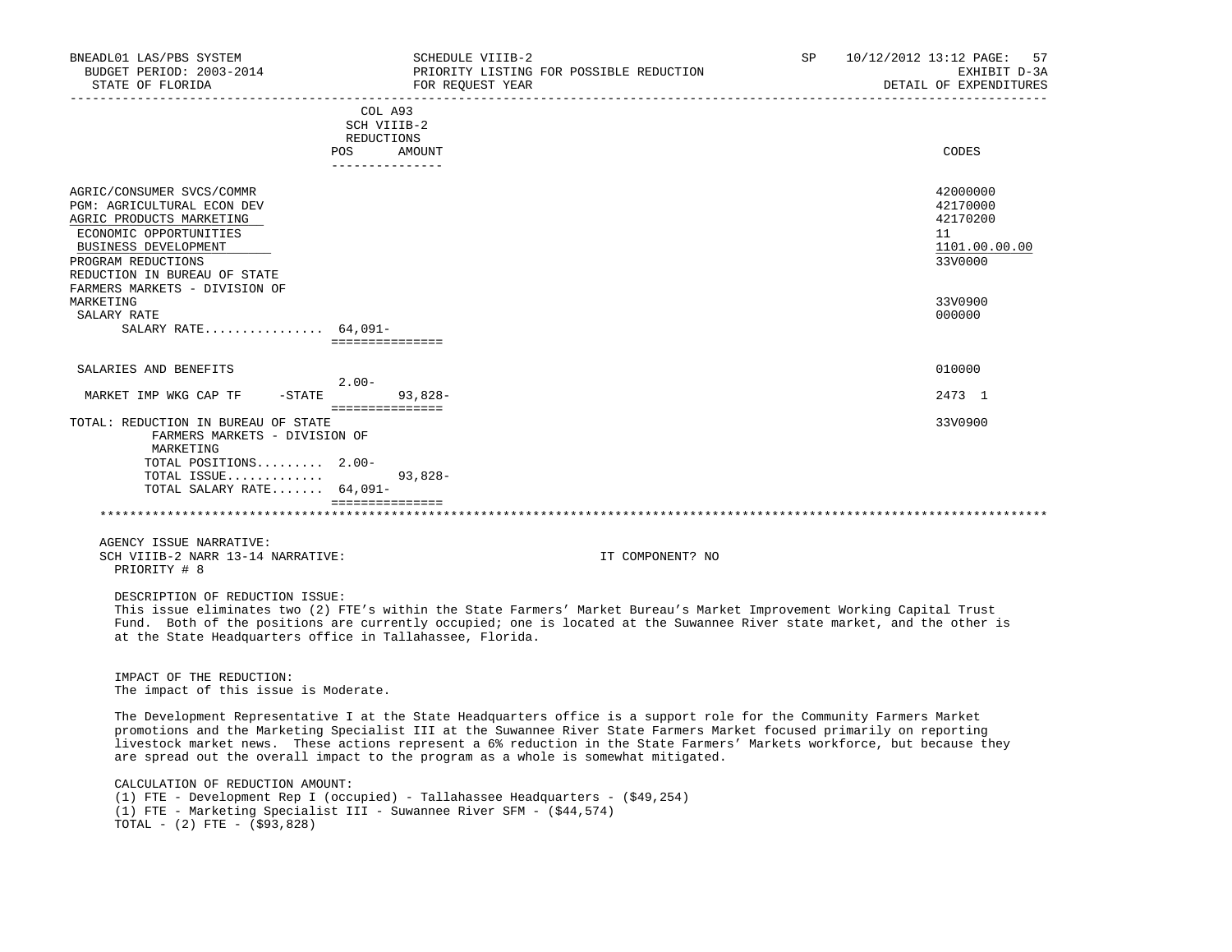| BNEADL01 LAS/PBS SYSTEM<br>BUDGET PERIOD: 2003-2014<br>STATE OF FLORIDA                                                                                                                                                         | SCHEDULE VIIIB-2<br>FOR REQUEST YEAR    | PRIORITY LISTING FOR POSSIBLE REDUCTION                                                                                                                                                                                                                                                                                                                                                                                                                        | SP | 10/12/2012 13:12 PAGE:<br>57<br>EXHIBIT D-3A<br>DETAIL OF EXPENDITURES |
|---------------------------------------------------------------------------------------------------------------------------------------------------------------------------------------------------------------------------------|-----------------------------------------|----------------------------------------------------------------------------------------------------------------------------------------------------------------------------------------------------------------------------------------------------------------------------------------------------------------------------------------------------------------------------------------------------------------------------------------------------------------|----|------------------------------------------------------------------------|
|                                                                                                                                                                                                                                 | COL A93<br>SCH VIIIB-2<br>REDUCTIONS    |                                                                                                                                                                                                                                                                                                                                                                                                                                                                |    |                                                                        |
|                                                                                                                                                                                                                                 | POS AMOUNT<br>---------------           |                                                                                                                                                                                                                                                                                                                                                                                                                                                                |    | CODES                                                                  |
| AGRIC/CONSUMER SVCS/COMMR<br>PGM: AGRICULTURAL ECON DEV<br>AGRIC PRODUCTS MARKETING<br>ECONOMIC OPPORTUNITIES<br>BUSINESS DEVELOPMENT<br>PROGRAM REDUCTIONS<br>REDUCTION IN BUREAU OF STATE                                     |                                         |                                                                                                                                                                                                                                                                                                                                                                                                                                                                |    | 42000000<br>42170000<br>42170200<br>11<br>1101.00.00.00<br>33V0000     |
| FARMERS MARKETS - DIVISION OF<br>MARKETING<br>SALARY RATE<br>SALARY RATE $64,091-$                                                                                                                                              |                                         |                                                                                                                                                                                                                                                                                                                                                                                                                                                                |    | 33V0900<br>000000                                                      |
|                                                                                                                                                                                                                                 | ===============                         |                                                                                                                                                                                                                                                                                                                                                                                                                                                                |    |                                                                        |
| SALARIES AND BENEFITS                                                                                                                                                                                                           | $2.00 -$                                |                                                                                                                                                                                                                                                                                                                                                                                                                                                                |    | 010000                                                                 |
| MARKET IMP WKG CAP TF                                                                                                                                                                                                           | $-$ STATE<br>93,828-<br>=============== |                                                                                                                                                                                                                                                                                                                                                                                                                                                                |    | 2473 1                                                                 |
| TOTAL: REDUCTION IN BUREAU OF STATE<br>FARMERS MARKETS - DIVISION OF<br>MARKETING<br>TOTAL POSITIONS 2.00-<br>TOTAL ISSUE<br>TOTAL SALARY RATE $64,091-$                                                                        | $93,828-$<br>================           |                                                                                                                                                                                                                                                                                                                                                                                                                                                                |    | 33V0900                                                                |
| AGENCY ISSUE NARRATIVE:<br>SCH VIIIB-2 NARR 13-14 NARRATIVE:<br>PRIORITY # 8                                                                                                                                                    |                                         | IT COMPONENT? NO                                                                                                                                                                                                                                                                                                                                                                                                                                               |    |                                                                        |
| DESCRIPTION OF REDUCTION ISSUE:<br>at the State Headquarters office in Tallahassee, Florida.                                                                                                                                    |                                         | This issue eliminates two (2) FTE's within the State Farmers' Market Bureau's Market Improvement Working Capital Trust<br>Fund. Both of the positions are currently occupied; one is located at the Suwannee River state market, and the other is                                                                                                                                                                                                              |    |                                                                        |
| IMPACT OF THE REDUCTION:<br>The impact of this issue is Moderate.                                                                                                                                                               |                                         |                                                                                                                                                                                                                                                                                                                                                                                                                                                                |    |                                                                        |
|                                                                                                                                                                                                                                 |                                         | The Development Representative I at the State Headquarters office is a support role for the Community Farmers Market<br>promotions and the Marketing Specialist III at the Suwannee River State Farmers Market focused primarily on reporting<br>livestock market news. These actions represent a 6% reduction in the State Farmers' Markets workforce, but because they<br>are spread out the overall impact to the program as a whole is somewhat mitigated. |    |                                                                        |
| CALCULATION OF REDUCTION AMOUNT:<br>(1) FTE - Development Rep I (occupied) - Tallahassee Headquarters - (\$49,254)<br>(1) FTE - Marketing Specialist III - Suwannee River SFM - (\$44,574)<br>TOTAL - $(2)$ FTE - $(\$93, 828)$ |                                         |                                                                                                                                                                                                                                                                                                                                                                                                                                                                |    |                                                                        |
|                                                                                                                                                                                                                                 |                                         |                                                                                                                                                                                                                                                                                                                                                                                                                                                                |    |                                                                        |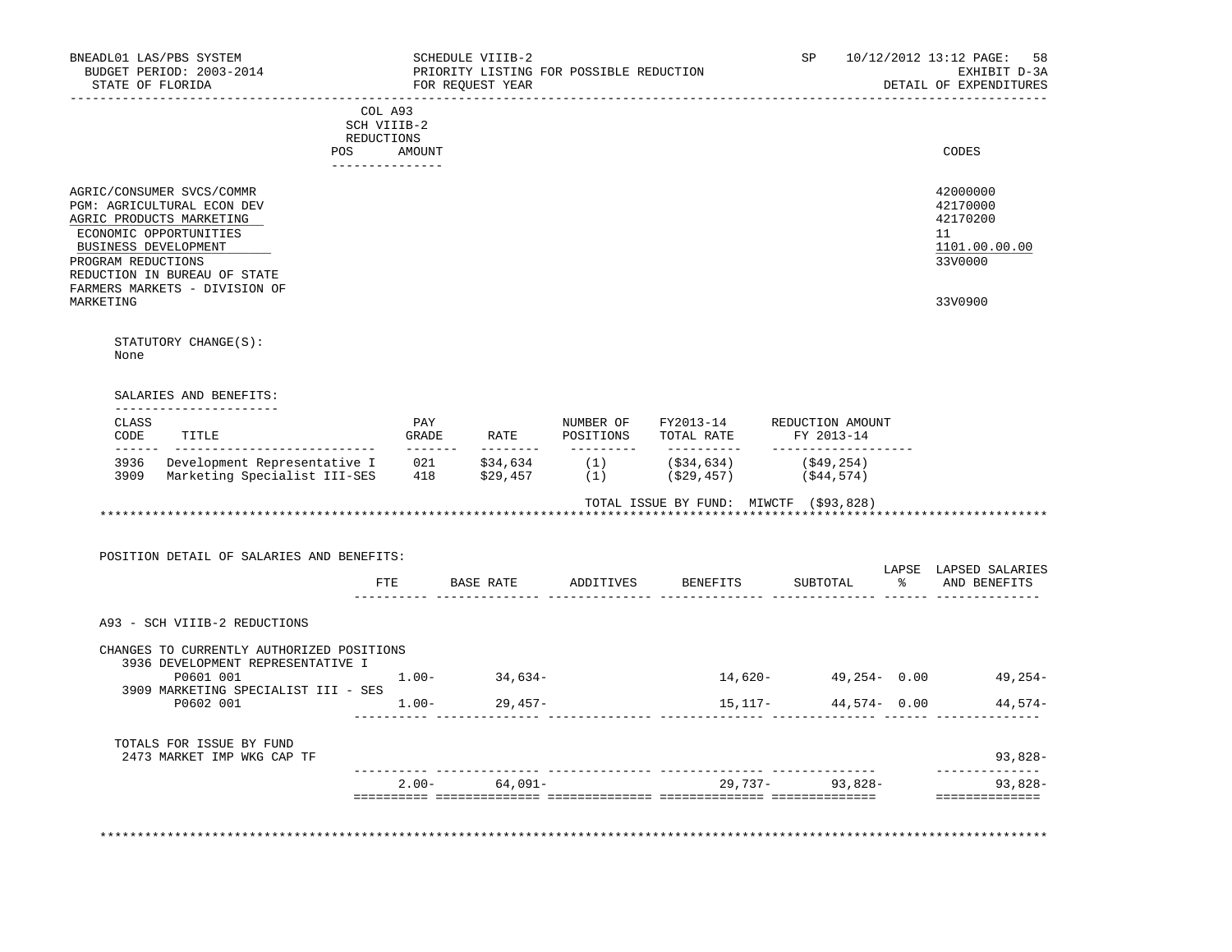| BUDGET PERIOD: 2003-2014<br>STATE OF FLORIDA                  |                               | SCHEDULE VIIIB-2<br>FOR REQUEST YEAR | PRIORITY LISTING FOR POSSIBLE REDUCTION |                                                                                                |                                    | SP 10/12/2012 13:12 PAGE:<br>58<br>EXHIBIT D-3A<br>DETAIL OF EXPENDITURES     |
|---------------------------------------------------------------|-------------------------------|--------------------------------------|-----------------------------------------|------------------------------------------------------------------------------------------------|------------------------------------|-------------------------------------------------------------------------------|
| -------------                                                 |                               |                                      |                                         | ______________________________                                                                 |                                    |                                                                               |
|                                                               | COL A93<br>SCH VIIIB-2        |                                      |                                         |                                                                                                |                                    |                                                                               |
|                                                               | REDUCTIONS                    |                                      |                                         |                                                                                                |                                    |                                                                               |
|                                                               | POS AMOUNT<br>_______________ |                                      |                                         |                                                                                                |                                    | CODES                                                                         |
|                                                               |                               |                                      |                                         |                                                                                                |                                    |                                                                               |
| AGRIC/CONSUMER SVCS/COMMR<br>PGM: AGRICULTURAL ECON DEV       |                               |                                      |                                         |                                                                                                |                                    | 42000000<br>42170000                                                          |
| AGRIC PRODUCTS MARKETING                                      |                               |                                      |                                         |                                                                                                |                                    | 42170200                                                                      |
| ECONOMIC OPPORTUNITIES                                        |                               |                                      |                                         |                                                                                                |                                    | 11                                                                            |
| BUSINESS DEVELOPMENT                                          |                               |                                      |                                         |                                                                                                |                                    | 1101.00.00.00                                                                 |
| PROGRAM REDUCTIONS                                            |                               |                                      |                                         |                                                                                                |                                    | 33V0000                                                                       |
| REDUCTION IN BUREAU OF STATE<br>FARMERS MARKETS - DIVISION OF |                               |                                      |                                         |                                                                                                |                                    |                                                                               |
| MARKETING                                                     |                               |                                      |                                         |                                                                                                |                                    | 33V0900                                                                       |
|                                                               |                               |                                      |                                         |                                                                                                |                                    |                                                                               |
| STATUTORY CHANGE(S):                                          |                               |                                      |                                         |                                                                                                |                                    |                                                                               |
| None                                                          |                               |                                      |                                         |                                                                                                |                                    |                                                                               |
|                                                               |                               |                                      |                                         |                                                                                                |                                    |                                                                               |
|                                                               |                               |                                      |                                         |                                                                                                |                                    |                                                                               |
| SALARIES AND BENEFITS:<br>----------------------              |                               |                                      |                                         |                                                                                                |                                    |                                                                               |
| CLASS                                                         |                               | PAY                                  |                                         | NUMBER OF FY2013-14                                                                            | REDUCTION AMOUNT                   |                                                                               |
| CODE<br>TITLE                                                 |                               | <b>GRADE</b><br>RATE                 | POSITIONS<br>__________                 | TOTAL RATE                                                                                     | FY 2013-14<br>____________________ |                                                                               |
| 3936 Development Representative I                             |                               |                                      |                                         | $021$ $$34,634$ $(1)$ $($34,634)$ $($49,254)$<br>$418$ $$29,457$ $(1)$ $($29,457)$ $($44,574)$ |                                    |                                                                               |
| 3909 Marketing Specialist III-SES                             |                               |                                      |                                         |                                                                                                |                                    |                                                                               |
|                                                               |                               |                                      |                                         |                                                                                                |                                    |                                                                               |
|                                                               |                               |                                      |                                         |                                                                                                |                                    |                                                                               |
|                                                               |                               |                                      |                                         | TOTAL ISSUE BY FUND: MIWCTF (\$93,828)                                                         |                                    |                                                                               |
|                                                               |                               |                                      |                                         |                                                                                                |                                    |                                                                               |
|                                                               |                               |                                      |                                         |                                                                                                |                                    |                                                                               |
| POSITION DETAIL OF SALARIES AND BENEFITS:                     |                               |                                      |                                         |                                                                                                |                                    | LAPSE LAPSED SALARIES                                                         |
|                                                               | ETE                           |                                      | BASE RATE ADDITIVES                     | BENEFITS                                                                                       | SUBTOTAL                           | % AND BENEFITS                                                                |
|                                                               |                               |                                      |                                         |                                                                                                |                                    |                                                                               |
| A93 - SCH VIIIB-2 REDUCTIONS                                  |                               |                                      |                                         |                                                                                                |                                    |                                                                               |
|                                                               |                               |                                      |                                         |                                                                                                |                                    |                                                                               |
| CHANGES TO CURRENTLY AUTHORIZED POSITIONS                     |                               |                                      |                                         |                                                                                                |                                    |                                                                               |
| 3936 DEVELOPMENT REPRESENTATIVE I<br>P0601 001                |                               |                                      |                                         |                                                                                                |                                    |                                                                               |
| 3909 MARKETING SPECIALIST III - SES                           |                               | $1.00 -$<br>34,634-                  |                                         | 14,620-                                                                                        |                                    |                                                                               |
| P0602 001                                                     |                               | $1.00 -$<br>29,457-                  |                                         |                                                                                                | 15,117-<br>$44,574 - 0.00$         |                                                                               |
|                                                               |                               |                                      |                                         |                                                                                                |                                    |                                                                               |
| TOTALS FOR ISSUE BY FUND                                      |                               |                                      |                                         |                                                                                                |                                    |                                                                               |
| 2473 MARKET IMP WKG CAP TF                                    |                               |                                      |                                         |                                                                                                |                                    |                                                                               |
|                                                               |                               | $2.00 - 64,091 -$                    |                                         |                                                                                                | 29,737- 93,828-                    | $49,254 - 0.00$ $49,254 -$<br>$44.574-$<br>93,828-<br>------------<br>93,828- |
|                                                               |                               |                                      |                                         |                                                                                                |                                    | ==============                                                                |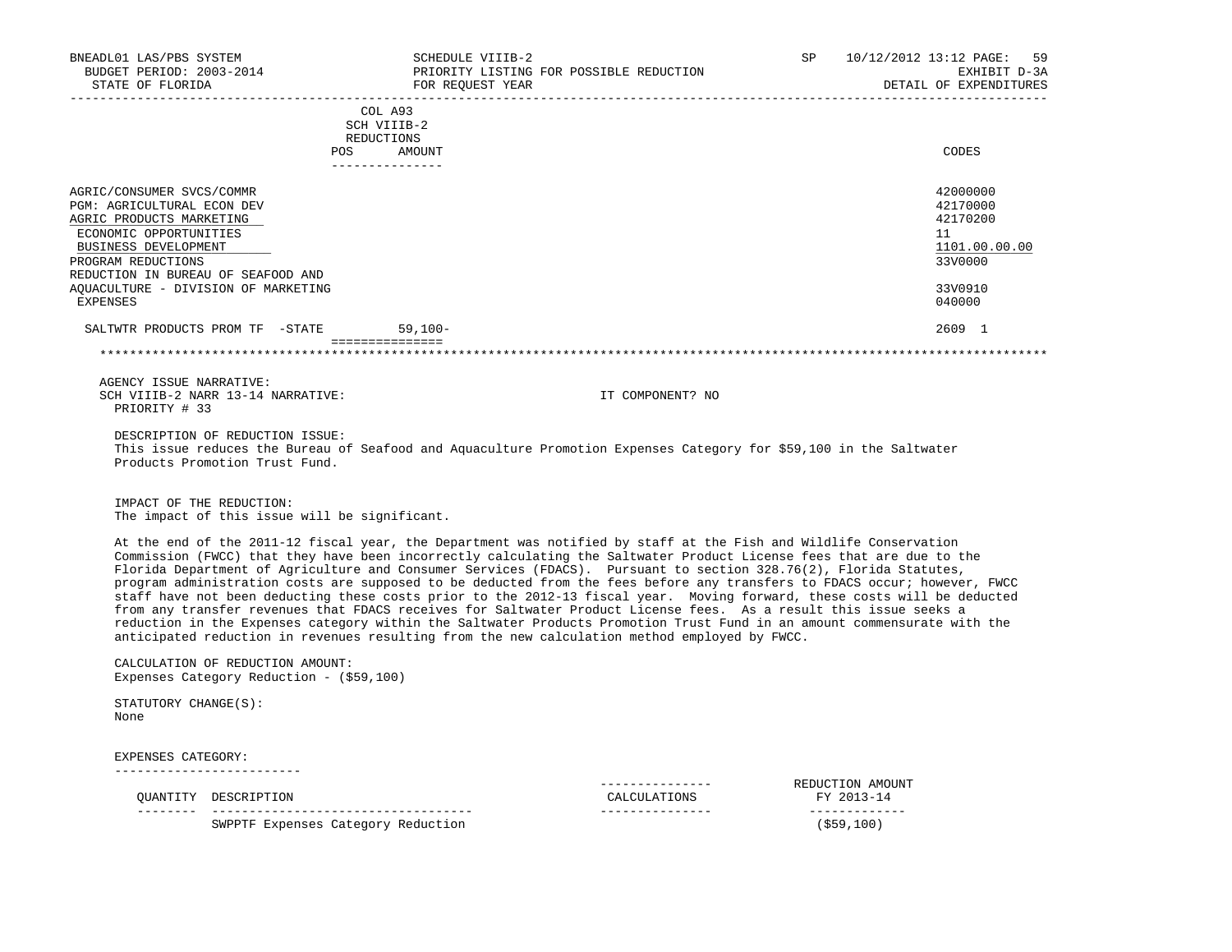| BNEADL01 LAS/PBS SYSTEM<br>BUDGET PERIOD: 2003-2014<br>STATE OF FLORIDA                                                                                                                                                                  |                                                                              | SCHEDULE VIIIB-2<br>FOR REQUEST YEAR                                                                                                                                                                                                                                                                                                                                                                                                                                                                                                                                                                                                                                                                                                                                                                                                                                                                                                                                      | PRIORITY LISTING FOR POSSIBLE REDUCTION | <b>SP</b> | 10/12/2012 13:12 PAGE:<br>59<br>EXHIBIT D-3A<br>DETAIL OF EXPENDITURES        |
|------------------------------------------------------------------------------------------------------------------------------------------------------------------------------------------------------------------------------------------|------------------------------------------------------------------------------|---------------------------------------------------------------------------------------------------------------------------------------------------------------------------------------------------------------------------------------------------------------------------------------------------------------------------------------------------------------------------------------------------------------------------------------------------------------------------------------------------------------------------------------------------------------------------------------------------------------------------------------------------------------------------------------------------------------------------------------------------------------------------------------------------------------------------------------------------------------------------------------------------------------------------------------------------------------------------|-----------------------------------------|-----------|-------------------------------------------------------------------------------|
|                                                                                                                                                                                                                                          |                                                                              | COL A93<br>SCH VIIIB-2<br>REDUCTIONS                                                                                                                                                                                                                                                                                                                                                                                                                                                                                                                                                                                                                                                                                                                                                                                                                                                                                                                                      |                                         |           |                                                                               |
|                                                                                                                                                                                                                                          |                                                                              | POS AMOUNT                                                                                                                                                                                                                                                                                                                                                                                                                                                                                                                                                                                                                                                                                                                                                                                                                                                                                                                                                                |                                         |           | CODES                                                                         |
| AGRIC/CONSUMER SVCS/COMMR<br>PGM: AGRICULTURAL ECON DEV<br>AGRIC PRODUCTS MARKETING<br>ECONOMIC OPPORTUNITIES<br>BUSINESS DEVELOPMENT<br>PROGRAM REDUCTIONS<br>REDUCTION IN BUREAU OF SEAFOOD AND<br>AOUACULTURE - DIVISION OF MARKETING |                                                                              |                                                                                                                                                                                                                                                                                                                                                                                                                                                                                                                                                                                                                                                                                                                                                                                                                                                                                                                                                                           |                                         |           | 42000000<br>42170000<br>42170200<br>11<br>1101.00.00.00<br>33V0000<br>33V0910 |
| EXPENSES                                                                                                                                                                                                                                 |                                                                              |                                                                                                                                                                                                                                                                                                                                                                                                                                                                                                                                                                                                                                                                                                                                                                                                                                                                                                                                                                           |                                         |           | 040000                                                                        |
|                                                                                                                                                                                                                                          | SALTWTR PRODUCTS PROM TF -STATE                                              | $59,100-$                                                                                                                                                                                                                                                                                                                                                                                                                                                                                                                                                                                                                                                                                                                                                                                                                                                                                                                                                                 |                                         |           | 2609 1                                                                        |
|                                                                                                                                                                                                                                          |                                                                              |                                                                                                                                                                                                                                                                                                                                                                                                                                                                                                                                                                                                                                                                                                                                                                                                                                                                                                                                                                           |                                         |           |                                                                               |
| AGENCY ISSUE NARRATIVE:<br>PRIORITY # 33                                                                                                                                                                                                 | SCH VIIIB-2 NARR 13-14 NARRATIVE:                                            |                                                                                                                                                                                                                                                                                                                                                                                                                                                                                                                                                                                                                                                                                                                                                                                                                                                                                                                                                                           | IT COMPONENT? NO                        |           |                                                                               |
|                                                                                                                                                                                                                                          | DESCRIPTION OF REDUCTION ISSUE:<br>Products Promotion Trust Fund.            | This issue reduces the Bureau of Seafood and Aquaculture Promotion Expenses Category for \$59,100 in the Saltwater                                                                                                                                                                                                                                                                                                                                                                                                                                                                                                                                                                                                                                                                                                                                                                                                                                                        |                                         |           |                                                                               |
| IMPACT OF THE REDUCTION:                                                                                                                                                                                                                 | The impact of this issue will be significant.                                |                                                                                                                                                                                                                                                                                                                                                                                                                                                                                                                                                                                                                                                                                                                                                                                                                                                                                                                                                                           |                                         |           |                                                                               |
|                                                                                                                                                                                                                                          |                                                                              | At the end of the 2011-12 fiscal year, the Department was notified by staff at the Fish and Wildlife Conservation<br>Commission (FWCC) that they have been incorrectly calculating the Saltwater Product License fees that are due to the<br>Florida Department of Agriculture and Consumer Services (FDACS). Pursuant to section 328.76(2), Florida Statutes,<br>program administration costs are supposed to be deducted from the fees before any transfers to FDACS occur; however, FWCC<br>staff have not been deducting these costs prior to the 2012-13 fiscal year. Moving forward, these costs will be deducted<br>from any transfer revenues that FDACS receives for Saltwater Product License fees. As a result this issue seeks a<br>reduction in the Expenses category within the Saltwater Products Promotion Trust Fund in an amount commensurate with the<br>anticipated reduction in revenues resulting from the new calculation method employed by FWCC. |                                         |           |                                                                               |
|                                                                                                                                                                                                                                          | CALCULATION OF REDUCTION AMOUNT:<br>Expenses Category Reduction - (\$59,100) |                                                                                                                                                                                                                                                                                                                                                                                                                                                                                                                                                                                                                                                                                                                                                                                                                                                                                                                                                                           |                                         |           |                                                                               |
| STATUTORY CHANGE(S):<br>None                                                                                                                                                                                                             |                                                                              |                                                                                                                                                                                                                                                                                                                                                                                                                                                                                                                                                                                                                                                                                                                                                                                                                                                                                                                                                                           |                                         |           |                                                                               |
| EXPENSES CATEGORY:                                                                                                                                                                                                                       | --------------------------                                                   |                                                                                                                                                                                                                                                                                                                                                                                                                                                                                                                                                                                                                                                                                                                                                                                                                                                                                                                                                                           |                                         |           |                                                                               |
|                                                                                                                                                                                                                                          | QUANTITY DESCRIPTION                                                         |                                                                                                                                                                                                                                                                                                                                                                                                                                                                                                                                                                                                                                                                                                                                                                                                                                                                                                                                                                           | ---------------<br>CALCULATIONS         |           | REDUCTION AMOUNT<br>FY 2013-14                                                |
|                                                                                                                                                                                                                                          | SWPPTF Expenses Category Reduction                                           |                                                                                                                                                                                                                                                                                                                                                                                                                                                                                                                                                                                                                                                                                                                                                                                                                                                                                                                                                                           | ---------------                         |           | -------------<br>$($ \$59,100)                                                |
|                                                                                                                                                                                                                                          |                                                                              |                                                                                                                                                                                                                                                                                                                                                                                                                                                                                                                                                                                                                                                                                                                                                                                                                                                                                                                                                                           |                                         |           |                                                                               |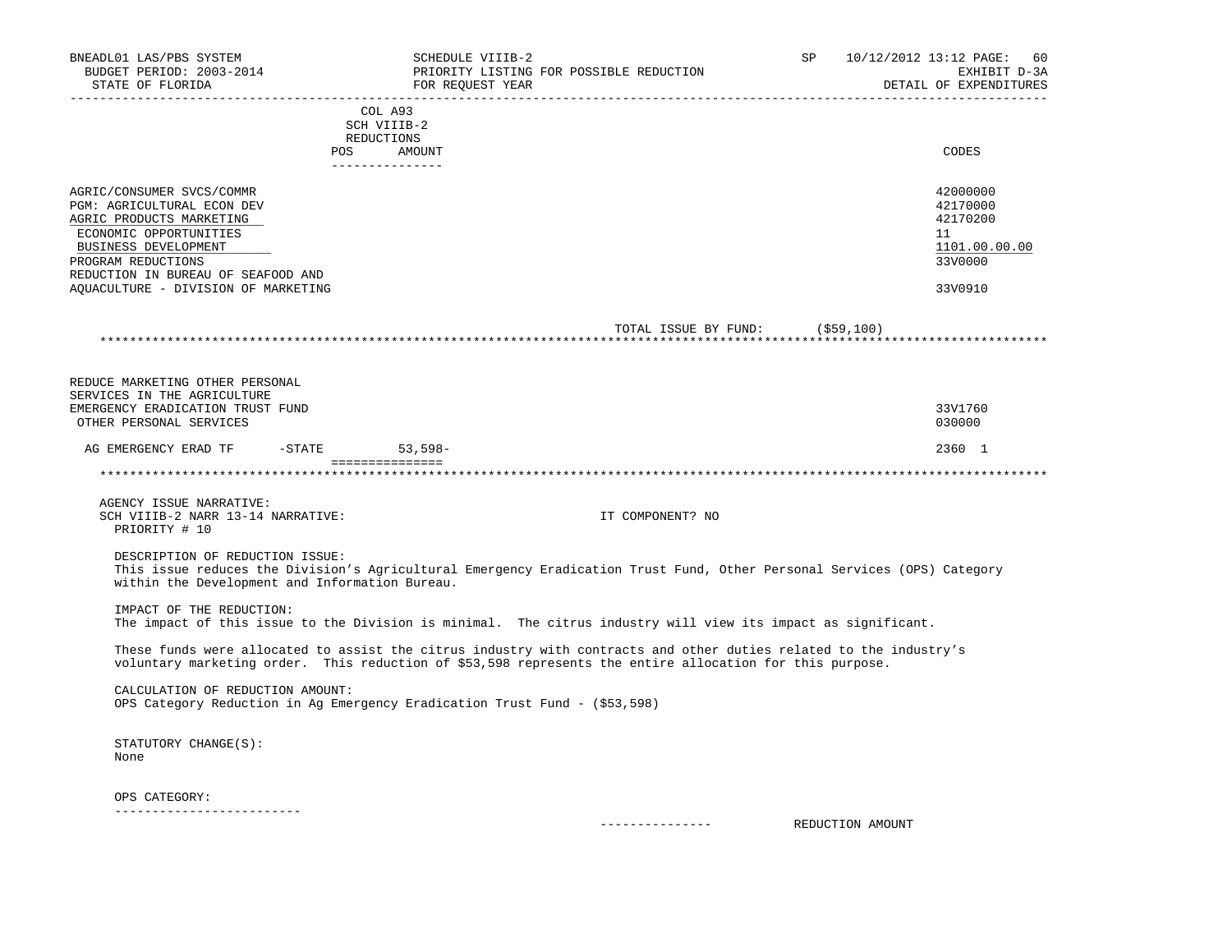| BNEADL01 LAS/PBS SYSTEM<br>BUDGET PERIOD: 2003-2014<br>STATE OF FLORIDA                                                                                                                                                                  |                                                       | SCHEDULE VIIIB-2<br>PRIORITY LISTING FOR POSSIBLE REDUCTION<br>FOR REQUEST YEAR                                                                                                                                                | SP               | 10/12/2012 13:12 PAGE:<br>60<br>EXHIBIT D-3A<br>DETAIL OF EXPENDITURES        |
|------------------------------------------------------------------------------------------------------------------------------------------------------------------------------------------------------------------------------------------|-------------------------------------------------------|--------------------------------------------------------------------------------------------------------------------------------------------------------------------------------------------------------------------------------|------------------|-------------------------------------------------------------------------------|
|                                                                                                                                                                                                                                          | COL A93<br>SCH VIIIB-2<br>REDUCTIONS<br>POS<br>AMOUNT |                                                                                                                                                                                                                                |                  | CODES                                                                         |
|                                                                                                                                                                                                                                          | _______________                                       |                                                                                                                                                                                                                                |                  |                                                                               |
| AGRIC/CONSUMER SVCS/COMMR<br>PGM: AGRICULTURAL ECON DEV<br>AGRIC PRODUCTS MARKETING<br>ECONOMIC OPPORTUNITIES<br>BUSINESS DEVELOPMENT<br>PROGRAM REDUCTIONS<br>REDUCTION IN BUREAU OF SEAFOOD AND<br>AQUACULTURE - DIVISION OF MARKETING |                                                       |                                                                                                                                                                                                                                |                  | 42000000<br>42170000<br>42170200<br>11<br>1101.00.00.00<br>33V0000<br>33V0910 |
|                                                                                                                                                                                                                                          |                                                       | TOTAL ISSUE BY FUND: (\$59,100)                                                                                                                                                                                                |                  |                                                                               |
|                                                                                                                                                                                                                                          |                                                       |                                                                                                                                                                                                                                |                  |                                                                               |
| REDUCE MARKETING OTHER PERSONAL<br>SERVICES IN THE AGRICULTURE<br>EMERGENCY ERADICATION TRUST FUND<br>OTHER PERSONAL SERVICES                                                                                                            |                                                       |                                                                                                                                                                                                                                |                  | 33V1760<br>030000                                                             |
| AG EMERGENCY ERAD TF -STATE 53,598-                                                                                                                                                                                                      | - ===============                                     |                                                                                                                                                                                                                                |                  | 2360 1                                                                        |
|                                                                                                                                                                                                                                          |                                                       |                                                                                                                                                                                                                                |                  |                                                                               |
| AGENCY ISSUE NARRATIVE:<br>SCH VIIIB-2 NARR 13-14 NARRATIVE:<br>PRIORITY # 10                                                                                                                                                            |                                                       | IT COMPONENT? NO                                                                                                                                                                                                               |                  |                                                                               |
| DESCRIPTION OF REDUCTION ISSUE:<br>within the Development and Information Bureau.                                                                                                                                                        |                                                       | This issue reduces the Division's Agricultural Emergency Eradication Trust Fund, Other Personal Services (OPS) Category                                                                                                        |                  |                                                                               |
| IMPACT OF THE REDUCTION:                                                                                                                                                                                                                 |                                                       | The impact of this issue to the Division is minimal. The citrus industry will view its impact as significant.                                                                                                                  |                  |                                                                               |
|                                                                                                                                                                                                                                          |                                                       | These funds were allocated to assist the citrus industry with contracts and other duties related to the industry's<br>voluntary marketing order. This reduction of \$53,598 represents the entire allocation for this purpose. |                  |                                                                               |
| CALCULATION OF REDUCTION AMOUNT:                                                                                                                                                                                                         |                                                       | OPS Category Reduction in Ag Emergency Eradication Trust Fund - (\$53,598)                                                                                                                                                     |                  |                                                                               |
| STATUTORY CHANGE(S):<br>None                                                                                                                                                                                                             |                                                       |                                                                                                                                                                                                                                |                  |                                                                               |
| OPS CATEGORY:                                                                                                                                                                                                                            |                                                       |                                                                                                                                                                                                                                |                  |                                                                               |
| --------------------------                                                                                                                                                                                                               |                                                       | ---------------                                                                                                                                                                                                                | REDUCTION AMOUNT |                                                                               |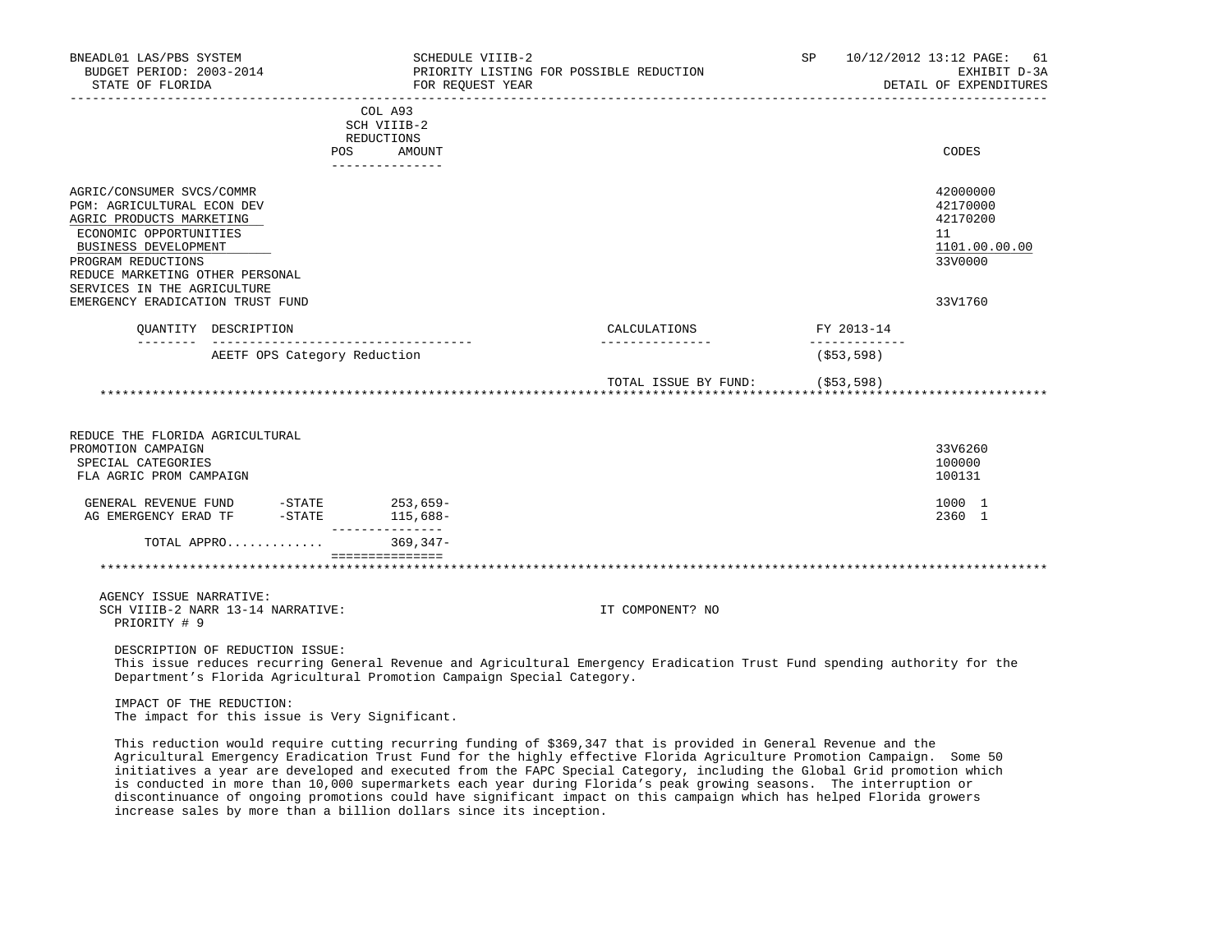| BNEADL01 LAS/PBS SYSTEM<br>BUDGET PERIOD: 2003-2014<br>STATE OF FLORIDA                                                                                                                                                       |                                   | SCHEDULE VIIIB-2<br>FOR REQUEST YEAR                                   | PRIORITY LISTING FOR POSSIBLE REDUCTION                                                                                   | SP                          | 10/12/2012 13:12 PAGE:<br>61<br>EXHIBIT D-3A<br>DETAIL OF EXPENDITURES |
|-------------------------------------------------------------------------------------------------------------------------------------------------------------------------------------------------------------------------------|-----------------------------------|------------------------------------------------------------------------|---------------------------------------------------------------------------------------------------------------------------|-----------------------------|------------------------------------------------------------------------|
|                                                                                                                                                                                                                               |                                   | COL A93<br>SCH VIIIB-2<br>REDUCTIONS<br><b>POS</b><br>AMOUNT           |                                                                                                                           |                             | CODES                                                                  |
|                                                                                                                                                                                                                               |                                   | _______________                                                        |                                                                                                                           |                             |                                                                        |
| AGRIC/CONSUMER SVCS/COMMR<br>PGM: AGRICULTURAL ECON DEV<br>AGRIC PRODUCTS MARKETING<br>ECONOMIC OPPORTUNITIES<br>BUSINESS DEVELOPMENT<br>PROGRAM REDUCTIONS<br>REDUCE MARKETING OTHER PERSONAL<br>SERVICES IN THE AGRICULTURE |                                   |                                                                        |                                                                                                                           |                             | 42000000<br>42170000<br>42170200<br>11<br>1101.00.00.00<br>33V0000     |
| EMERGENCY ERADICATION TRUST FUND                                                                                                                                                                                              |                                   |                                                                        |                                                                                                                           |                             | 33V1760                                                                |
|                                                                                                                                                                                                                               | OUANTITY DESCRIPTION              |                                                                        | CALCULATIONS                                                                                                              | FY 2013-14                  |                                                                        |
|                                                                                                                                                                                                                               | AEETF OPS Category Reduction      | ______________________________________                                 |                                                                                                                           | _____________<br>(\$53,598) |                                                                        |
|                                                                                                                                                                                                                               |                                   |                                                                        | TOTAL ISSUE BY FUND: (\$53,598)                                                                                           |                             |                                                                        |
| REDUCE THE FLORIDA AGRICULTURAL<br>PROMOTION CAMPAIGN<br>SPECIAL CATEGORIES<br>FLA AGRIC PROM CAMPAIGN                                                                                                                        |                                   |                                                                        |                                                                                                                           |                             | 33V6260<br>100000<br>100131                                            |
|                                                                                                                                                                                                                               |                                   |                                                                        |                                                                                                                           |                             | 1000 1<br>2360 1                                                       |
|                                                                                                                                                                                                                               |                                   | TOTAL APPRO 369,347-                                                   |                                                                                                                           |                             |                                                                        |
|                                                                                                                                                                                                                               |                                   | ===============                                                        |                                                                                                                           |                             |                                                                        |
| AGENCY ISSUE NARRATIVE:<br>PRIORITY # 9                                                                                                                                                                                       | SCH VIIIB-2 NARR 13-14 NARRATIVE: |                                                                        | IT COMPONENT? NO                                                                                                          |                             |                                                                        |
|                                                                                                                                                                                                                               | DESCRIPTION OF REDUCTION ISSUE:   | Department's Florida Agricultural Promotion Campaign Special Category. | This issue reduces recurring General Revenue and Agricultural Emergency Eradication Trust Fund spending authority for the |                             |                                                                        |
|                                                                                                                                                                                                                               | IMPACT OF THE REDUCTION:          | The impact for this issue is Very Significant.                         |                                                                                                                           |                             |                                                                        |

 This reduction would require cutting recurring funding of \$369,347 that is provided in General Revenue and the Agricultural Emergency Eradication Trust Fund for the highly effective Florida Agriculture Promotion Campaign. Some 50 initiatives a year are developed and executed from the FAPC Special Category, including the Global Grid promotion which is conducted in more than 10,000 supermarkets each year during Florida's peak growing seasons. The interruption or discontinuance of ongoing promotions could have significant impact on this campaign which has helped Florida growers increase sales by more than a billion dollars since its inception.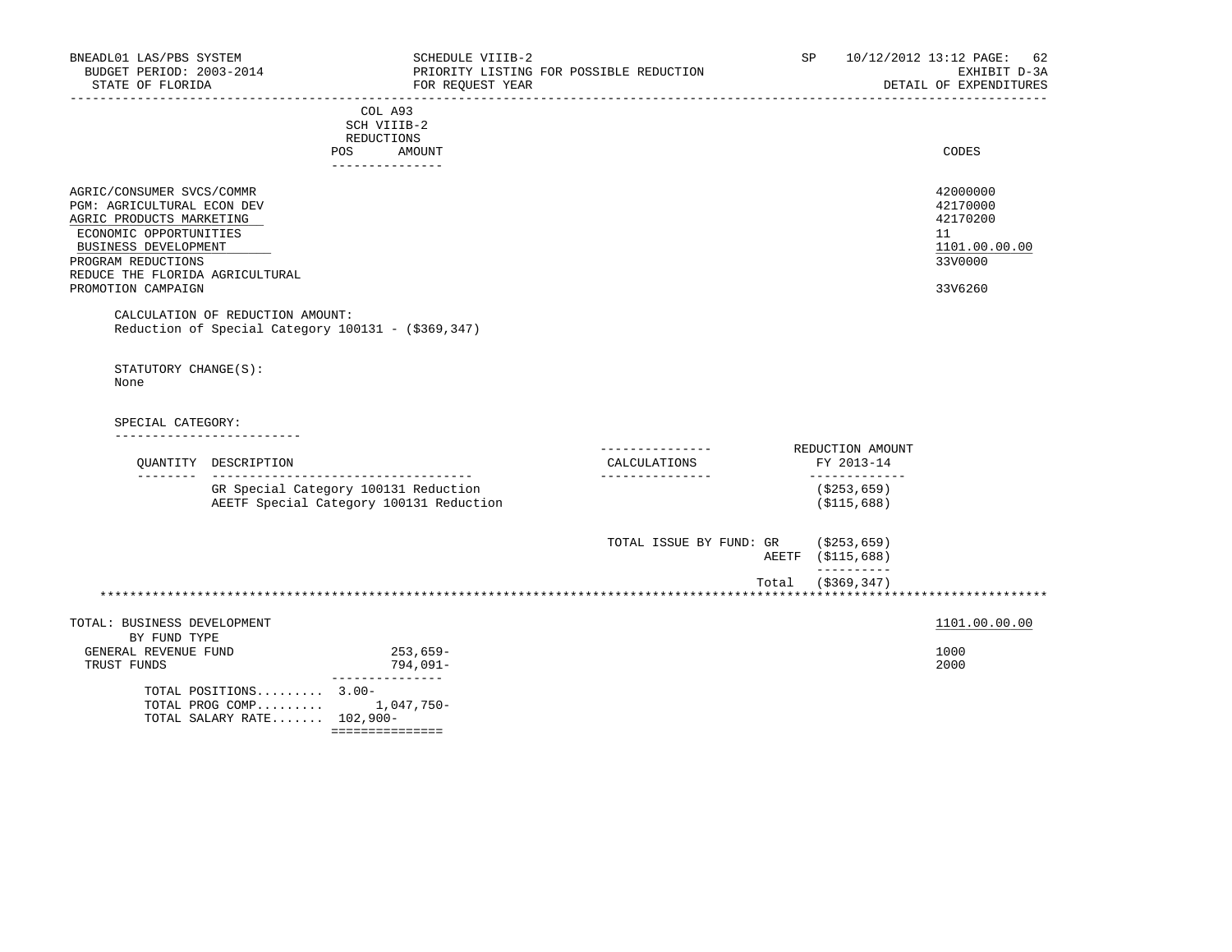| BNEADL01 LAS/PBS SYSTEM<br>BUDGET PERIOD: 2003-2014<br>STATE OF FLORIDA                                                                                                                        |                                                                                        |                                         | SCHEDULE VIIIB-2<br>FOR REQUEST YEAR | PRIORITY LISTING FOR POSSIBLE REDUCTION | SP                                              | 10/12/2012 13:12 PAGE: 62<br>EXHIBIT D-3A<br>DETAIL OF EXPENDITURES |
|------------------------------------------------------------------------------------------------------------------------------------------------------------------------------------------------|----------------------------------------------------------------------------------------|-----------------------------------------|--------------------------------------|-----------------------------------------|-------------------------------------------------|---------------------------------------------------------------------|
|                                                                                                                                                                                                |                                                                                        | COL A93<br>SCH VIIIB-2<br>REDUCTIONS    |                                      |                                         |                                                 |                                                                     |
|                                                                                                                                                                                                |                                                                                        | POS<br>AMOUNT<br>---------------        |                                      |                                         |                                                 | CODES                                                               |
| AGRIC/CONSUMER SVCS/COMMR<br>PGM: AGRICULTURAL ECON DEV<br>AGRIC PRODUCTS MARKETING<br>ECONOMIC OPPORTUNITIES<br>BUSINESS DEVELOPMENT<br>PROGRAM REDUCTIONS<br>REDUCE THE FLORIDA AGRICULTURAL |                                                                                        |                                         |                                      |                                         |                                                 | 42000000<br>42170000<br>42170200<br>11<br>1101.00.00.00<br>33V0000  |
| PROMOTION CAMPAIGN                                                                                                                                                                             |                                                                                        |                                         |                                      |                                         |                                                 | 33V6260                                                             |
|                                                                                                                                                                                                | CALCULATION OF REDUCTION AMOUNT:<br>Reduction of Special Category 100131 - (\$369,347) |                                         |                                      |                                         |                                                 |                                                                     |
| STATUTORY CHANGE(S):<br>None<br>SPECIAL CATEGORY:                                                                                                                                              | ______________________<br>QUANTITY DESCRIPTION                                         |                                         |                                      | CALCULATIONS                            | REDUCTION AMOUNT<br>FY 2013-14<br>_____________ |                                                                     |
|                                                                                                                                                                                                | GR Special Category 100131 Reduction<br>AEETF Special Category 100131 Reduction        |                                         |                                      |                                         | ( \$253, 659)<br>( \$115, 688)                  |                                                                     |
|                                                                                                                                                                                                |                                                                                        |                                         |                                      | TOTAL ISSUE BY FUND: GR (\$253,659)     | AEETF (\$115,688)<br>----------                 |                                                                     |
|                                                                                                                                                                                                |                                                                                        |                                         |                                      |                                         | Total (\$369,347)                               |                                                                     |
| TOTAL: BUSINESS DEVELOPMENT                                                                                                                                                                    |                                                                                        |                                         |                                      |                                         |                                                 | 1101.00.00.00                                                       |
| BY FUND TYPE<br>GENERAL REVENUE FUND<br>TRUST FUNDS                                                                                                                                            |                                                                                        | 253,659-<br>794,091-<br>--------------- |                                      |                                         |                                                 | 1000<br>2000                                                        |
|                                                                                                                                                                                                | TOTAL POSITIONS 3.00-<br>TOTAL PROG COMP 1,047,750-<br>TOTAL SALARY RATE 102,900-      | ===============                         |                                      |                                         |                                                 |                                                                     |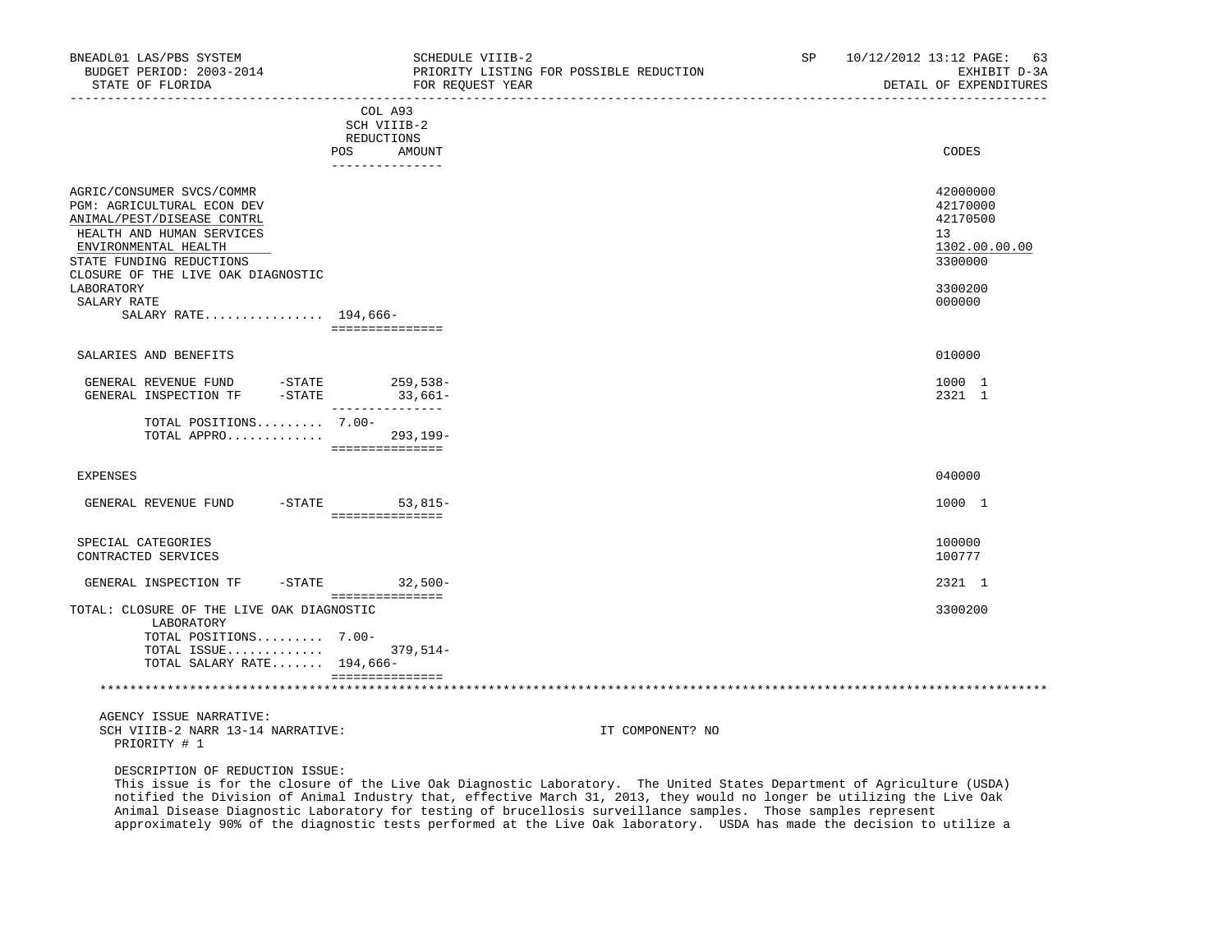| BNEADL01 LAS/PBS SYSTEM<br>BUDGET PERIOD: 2003-2014<br>STATE OF FLORIDA                                                                                                                                                                                           | SCHEDULE VIIIB-2<br>FOR REQUEST YEAR                                            | PRIORITY LISTING FOR POSSIBLE REDUCTION                                                                                 | SP <sub>2</sub> | 10/12/2012 13:12 PAGE: 63<br>EXHIBIT D-3A<br>DETAIL OF EXPENDITURES                     |
|-------------------------------------------------------------------------------------------------------------------------------------------------------------------------------------------------------------------------------------------------------------------|---------------------------------------------------------------------------------|-------------------------------------------------------------------------------------------------------------------------|-----------------|-----------------------------------------------------------------------------------------|
|                                                                                                                                                                                                                                                                   | COL A93<br>SCH VIIIB-2<br>REDUCTIONS<br><b>POS</b><br>AMOUNT<br>--------------- |                                                                                                                         |                 | CODES                                                                                   |
| AGRIC/CONSUMER SVCS/COMMR<br>PGM: AGRICULTURAL ECON DEV<br>ANIMAL/PEST/DISEASE CONTRL<br>HEALTH AND HUMAN SERVICES<br>ENVIRONMENTAL HEALTH<br>STATE FUNDING REDUCTIONS<br>CLOSURE OF THE LIVE OAK DIAGNOSTIC<br>LABORATORY<br>SALARY RATE<br>SALARY RATE 194,666- | ===============                                                                 |                                                                                                                         |                 | 42000000<br>42170000<br>42170500<br>13<br>1302.00.00.00<br>3300000<br>3300200<br>000000 |
| SALARIES AND BENEFITS                                                                                                                                                                                                                                             |                                                                                 |                                                                                                                         |                 | 010000                                                                                  |
| GENERAL REVENUE FUND -STATE 259,538-<br>GENERAL INSPECTION TF -STATE 33,661-                                                                                                                                                                                      |                                                                                 |                                                                                                                         |                 | 1000 1<br>2321 1                                                                        |
| TOTAL POSITIONS 7.00-<br>TOTAL APPRO 293,199-                                                                                                                                                                                                                     | ----------------                                                                |                                                                                                                         |                 |                                                                                         |
| <b>EXPENSES</b>                                                                                                                                                                                                                                                   |                                                                                 |                                                                                                                         |                 | 040000                                                                                  |
| GENERAL REVENUE FUND                                                                                                                                                                                                                                              | -STATE 53,815-<br>________________                                              |                                                                                                                         |                 | 1000 1                                                                                  |
| SPECIAL CATEGORIES<br>CONTRACTED SERVICES                                                                                                                                                                                                                         |                                                                                 |                                                                                                                         |                 | 100000<br>100777                                                                        |
| GENERAL INSPECTION TF                                                                                                                                                                                                                                             | -STATE 32,500-<br>----------------                                              |                                                                                                                         |                 | 2321 1                                                                                  |
| TOTAL: CLOSURE OF THE LIVE OAK DIAGNOSTIC<br>LABORATORY<br>TOTAL POSITIONS 7.00-<br>TOTAL ISSUE 379,514-<br>TOTAL SALARY RATE 194,666-                                                                                                                            | -----------------                                                               |                                                                                                                         |                 | 3300200                                                                                 |
| AGENCY ISSUE NARRATIVE:<br>SCH VIIIB-2 NARR 13-14 NARRATIVE:<br>PRIORITY # 1<br>DESCRIPTION OF REDUCTION ISSUE:                                                                                                                                                   |                                                                                 | IT COMPONENT? NO                                                                                                        |                 |                                                                                         |
|                                                                                                                                                                                                                                                                   |                                                                                 | This issue is for the closure of the Live Oak Diagnostic Laboratory. The United States Department of Agriculture (USDA) |                 |                                                                                         |

 This issue is for the closure of the Live Oak Diagnostic Laboratory. The United States Department of Agriculture (USDA) notified the Division of Animal Industry that, effective March 31, 2013, they would no longer be utilizing the Live Oak Animal Disease Diagnostic Laboratory for testing of brucellosis surveillance samples. Those samples represent approximately 90% of the diagnostic tests performed at the Live Oak laboratory. USDA has made the decision to utilize a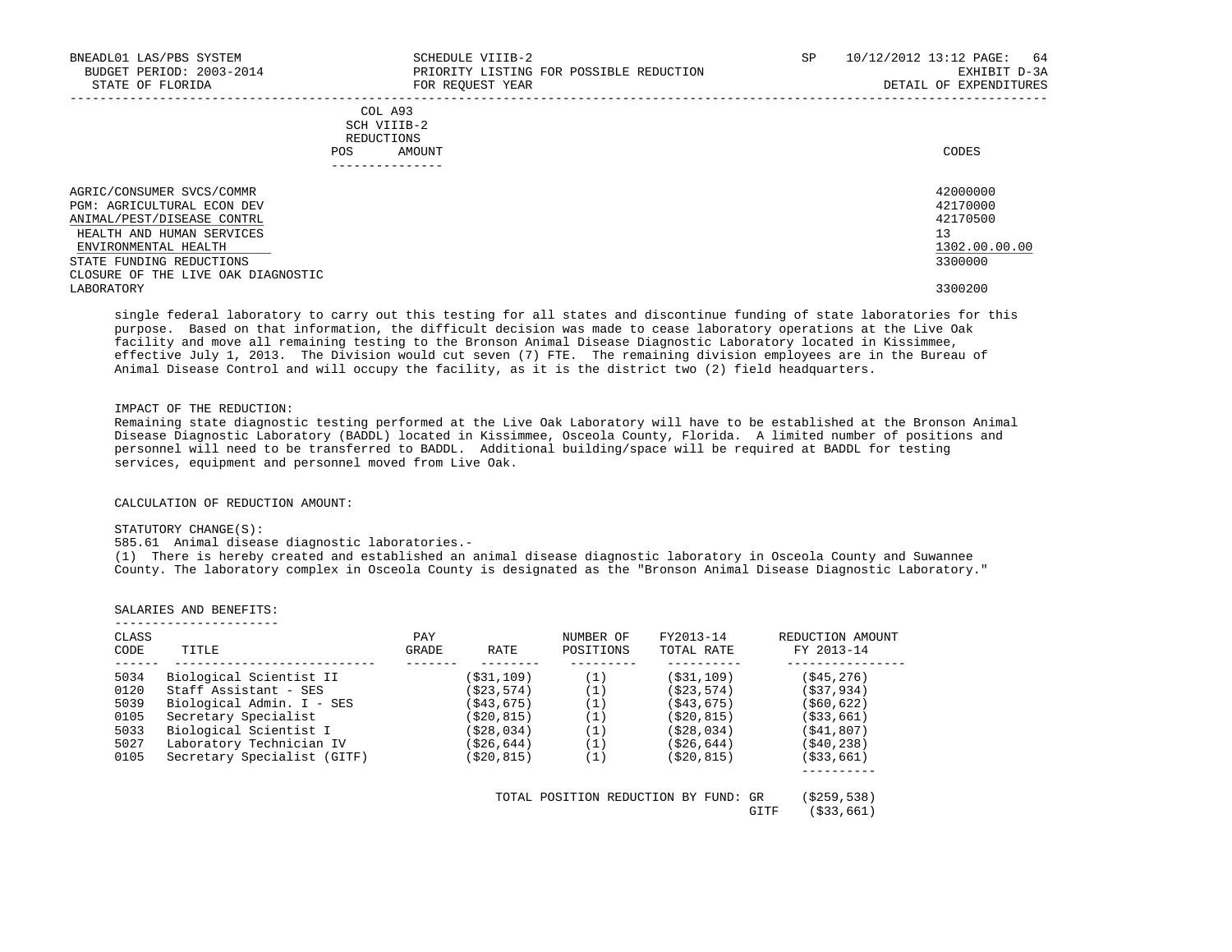| BNEADL01 LAS/PBS SYSTEM<br>BUDGET PERIOD: 2003-2014<br>STATE OF FLORIDA                                                                           | SCHEDULE VIIIB-2<br>PRIORITY LISTING FOR POSSIBLE REDUCTION<br>FOR REQUEST YEAR | SP | 10/12/2012 13:12 PAGE:<br>64<br>EXHIBIT D-3A<br>DETAIL OF EXPENDITURES |
|---------------------------------------------------------------------------------------------------------------------------------------------------|---------------------------------------------------------------------------------|----|------------------------------------------------------------------------|
| POS                                                                                                                                               | COL A93<br>SCH VIIIB-2<br>REDUCTIONS<br>AMOUNT                                  |    | CODES                                                                  |
| AGRIC/CONSUMER SVCS/COMMR<br><b>PGM: AGRICULTURAL ECON DEV</b><br>ANIMAL/PEST/DISEASE CONTRL<br>HEALTH AND HUMAN SERVICES<br>ENVIRONMENTAL HEALTH |                                                                                 |    | 42000000<br>42170000<br>42170500<br>13<br>1302.00.00.00                |
| STATE FUNDING REDUCTIONS<br>CLOSURE OF THE LIVE OAK DIAGNOSTIC                                                                                    |                                                                                 |    | 3300000                                                                |
| LABORATORY                                                                                                                                        |                                                                                 |    | 3300200                                                                |

 single federal laboratory to carry out this testing for all states and discontinue funding of state laboratories for this purpose. Based on that information, the difficult decision was made to cease laboratory operations at the Live Oak facility and move all remaining testing to the Bronson Animal Disease Diagnostic Laboratory located in Kissimmee, effective July 1, 2013. The Division would cut seven (7) FTE. The remaining division employees are in the Bureau of Animal Disease Control and will occupy the facility, as it is the district two (2) field headquarters.

### IMPACT OF THE REDUCTION:

 Remaining state diagnostic testing performed at the Live Oak Laboratory will have to be established at the Bronson Animal Disease Diagnostic Laboratory (BADDL) located in Kissimmee, Osceola County, Florida. A limited number of positions and personnel will need to be transferred to BADDL. Additional building/space will be required at BADDL for testing services, equipment and personnel moved from Live Oak.

CALCULATION OF REDUCTION AMOUNT:

### STATUTORY CHANGE(S):

585.61 Animal disease diagnostic laboratories.-

 (1) There is hereby created and established an animal disease diagnostic laboratory in Osceola County and Suwannee County. The laboratory complex in Osceola County is designated as the "Bronson Animal Disease Diagnostic Laboratory."

### SALARIES AND BENEFITS:

| CLASS<br>CODE | TITLE                       | PAY<br>GRADE<br>RATE | NUMBER OF<br>POSITIONS | FY2013-14<br>TOTAL RATE | REDUCTION AMOUNT<br>FY 2013-14 |
|---------------|-----------------------------|----------------------|------------------------|-------------------------|--------------------------------|
| 5034          | Biological Scientist II     | (\$31,109)           | (1)                    | (S31, 109)              | ( \$45, 276)                   |
| 0120          | Staff Assistant - SES       | (\$23,574)           | (1)                    | (S23, 574)              | (537, 934)                     |
| 5039          | Biological Admin. I - SES   | (\$43,675)           | (1)                    | (S43, 675)              | ( \$60, 622)                   |
| 0105          | Secretary Specialist        | (\$20,815)           | (1)                    | (S20, 815)              | ( \$33, 661)                   |
| 5033          | Biological Scientist I      | (\$28,034)           | (1)                    | (S28, 034)              | (S41, 807)                     |
| 5027          | Laboratory Technician IV    | (\$26,644)           | (1)                    | ( \$26, 644)            | ( \$40, 238)                   |
| 0105          | Secretary Specialist (GITF) | (\$20,815)           | (1)                    | (S20.815)               | ( \$33, 661)                   |

GITF (\$33,661)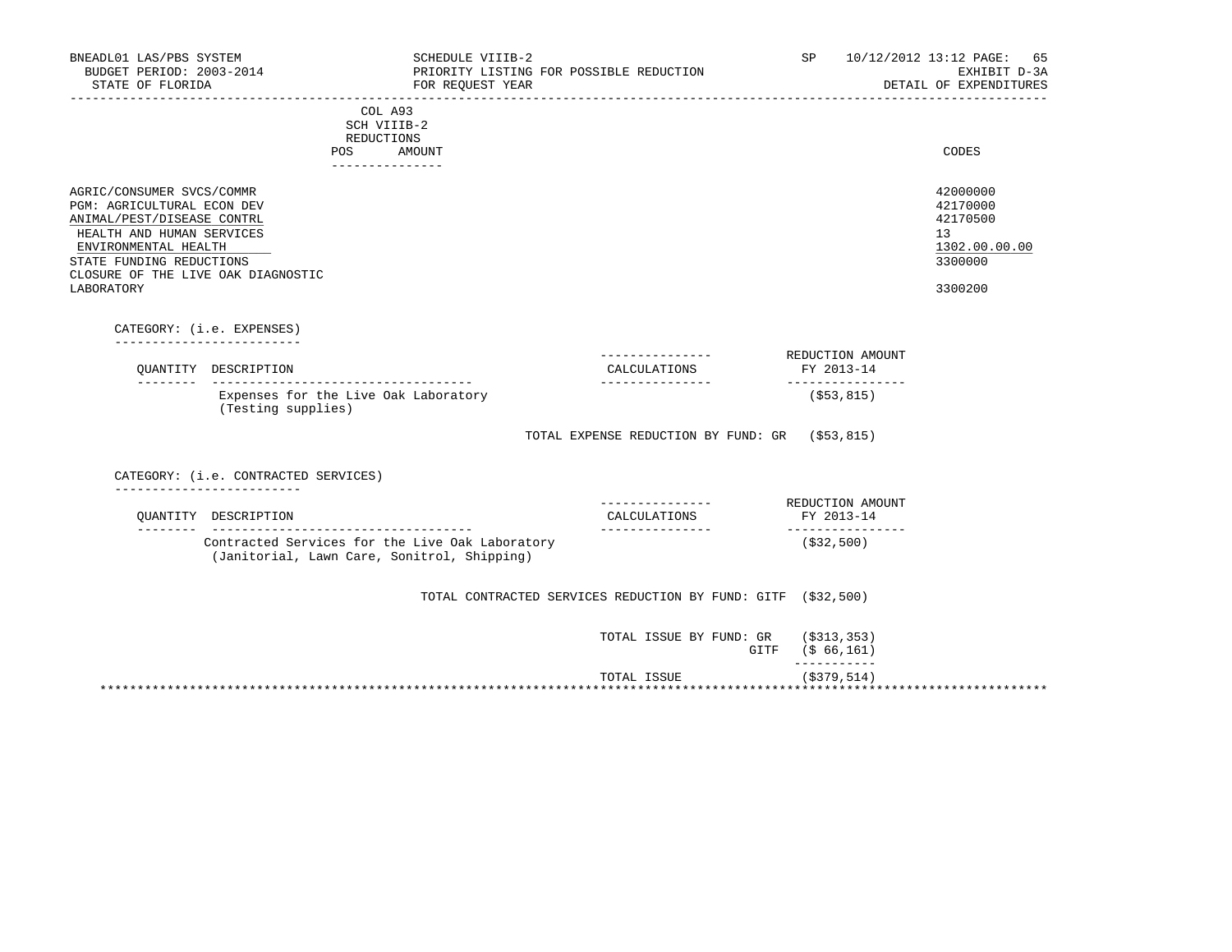| BNEADL01 LAS/PBS SYSTEM<br>BUDGET PERIOD: 2003-2014<br>STATE OF FLORIDA                                                                                                                                                    | SCHEDULE VIIIB-2<br>PRIORITY LISTING FOR POSSIBLE REDUCTION<br>FOR REQUEST YEAR                |                                                              | SP                                                  | 10/12/2012 13:12 PAGE:<br>65<br>EXHIBIT D-3A<br>DETAIL OF EXPENDITURES        |
|----------------------------------------------------------------------------------------------------------------------------------------------------------------------------------------------------------------------------|------------------------------------------------------------------------------------------------|--------------------------------------------------------------|-----------------------------------------------------|-------------------------------------------------------------------------------|
|                                                                                                                                                                                                                            | COL A93<br>SCH VIIIB-2<br>REDUCTIONS                                                           |                                                              |                                                     |                                                                               |
|                                                                                                                                                                                                                            | POS<br>AMOUNT<br>_______________                                                               |                                                              |                                                     | CODES                                                                         |
| AGRIC/CONSUMER SVCS/COMMR<br>PGM: AGRICULTURAL ECON DEV<br>ANIMAL/PEST/DISEASE CONTRL<br>HEALTH AND HUMAN SERVICES<br>ENVIRONMENTAL HEALTH<br>STATE FUNDING REDUCTIONS<br>CLOSURE OF THE LIVE OAK DIAGNOSTIC<br>LABORATORY |                                                                                                |                                                              |                                                     | 42000000<br>42170000<br>42170500<br>13<br>1302.00.00.00<br>3300000<br>3300200 |
|                                                                                                                                                                                                                            |                                                                                                |                                                              |                                                     |                                                                               |
| CATEGORY: (i.e. EXPENSES)<br>-----------------------                                                                                                                                                                       |                                                                                                |                                                              |                                                     |                                                                               |
| OUANTITY DESCRIPTION                                                                                                                                                                                                       |                                                                                                | --------------<br>CALCULATIONS                               | REDUCTION AMOUNT<br>FY 2013-14<br>_________________ |                                                                               |
|                                                                                                                                                                                                                            | Expenses for the Live Oak Laboratory<br>(Testing supplies)                                     |                                                              | $($ \$53,815)                                       |                                                                               |
|                                                                                                                                                                                                                            |                                                                                                | TOTAL EXPENSE REDUCTION BY FUND: GR (\$53,815)               |                                                     |                                                                               |
| ________________________                                                                                                                                                                                                   | CATEGORY: (i.e. CONTRACTED SERVICES)                                                           |                                                              |                                                     |                                                                               |
| OUANTITY DESCRIPTION                                                                                                                                                                                                       |                                                                                                | -------------- REDUCTION AMOUNT<br>CALCULATIONS              | FY 2013-14                                          |                                                                               |
|                                                                                                                                                                                                                            | Contracted Services for the Live Oak Laboratory<br>(Janitorial, Lawn Care, Sonitrol, Shipping) | ________________                                             | (\$32,500)                                          |                                                                               |
|                                                                                                                                                                                                                            |                                                                                                | TOTAL CONTRACTED SERVICES REDUCTION BY FUND: GITF (\$32,500) |                                                     |                                                                               |
|                                                                                                                                                                                                                            |                                                                                                | TOTAL ISSUE BY FUND: GR (\$313,353)                          | GITF (\$ 66,161)                                    |                                                                               |
|                                                                                                                                                                                                                            |                                                                                                | TOTAL ISSUE                                                  | -----------<br>$($ \$379,514)                       |                                                                               |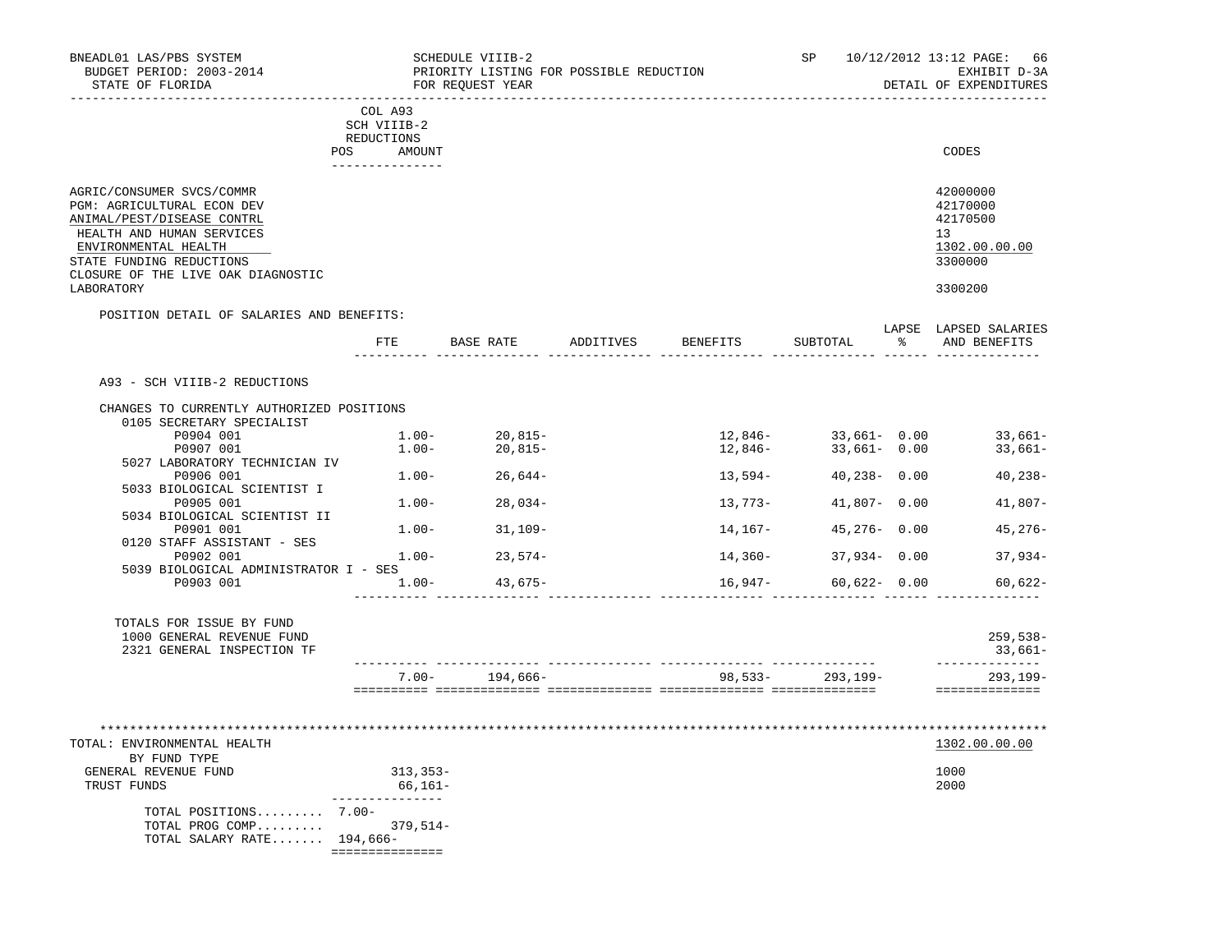| BNEADL01 LAS/PBS SYSTEM<br>BUDGET PERIOD: 2003-2014<br>STATE OF FLORIDA                                                                                                                                                    |                                                    |          | SCHEDULE VIIIB-2<br>FOR REOUEST YEAR | PRIORITY LISTING FOR POSSIBLE REDUCTION |                    | SP and the set of the set of the set of the set of the set of the set of the set of the set of the set of the set of the set of the set of the set of the set of the set of the set of the set of the set of the set of the se | 10/12/2012 13:12 PAGE: 66<br>EXHIBIT D-3A<br>DETAIL OF EXPENDITURES           |
|----------------------------------------------------------------------------------------------------------------------------------------------------------------------------------------------------------------------------|----------------------------------------------------|----------|--------------------------------------|-----------------------------------------|--------------------|--------------------------------------------------------------------------------------------------------------------------------------------------------------------------------------------------------------------------------|-------------------------------------------------------------------------------|
|                                                                                                                                                                                                                            | COL A93<br>SCH VIIIB-2<br>REDUCTIONS<br>POS AMOUNT |          |                                      |                                         |                    |                                                                                                                                                                                                                                | CODES                                                                         |
| AGRIC/CONSUMER SVCS/COMMR<br>PGM: AGRICULTURAL ECON DEV<br>ANIMAL/PEST/DISEASE CONTRL<br>HEALTH AND HUMAN SERVICES<br>ENVIRONMENTAL HEALTH<br>STATE FUNDING REDUCTIONS<br>CLOSURE OF THE LIVE OAK DIAGNOSTIC<br>LABORATORY | _______________                                    |          |                                      |                                         |                    |                                                                                                                                                                                                                                | 42000000<br>42170000<br>42170500<br>13<br>1302.00.00.00<br>3300000<br>3300200 |
| POSITION DETAIL OF SALARIES AND BENEFITS:                                                                                                                                                                                  | ETE                                                |          | BASE RATE                            |                                         | ADDITIVES BENEFITS | SUBTOTAL                                                                                                                                                                                                                       | LAPSE LAPSED SALARIES<br>% AND BENEFITS                                       |
| A93 - SCH VIIIB-2 REDUCTIONS                                                                                                                                                                                               |                                                    |          |                                      |                                         |                    |                                                                                                                                                                                                                                |                                                                               |
| CHANGES TO CURRENTLY AUTHORIZED POSITIONS                                                                                                                                                                                  |                                                    |          |                                      |                                         |                    |                                                                                                                                                                                                                                |                                                                               |
| 0105 SECRETARY SPECIALIST<br>P0904 001<br>P0907 001                                                                                                                                                                        | $1.00-$                                            | $1.00 -$ | $20,815-$<br>20,815-                 |                                         | 12,846-<br>12,846- | $33,661 - 0.00$<br>$33,661 - 0.00$                                                                                                                                                                                             | $33,661-$<br>$33,661-$                                                        |
| 5027 LABORATORY TECHNICIAN IV<br>P0906 001                                                                                                                                                                                 |                                                    |          | $1.00 - 26,644 -$                    |                                         | 13,594–            | $40,238 - 0.00$                                                                                                                                                                                                                | $40, 238 -$                                                                   |
| 5033 BIOLOGICAL SCIENTIST I<br>P0905 001                                                                                                                                                                                   |                                                    |          | $1.00 - 28.034 -$                    |                                         | 13,773-            | $41,807 - 0.00$                                                                                                                                                                                                                | $41,807-$                                                                     |
| 5034 BIOLOGICAL SCIENTIST II<br>P0901 001                                                                                                                                                                                  |                                                    |          | $1.00 - 31,109 -$                    |                                         | 14,167-            | $45,276 - 0.00$                                                                                                                                                                                                                | $45,276-$                                                                     |
| 0120 STAFF ASSISTANT - SES<br>P0902 001                                                                                                                                                                                    |                                                    | $1.00 -$ | $23,574-$                            |                                         | 14,360-            | $37,934 - 0.00$                                                                                                                                                                                                                | $37,934-$                                                                     |
| 5039 BIOLOGICAL ADMINISTRATOR I - SES<br>P0903 001                                                                                                                                                                         |                                                    | $1.00-$  | 43,675-                              |                                         |                    | $16,947-$ 60,622- 0.00                                                                                                                                                                                                         | $60,622-$                                                                     |
| TOTALS FOR ISSUE BY FUND<br>1000 GENERAL REVENUE FUND<br>2321 GENERAL INSPECTION TF                                                                                                                                        |                                                    |          |                                      |                                         |                    |                                                                                                                                                                                                                                | 259,538-<br>33,661–                                                           |
|                                                                                                                                                                                                                            |                                                    |          | $7.00 - 194,666 -$                   |                                         | $98,533-293,199-$  |                                                                                                                                                                                                                                | ______________<br>293,199-                                                    |
|                                                                                                                                                                                                                            |                                                    |          |                                      |                                         |                    |                                                                                                                                                                                                                                | ==============                                                                |
| TOTAL: ENVIRONMENTAL HEALTH                                                                                                                                                                                                |                                                    |          |                                      |                                         |                    |                                                                                                                                                                                                                                | 1302.00.00.00                                                                 |
| BY FUND TYPE<br>GENERAL REVENUE FUND<br>TRUST FUNDS                                                                                                                                                                        | $313,353-$                                         | 66,161–  |                                      |                                         |                    |                                                                                                                                                                                                                                | 1000<br>2000                                                                  |
| TOTAL POSITIONS 7.00-<br>TOTAL PROG COMP 379,514-<br>TOTAL SALARY RATE $194,666-$                                                                                                                                          | ===============                                    |          |                                      |                                         |                    |                                                                                                                                                                                                                                |                                                                               |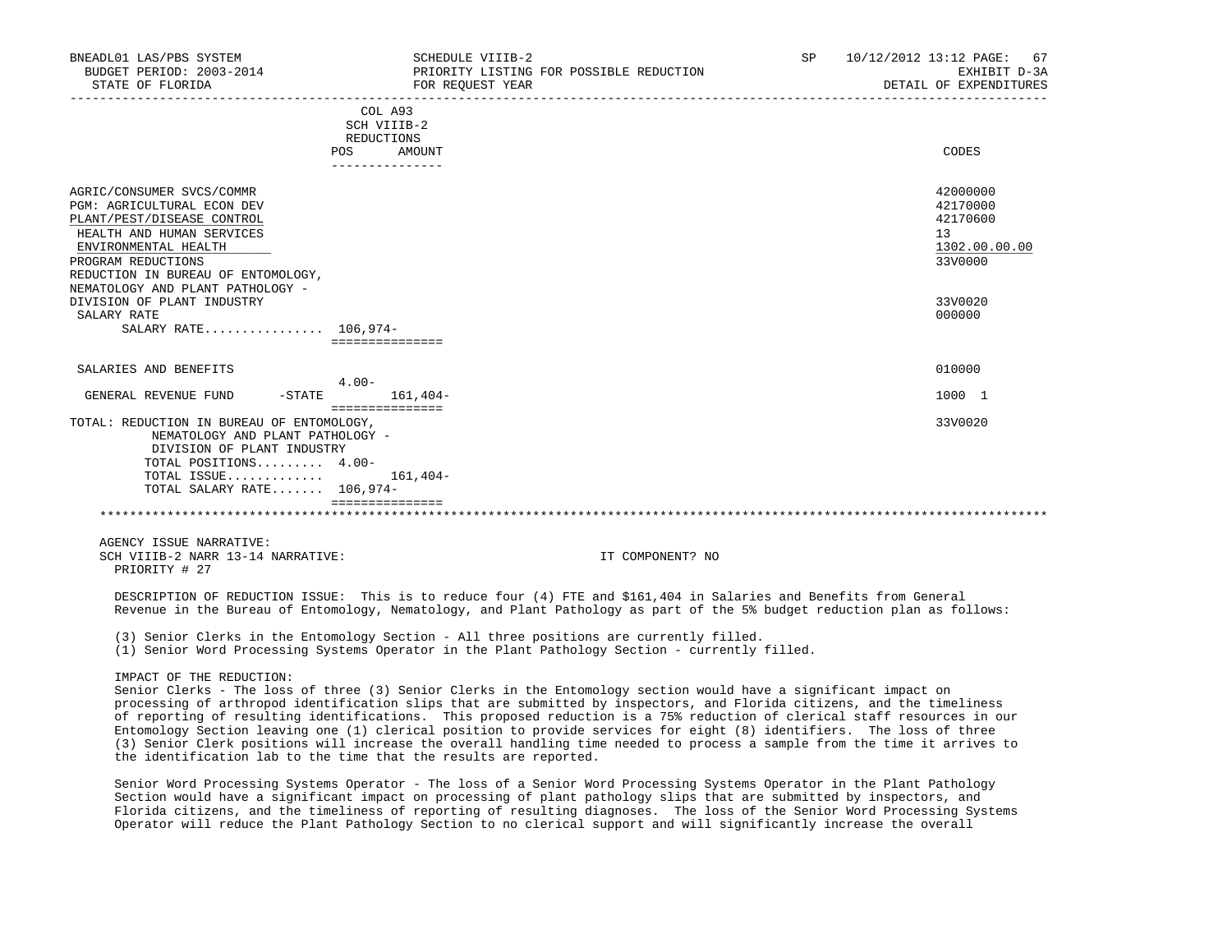| BNEADL01 LAS/PBS SYSTEM<br>BUDGET PERIOD: 2003-2014<br>STATE OF FLORIDA                                                                                                                                       | SCHEDULE VIIIB-2<br>FOR REQUEST YEAR                                            | PRIORITY LISTING FOR POSSIBLE REDUCTION                                                                        | SP. | 10/12/2012 13:12 PAGE:<br>-67<br>EXHIBIT D-3A<br>DETAIL OF EXPENDITURES |
|---------------------------------------------------------------------------------------------------------------------------------------------------------------------------------------------------------------|---------------------------------------------------------------------------------|----------------------------------------------------------------------------------------------------------------|-----|-------------------------------------------------------------------------|
|                                                                                                                                                                                                               | COL A93<br>SCH VIIIB-2<br>REDUCTIONS<br><b>POS</b><br>AMOUNT<br>--------------- |                                                                                                                |     | CODES                                                                   |
| AGRIC/CONSUMER SVCS/COMMR<br><b>PGM: AGRICULTURAL ECON DEV</b><br>PLANT/PEST/DISEASE CONTROL<br>HEALTH AND HUMAN SERVICES<br>ENVIRONMENTAL HEALTH<br>PROGRAM REDUCTIONS<br>REDUCTION IN BUREAU OF ENTOMOLOGY, |                                                                                 |                                                                                                                |     | 42000000<br>42170000<br>42170600<br>13<br>1302.00.00.00<br>33V0000      |
| NEMATOLOGY AND PLANT PATHOLOGY -<br>DIVISION OF PLANT INDUSTRY<br>SALARY RATE<br>SALARY RATE 106,974-                                                                                                         | ===============                                                                 |                                                                                                                |     | 33V0020<br>000000                                                       |
| SALARIES AND BENEFITS                                                                                                                                                                                         |                                                                                 |                                                                                                                |     | 010000                                                                  |
| GENERAL REVENUE FUND<br>$-$ STATE                                                                                                                                                                             | $4.00 -$<br>$161,404-$<br>===============                                       |                                                                                                                |     | 1000 1                                                                  |
| TOTAL: REDUCTION IN BUREAU OF ENTOMOLOGY,<br>NEMATOLOGY AND PLANT PATHOLOGY -<br>DIVISION OF PLANT INDUSTRY<br>TOTAL POSITIONS 4.00-<br>TOTAL ISSUE<br>TOTAL SALARY RATE 106,974-                             | 161,404-                                                                        |                                                                                                                |     | 33V0020                                                                 |
|                                                                                                                                                                                                               |                                                                                 |                                                                                                                |     |                                                                         |
| AGENCY ISSUE NARRATIVE:<br>SCH VIIIB-2 NARR 13-14 NARRATIVE:<br>PRIORITY # 27                                                                                                                                 |                                                                                 | IT COMPONENT? NO                                                                                               |     |                                                                         |
|                                                                                                                                                                                                               |                                                                                 | programmator or protigator togins, mill is the states from (A) non-stated A1/1, Alles and probable from ground |     |                                                                         |

 DESCRIPTION OF REDUCTION ISSUE: This is to reduce four (4) FTE and \$161,404 in Salaries and Benefits from General Revenue in the Bureau of Entomology, Nematology, and Plant Pathology as part of the 5% budget reduction plan as follows:

(3) Senior Clerks in the Entomology Section - All three positions are currently filled.

(1) Senior Word Processing Systems Operator in the Plant Pathology Section - currently filled.

IMPACT OF THE REDUCTION:

 Senior Clerks - The loss of three (3) Senior Clerks in the Entomology section would have a significant impact on processing of arthropod identification slips that are submitted by inspectors, and Florida citizens, and the timeliness of reporting of resulting identifications. This proposed reduction is a 75% reduction of clerical staff resources in our Entomology Section leaving one (1) clerical position to provide services for eight (8) identifiers. The loss of three (3) Senior Clerk positions will increase the overall handling time needed to process a sample from the time it arrives to the identification lab to the time that the results are reported.

 Senior Word Processing Systems Operator - The loss of a Senior Word Processing Systems Operator in the Plant Pathology Section would have a significant impact on processing of plant pathology slips that are submitted by inspectors, and Florida citizens, and the timeliness of reporting of resulting diagnoses. The loss of the Senior Word Processing Systems Operator will reduce the Plant Pathology Section to no clerical support and will significantly increase the overall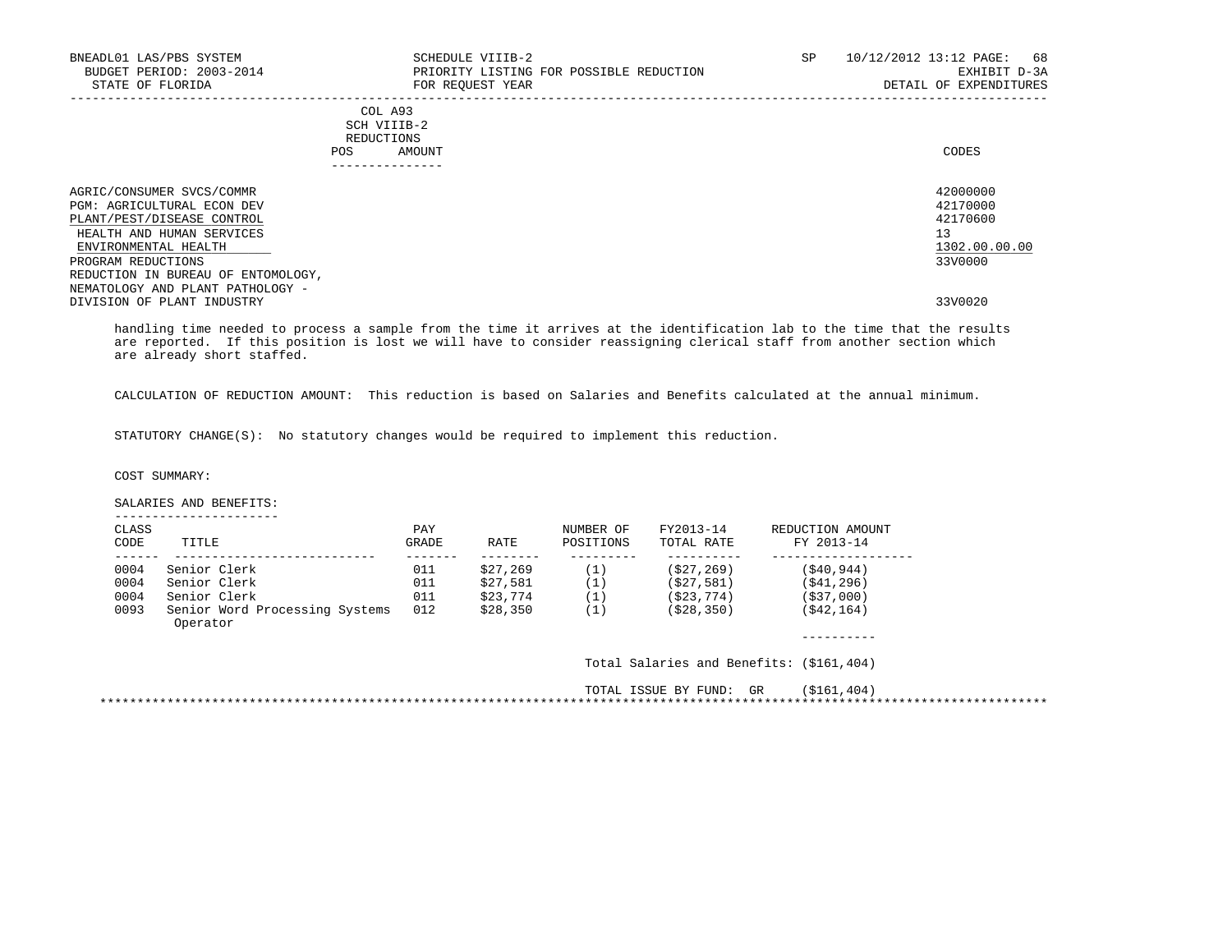| BNEADL01 LAS/PBS SYSTEM<br>BUDGET PERIOD: 2003-2014<br>STATE OF FLORIDA                                                                           | SCHEDULE VIIIB-2<br>PRIORITY LISTING FOR POSSIBLE REDUCTION<br>FOR REQUEST YEAR | SP | 10/12/2012 13:12 PAGE: 68<br>EXHIBIT D-3A<br>DETAIL OF EXPENDITURES |
|---------------------------------------------------------------------------------------------------------------------------------------------------|---------------------------------------------------------------------------------|----|---------------------------------------------------------------------|
|                                                                                                                                                   | COL A93<br>SCH VIIIB-2<br>REDUCTIONS<br>POS<br>AMOUNT<br>_____________          |    | CODES                                                               |
| AGRIC/CONSUMER SVCS/COMMR<br><b>PGM: AGRICULTURAL ECON DEV</b><br>PLANT/PEST/DISEASE CONTROL<br>HEALTH AND HUMAN SERVICES<br>ENVIRONMENTAL HEALTH |                                                                                 |    | 42000000<br>42170000<br>42170600<br>13<br>1302.00.00.00<br>33V0000  |
| PROGRAM REDUCTIONS<br>REDUCTION IN BUREAU OF ENTOMOLOGY,<br>NEMATOLOGY AND PLANT PATHOLOGY -<br>DIVISION OF PLANT INDUSTRY                        |                                                                                 |    | 33V0020                                                             |

 handling time needed to process a sample from the time it arrives at the identification lab to the time that the results are reported. If this position is lost we will have to consider reassigning clerical staff from another section which are already short staffed.

CALCULATION OF REDUCTION AMOUNT: This reduction is based on Salaries and Benefits calculated at the annual minimum.

STATUTORY CHANGE(S): No statutory changes would be required to implement this reduction.

COST SUMMARY:

 SALARIES AND BENEFITS: ----------------------

| CLASS<br>CODE | TITLE                                      | PAY<br>GRADE | RATE     | NUMBER OF<br>POSITIONS | FY2013-14<br>TOTAL RATE | REDUCTION AMOUNT<br>FY 2013-14           |  |
|---------------|--------------------------------------------|--------------|----------|------------------------|-------------------------|------------------------------------------|--|
| 0004          | Senior Clerk                               | 011          | \$27,269 | (1)                    | (S27, 269)              | (S40.944)                                |  |
| 0004          | Senior Clerk                               | 011          | \$27,581 | (1)                    | (S27, 581)              | (S41, 296)                               |  |
| 0004          | Senior Clerk                               | 011          | \$23,774 | (1)                    | (S23, 774)              | ( \$37,000)                              |  |
| 0093          | Senior Word Processing Systems<br>Operator | 012          | \$28,350 | (1)                    | ( \$28, 350)            | ( \$42, 164)                             |  |
|               |                                            |              |          |                        |                         | Total Salaries and Benefits: (\$161,404) |  |
|               |                                            |              |          |                        | TOTAL ISSUE BY FUND: GR | (S161, 404)                              |  |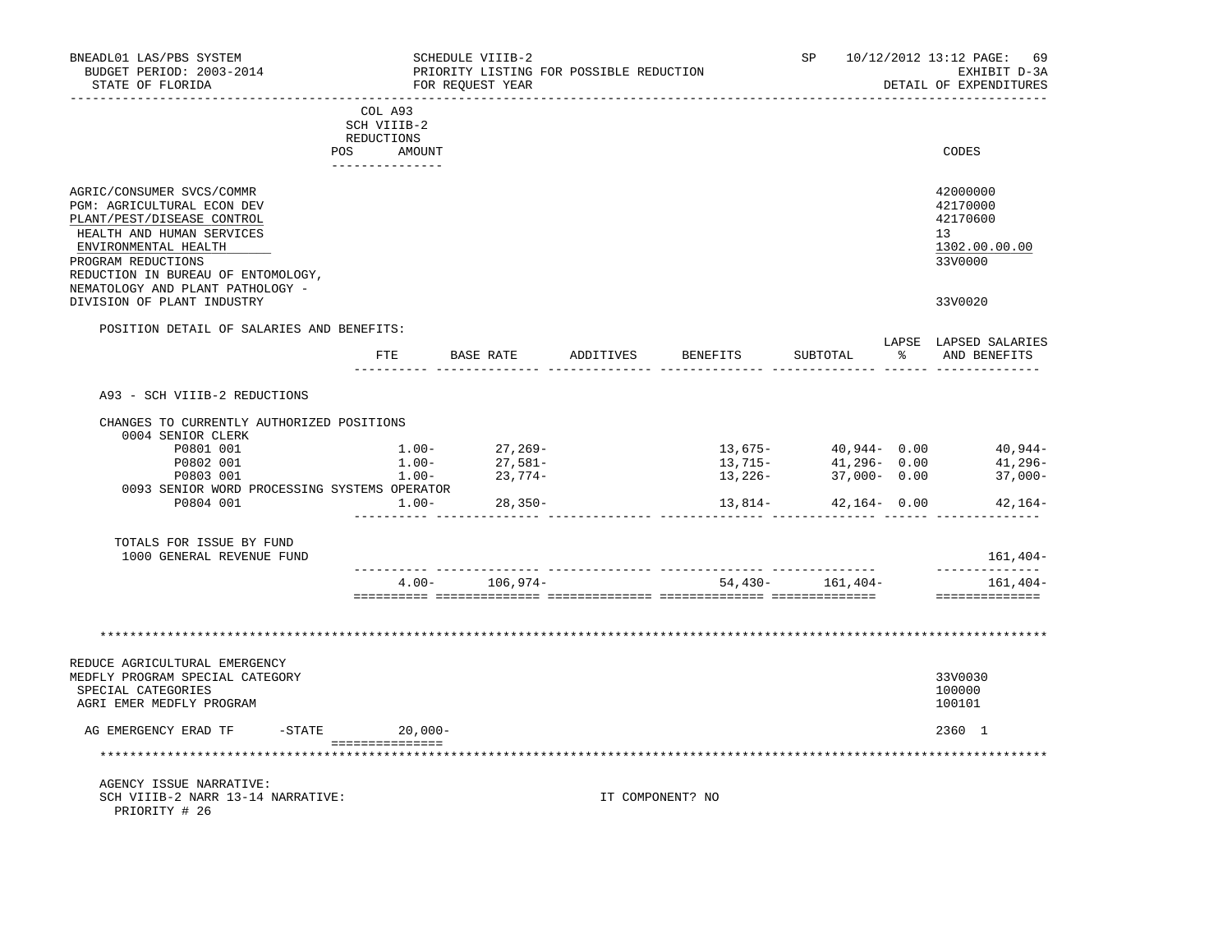| BNEADL01 LAS/PBS SYSTEM<br>BUDGET PERIOD: 2003-2014<br>STATE OF FLORIDA<br>------------------                                                                                                                                              |                        | SCHEDULE VIIIB-2<br>FOR REOUEST YEAR | PRIORITY LISTING FOR POSSIBLE REDUCTION | ----------------------           |                  |               | SP 10/12/2012 13:12 PAGE: 69<br>EXHIBIT D-3A<br>DETAIL OF EXPENDITURES |
|--------------------------------------------------------------------------------------------------------------------------------------------------------------------------------------------------------------------------------------------|------------------------|--------------------------------------|-----------------------------------------|----------------------------------|------------------|---------------|------------------------------------------------------------------------|
|                                                                                                                                                                                                                                            | COL A93<br>SCH VIIIB-2 |                                      |                                         |                                  |                  |               |                                                                        |
|                                                                                                                                                                                                                                            | REDUCTIONS             |                                      |                                         |                                  |                  |               |                                                                        |
|                                                                                                                                                                                                                                            | POS<br>AMOUNT          |                                      |                                         |                                  |                  |               | CODES                                                                  |
| AGRIC/CONSUMER SVCS/COMMR<br>PGM: AGRICULTURAL ECON DEV<br>PLANT/PEST/DISEASE CONTROL<br>HEALTH AND HUMAN SERVICES<br>ENVIRONMENTAL HEALTH<br>PROGRAM REDUCTIONS<br>REDUCTION IN BUREAU OF ENTOMOLOGY,<br>NEMATOLOGY AND PLANT PATHOLOGY - |                        |                                      |                                         |                                  |                  |               | 42000000<br>42170000<br>42170600<br>13<br>1302.00.00.00<br>33V0000     |
| DIVISION OF PLANT INDUSTRY                                                                                                                                                                                                                 |                        |                                      |                                         |                                  |                  |               | 33V0020                                                                |
| POSITION DETAIL OF SALARIES AND BENEFITS:                                                                                                                                                                                                  |                        |                                      |                                         |                                  |                  |               |                                                                        |
|                                                                                                                                                                                                                                            | FTE                    | BASE RATE                            | ADDITIVES                               | BENEFITS                         | SUBTOTAL         | $\frac{1}{6}$ | LAPSE LAPSED SALARIES<br>AND BENEFITS                                  |
| A93 - SCH VIIIB-2 REDUCTIONS                                                                                                                                                                                                               |                        |                                      |                                         |                                  |                  |               |                                                                        |
|                                                                                                                                                                                                                                            |                        |                                      |                                         |                                  |                  |               |                                                                        |
| CHANGES TO CURRENTLY AUTHORIZED POSITIONS<br>0004 SENIOR CLERK                                                                                                                                                                             |                        |                                      |                                         |                                  |                  |               |                                                                        |
| P0801 001                                                                                                                                                                                                                                  | $1.00 -$               | $27,269-$                            |                                         | 13,675-                          | $40,944 - 0.00$  |               | 40,944-                                                                |
| P0802 001                                                                                                                                                                                                                                  | $1.00 -$               |                                      |                                         | 13,715-                          | $41,296 - 0.00$  |               | 41,296-                                                                |
| P0803 001                                                                                                                                                                                                                                  | $1.00-$                | 27,581–<br>23,774–                   |                                         | 13,226-                          | $37,000 - 0.00$  |               | $37,000-$                                                              |
| 0093 SENIOR WORD PROCESSING SYSTEMS OPERATOR                                                                                                                                                                                               |                        |                                      |                                         |                                  |                  |               |                                                                        |
| P0804 001                                                                                                                                                                                                                                  | $1.00-$                | $28,350-$                            |                                         | 13,814-                          | $42,164 - 0.00$  |               | 42,164-                                                                |
| TOTALS FOR ISSUE BY FUND<br>1000 GENERAL REVENUE FUND                                                                                                                                                                                      |                        |                                      |                                         |                                  |                  |               | 161,404-                                                               |
|                                                                                                                                                                                                                                            | $4.00 -$               | 106,974–                             |                                         | ________________________________ | 54,430- 161,404- |               | ---------<br>161,404-                                                  |
|                                                                                                                                                                                                                                            |                        |                                      |                                         |                                  |                  |               | ==============                                                         |
|                                                                                                                                                                                                                                            |                        |                                      |                                         |                                  |                  |               |                                                                        |
| REDUCE AGRICULTURAL EMERGENCY<br>MEDFLY PROGRAM SPECIAL CATEGORY<br>SPECIAL CATEGORIES<br>AGRI EMER MEDFLY PROGRAM                                                                                                                         |                        |                                      |                                         |                                  |                  |               | 33V0030<br>100000<br>100101                                            |
| AG EMERGENCY ERAD TF                                                                                                                                                                                                                       | -STATE 20,000-         |                                      |                                         |                                  |                  |               | 2360 1                                                                 |
| **********************************                                                                                                                                                                                                         | ===============        |                                      |                                         |                                  |                  |               | ****************************                                           |
| AGENCY ISSUE NARRATIVE:<br>SCH VIIIB-2 NARR 13-14 NARRATIVE:<br>PRIORITY # 26                                                                                                                                                              |                        |                                      |                                         | IT COMPONENT? NO                 |                  |               |                                                                        |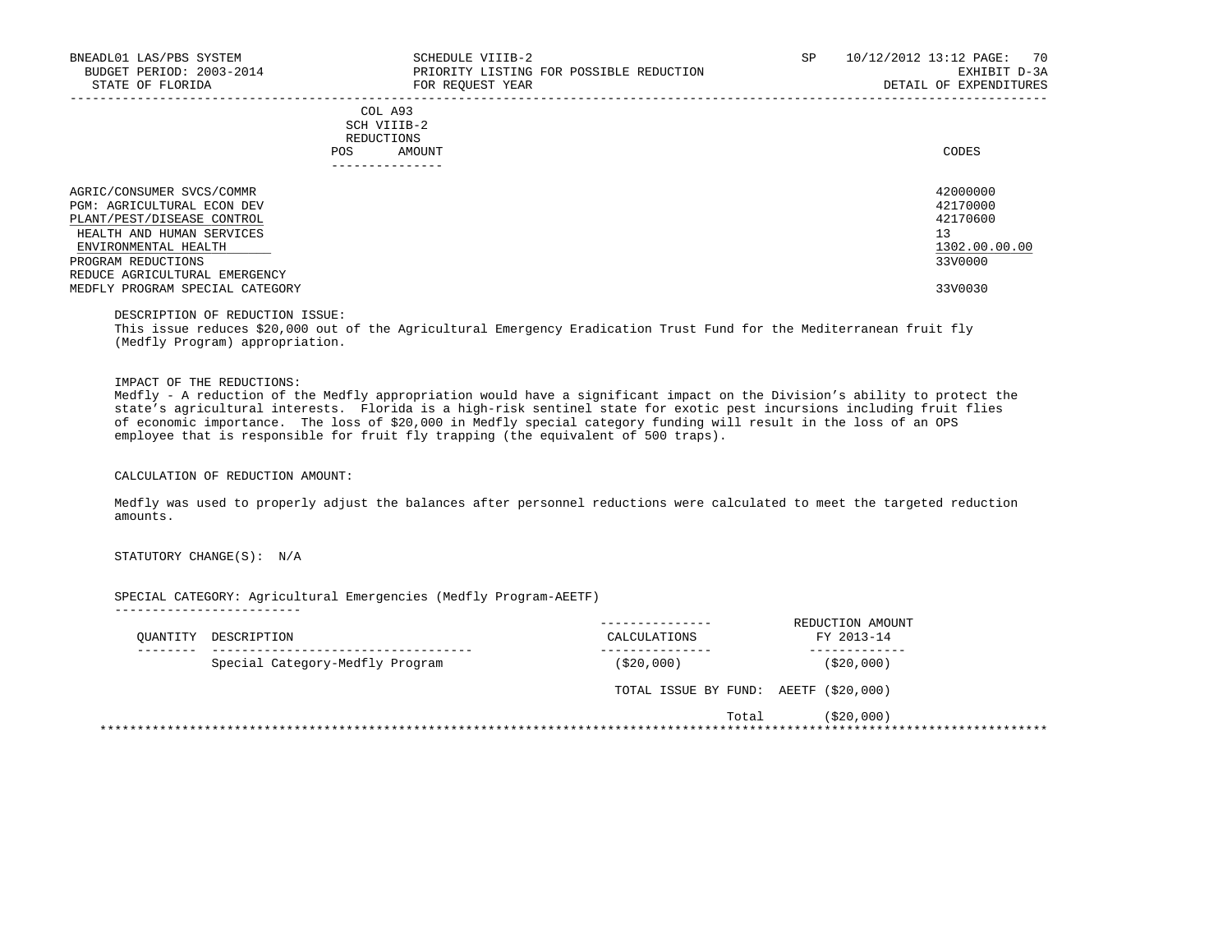| BNEADL01 LAS/PBS SYSTEM<br>BUDGET PERIOD: 2003-2014<br>STATE OF FLORIDA                                                                                                                                  | SCHEDULE VIIIB-2<br>PRIORITY LISTING FOR POSSIBLE REDUCTION<br>FOR REOUEST YEAR | SP | 10/12/2012 13:12 PAGE:<br>70<br>EXHIBIT D-3A<br>DETAIL OF EXPENDITURES |
|----------------------------------------------------------------------------------------------------------------------------------------------------------------------------------------------------------|---------------------------------------------------------------------------------|----|------------------------------------------------------------------------|
|                                                                                                                                                                                                          | COL A93<br>SCH VIIIB-2<br>REDUCTIONS<br>AMOUNT<br><b>POS</b>                    |    | CODES                                                                  |
| AGRIC/CONSUMER SVCS/COMMR<br><b>PGM: AGRICULTURAL ECON DEV</b><br>PLANT/PEST/DISEASE CONTROL<br>HEALTH AND HUMAN SERVICES<br>ENVIRONMENTAL HEALTH<br>PROGRAM REDUCTIONS<br>REDUCE AGRICULTURAL EMERGENCY |                                                                                 |    | 42000000<br>42170000<br>42170600<br>13<br>1302.00.00.00<br>33V0000     |
| MEDFLY PROGRAM SPECIAL CATEGORY                                                                                                                                                                          |                                                                                 |    | 33V0030                                                                |

## DESCRIPTION OF REDUCTION ISSUE:

 This issue reduces \$20,000 out of the Agricultural Emergency Eradication Trust Fund for the Mediterranean fruit fly (Medfly Program) appropriation.

## IMPACT OF THE REDUCTIONS:

 Medfly - A reduction of the Medfly appropriation would have a significant impact on the Division's ability to protect the state's agricultural interests. Florida is a high-risk sentinel state for exotic pest incursions including fruit flies of economic importance. The loss of \$20,000 in Medfly special category funding will result in the loss of an OPS employee that is responsible for fruit fly trapping (the equivalent of 500 traps).

CALCULATION OF REDUCTION AMOUNT:

 Medfly was used to properly adjust the balances after personnel reductions were calculated to meet the targeted reduction amounts.

STATUTORY CHANGE(S): N/A

### SPECIAL CATEGORY: Agricultural Emergencies (Medfly Program-AEETF) -------------------------

| OUANTITY | DESCRIPTION                     | -----------<br>CALCULATIONS           | REDUCTION AMOUNT<br>FY 2013-14 |
|----------|---------------------------------|---------------------------------------|--------------------------------|
|          | Special Category-Medfly Program | (\$20,000)                            | ( \$20,000)                    |
|          |                                 | TOTAL ISSUE BY FUND: AEETF (\$20,000) |                                |
|          |                                 | Total                                 | (520,000)                      |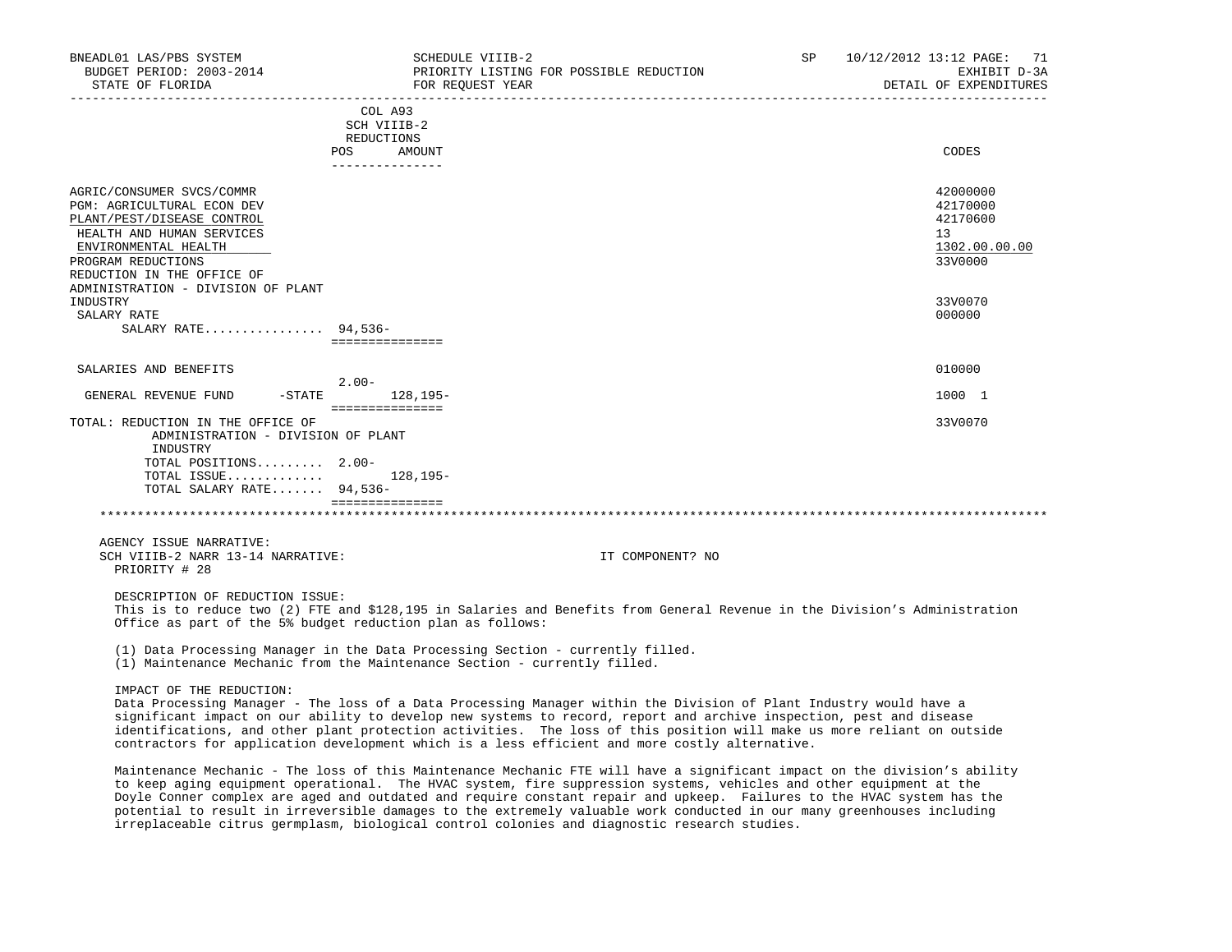| BNEADL01 LAS/PBS SYSTEM<br>BUDGET PERIOD: 2003-2014<br>STATE OF FLORIDA                                                                                                                                                              | SCHEDULE VIIIB-2<br>PRIORITY LISTING FOR POSSIBLE REDUCTION<br>FOR REQUEST YEAR                                                                                                                                                                                                                                                                                                                                                                                       | SP. | 10/12/2012 13:12 PAGE:<br>71<br>EXHIBIT D-3A<br>DETAIL OF EXPENDITURES<br>___________________ |
|--------------------------------------------------------------------------------------------------------------------------------------------------------------------------------------------------------------------------------------|-----------------------------------------------------------------------------------------------------------------------------------------------------------------------------------------------------------------------------------------------------------------------------------------------------------------------------------------------------------------------------------------------------------------------------------------------------------------------|-----|-----------------------------------------------------------------------------------------------|
|                                                                                                                                                                                                                                      | COL A93<br>SCH VIIIB-2<br>REDUCTIONS<br>POS<br>AMOUNT<br>_______________                                                                                                                                                                                                                                                                                                                                                                                              |     | CODES                                                                                         |
| AGRIC/CONSUMER SVCS/COMMR<br>PGM: AGRICULTURAL ECON DEV<br>PLANT/PEST/DISEASE CONTROL<br>HEALTH AND HUMAN SERVICES<br>ENVIRONMENTAL HEALTH<br>PROGRAM REDUCTIONS<br>REDUCTION IN THE OFFICE OF<br>ADMINISTRATION - DIVISION OF PLANT |                                                                                                                                                                                                                                                                                                                                                                                                                                                                       |     | 42000000<br>42170000<br>42170600<br>13 <sup>°</sup><br>1302.00.00.00<br>33V0000               |
| INDUSTRY<br>SALARY RATE<br>SALARY RATE 94,536-                                                                                                                                                                                       | ===============                                                                                                                                                                                                                                                                                                                                                                                                                                                       |     | 33V0070<br>000000                                                                             |
| SALARIES AND BENEFITS                                                                                                                                                                                                                |                                                                                                                                                                                                                                                                                                                                                                                                                                                                       |     | 010000                                                                                        |
|                                                                                                                                                                                                                                      | $2.00-$                                                                                                                                                                                                                                                                                                                                                                                                                                                               |     |                                                                                               |
| GENERAL REVENUE FUND<br>$-$ STATE                                                                                                                                                                                                    | $128.195-$<br>===============                                                                                                                                                                                                                                                                                                                                                                                                                                         |     | 1000 1                                                                                        |
| TOTAL: REDUCTION IN THE OFFICE OF<br>ADMINISTRATION - DIVISION OF PLANT<br>INDUSTRY<br>TOTAL POSITIONS 2.00-<br>TOTAL ISSUE<br>TOTAL SALARY RATE 94,536-                                                                             | 128,195-<br>================                                                                                                                                                                                                                                                                                                                                                                                                                                          |     | 33V0070                                                                                       |
| AGENCY ISSUE NARRATIVE:<br>SCH VIIIB-2 NARR 13-14 NARRATIVE:<br>PRIORITY # 28                                                                                                                                                        | IT COMPONENT? NO                                                                                                                                                                                                                                                                                                                                                                                                                                                      |     |                                                                                               |
| DESCRIPTION OF REDUCTION ISSUE:                                                                                                                                                                                                      | This is to reduce two (2) FTE and \$128,195 in Salaries and Benefits from General Revenue in the Division's Administration<br>Office as part of the 5% budget reduction plan as follows:                                                                                                                                                                                                                                                                              |     |                                                                                               |
|                                                                                                                                                                                                                                      | (1) Data Processing Manager in the Data Processing Section - currently filled.<br>(1) Maintenance Mechanic from the Maintenance Section - currently filled.                                                                                                                                                                                                                                                                                                           |     |                                                                                               |
| IMPACT OF THE REDUCTION:                                                                                                                                                                                                             | Data Processing Manager - The loss of a Data Processing Manager within the Division of Plant Industry would have a<br>significant impact on our ability to develop new systems to record, report and archive inspection, pest and disease<br>identifications, and other plant protection activities. The loss of this position will make us more reliant on outside<br>contractors for application development which is a less efficient and more costly alternative. |     |                                                                                               |

 Maintenance Mechanic - The loss of this Maintenance Mechanic FTE will have a significant impact on the division's ability to keep aging equipment operational. The HVAC system, fire suppression systems, vehicles and other equipment at the Doyle Conner complex are aged and outdated and require constant repair and upkeep. Failures to the HVAC system has the potential to result in irreversible damages to the extremely valuable work conducted in our many greenhouses including irreplaceable citrus germplasm, biological control colonies and diagnostic research studies.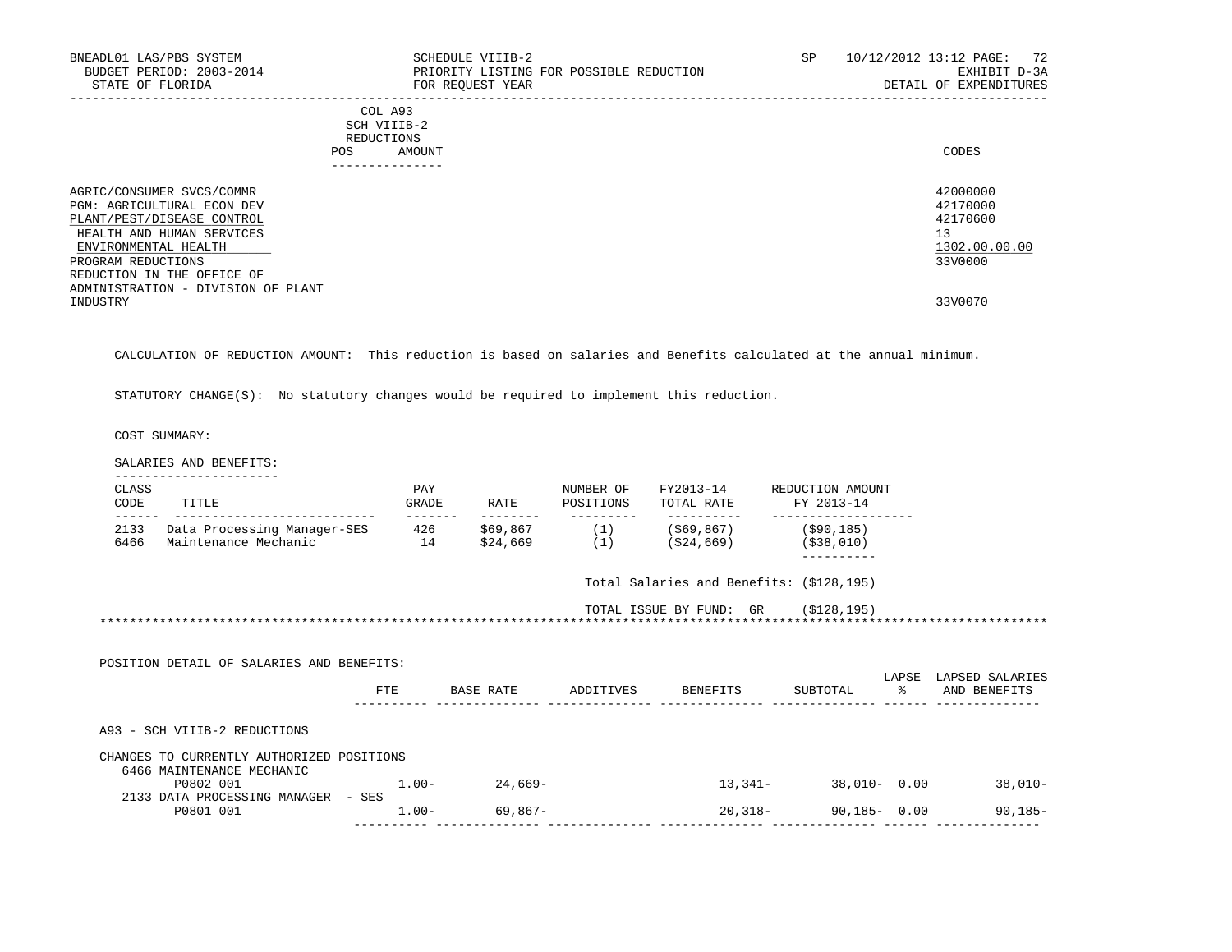| BNEADL01 LAS/PBS SYSTEM<br>BUDGET PERIOD: 2003-2014<br>STATE OF FLORIDA                                                                    | SCHEDULE VIIIB-2<br>PRIORITY LISTING FOR POSSIBLE REDUCTION<br>FOR REOUEST YEAR         | SP | 10/12/2012 13:12 PAGE: 72<br>EXHIBIT D-3A<br>DETAIL OF EXPENDITURES |
|--------------------------------------------------------------------------------------------------------------------------------------------|-----------------------------------------------------------------------------------------|----|---------------------------------------------------------------------|
|                                                                                                                                            | COL A93<br>SCH VIIIB-2<br>REDUCTIONS<br>POS.<br>AMOUNT<br>. - - - - - - - - - - - - - - |    | CODES                                                               |
| AGRIC/CONSUMER SVCS/COMMR<br>PGM: AGRICULTURAL ECON DEV<br>PLANT/PEST/DISEASE CONTROL<br>HEALTH AND HUMAN SERVICES<br>ENVIRONMENTAL HEALTH |                                                                                         |    | 42000000<br>42170000<br>42170600<br>13<br>1302.00.00.00             |
| PROGRAM REDUCTIONS<br>REDUCTION IN THE OFFICE OF                                                                                           |                                                                                         |    | 33V0000                                                             |
| ADMINISTRATION - DIVISION OF PLANT<br>INDUSTRY                                                                                             |                                                                                         |    | 33V0070                                                             |

CALCULATION OF REDUCTION AMOUNT: This reduction is based on salaries and Benefits calculated at the annual minimum.

STATUTORY CHANGE(S): No statutory changes would be required to implement this reduction.

COST SUMMARY:

SALARIES AND BENEFITS:

| CLASS<br>CODE | TITLE                                               | PAY<br>GRADE         | RATE                 | NUMBER OF<br>POSITIONS | FY2013-14<br>TOTAL RATE                                       | REDUCTION AMOUNT<br>FY 2013-14           |       |                 |
|---------------|-----------------------------------------------------|----------------------|----------------------|------------------------|---------------------------------------------------------------|------------------------------------------|-------|-----------------|
| 2133<br>6466  | Data Processing Manager-SES<br>Maintenance Mechanic | -------<br>426<br>14 | --------<br>\$24,669 |                        | -----------<br>$$69,867$ (1) (\$69,867)<br>$(1)$ $(524, 669)$ | (\$90,185)<br>( \$38, 010)               |       |                 |
|               |                                                     |                      |                      |                        |                                                               | Total Salaries and Benefits: (\$128,195) |       |                 |
|               |                                                     |                      |                      |                        |                                                               | TOTAL ISSUE BY FUND: GR (\$128,195)      |       |                 |
|               |                                                     |                      |                      |                        |                                                               |                                          |       |                 |
|               |                                                     |                      |                      |                        |                                                               |                                          |       |                 |
|               | POSITION DETAIL OF SALARIES AND BENEFITS:           |                      |                      |                        |                                                               |                                          | LAPSE | LAPSED SALARIES |
|               |                                                     | FTE                  | BASE RATE            | ADDITIVES              | <b>BENEFITS</b>                                               | SUBTOTAL                                 | ႜႜ    |                 |
|               | A93 - SCH VIIIB-2 REDUCTIONS                        |                      |                      |                        |                                                               |                                          |       | AND BENEFITS    |
|               | CHANGES TO CURRENTLY AUTHORIZED POSITIONS           |                      |                      |                        |                                                               |                                          |       |                 |
|               | 6466 MAINTENANCE MECHANIC<br>P0802 001              | $1.00-$              | 24,669–              |                        |                                                               | 13,341-<br>38,010- 0.00                  |       | $38,010-$       |
|               | 2133 DATA PROCESSING MANAGER - SES<br>P0801 001     | $1.00 -$             | 69,867-              |                        |                                                               | 90,185- 0.00<br>$20,318-$                |       | $90, 185 -$     |

---------- -------------- -------------- -------------- -------------- ------ --------------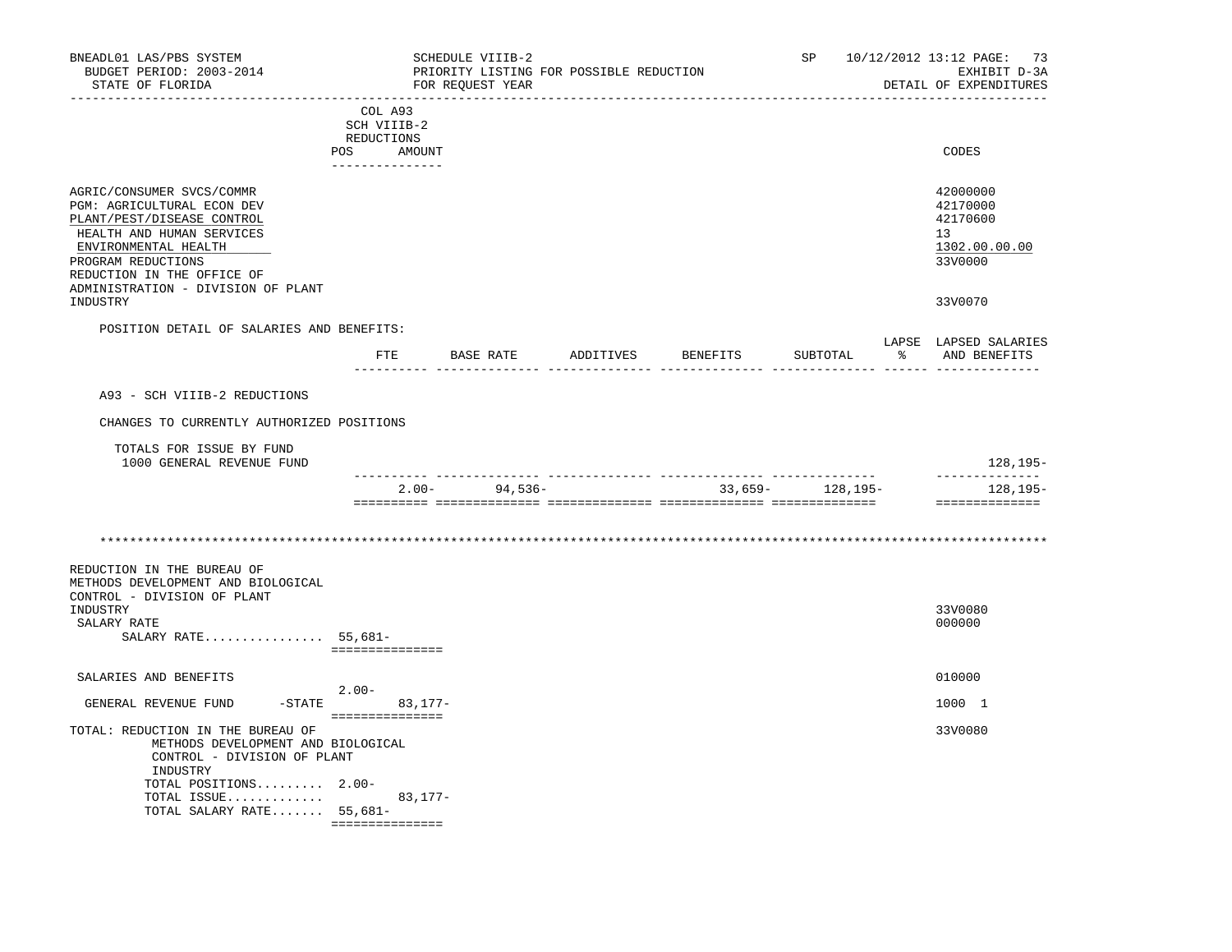| BNEADL01 LAS/PBS SYSTEM<br>BUDGET PERIOD: 2003-2014                                                                                                                                                                                  |                                                                          |         | SCHEDULE VIIIB-2<br>PRIORITY LISTING FOR POSSIBLE REDUCTION |                    | SP                | 10/12/2012 13:12 PAGE: 73<br>EXHIBIT D-3A                          |
|--------------------------------------------------------------------------------------------------------------------------------------------------------------------------------------------------------------------------------------|--------------------------------------------------------------------------|---------|-------------------------------------------------------------|--------------------|-------------------|--------------------------------------------------------------------|
| STATE OF FLORIDA<br>______________________________________                                                                                                                                                                           |                                                                          |         | FOR REOUEST YEAR                                            |                    |                   | DETAIL OF EXPENDITURES                                             |
|                                                                                                                                                                                                                                      | COL A93<br>SCH VIIIB-2<br>REDUCTIONS<br>POS<br>AMOUNT<br>--------------- |         |                                                             |                    |                   | CODES                                                              |
| AGRIC/CONSUMER SVCS/COMMR<br>PGM: AGRICULTURAL ECON DEV<br>PLANT/PEST/DISEASE CONTROL<br>HEALTH AND HUMAN SERVICES<br>ENVIRONMENTAL HEALTH<br>PROGRAM REDUCTIONS<br>REDUCTION IN THE OFFICE OF<br>ADMINISTRATION - DIVISION OF PLANT |                                                                          |         |                                                             |                    |                   | 42000000<br>42170000<br>42170600<br>13<br>1302.00.00.00<br>33V0000 |
| INDUSTRY                                                                                                                                                                                                                             |                                                                          |         |                                                             |                    |                   | 33V0070                                                            |
| POSITION DETAIL OF SALARIES AND BENEFITS:                                                                                                                                                                                            | FTE.                                                                     |         | BASE RATE                                                   | ADDITIVES BENEFITS | SUBTOTAL          | LAPSE LAPSED SALARIES<br>% AND BENEFITS                            |
| A93 - SCH VIIIB-2 REDUCTIONS                                                                                                                                                                                                         |                                                                          |         |                                                             |                    |                   |                                                                    |
| CHANGES TO CURRENTLY AUTHORIZED POSITIONS                                                                                                                                                                                            |                                                                          |         |                                                             |                    |                   |                                                                    |
|                                                                                                                                                                                                                                      |                                                                          |         |                                                             |                    |                   |                                                                    |
| TOTALS FOR ISSUE BY FUND<br>1000 GENERAL REVENUE FUND                                                                                                                                                                                |                                                                          |         |                                                             |                    |                   | 128,195-                                                           |
|                                                                                                                                                                                                                                      |                                                                          |         | $2.00 - 94,536 -$                                           |                    | $33,659-128,195-$ | --------------<br>128,195–<br>==============                       |
|                                                                                                                                                                                                                                      |                                                                          |         |                                                             |                    |                   |                                                                    |
|                                                                                                                                                                                                                                      |                                                                          |         |                                                             |                    |                   |                                                                    |
| REDUCTION IN THE BUREAU OF<br>METHODS DEVELOPMENT AND BIOLOGICAL                                                                                                                                                                     |                                                                          |         |                                                             |                    |                   |                                                                    |
| CONTROL - DIVISION OF PLANT<br>INDUSTRY<br>SALARY RATE<br>SALARY RATE $55,681-$                                                                                                                                                      | ===============                                                          |         |                                                             |                    |                   | 33V0080<br>000000                                                  |
| SALARIES AND BENEFITS                                                                                                                                                                                                                |                                                                          |         |                                                             |                    |                   | 010000                                                             |
| $-STATE$<br>GENERAL REVENUE FUND                                                                                                                                                                                                     | $2.00-$<br>===============                                               | 83,177- |                                                             |                    |                   | 1000 1                                                             |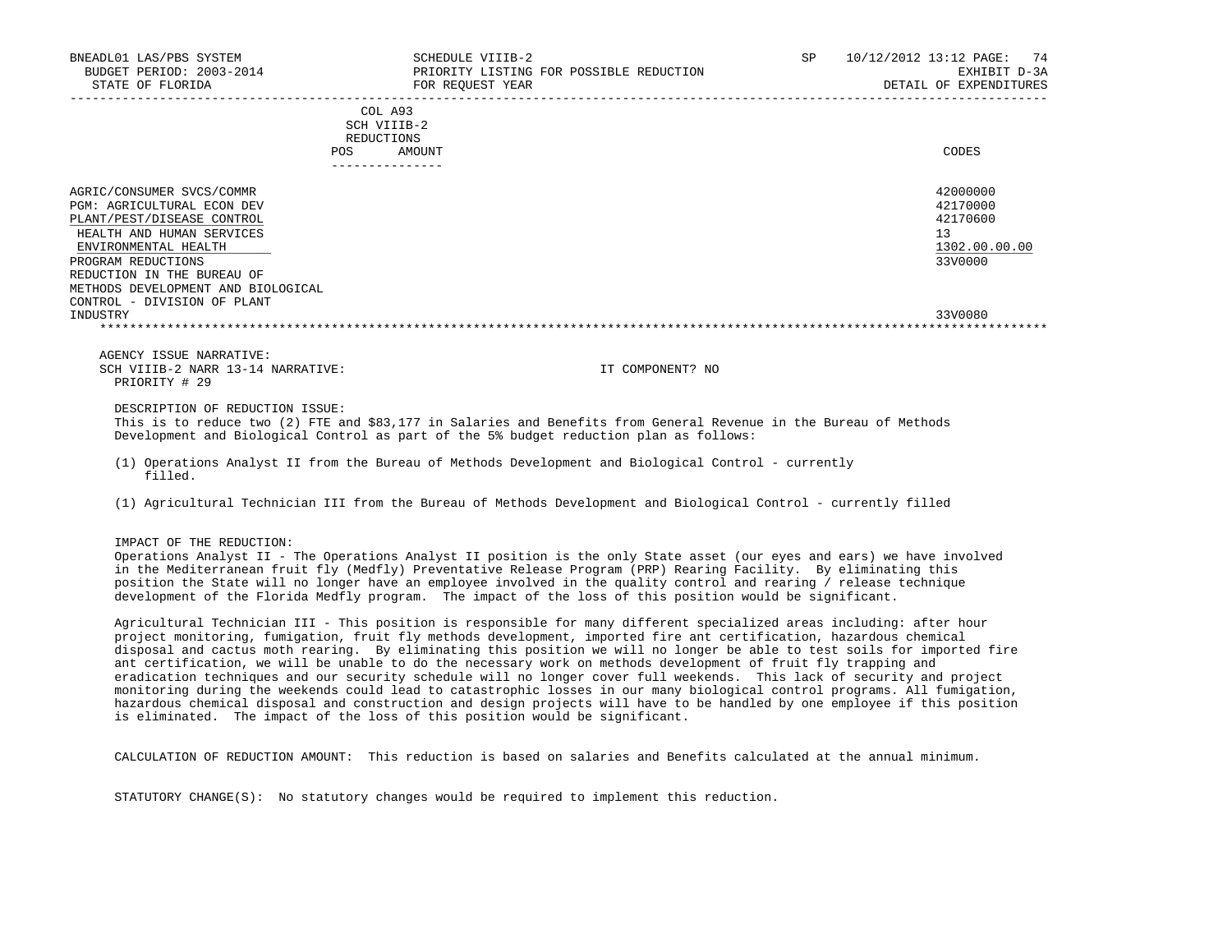| BNEADL01 LAS/PBS SYSTEM<br>BUDGET PERIOD: 2003-2014<br>STATE OF FLORIDA                                                                                                                                                                                                    |                                                                       | SCHEDULE VIIIB-2<br>FOR REOUEST YEAR | PRIORITY LISTING FOR POSSIBLE REDUCTION | SP | 10/12/2012 13:12 PAGE: 74<br>EXHIBIT D-3A<br>DETAIL OF EXPENDITURES |
|----------------------------------------------------------------------------------------------------------------------------------------------------------------------------------------------------------------------------------------------------------------------------|-----------------------------------------------------------------------|--------------------------------------|-----------------------------------------|----|---------------------------------------------------------------------|
|                                                                                                                                                                                                                                                                            | COL A93<br>SCH VIIIB-2<br>REDUCTIONS<br>POS AMOUNT<br>--------------- |                                      |                                         |    | CODES                                                               |
| AGRIC/CONSUMER SVCS/COMMR<br><b>PGM: AGRICULTURAL ECON DEV</b><br>PLANT/PEST/DISEASE CONTROL<br>HEALTH AND HUMAN SERVICES<br>ENVIRONMENTAL HEALTH<br>PROGRAM REDUCTIONS<br>REDUCTION IN THE BUREAU OF<br>METHODS DEVELOPMENT AND BIOLOGICAL<br>CONTROL - DIVISION OF PLANT |                                                                       |                                      |                                         |    | 42000000<br>42170000<br>42170600<br>13<br>1302.00.00.00<br>33V0000  |
| INDUSTRY                                                                                                                                                                                                                                                                   |                                                                       |                                      |                                         |    | 33V0080                                                             |
| AGENCY ISSUE NARRATIVE:<br>SCH VIIIB-2 NARR 13-14 NARRATIVE:<br>PRIORITY # 29                                                                                                                                                                                              |                                                                       |                                      | IT COMPONENT? NO                        |    |                                                                     |
| DESCRIPTION OF REDUCTION ISSUE:<br>This is to reduce two (2) FTE and \$83,177 in Salaries and Benefits from General Revenue in the Bureau of Methods                                                                                                                       |                                                                       |                                      |                                         |    |                                                                     |

Development and Biological Control as part of the 5% budget reduction plan as follows:

 (1) Operations Analyst II from the Bureau of Methods Development and Biological Control - currently filled.

(1) Agricultural Technician III from the Bureau of Methods Development and Biological Control - currently filled

IMPACT OF THE REDUCTION:

 Operations Analyst II - The Operations Analyst II position is the only State asset (our eyes and ears) we have involved in the Mediterranean fruit fly (Medfly) Preventative Release Program (PRP) Rearing Facility. By eliminating this position the State will no longer have an employee involved in the quality control and rearing / release technique development of the Florida Medfly program. The impact of the loss of this position would be significant.

 Agricultural Technician III - This position is responsible for many different specialized areas including: after hour project monitoring, fumigation, fruit fly methods development, imported fire ant certification, hazardous chemical disposal and cactus moth rearing. By eliminating this position we will no longer be able to test soils for imported fire ant certification, we will be unable to do the necessary work on methods development of fruit fly trapping and eradication techniques and our security schedule will no longer cover full weekends. This lack of security and project monitoring during the weekends could lead to catastrophic losses in our many biological control programs. All fumigation, hazardous chemical disposal and construction and design projects will have to be handled by one employee if this position is eliminated. The impact of the loss of this position would be significant.

CALCULATION OF REDUCTION AMOUNT: This reduction is based on salaries and Benefits calculated at the annual minimum.

STATUTORY CHANGE(S): No statutory changes would be required to implement this reduction.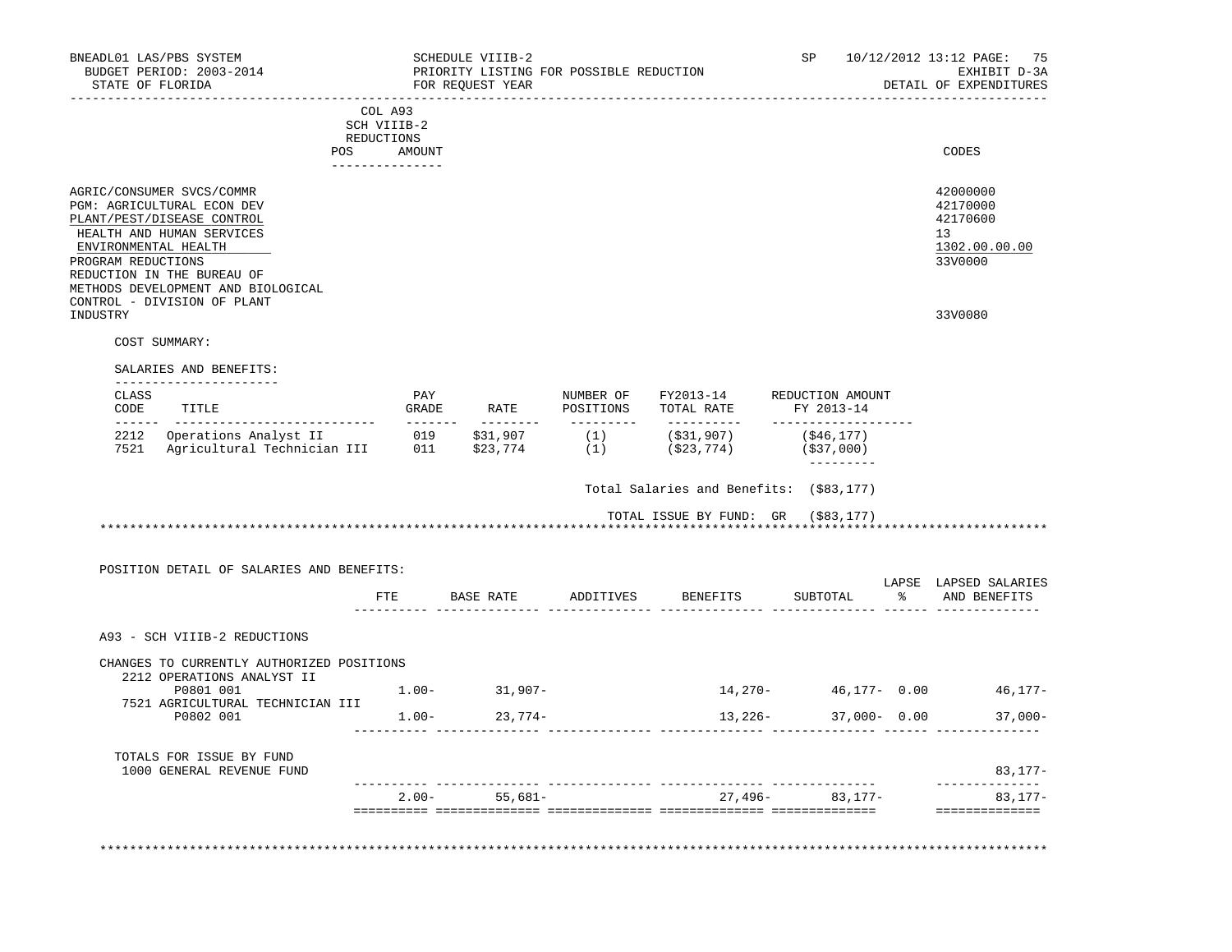| BUDGET PERIOD: 2003-2014<br>STATE OF FLORIDA                                                                                                                                                                                                                        |                                                                   | SCHEDULE VIIIB-2<br>FOR REQUEST YEAR | PRIORITY LISTING FOR POSSIBLE REDUCTION       |                                         | SP                                                     |                                                                                         | 10/12/2012 13:12 PAGE:<br>75<br>EXHIBIT D-3A<br>DETAIL OF EXPENDITURES                    |
|---------------------------------------------------------------------------------------------------------------------------------------------------------------------------------------------------------------------------------------------------------------------|-------------------------------------------------------------------|--------------------------------------|-----------------------------------------------|-----------------------------------------|--------------------------------------------------------|-----------------------------------------------------------------------------------------|-------------------------------------------------------------------------------------------|
| POS                                                                                                                                                                                                                                                                 | COL A93<br>SCH VIIIB-2<br>REDUCTIONS<br>AMOUNT<br>_______________ |                                      |                                               |                                         |                                                        |                                                                                         | CODES                                                                                     |
| AGRIC/CONSUMER SVCS/COMMR<br>PGM: AGRICULTURAL ECON DEV<br>PLANT/PEST/DISEASE CONTROL<br>HEALTH AND HUMAN SERVICES<br>ENVIRONMENTAL HEALTH<br>PROGRAM REDUCTIONS<br>REDUCTION IN THE BUREAU OF<br>METHODS DEVELOPMENT AND BIOLOGICAL<br>CONTROL - DIVISION OF PLANT |                                                                   |                                      |                                               |                                         |                                                        |                                                                                         | 42000000<br>42170000<br>42170600<br>13<br>1302.00.00.00<br>33V0000                        |
| INDUSTRY                                                                                                                                                                                                                                                            |                                                                   |                                      |                                               |                                         |                                                        |                                                                                         | 33V0080                                                                                   |
| COST SUMMARY:                                                                                                                                                                                                                                                       |                                                                   |                                      |                                               |                                         |                                                        |                                                                                         |                                                                                           |
| SALARIES AND BENEFITS:<br>-----------------------                                                                                                                                                                                                                   |                                                                   |                                      |                                               |                                         |                                                        |                                                                                         |                                                                                           |
| CLASS<br>CODE<br>TITLE<br>______ ____________________________                                                                                                                                                                                                       | PAY<br>GRADE<br>$- - - - - - -$                                   | RATE                                 | NUMBER OF<br>POSITIONS<br>$- - - - - - - - -$ | FY2013-14<br>TOTAL RATE<br>-----------  | REDUCTION AMOUNT<br>FY 2013-14<br>-------------------- |                                                                                         |                                                                                           |
| 2212 Operations Analyst II<br>7521 Agricultural Technician III 011                                                                                                                                                                                                  | 019                                                               | \$31,907<br>\$23,774                 | (1)                                           | (\$31,907)<br>$(1)$ $(§23, 774)$        | ( \$46, 177)<br>(\$37,000)<br>----------               |                                                                                         |                                                                                           |
|                                                                                                                                                                                                                                                                     |                                                                   |                                      |                                               | Total Salaries and Benefits: (\$83,177) |                                                        |                                                                                         |                                                                                           |
|                                                                                                                                                                                                                                                                     |                                                                   |                                      |                                               | TOTAL ISSUE BY FUND: GR (\$83,177)      |                                                        |                                                                                         |                                                                                           |
|                                                                                                                                                                                                                                                                     |                                                                   |                                      |                                               |                                         |                                                        |                                                                                         |                                                                                           |
|                                                                                                                                                                                                                                                                     |                                                                   |                                      |                                               |                                         |                                                        |                                                                                         |                                                                                           |
| POSITION DETAIL OF SALARIES AND BENEFITS:                                                                                                                                                                                                                           | FTE                                                               | BASE RATE                            | ADDITIVES                                     | BENEFITS                                | SUBTOTAL                                               | - <i>이 영어</i> - 이 어디 - 이 어디 - 이 어디 - 이 어디 - 이 어디 - 이 어디 - 이 어디 - 이 어디 - 이 어디 - 이 어디 - 이 | AND BENEFITS                                                                              |
| A93 - SCH VIIIB-2 REDUCTIONS                                                                                                                                                                                                                                        |                                                                   |                                      |                                               |                                         |                                                        |                                                                                         |                                                                                           |
| CHANGES TO CURRENTLY AUTHORIZED POSITIONS                                                                                                                                                                                                                           |                                                                   |                                      |                                               |                                         |                                                        |                                                                                         |                                                                                           |
| 2212 OPERATIONS ANALYST II<br>P0801 001                                                                                                                                                                                                                             |                                                                   | $1.00 - 31,907 -$                    |                                               |                                         | 14,270-<br>46,177- 0.00                                |                                                                                         |                                                                                           |
| 7521 AGRICULTURAL TECHNICIAN III<br>P0802 001                                                                                                                                                                                                                       | $1.00 -$                                                          | 23,774-                              |                                               | 13,226-                                 | $37,000 - 0.00$                                        |                                                                                         |                                                                                           |
| TOTALS FOR ISSUE BY FUND<br>1000 GENERAL REVENUE FUND                                                                                                                                                                                                               |                                                                   |                                      |                                               |                                         |                                                        |                                                                                         |                                                                                           |
|                                                                                                                                                                                                                                                                     |                                                                   | $2.00 - 55,681 -$                    |                                               |                                         | $27,496-$ 83,177-                                      |                                                                                         | LAPSE LAPSED SALARIES<br>46,177-<br>$37,000-$<br>$83,177-$<br>______________<br>$83,177-$ |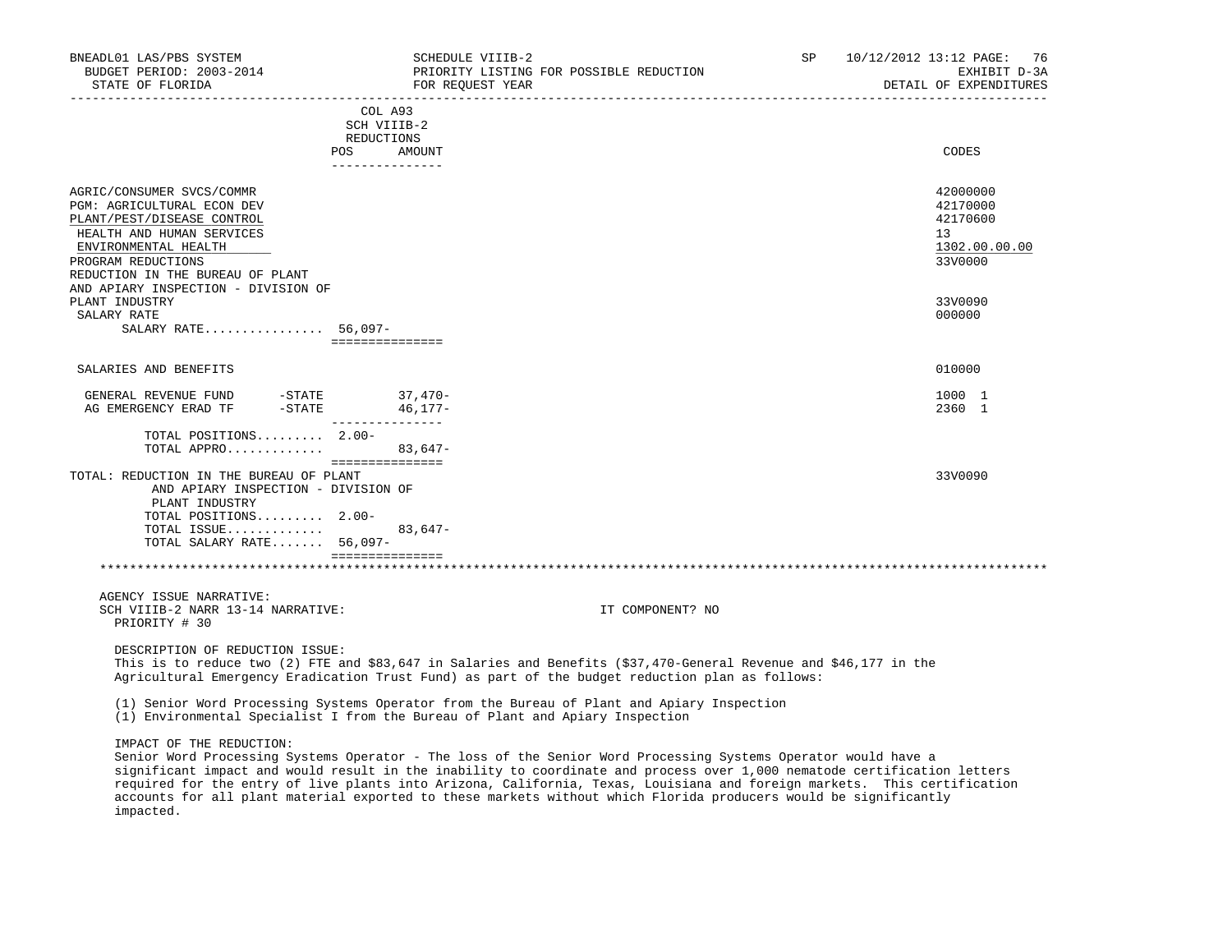| BNEADL01 LAS/PBS SYSTEM<br>BUDGET PERIOD: 2003-2014<br>STATE OF FLORIDA                                                                                                                              |                                              | SCHEDULE VIIIB-2<br>PRIORITY LISTING FOR POSSIBLE REDUCTION<br>FOR REOUEST YEAR | <b>SP</b> | 10/12/2012 13:12 PAGE:<br>76<br>EXHIBIT D-3A<br>DETAIL OF EXPENDITURES |
|------------------------------------------------------------------------------------------------------------------------------------------------------------------------------------------------------|----------------------------------------------|---------------------------------------------------------------------------------|-----------|------------------------------------------------------------------------|
|                                                                                                                                                                                                      | COL A93<br>SCH VIIIB-2<br>REDUCTIONS<br>POS. | AMOUNT                                                                          |           | CODES                                                                  |
| AGRIC/CONSUMER SVCS/COMMR<br>PGM: AGRICULTURAL ECON DEV<br>PLANT/PEST/DISEASE CONTROL<br>HEALTH AND HUMAN SERVICES<br>ENVIRONMENTAL HEALTH<br>PROGRAM REDUCTIONS<br>REDUCTION IN THE BUREAU OF PLANT | ---------------                              |                                                                                 |           | 42000000<br>42170000<br>42170600<br>13<br>1302.00.00.00<br>33V0000     |
| AND APIARY INSPECTION - DIVISION OF<br>PLANT INDUSTRY<br>SALARY RATE<br>SALARY RATE 56,097-                                                                                                          | ===============                              |                                                                                 |           | 33V0090<br>000000                                                      |
| SALARIES AND BENEFITS                                                                                                                                                                                |                                              |                                                                                 |           | 010000                                                                 |
| $-STATE$ 37,470-<br>GENERAL REVENUE FUND<br>$-STATE$<br>AG EMERGENCY ERAD TF                                                                                                                         | $46, 177-$<br>---------------                |                                                                                 |           | 1000 1<br>2360 1                                                       |
| TOTAL POSITIONS 2.00-<br>TOTAL APPRO                                                                                                                                                                 | ===============                              | $83,647-$                                                                       |           |                                                                        |
| TOTAL: REDUCTION IN THE BUREAU OF PLANT<br>AND APIARY INSPECTION - DIVISION OF<br>PLANT INDUSTRY<br>TOTAL POSITIONS 2.00-<br>TOTAL ISSUE<br>TOTAL SALARY RATE 56,097-                                |                                              | $83,647-$                                                                       |           | 33V0090                                                                |
|                                                                                                                                                                                                      | seesseesseesses                              |                                                                                 |           |                                                                        |
| AGENCY ISSUE NARRATIVE:<br>SCH VIIIB-2 NARR 13-14 NARRATIVE:<br>PRIORITY # 30                                                                                                                        |                                              | IT COMPONENT? NO                                                                |           |                                                                        |
| DESCRIPTION OF REDUCTION ISSUE:                                                                                                                                                                      |                                              |                                                                                 |           |                                                                        |

 This is to reduce two (2) FTE and \$83,647 in Salaries and Benefits (\$37,470-General Revenue and \$46,177 in the Agricultural Emergency Eradication Trust Fund) as part of the budget reduction plan as follows:

(1) Senior Word Processing Systems Operator from the Bureau of Plant and Apiary Inspection

(1) Environmental Specialist I from the Bureau of Plant and Apiary Inspection

IMPACT OF THE REDUCTION:

 Senior Word Processing Systems Operator - The loss of the Senior Word Processing Systems Operator would have a significant impact and would result in the inability to coordinate and process over 1,000 nematode certification letters required for the entry of live plants into Arizona, California, Texas, Louisiana and foreign markets. This certification accounts for all plant material exported to these markets without which Florida producers would be significantly impacted.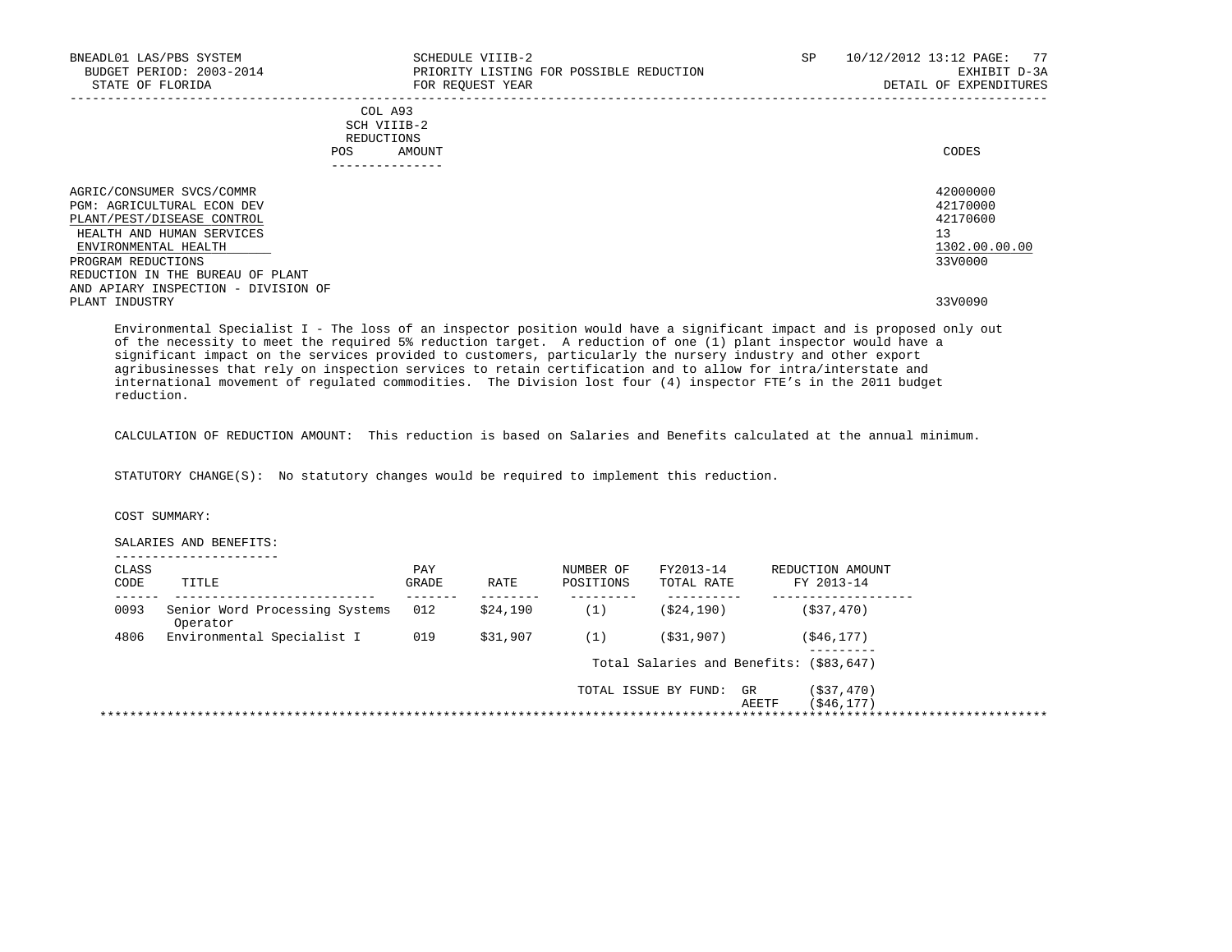| BNEADL01 LAS/PBS SYSTEM<br>BUDGET PERIOD: 2003-2014<br>STATE OF FLORIDA                                                                                                                                                                            | SCHEDULE VIIIB-2<br>PRIORITY LISTING FOR POSSIBLE REDUCTION<br>FOR REOUEST YEAR | SP | 10/12/2012 13:12 PAGE: 77<br>EXHIBIT D-3A<br>DETAIL OF EXPENDITURES |
|----------------------------------------------------------------------------------------------------------------------------------------------------------------------------------------------------------------------------------------------------|---------------------------------------------------------------------------------|----|---------------------------------------------------------------------|
|                                                                                                                                                                                                                                                    | COL A93<br>SCH VIIIB-2<br>REDUCTIONS<br>AMOUNT<br>POS                           |    | CODES                                                               |
| AGRIC/CONSUMER SVCS/COMMR<br><b>PGM: AGRICULTURAL ECON DEV</b><br>PLANT/PEST/DISEASE CONTROL<br>HEALTH AND HUMAN SERVICES<br>ENVIRONMENTAL HEALTH<br>PROGRAM REDUCTIONS<br>REDUCTION IN THE BUREAU OF PLANT<br>AND APIARY INSPECTION - DIVISION OF |                                                                                 |    | 42000000<br>42170000<br>42170600<br>13<br>1302.00.00.00<br>33V0000  |
| PLANT INDUSTRY                                                                                                                                                                                                                                     |                                                                                 |    | 33V0090                                                             |

 Environmental Specialist I - The loss of an inspector position would have a significant impact and is proposed only out of the necessity to meet the required 5% reduction target. A reduction of one (1) plant inspector would have a significant impact on the services provided to customers, particularly the nursery industry and other export agribusinesses that rely on inspection services to retain certification and to allow for intra/interstate and international movement of regulated commodities. The Division lost four (4) inspector FTE's in the 2011 budget reduction.

CALCULATION OF REDUCTION AMOUNT: This reduction is based on Salaries and Benefits calculated at the annual minimum.

STATUTORY CHANGE(S): No statutory changes would be required to implement this reduction.

COST SUMMARY:

SALARIES AND BENEFITS:

| CLASS<br>CODE | TITLE                                      | PAY<br>GRADE | RATE     | NUMBER OF<br>POSITIONS | FY2013-14<br>TOTAL RATE                 |             | REDUCTION AMOUNT<br>FY 2013-14 |  |
|---------------|--------------------------------------------|--------------|----------|------------------------|-----------------------------------------|-------------|--------------------------------|--|
| 0093          | Senior Word Processing Systems<br>Operator | 012          | \$24,190 | (1)                    | ( \$24, 190)                            |             | (S37, 470)                     |  |
| 4806          | Environmental Specialist I                 | 019          | \$31,907 | (1)                    | (S31, 907)                              |             | ( \$46, 177)                   |  |
|               |                                            |              |          |                        | Total Salaries and Benefits: (\$83,647) |             |                                |  |
|               |                                            |              |          |                        | TOTAL ISSUE BY FUND:                    | GR<br>AEETF | ( \$37, 470)<br>( \$46, 177)   |  |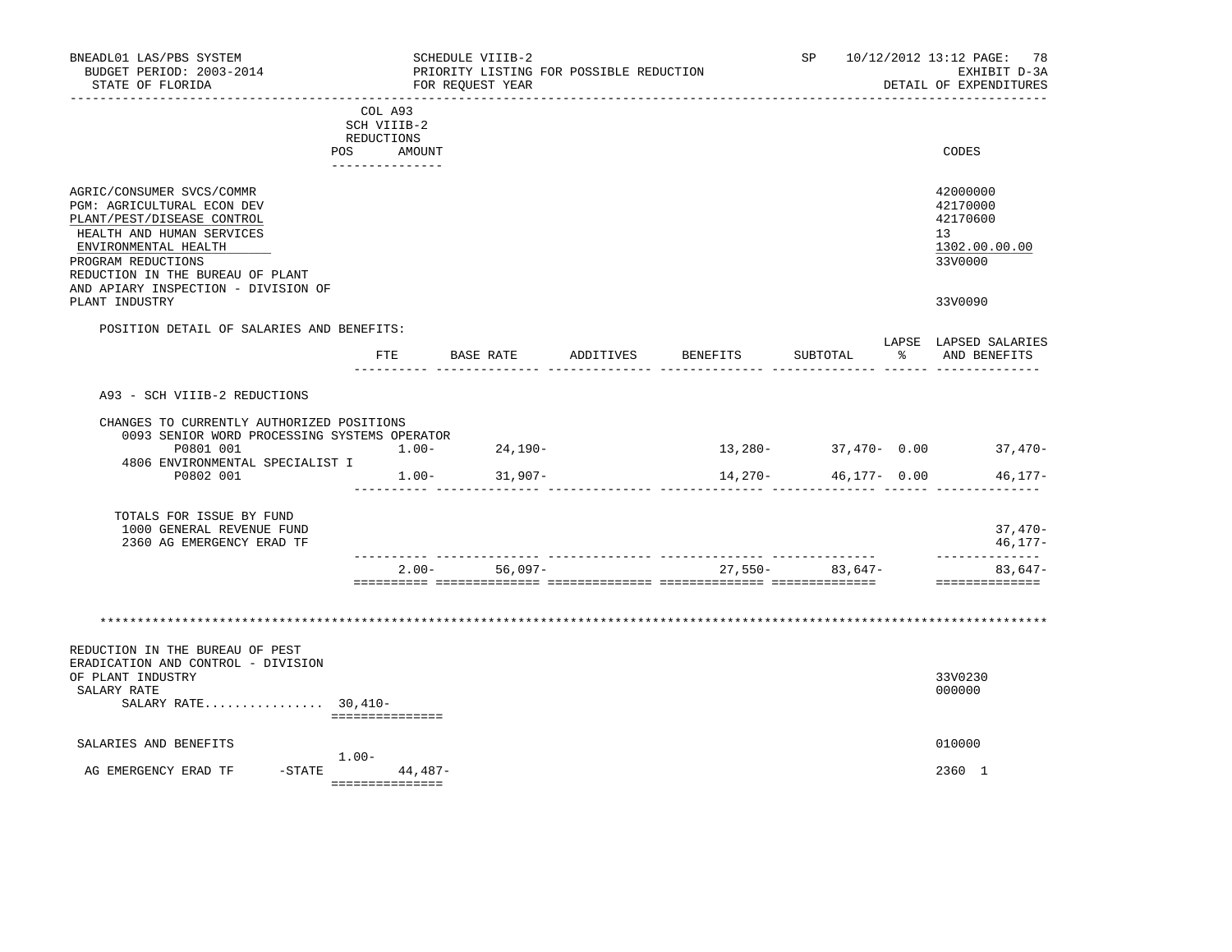| BNEADL01 LAS/PBS SYSTEM<br>BUDGET PERIOD: 2003-2014<br>STATE OF FLORIDA                                                                                                                                                                     |                                                                              |           | SCHEDULE VIIIB-2<br>FOR REQUEST YEAR | PRIORITY LISTING FOR POSSIBLE REDUCTION |                 |                     |           | SP 10/12/2012 13:12 PAGE: 78<br>EXHIBIT D-3A<br>DETAIL OF EXPENDITURES |
|---------------------------------------------------------------------------------------------------------------------------------------------------------------------------------------------------------------------------------------------|------------------------------------------------------------------------------|-----------|--------------------------------------|-----------------------------------------|-----------------|---------------------|-----------|------------------------------------------------------------------------|
|                                                                                                                                                                                                                                             | COL A93<br>SCH VIIIB-2<br>REDUCTIONS<br>POS<br>. _ _ _ _ _ _ _ _ _ _ _ _ _ _ | AMOUNT    |                                      |                                         |                 |                     |           | CODES                                                                  |
| AGRIC/CONSUMER SVCS/COMMR<br>PGM: AGRICULTURAL ECON DEV<br>PLANT/PEST/DISEASE CONTROL<br>HEALTH AND HUMAN SERVICES<br>ENVIRONMENTAL HEALTH<br>PROGRAM REDUCTIONS<br>REDUCTION IN THE BUREAU OF PLANT<br>AND APIARY INSPECTION - DIVISION OF |                                                                              |           |                                      |                                         |                 |                     |           | 42000000<br>42170000<br>42170600<br>13<br>1302.00.00.00<br>33V0000     |
| PLANT INDUSTRY                                                                                                                                                                                                                              |                                                                              |           |                                      |                                         |                 |                     |           | 33V0090                                                                |
| POSITION DETAIL OF SALARIES AND BENEFITS:                                                                                                                                                                                                   | ETE                                                                          |           | BASE RATE                            | ADDITIVES                               | <b>BENEFITS</b> | SUBTOTAL            | $\approx$ | LAPSE LAPSED SALARIES<br>AND BENEFITS                                  |
| A93 - SCH VIIIB-2 REDUCTIONS                                                                                                                                                                                                                |                                                                              |           |                                      |                                         |                 |                     |           |                                                                        |
| CHANGES TO CURRENTLY AUTHORIZED POSITIONS<br>0093 SENIOR WORD PROCESSING SYSTEMS OPERATOR                                                                                                                                                   |                                                                              |           |                                      |                                         |                 |                     |           |                                                                        |
| P0801 001<br>4806 ENVIRONMENTAL SPECIALIST I                                                                                                                                                                                                |                                                                              |           | $1.00 - 24,190 -$                    |                                         |                 |                     |           | $13,280 37,470-$ 0.00 $37,470-$                                        |
| P0802 001                                                                                                                                                                                                                                   |                                                                              |           | $1.00 - 31,907 -$                    |                                         | 14,270-         | 46,177- 0.00        |           | 46,177-                                                                |
| TOTALS FOR ISSUE BY FUND<br>1000 GENERAL REVENUE FUND<br>2360 AG EMERGENCY ERAD TF                                                                                                                                                          |                                                                              |           |                                      |                                         |                 |                     |           | $37,470-$<br>$46, 177 -$                                               |
|                                                                                                                                                                                                                                             |                                                                              |           | $2.00 - 56,097 -$                    |                                         |                 | $27,550 - 83,647 -$ |           | --------------<br>$83,647-$<br>==============                          |
| REDUCTION IN THE BUREAU OF PEST                                                                                                                                                                                                             |                                                                              |           |                                      |                                         |                 |                     |           |                                                                        |
| ERADICATION AND CONTROL - DIVISION<br>OF PLANT INDUSTRY<br>SALARY RATE<br>SALARY RATE $30,410-$                                                                                                                                             |                                                                              |           |                                      |                                         |                 |                     |           | 33V0230<br>000000                                                      |
|                                                                                                                                                                                                                                             | ===============                                                              |           |                                      |                                         |                 |                     |           |                                                                        |
| SALARIES AND BENEFITS                                                                                                                                                                                                                       | $1.00 -$                                                                     |           |                                      |                                         |                 |                     |           | 010000                                                                 |
| AG EMERGENCY ERAD TF                                                                                                                                                                                                                        | $-STATE$<br>===============                                                  | $44,487-$ |                                      |                                         |                 |                     |           | 2360 1                                                                 |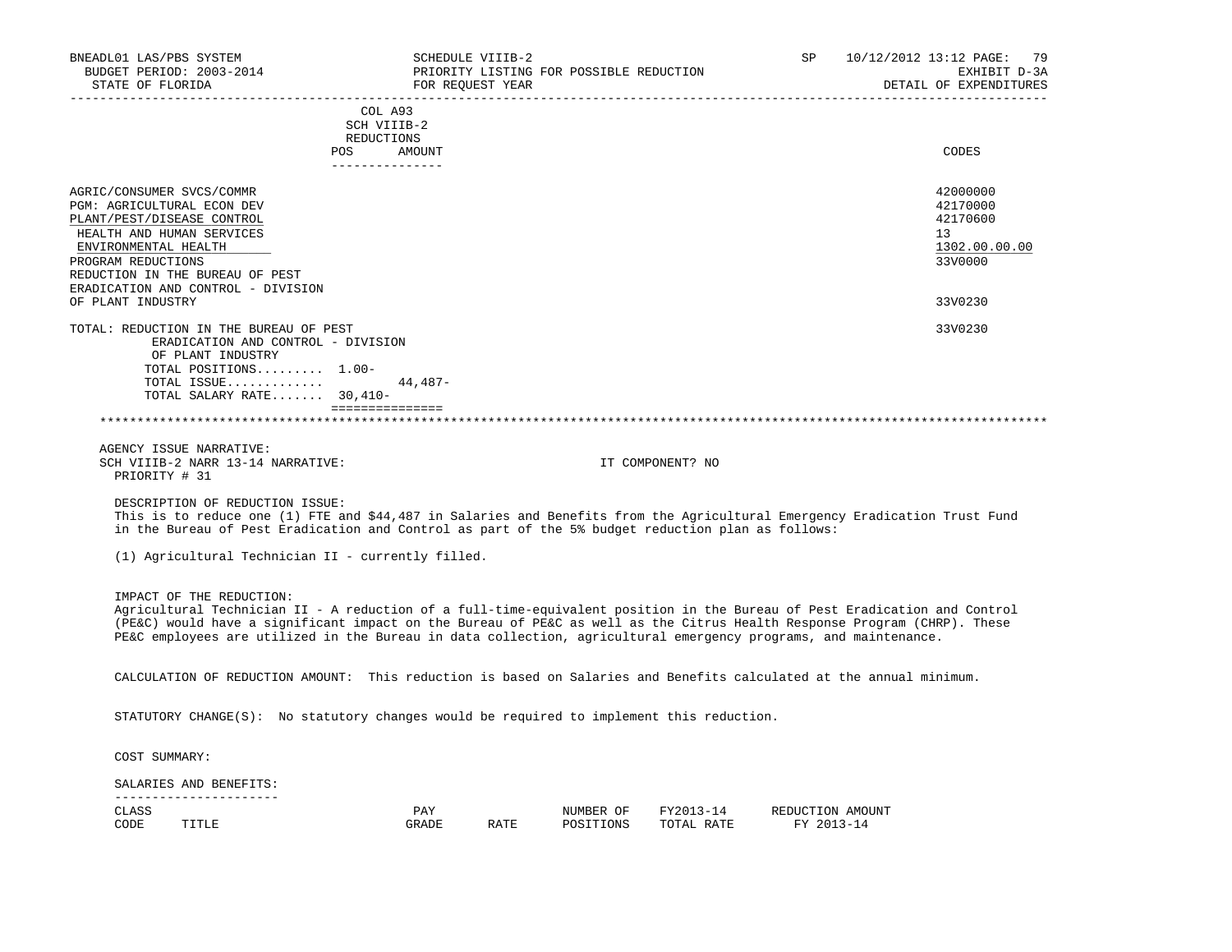| BNEADL01 LAS/PBS SYSTEM<br>BUDGET PERIOD: 2003-2014<br>STATE OF FLORIDA                                                                                                                                                                                                                                                                                                                              |                                                    |              | SCHEDULE VIIIB-2<br>FOR REQUEST YEAR | PRIORITY LISTING FOR POSSIBLE REDUCTION |                         | SP                             | _______________________________ | 10/12/2012 13:12 PAGE:<br>79<br>EXHIBIT D-3A<br>DETAIL OF EXPENDITURES |
|------------------------------------------------------------------------------------------------------------------------------------------------------------------------------------------------------------------------------------------------------------------------------------------------------------------------------------------------------------------------------------------------------|----------------------------------------------------|--------------|--------------------------------------|-----------------------------------------|-------------------------|--------------------------------|---------------------------------|------------------------------------------------------------------------|
|                                                                                                                                                                                                                                                                                                                                                                                                      | COL A93<br>SCH VIIIB-2<br>REDUCTIONS<br><b>POS</b> | AMOUNT       |                                      |                                         |                         |                                |                                 | CODES                                                                  |
|                                                                                                                                                                                                                                                                                                                                                                                                      | ---------------                                    |              |                                      |                                         |                         |                                |                                 |                                                                        |
| AGRIC/CONSUMER SVCS/COMMR<br>PGM: AGRICULTURAL ECON DEV<br>PLANT/PEST/DISEASE CONTROL<br>HEALTH AND HUMAN SERVICES<br>ENVIRONMENTAL HEALTH<br>PROGRAM REDUCTIONS<br>REDUCTION IN THE BUREAU OF PEST                                                                                                                                                                                                  |                                                    |              |                                      |                                         |                         |                                |                                 | 42000000<br>42170000<br>42170600<br>13<br>1302.00.00.00<br>33V0000     |
| ERADICATION AND CONTROL - DIVISION<br>OF PLANT INDUSTRY                                                                                                                                                                                                                                                                                                                                              |                                                    |              |                                      |                                         |                         |                                |                                 | 33V0230                                                                |
| TOTAL: REDUCTION IN THE BUREAU OF PEST<br>ERADICATION AND CONTROL - DIVISION                                                                                                                                                                                                                                                                                                                         |                                                    |              |                                      |                                         |                         |                                |                                 | 33V0230                                                                |
| OF PLANT INDUSTRY<br>TOTAL POSITIONS 1.00-<br>TOTAL ISSUE<br>TOTAL SALARY RATE 30,410-                                                                                                                                                                                                                                                                                                               | ===============                                    | $44,487-$    |                                      |                                         |                         |                                |                                 |                                                                        |
|                                                                                                                                                                                                                                                                                                                                                                                                      |                                                    |              |                                      |                                         |                         |                                |                                 |                                                                        |
| AGENCY ISSUE NARRATIVE:<br>SCH VIIIB-2 NARR 13-14 NARRATIVE:<br>PRIORITY # 31                                                                                                                                                                                                                                                                                                                        |                                                    |              |                                      |                                         | IT COMPONENT? NO        |                                |                                 |                                                                        |
| DESCRIPTION OF REDUCTION ISSUE:<br>This is to reduce one (1) FTE and \$44,487 in Salaries and Benefits from the Agricultural Emergency Eradication Trust Fund<br>in the Bureau of Pest Eradication and Control as part of the 5% budget reduction plan as follows:                                                                                                                                   |                                                    |              |                                      |                                         |                         |                                |                                 |                                                                        |
| (1) Agricultural Technician II - currently filled.                                                                                                                                                                                                                                                                                                                                                   |                                                    |              |                                      |                                         |                         |                                |                                 |                                                                        |
| IMPACT OF THE REDUCTION:<br>Agricultural Technician II - A reduction of a full-time-equivalent position in the Bureau of Pest Eradication and Control<br>(PE&C) would have a significant impact on the Bureau of PE&C as well as the Citrus Health Response Program (CHRP). These<br>PE&C employees are utilized in the Bureau in data collection, agricultural emergency programs, and maintenance. |                                                    |              |                                      |                                         |                         |                                |                                 |                                                                        |
| CALCULATION OF REDUCTION AMOUNT: This reduction is based on Salaries and Benefits calculated at the annual minimum.                                                                                                                                                                                                                                                                                  |                                                    |              |                                      |                                         |                         |                                |                                 |                                                                        |
| STATUTORY CHANGE( $S$ ): No statutory changes would be required to implement this reduction.                                                                                                                                                                                                                                                                                                         |                                                    |              |                                      |                                         |                         |                                |                                 |                                                                        |
| COST SUMMARY:                                                                                                                                                                                                                                                                                                                                                                                        |                                                    |              |                                      |                                         |                         |                                |                                 |                                                                        |
| SALARIES AND BENEFITS:                                                                                                                                                                                                                                                                                                                                                                               |                                                    |              |                                      |                                         |                         |                                |                                 |                                                                        |
| _______________________<br>CLASS<br>CODE<br>TITLE                                                                                                                                                                                                                                                                                                                                                    |                                                    | PAY<br>GRADE | RATE                                 | NUMBER OF<br>POSITIONS                  | FY2013-14<br>TOTAL RATE | REDUCTION AMOUNT<br>FY 2013-14 |                                 |                                                                        |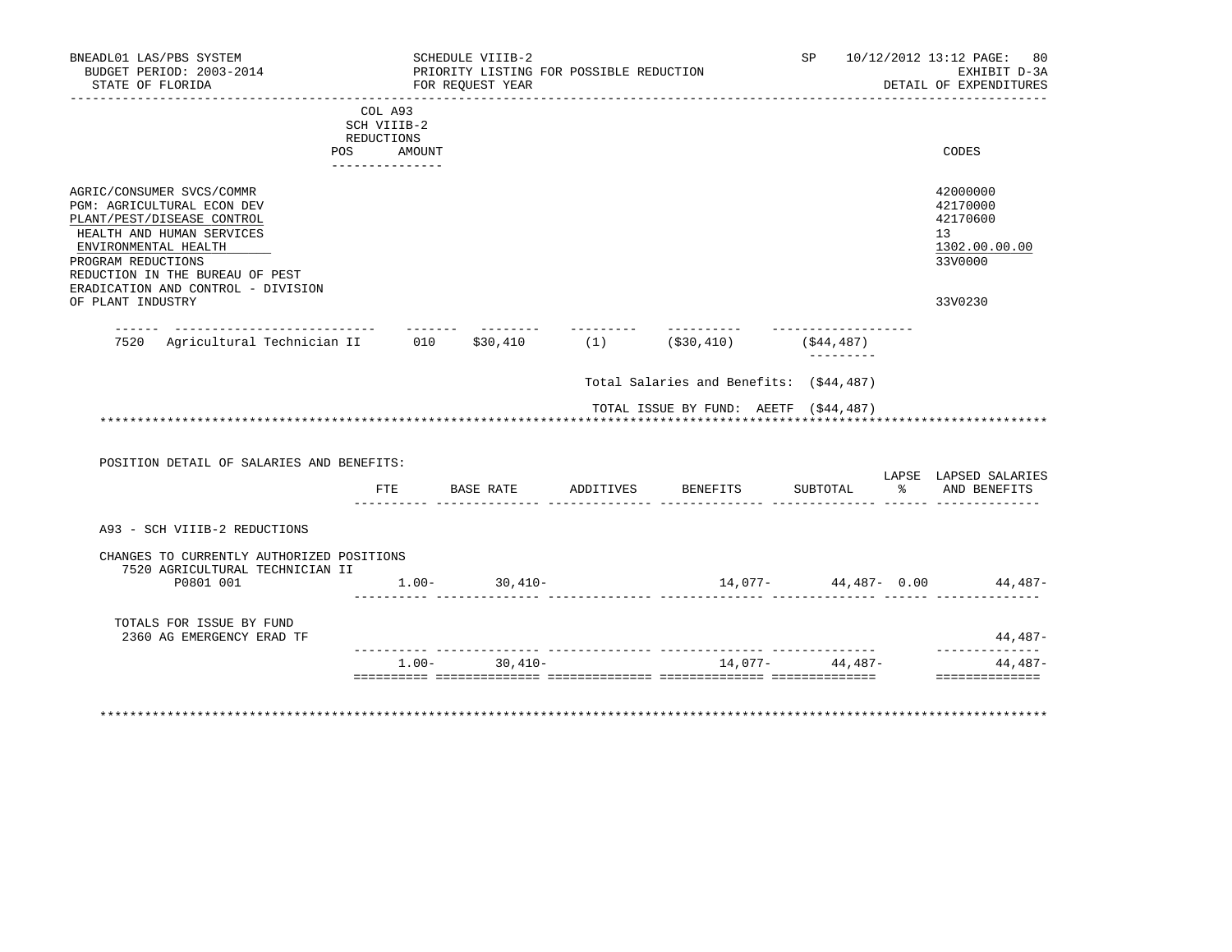| BNEADL01 LAS/PBS SYSTEM<br>BUDGET PERIOD: 2003-2014<br>STATE OF FLORIDA                                                                                                                                                                   |                        | SCHEDULE VIIIB-2<br>FOR REOUEST YEAR | PRIORITY LISTING FOR POSSIBLE REDUCTION |                                           | SP               | 10/12/2012 13:12 PAGE: 80<br>EXHIBIT D-3A<br>DETAIL OF EXPENDITURES |
|-------------------------------------------------------------------------------------------------------------------------------------------------------------------------------------------------------------------------------------------|------------------------|--------------------------------------|-----------------------------------------|-------------------------------------------|------------------|---------------------------------------------------------------------|
|                                                                                                                                                                                                                                           | COL A93<br>SCH VIIIB-2 | ---------------                      |                                         |                                           |                  |                                                                     |
|                                                                                                                                                                                                                                           | REDUCTIONS             |                                      |                                         |                                           |                  |                                                                     |
|                                                                                                                                                                                                                                           | POS AMOUNT             |                                      |                                         |                                           |                  | CODES                                                               |
|                                                                                                                                                                                                                                           | ---------------        |                                      |                                         |                                           |                  |                                                                     |
| AGRIC/CONSUMER SVCS/COMMR<br>PGM: AGRICULTURAL ECON DEV<br>PLANT/PEST/DISEASE CONTROL<br>HEALTH AND HUMAN SERVICES<br>ENVIRONMENTAL HEALTH<br>PROGRAM REDUCTIONS<br>REDUCTION IN THE BUREAU OF PEST<br>ERADICATION AND CONTROL - DIVISION |                        |                                      |                                         |                                           |                  | 42000000<br>42170000<br>42170600<br>13<br>1302.00.00.00<br>33V0000  |
| OF PLANT INDUSTRY                                                                                                                                                                                                                         |                        |                                      |                                         |                                           |                  | 33V0230                                                             |
| 7520 Agricultural Technician II 010 \$30,410 (1) (\$30,410)                                                                                                                                                                               |                        |                                      | ---------                               |                                           | (\$44,487)       |                                                                     |
|                                                                                                                                                                                                                                           |                        |                                      |                                         | Total Salaries and Benefits: (\$44,487)   |                  |                                                                     |
|                                                                                                                                                                                                                                           |                        |                                      |                                         |                                           |                  |                                                                     |
|                                                                                                                                                                                                                                           |                        |                                      |                                         | TOTAL ISSUE BY FUND: AEETF (\$44,487)     |                  |                                                                     |
|                                                                                                                                                                                                                                           |                        |                                      |                                         |                                           |                  |                                                                     |
| POSITION DETAIL OF SALARIES AND BENEFITS:                                                                                                                                                                                                 |                        |                                      |                                         |                                           |                  | LAPSE LAPSED SALARIES                                               |
|                                                                                                                                                                                                                                           |                        |                                      |                                         | FTE BASE RATE ADDITIVES BENEFITS SUBTOTAL |                  | % AND BENEFITS                                                      |
| A93 - SCH VIIIB-2 REDUCTIONS                                                                                                                                                                                                              |                        |                                      |                                         |                                           |                  |                                                                     |
| CHANGES TO CURRENTLY AUTHORIZED POSITIONS<br>7520 AGRICULTURAL TECHNICIAN II                                                                                                                                                              |                        |                                      |                                         |                                           |                  |                                                                     |
| P0801 001                                                                                                                                                                                                                                 |                        | $1.00 - 30.410 -$                    |                                         |                                           |                  | $14,077 44,487-$ 0.00 $44,487-$                                     |
| TOTALS FOR ISSUE BY FUND<br>2360 AG EMERGENCY ERAD TF                                                                                                                                                                                     |                        |                                      |                                         |                                           |                  | 44,487-                                                             |
|                                                                                                                                                                                                                                           |                        | $1.00 - 30.410 -$                    |                                         |                                           | $14,077 44,487-$ | ______________<br>44,487-                                           |
|                                                                                                                                                                                                                                           |                        |                                      |                                         |                                           |                  | ==============                                                      |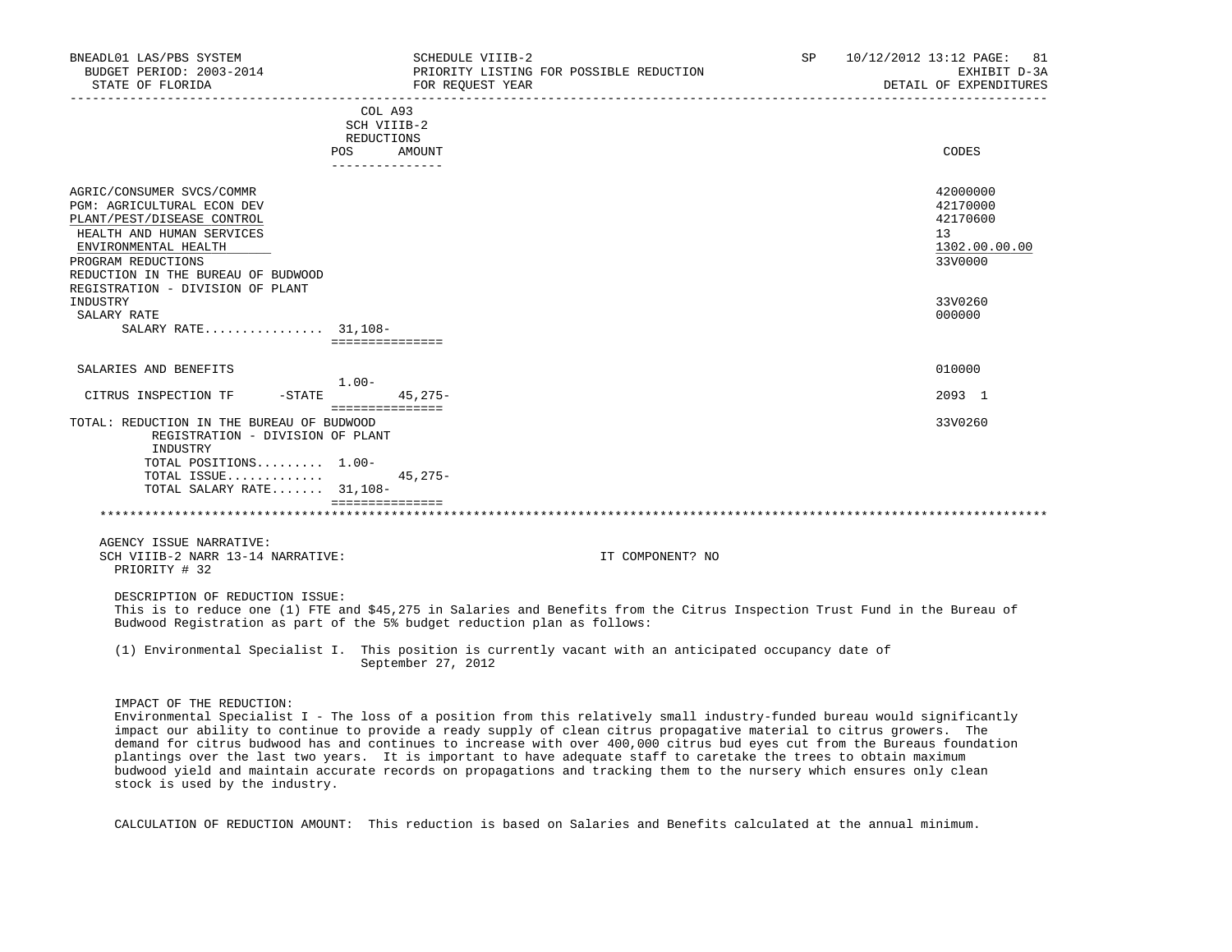| BNEADL01 LAS/PBS SYSTEM<br>BUDGET PERIOD: 2003-2014<br>STATE OF FLORIDA  | SCHEDULE VIIIB-2<br>FOR REOUEST YEAR | PRIORITY LISTING FOR POSSIBLE REDUCTION<br>_______________________________                                                                                                                                                                        | SP. | 10/12/2012 13:12 PAGE:<br>81<br>EXHIBIT D-3A<br>DETAIL OF EXPENDITURES |
|--------------------------------------------------------------------------|--------------------------------------|---------------------------------------------------------------------------------------------------------------------------------------------------------------------------------------------------------------------------------------------------|-----|------------------------------------------------------------------------|
|                                                                          | COL A93                              |                                                                                                                                                                                                                                                   |     |                                                                        |
|                                                                          | SCH VIIIB-2                          |                                                                                                                                                                                                                                                   |     |                                                                        |
|                                                                          | REDUCTIONS<br>POS<br>AMOUNT          |                                                                                                                                                                                                                                                   |     | CODES                                                                  |
|                                                                          | _______________                      |                                                                                                                                                                                                                                                   |     |                                                                        |
| AGRIC/CONSUMER SVCS/COMMR                                                |                                      |                                                                                                                                                                                                                                                   |     | 42000000                                                               |
| PGM: AGRICULTURAL ECON DEV                                               |                                      |                                                                                                                                                                                                                                                   |     | 42170000                                                               |
| PLANT/PEST/DISEASE CONTROL                                               |                                      |                                                                                                                                                                                                                                                   |     | 42170600                                                               |
| HEALTH AND HUMAN SERVICES                                                |                                      |                                                                                                                                                                                                                                                   |     | 13 <sup>°</sup>                                                        |
| ENVIRONMENTAL HEALTH                                                     |                                      |                                                                                                                                                                                                                                                   |     | 1302.00.00.00                                                          |
| PROGRAM REDUCTIONS                                                       |                                      |                                                                                                                                                                                                                                                   |     | 33V0000                                                                |
| REDUCTION IN THE BUREAU OF BUDWOOD                                       |                                      |                                                                                                                                                                                                                                                   |     |                                                                        |
| REGISTRATION - DIVISION OF PLANT                                         |                                      |                                                                                                                                                                                                                                                   |     |                                                                        |
| INDUSTRY                                                                 |                                      |                                                                                                                                                                                                                                                   |     | 33V0260                                                                |
| SALARY RATE                                                              |                                      |                                                                                                                                                                                                                                                   |     | 000000                                                                 |
| SALARY RATE $31,108-$                                                    | ===============                      |                                                                                                                                                                                                                                                   |     |                                                                        |
|                                                                          |                                      |                                                                                                                                                                                                                                                   |     |                                                                        |
| SALARIES AND BENEFITS                                                    | $1.00 -$                             |                                                                                                                                                                                                                                                   |     | 010000                                                                 |
| CITRUS INSPECTION TF<br>$-$ STATE                                        | $45,275-$                            |                                                                                                                                                                                                                                                   |     | 2093 1                                                                 |
|                                                                          | ===============                      |                                                                                                                                                                                                                                                   |     |                                                                        |
| TOTAL: REDUCTION IN THE BUREAU OF BUDWOOD                                |                                      |                                                                                                                                                                                                                                                   |     | 33V0260                                                                |
| REGISTRATION - DIVISION OF PLANT<br>INDUSTRY                             |                                      |                                                                                                                                                                                                                                                   |     |                                                                        |
| TOTAL POSITIONS 1.00-                                                    |                                      |                                                                                                                                                                                                                                                   |     |                                                                        |
| TOTAL ISSUE                                                              | $45,275-$                            |                                                                                                                                                                                                                                                   |     |                                                                        |
| TOTAL SALARY RATE 31,108-                                                |                                      |                                                                                                                                                                                                                                                   |     |                                                                        |
|                                                                          | ===============                      |                                                                                                                                                                                                                                                   |     |                                                                        |
|                                                                          |                                      |                                                                                                                                                                                                                                                   |     |                                                                        |
| AGENCY ISSUE NARRATIVE:                                                  |                                      |                                                                                                                                                                                                                                                   |     |                                                                        |
| SCH VIIIB-2 NARR 13-14 NARRATIVE:                                        |                                      | IT COMPONENT? NO                                                                                                                                                                                                                                  |     |                                                                        |
| PRIORITY # 32                                                            |                                      |                                                                                                                                                                                                                                                   |     |                                                                        |
| DESCRIPTION OF REDUCTION ISSUE:                                          |                                      |                                                                                                                                                                                                                                                   |     |                                                                        |
| Budwood Registration as part of the 5% budget reduction plan as follows: |                                      | This is to reduce one (1) FTE and \$45,275 in Salaries and Benefits from the Citrus Inspection Trust Fund in the Bureau of                                                                                                                        |     |                                                                        |
|                                                                          |                                      | (1) Environmental Specialist I. This position is currently vacant with an anticipated occupancy date of                                                                                                                                           |     |                                                                        |
|                                                                          | September 27, 2012                   |                                                                                                                                                                                                                                                   |     |                                                                        |
| IMPACT OF THE REDUCTION:                                                 |                                      |                                                                                                                                                                                                                                                   |     |                                                                        |
|                                                                          |                                      | Environmental Specialist I - The loss of a position from this relatively small industry-funded bureau would significantly                                                                                                                         |     |                                                                        |
|                                                                          |                                      | impact our ability to continue to provide a ready supply of clean citrus propagative material to citrus growers. The<br>demand for citrus budwood has and continues to increase with over 400,000 citrus bud eyes cut from the Bureaus foundation |     |                                                                        |
|                                                                          |                                      | plantings over the last two years. It is important to have adequate staff to caretake the trees to obtain maximum                                                                                                                                 |     |                                                                        |

CALCULATION OF REDUCTION AMOUNT: This reduction is based on Salaries and Benefits calculated at the annual minimum.

budwood yield and maintain accurate records on propagations and tracking them to the nursery which ensures only clean

stock is used by the industry.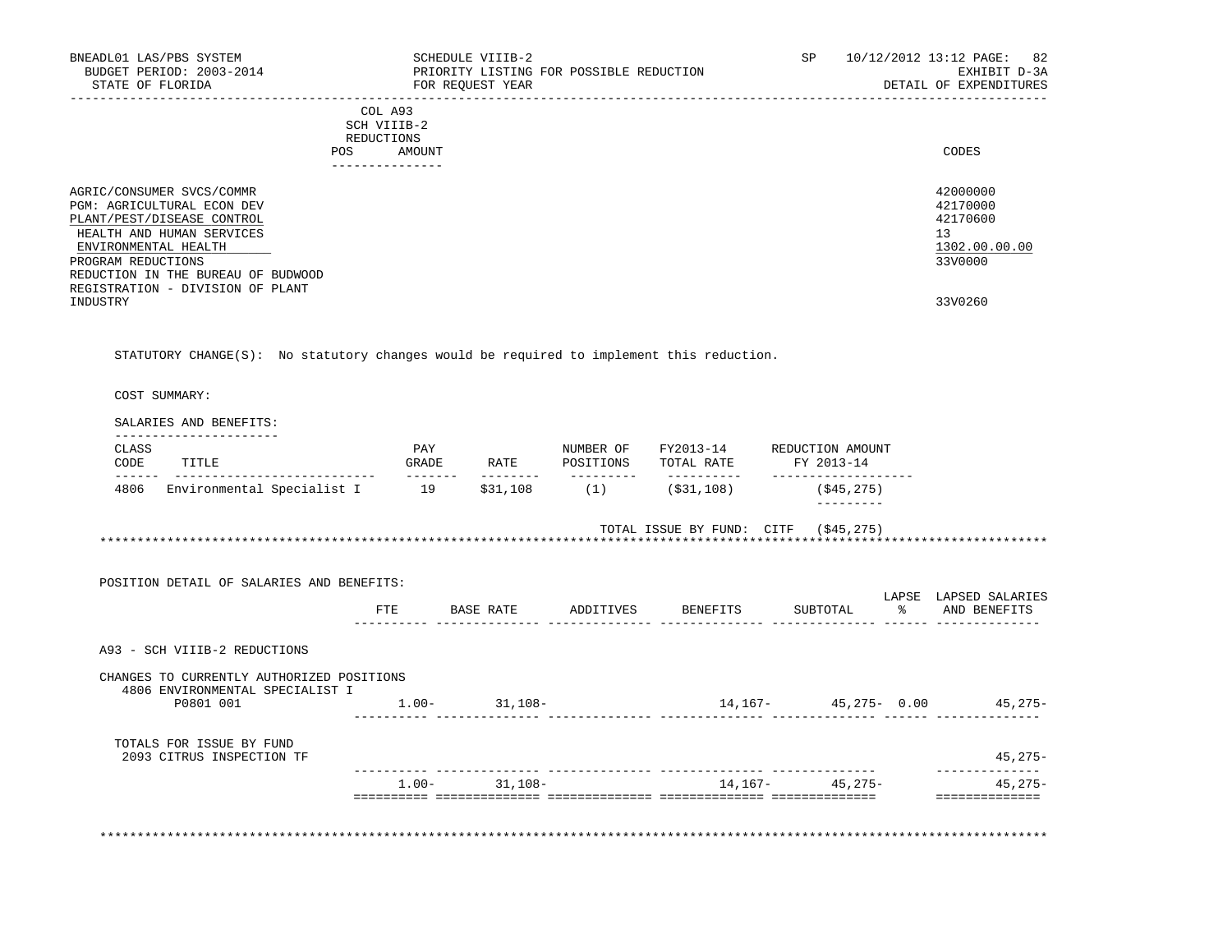| BNEADL01 LAS/PBS SYSTEM<br>BUDGET PERIOD: 2003-2014<br>STATE OF FLORIDA                                                                           |                           | SCHEDULE VIIIB-2<br>FOR REOUEST YEAR<br>_____________ | PRIORITY LISTING FOR POSSIBLE REDUCTION |                                                                         |                                   |                                   | SP 10/12/2012 13:12 PAGE: 82<br>EXHIBIT D-3A<br>DETAIL OF EXPENDITURES |
|---------------------------------------------------------------------------------------------------------------------------------------------------|---------------------------|-------------------------------------------------------|-----------------------------------------|-------------------------------------------------------------------------|-----------------------------------|-----------------------------------|------------------------------------------------------------------------|
|                                                                                                                                                   | COLA93                    |                                                       |                                         |                                                                         |                                   |                                   |                                                                        |
|                                                                                                                                                   | SCH VIIIB-2<br>REDUCTIONS |                                                       |                                         |                                                                         |                                   |                                   |                                                                        |
|                                                                                                                                                   | POS AMOUNT                |                                                       |                                         |                                                                         |                                   |                                   | CODES                                                                  |
|                                                                                                                                                   | <u>_______________</u>    |                                                       |                                         |                                                                         |                                   |                                   |                                                                        |
| AGRIC/CONSUMER SVCS/COMMR<br><b>PGM: AGRICULTURAL ECON DEV</b><br>PLANT/PEST/DISEASE CONTROL<br>HEALTH AND HUMAN SERVICES<br>ENVIRONMENTAL HEALTH |                           |                                                       |                                         |                                                                         |                                   |                                   | 42000000<br>42170000<br>42170600<br>13<br>1302.00.00.00                |
| PROGRAM REDUCTIONS<br>REDUCTION IN THE BUREAU OF BUDWOOD                                                                                          |                           |                                                       |                                         |                                                                         |                                   |                                   | 33V0000                                                                |
| REGISTRATION - DIVISION OF PLANT<br>INDUSTRY                                                                                                      |                           |                                                       |                                         |                                                                         |                                   |                                   | 33V0260                                                                |
|                                                                                                                                                   |                           |                                                       |                                         |                                                                         |                                   |                                   |                                                                        |
| STATUTORY CHANGE( $S$ ): No statutory changes would be required to implement this reduction.<br>COST SUMMARY:                                     |                           |                                                       |                                         |                                                                         |                                   |                                   |                                                                        |
| SALARIES AND BENEFITS:<br>_______________________<br>CLASS<br>CODE<br>TITLE                                                                       | GRADE                     |                                                       |                                         | PAY MUMBER OF FY2013-14 REDUCTION AMOUNT<br>RATE POSITIONS TOTAL RATE   | FY 2013-14<br>___________________ |                                   |                                                                        |
| 4806 Environmental Specialist I 19 \$31,108 (1) (\$31,108)                                                                                        |                           |                                                       |                                         |                                                                         |                                   | (\$45,275)<br>$- - - - - - - - -$ |                                                                        |
| POSITION DETAIL OF SALARIES AND BENEFITS:                                                                                                         |                           |                                                       |                                         | TOTAL ISSUE BY FUND: CITF (\$45,275)<br>******************************* |                                   |                                   |                                                                        |
|                                                                                                                                                   | ETE                       |                                                       |                                         | BASE RATE ADDITIVES BENEFITS                                            |                                   |                                   | SUBTOTAL % AND BENEFITS                                                |
| A93 - SCH VIIIB-2 REDUCTIONS                                                                                                                      |                           |                                                       |                                         |                                                                         |                                   |                                   |                                                                        |
| CHANGES TO CURRENTLY AUTHORIZED POSITIONS                                                                                                         |                           |                                                       |                                         |                                                                         |                                   |                                   | LAPSE LAPSED SALARIES                                                  |
| 4806 ENVIRONMENTAL SPECIALIST I<br>P0801 001                                                                                                      |                           | $1.00 - 31.108 -$                                     |                                         |                                                                         |                                   |                                   | $14, 167 - 45, 275 - 0.00$ 45, 275-                                    |

| TOTALS FOR ISSUE BY FUND<br>209<br>INSPECTION TF<br>'I TRUS |            |           |                     |               | 45,275-     |
|-------------------------------------------------------------|------------|-----------|---------------------|---------------|-------------|
|                                                             |            |           |                     |               |             |
|                                                             | $\pm$ .00- | $31,108-$ | 14,167-             | $45.275 -$    | $.275 -$    |
|                                                             |            |           | . _ _ _ _ _ _ _ _ _ | _____________ | ----------- |

\*\*\*\*\*\*\*\*\*\*\*\*\*\*\*\*\*\*\*\*\*\*\*\*\*\*\*\*\*\*\*\*\*\*\*\*\*\*\*\*\*\*\*\*\*\*\*\*\*\*\*\*\*\*\*\*\*\*\*\*\*\*\*\*\*\*\*\*\*\*\*\*\*\*\*\*\*\*\*\*\*\*\*\*\*\*\*\*\*\*\*\*\*\*\*\*\*\*\*\*\*\*\*\*\*\*\*\*\*\*\*\*\*\*\*\*\*\*\*\*\*\*\*\*\*\*\*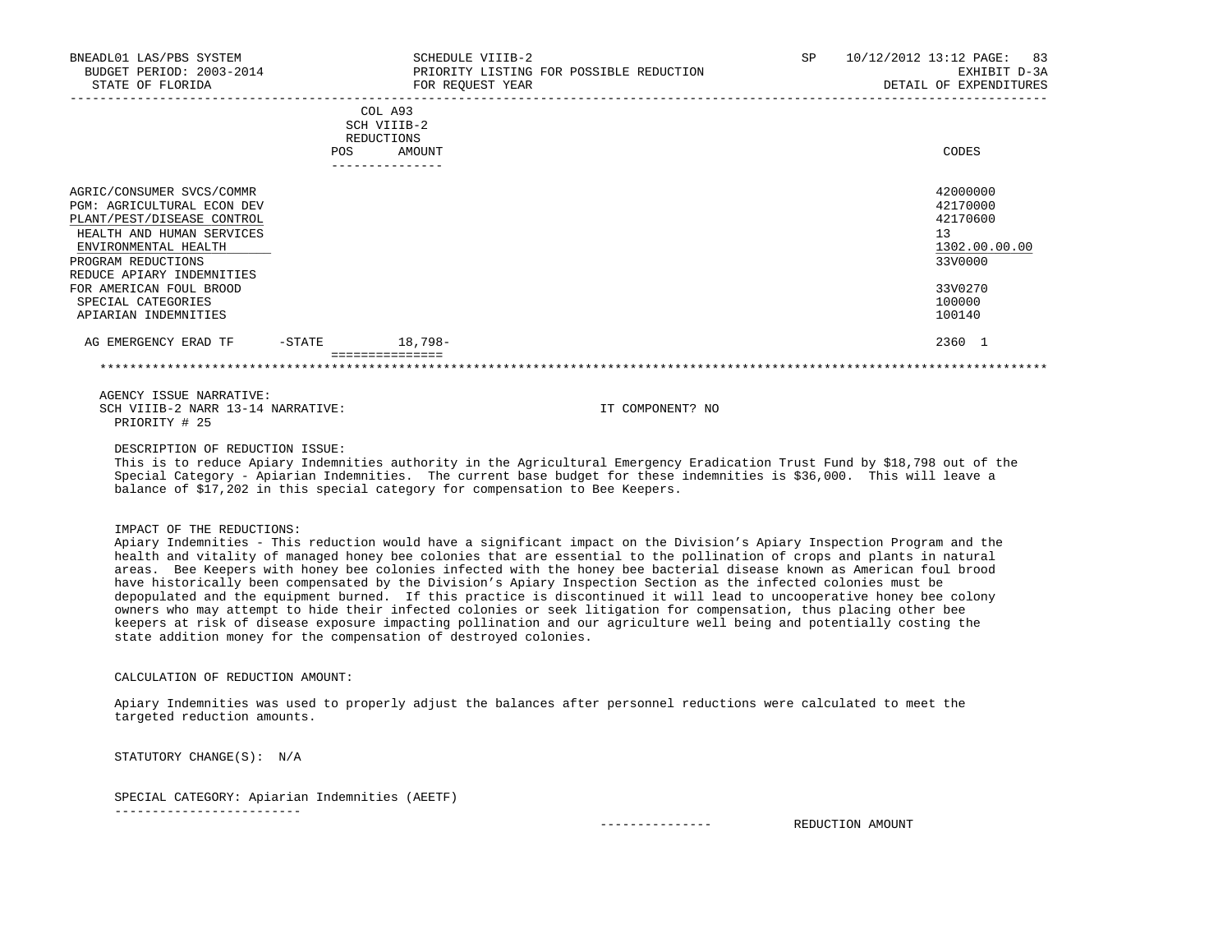| BNEADL01 LAS/PBS SYSTEM<br>BUDGET PERIOD: 2003-2014<br>STATE OF FLORIDA                                                                                                                                                                                                       |           | SCHEDULE VIIIB-2<br>PRIORITY LISTING FOR POSSIBLE REDUCTION<br>FOR REQUEST YEAR | 10/12/2012 13:12 PAGE:<br><b>SP</b><br>83<br>EXHIBIT D-3A<br>DETAIL OF EXPENDITURES               |
|-------------------------------------------------------------------------------------------------------------------------------------------------------------------------------------------------------------------------------------------------------------------------------|-----------|---------------------------------------------------------------------------------|---------------------------------------------------------------------------------------------------|
|                                                                                                                                                                                                                                                                               | POS       | COL A93<br>SCH VIIIB-2<br>REDUCTIONS<br>AMOUNT                                  | CODES                                                                                             |
| AGRIC/CONSUMER SVCS/COMMR<br><b>PGM: AGRICULTURAL ECON DEV</b><br>PLANT/PEST/DISEASE CONTROL<br>HEALTH AND HUMAN SERVICES<br>ENVIRONMENTAL HEALTH<br>PROGRAM REDUCTIONS<br>REDUCE APIARY INDEMNITIES<br>FOR AMERICAN FOUL BROOD<br>SPECIAL CATEGORIES<br>APIARIAN INDEMNITIES |           |                                                                                 | 42000000<br>42170000<br>42170600<br>13<br>1302.00.00.00<br>33V0000<br>33V0270<br>100000<br>100140 |
| AG EMERGENCY ERAD TF                                                                                                                                                                                                                                                          | $-$ STATE | 18,798-                                                                         | 2360 1                                                                                            |

 AGENCY ISSUE NARRATIVE: SCH VIIIB-2 NARR 13-14 NARRATIVE: IT COMPONENT? NO PRIORITY # 25

DESCRIPTION OF REDUCTION ISSUE:

 This is to reduce Apiary Indemnities authority in the Agricultural Emergency Eradication Trust Fund by \$18,798 out of the Special Category - Apiarian Indemnities. The current base budget for these indemnities is \$36,000. This will leave a balance of \$17,202 in this special category for compensation to Bee Keepers.

## IMPACT OF THE REDUCTIONS:

 Apiary Indemnities - This reduction would have a significant impact on the Division's Apiary Inspection Program and the health and vitality of managed honey bee colonies that are essential to the pollination of crops and plants in natural areas. Bee Keepers with honey bee colonies infected with the honey bee bacterial disease known as American foul brood have historically been compensated by the Division's Apiary Inspection Section as the infected colonies must be depopulated and the equipment burned. If this practice is discontinued it will lead to uncooperative honey bee colony owners who may attempt to hide their infected colonies or seek litigation for compensation, thus placing other bee keepers at risk of disease exposure impacting pollination and our agriculture well being and potentially costing the state addition money for the compensation of destroyed colonies.

## CALCULATION OF REDUCTION AMOUNT:

 Apiary Indemnities was used to properly adjust the balances after personnel reductions were calculated to meet the targeted reduction amounts.

STATUTORY CHANGE(S): N/A

-------------------------

SPECIAL CATEGORY: Apiarian Indemnities (AEETF)

--------------- REDUCTION AMOUNT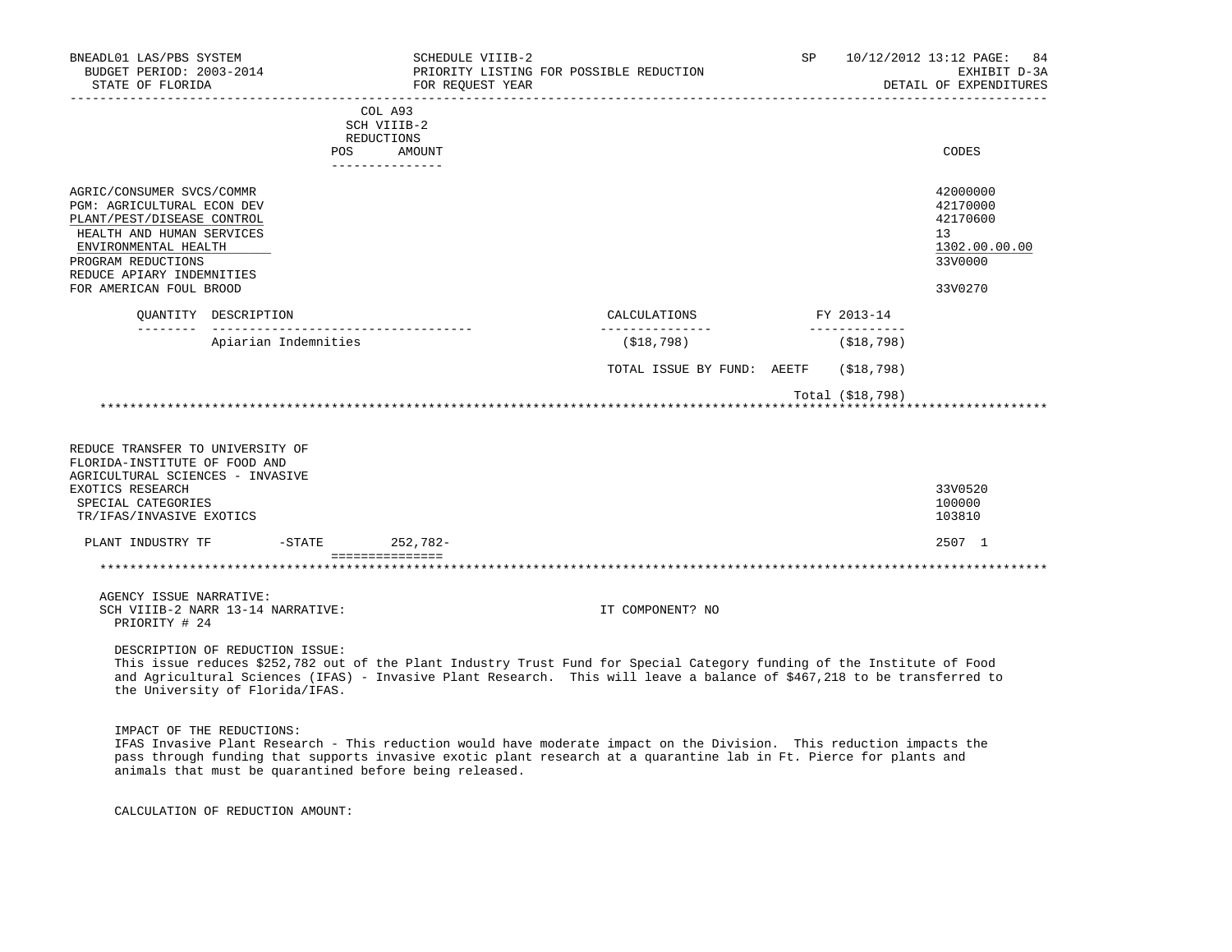| BNEADL01 LAS/PBS SYSTEM<br>BUDGET PERIOD: 2003-2014<br>STATE OF FLORIDA                                                                                                                                                  |                                                                    | SCHEDULE VIIIB-2<br>PRIORITY LISTING FOR POSSIBLE REDUCTION<br>FOR REOUEST YEAR                                                                                                                                                                    | SP.                        |                             | 10/12/2012 13:12 PAGE:<br>84<br>EXHIBIT D-3A<br>DETAIL OF EXPENDITURES        |
|--------------------------------------------------------------------------------------------------------------------------------------------------------------------------------------------------------------------------|--------------------------------------------------------------------|----------------------------------------------------------------------------------------------------------------------------------------------------------------------------------------------------------------------------------------------------|----------------------------|-----------------------------|-------------------------------------------------------------------------------|
|                                                                                                                                                                                                                          | COL A93<br>SCH VIIIB-2<br>REDUCTIONS<br>POS<br>---------------     | AMOUNT                                                                                                                                                                                                                                             |                            |                             | CODES                                                                         |
| AGRIC/CONSUMER SVCS/COMMR<br>PGM: AGRICULTURAL ECON DEV<br>PLANT/PEST/DISEASE CONTROL<br>HEALTH AND HUMAN SERVICES<br>ENVIRONMENTAL HEALTH<br>PROGRAM REDUCTIONS<br>REDUCE APIARY INDEMNITIES<br>FOR AMERICAN FOUL BROOD |                                                                    |                                                                                                                                                                                                                                                    |                            |                             | 42000000<br>42170000<br>42170600<br>13<br>1302.00.00.00<br>33V0000<br>33V0270 |
|                                                                                                                                                                                                                          | OUANTITY DESCRIPTION                                               | CALCULATIONS<br>----------------                                                                                                                                                                                                                   |                            | FY 2013-14<br>_____________ |                                                                               |
|                                                                                                                                                                                                                          | Apiarian Indemnities                                               | (\$18,798)                                                                                                                                                                                                                                         |                            | ( \$18, 798)                |                                                                               |
|                                                                                                                                                                                                                          |                                                                    |                                                                                                                                                                                                                                                    | TOTAL ISSUE BY FUND: AEETF | (S18, 798)                  |                                                                               |
|                                                                                                                                                                                                                          |                                                                    |                                                                                                                                                                                                                                                    |                            | Total (\$18,798)            |                                                                               |
| REDUCE TRANSFER TO UNIVERSITY OF<br>FLORIDA-INSTITUTE OF FOOD AND<br>AGRICULTURAL SCIENCES - INVASIVE<br>EXOTICS RESEARCH<br>SPECIAL CATEGORIES<br>TR/IFAS/INVASIVE EXOTICS                                              |                                                                    |                                                                                                                                                                                                                                                    |                            |                             | 33V0520<br>100000<br>103810                                                   |
| PLANT INDUSTRY TF                                                                                                                                                                                                        | $-$ STATE                                                          | 252,782-                                                                                                                                                                                                                                           |                            |                             | 2507 1                                                                        |
|                                                                                                                                                                                                                          | ===============                                                    |                                                                                                                                                                                                                                                    |                            |                             |                                                                               |
| AGENCY ISSUE NARRATIVE:<br>PRIORITY # 24                                                                                                                                                                                 | SCH VIIIB-2 NARR 13-14 NARRATIVE:                                  | IT COMPONENT? NO                                                                                                                                                                                                                                   |                            |                             |                                                                               |
|                                                                                                                                                                                                                          | DESCRIPTION OF REDUCTION ISSUE:<br>the University of Florida/IFAS. | This issue reduces \$252,782 out of the Plant Industry Trust Fund for Special Category funding of the Institute of Food<br>and Agricultural Sciences (IFAS) - Invasive Plant Research. This will leave a balance of \$467,218 to be transferred to |                            |                             |                                                                               |
| IMPACT OF THE REDUCTIONS:                                                                                                                                                                                                | animals that must be quarantined before being released.            | IFAS Invasive Plant Research - This reduction would have moderate impact on the Division. This reduction impacts the<br>pass through funding that supports invasive exotic plant research at a quarantine lab in Ft. Pierce for plants and         |                            |                             |                                                                               |

CALCULATION OF REDUCTION AMOUNT: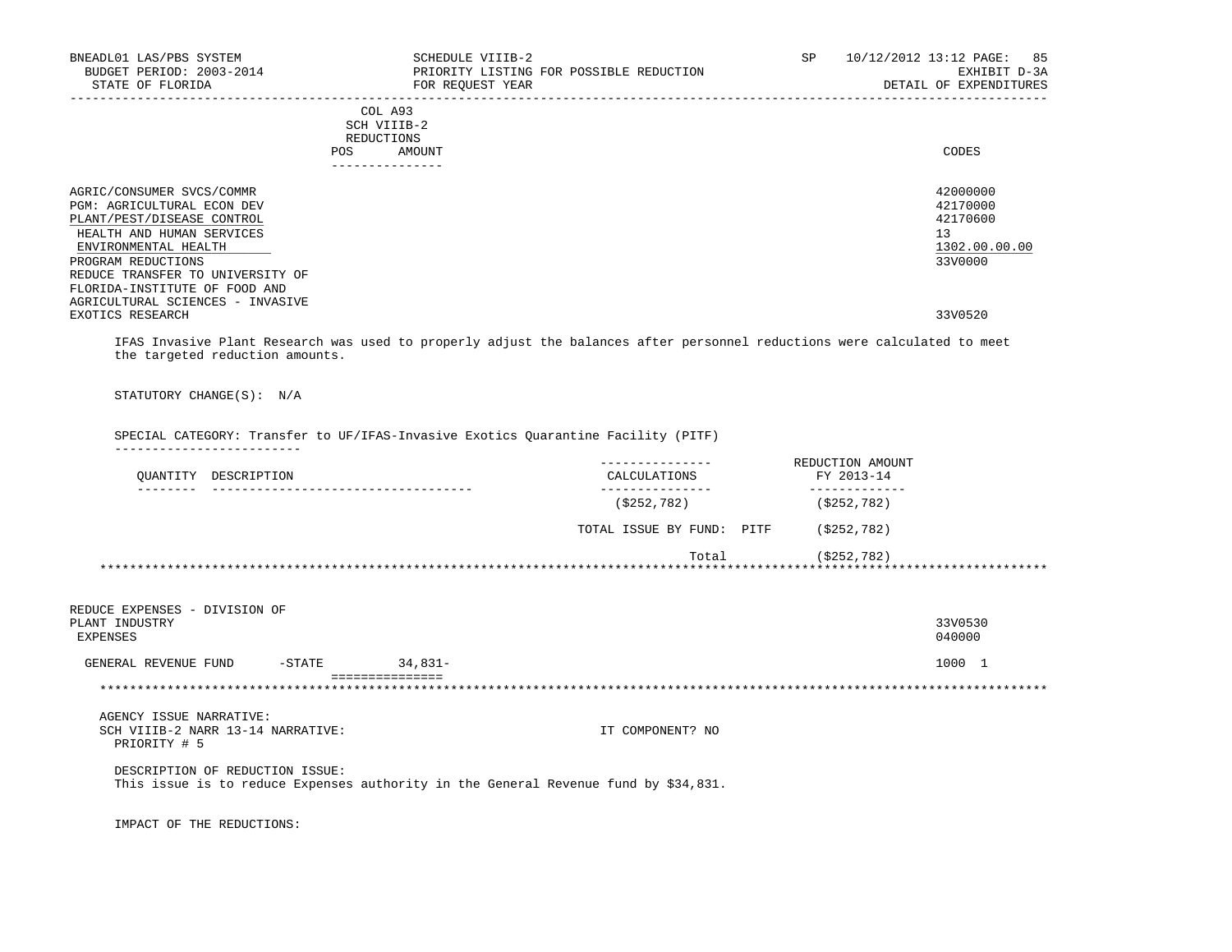| BNEADL01 LAS/PBS SYSTEM<br>BUDGET PERIOD: 2003-2014<br>STATE OF FLORIDA                                                                                                                                                                                                          |                                             | SCHEDULE VIIIB-2<br>PRIORITY LISTING FOR POSSIBLE REDUCTION<br>FOR REQUEST YEAR                                          | <b>SP</b> | 10/12/2012 13:12 PAGE: 85<br>EXHIBIT D-3A<br>DETAIL OF EXPENDITURES |
|----------------------------------------------------------------------------------------------------------------------------------------------------------------------------------------------------------------------------------------------------------------------------------|---------------------------------------------|--------------------------------------------------------------------------------------------------------------------------|-----------|---------------------------------------------------------------------|
|                                                                                                                                                                                                                                                                                  | COL A93<br>SCH VIIIB-2<br>REDUCTIONS<br>POS | AMOUNT                                                                                                                   |           | CODES                                                               |
| AGRIC/CONSUMER SVCS/COMMR<br><b>PGM: AGRICULTURAL ECON DEV</b><br>PLANT/PEST/DISEASE CONTROL<br>HEALTH AND HUMAN SERVICES<br>ENVIRONMENTAL HEALTH<br>PROGRAM REDUCTIONS<br>REDUCE TRANSFER TO UNIVERSITY OF<br>FLORIDA-INSTITUTE OF FOOD AND<br>AGRICULTURAL SCIENCES - INVASIVE |                                             |                                                                                                                          |           | 42000000<br>42170000<br>42170600<br>13<br>1302.00.00.00<br>33V0000  |
| <b>EXOTICS RESEARCH</b><br>the targeted reduction amounts.                                                                                                                                                                                                                       |                                             | IFAS Invasive Plant Research was used to properly adjust the balances after personnel reductions were calculated to meet |           | 33V0520                                                             |
| STATUTORY CHANGE(S): N/A                                                                                                                                                                                                                                                         |                                             |                                                                                                                          |           |                                                                     |

 SPECIAL CATEGORY: Transfer to UF/IFAS-Invasive Exotics Quarantine Facility (PITF) -------------------------

| OUANTITY DESCRIPTION                                                                                                   |         | CALCULATIONS              | REDUCTION AMOUNT<br>FY 2013-14 |                   |
|------------------------------------------------------------------------------------------------------------------------|---------|---------------------------|--------------------------------|-------------------|
|                                                                                                                        |         | ( \$252, 782)             | ( \$252, 782)                  |                   |
|                                                                                                                        |         | TOTAL ISSUE BY FUND: PITF | (\$252,782)                    |                   |
|                                                                                                                        |         | Total                     | ( \$252, 782)                  |                   |
|                                                                                                                        |         |                           |                                |                   |
| REDUCE EXPENSES - DIVISION OF<br>PLANT INDUSTRY<br>EXPENSES                                                            |         |                           |                                | 33V0530<br>040000 |
| -STATE<br>GENERAL REVENUE FUND                                                                                         | 34,831- |                           |                                | 1000 1            |
|                                                                                                                        |         |                           |                                |                   |
| AGENCY ISSUE NARRATIVE:<br>SCH VIIIB-2 NARR 13-14 NARRATIVE:<br>PRIORITY # 5                                           |         | IT COMPONENT? NO          |                                |                   |
| DESCRIPTION OF REDUCTION ISSUE:<br>This issue is to reduce Expenses authority in the General Revenue fund by \$34,831. |         |                           |                                |                   |
| IMPACT OF THE REDUCTIONS:                                                                                              |         |                           |                                |                   |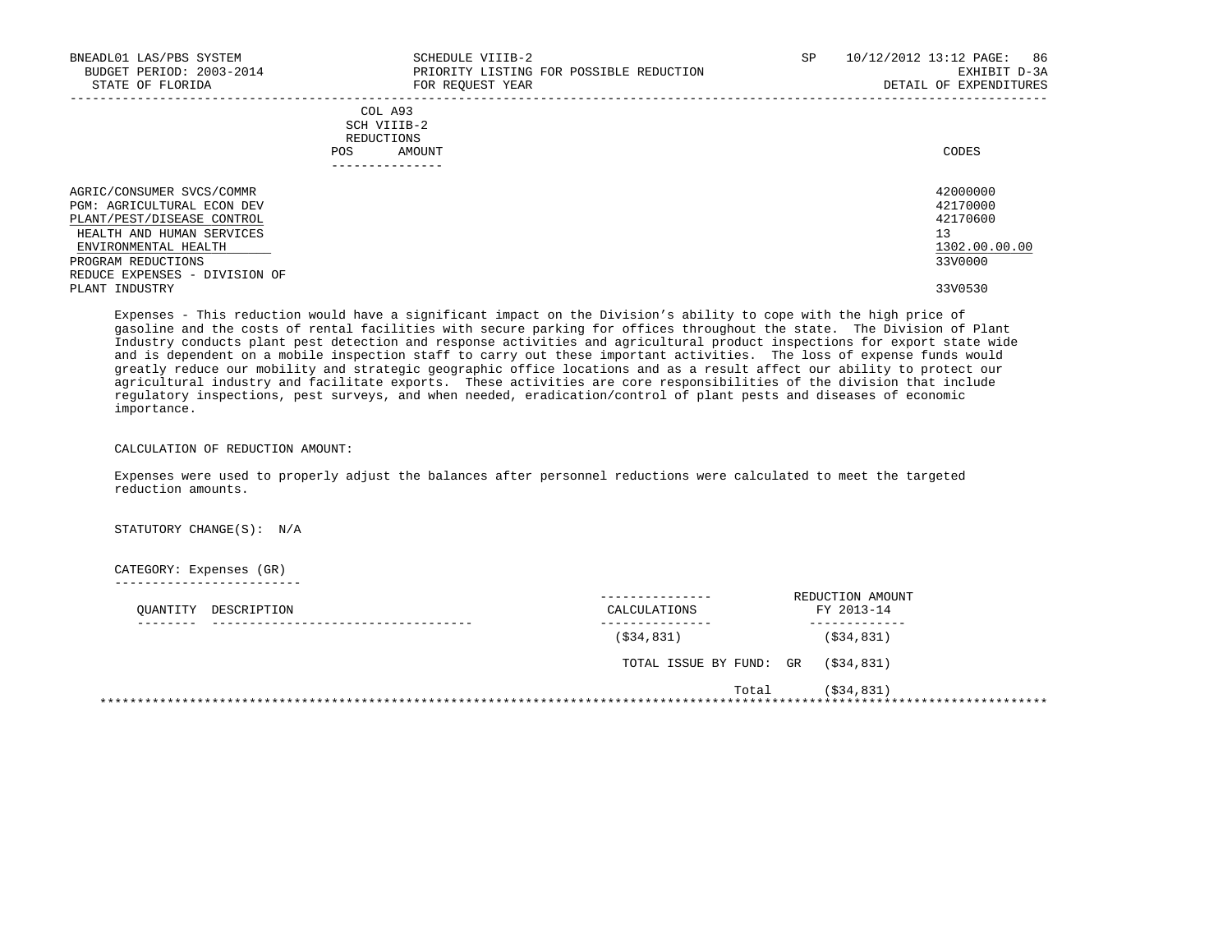| BNEADL01 LAS/PBS SYSTEM<br>BUDGET PERIOD: 2003-2014<br>STATE OF FLORIDA                                                                                                 | SCHEDULE VIIIB-2<br>PRIORITY LISTING FOR POSSIBLE REDUCTION<br>FOR REOUEST YEAR | SP. | 10/12/2012 13:12 PAGE:<br>86<br>EXHIBIT D-3A<br>DETAIL OF EXPENDITURES |
|-------------------------------------------------------------------------------------------------------------------------------------------------------------------------|---------------------------------------------------------------------------------|-----|------------------------------------------------------------------------|
|                                                                                                                                                                         | COL A93<br>SCH VIIIB-2<br>REDUCTIONS<br>AMOUNT<br>POS.                          |     | CODES                                                                  |
| AGRIC/CONSUMER SVCS/COMMR<br><b>PGM: AGRICULTURAL ECON DEV</b><br>PLANT/PEST/DISEASE CONTROL<br>HEALTH AND HUMAN SERVICES<br>ENVIRONMENTAL HEALTH<br>PROGRAM REDUCTIONS |                                                                                 |     | 42000000<br>42170000<br>42170600<br>13<br>1302.00.00.00<br>33V0000     |
| REDUCE EXPENSES - DIVISION OF<br>PLANT INDUSTRY                                                                                                                         |                                                                                 |     | 33V0530                                                                |

 Expenses - This reduction would have a significant impact on the Division's ability to cope with the high price of gasoline and the costs of rental facilities with secure parking for offices throughout the state. The Division of Plant Industry conducts plant pest detection and response activities and agricultural product inspections for export state wide and is dependent on a mobile inspection staff to carry out these important activities. The loss of expense funds would greatly reduce our mobility and strategic geographic office locations and as a result affect our ability to protect our agricultural industry and facilitate exports. These activities are core responsibilities of the division that include regulatory inspections, pest surveys, and when needed, eradication/control of plant pests and diseases of economic importance.

## CALCULATION OF REDUCTION AMOUNT:

 Expenses were used to properly adjust the balances after personnel reductions were calculated to meet the targeted reduction amounts.

STATUTORY CHANGE(S): N/A

## CATEGORY: Expenses (GR)

-------------------------

| DESCRIPTION<br>OUANTITY | CALCULATIONS            | REDUCTION AMOUNT<br>FY 2013-14 |
|-------------------------|-------------------------|--------------------------------|
|                         | ( \$34, 831)            | ( \$34, 831)                   |
|                         | TOTAL ISSUE BY FUND: GR | (\$34,831)                     |
|                         | Total                   | $($ \$34,831)                  |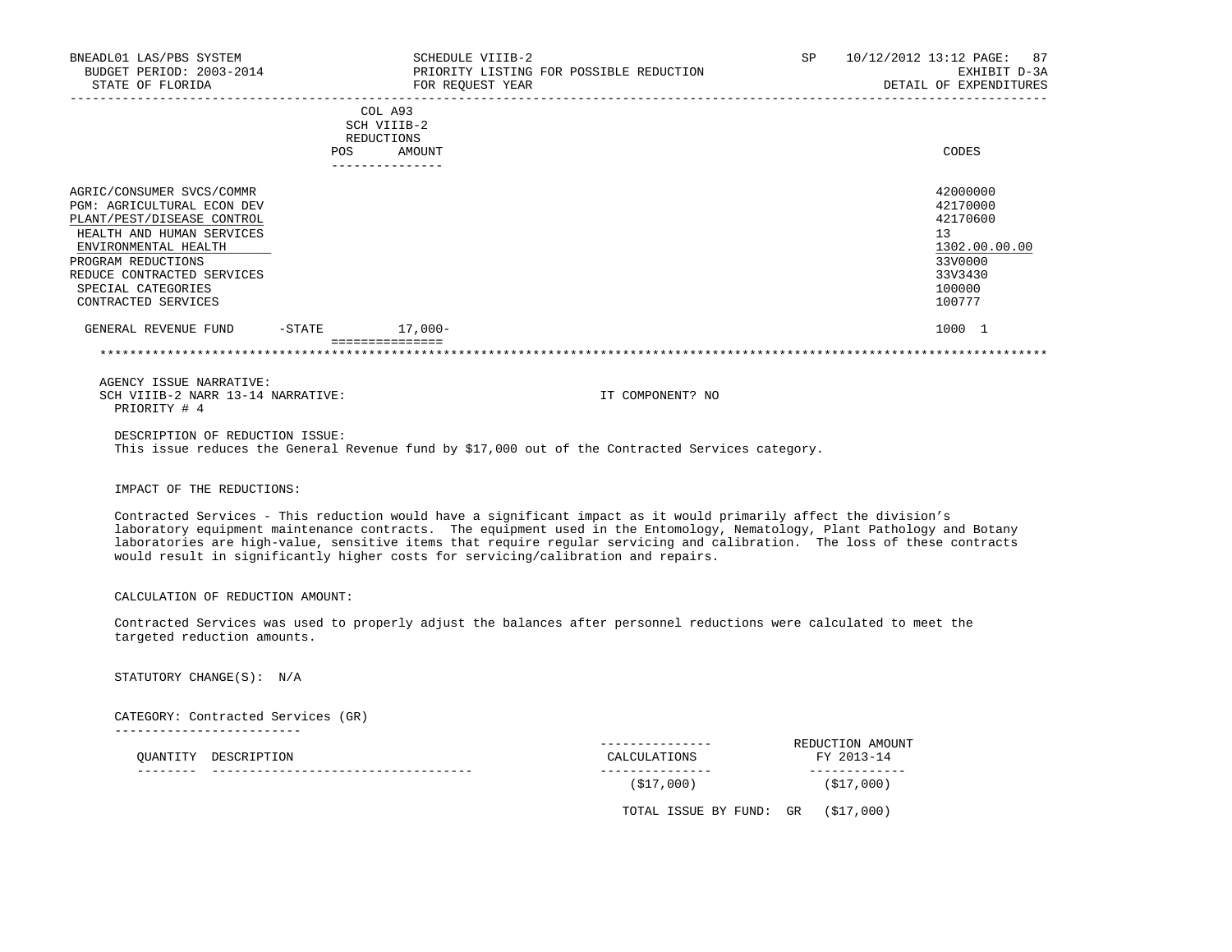| BNEADL01 LAS/PBS SYSTEM<br>BUDGET PERIOD: 2003-2014<br>STATE OF FLORIDA                                                                                                                                                                            |                | SCHEDULE VIIIB-2<br>FOR REOUEST YEAR                              | PRIORITY LISTING FOR POSSIBLE REDUCTION                                                          |  | SP 10/12/2012 13:12 PAGE: 87<br>EXHIBIT D-3A<br>DETAIL OF EXPENDITURES                            |
|----------------------------------------------------------------------------------------------------------------------------------------------------------------------------------------------------------------------------------------------------|----------------|-------------------------------------------------------------------|--------------------------------------------------------------------------------------------------|--|---------------------------------------------------------------------------------------------------|
|                                                                                                                                                                                                                                                    | POS            | COL A93<br>SCH VIIIB-2<br>REDUCTIONS<br>AMOUNT<br>--------------- |                                                                                                  |  | CODES                                                                                             |
| AGRIC/CONSUMER SVCS/COMMR<br><b>PGM: AGRICULTURAL ECON DEV</b><br>PLANT/PEST/DISEASE CONTROL<br>HEALTH AND HUMAN SERVICES<br>ENVIRONMENTAL HEALTH<br>PROGRAM REDUCTIONS<br>REDUCE CONTRACTED SERVICES<br>SPECIAL CATEGORIES<br>CONTRACTED SERVICES |                |                                                                   |                                                                                                  |  | 42000000<br>42170000<br>42170600<br>13<br>1302.00.00.00<br>33V0000<br>33V3430<br>100000<br>100777 |
| GENERAL REVENUE FUND                                                                                                                                                                                                                               | -STATE 17,000- |                                                                   |                                                                                                  |  | 1000 1                                                                                            |
|                                                                                                                                                                                                                                                    |                |                                                                   |                                                                                                  |  |                                                                                                   |
| AGENCY ISSUE NARRATIVE:<br>SCH VIIIB-2 NARR 13-14 NARRATIVE:<br>PRIORITY # 4                                                                                                                                                                       |                |                                                                   | IT COMPONENT? NO                                                                                 |  |                                                                                                   |
| DESCRIPTION OF REDUCTION ISSUE:                                                                                                                                                                                                                    |                |                                                                   | This issue reduces the General Revenue fund by \$17,000 out of the Contracted Services category. |  |                                                                                                   |

IMPACT OF THE REDUCTIONS:

 Contracted Services - This reduction would have a significant impact as it would primarily affect the division's laboratory equipment maintenance contracts. The equipment used in the Entomology, Nematology, Plant Pathology and Botany laboratories are high-value, sensitive items that require regular servicing and calibration. The loss of these contracts would result in significantly higher costs for servicing/calibration and repairs.

CALCULATION OF REDUCTION AMOUNT:

 Contracted Services was used to properly adjust the balances after personnel reductions were calculated to meet the targeted reduction amounts.

STATUTORY CHANGE(S): N/A

 CATEGORY: Contracted Services (GR) -------------------------

|  | OUANTITY DESCRIPTION | _________<br>CALCULATIONS | REDUCTION AMOUNT<br>FY 2013-14 |
|--|----------------------|---------------------------|--------------------------------|
|  |                      | (S17,000)                 | ( \$17,000)                    |
|  |                      | TOTAL ISSUE BY FUND: GR   | (\$17,000)                     |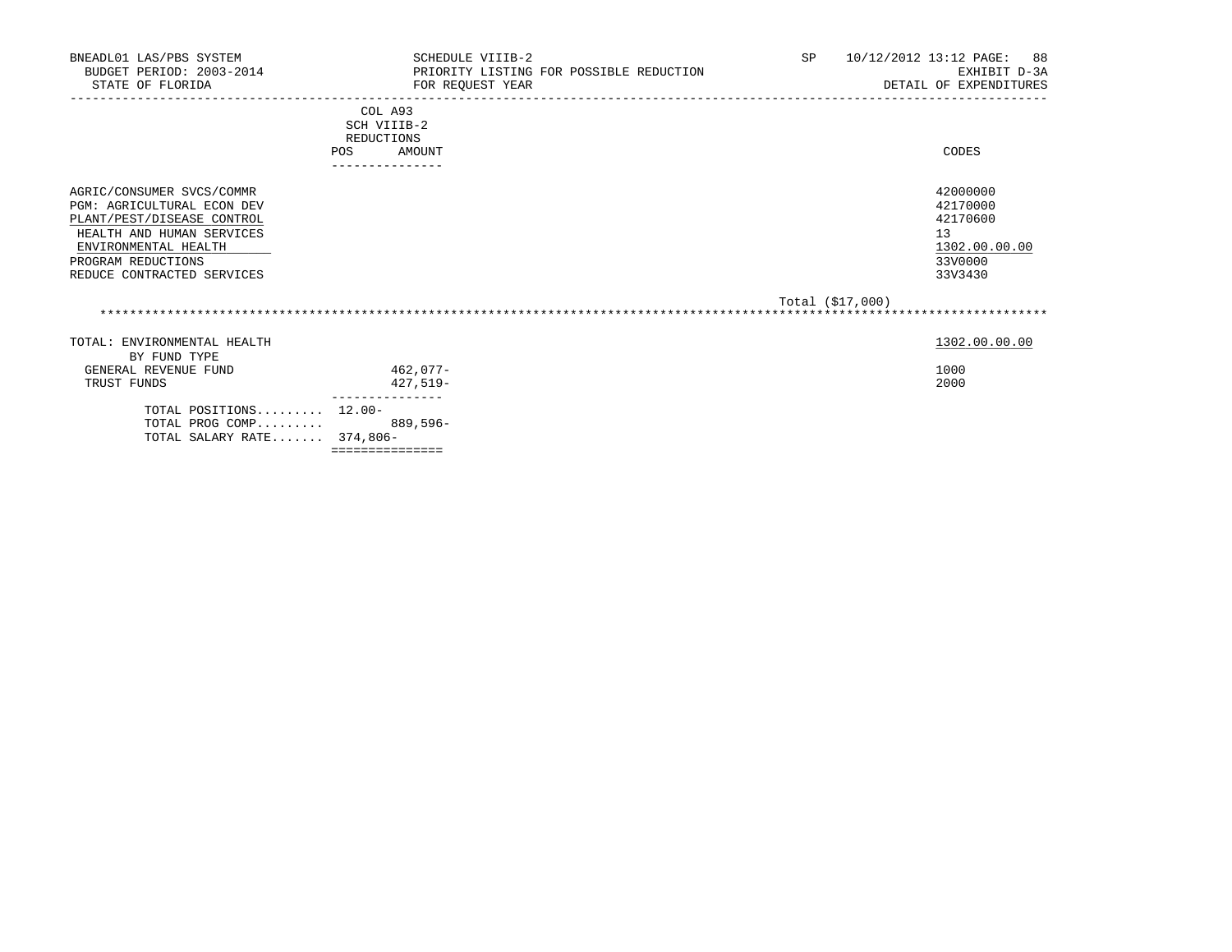| BNEADL01 LAS/PBS SYSTEM<br>BUDGET PERIOD: 2003-2014<br>STATE OF FLORIDA                                                                                                                        | SCHEDULE VIIIB-2<br>PRIORITY LISTING FOR POSSIBLE REDUCTION<br>FOR REOUEST YEAR | SP<br>10/12/2012 13:12 PAGE:<br>88<br>EXHIBIT D-3A<br>DETAIL OF EXPENDITURES  |
|------------------------------------------------------------------------------------------------------------------------------------------------------------------------------------------------|---------------------------------------------------------------------------------|-------------------------------------------------------------------------------|
|                                                                                                                                                                                                | COL A93<br>SCH VIIIB-2<br>REDUCTIONS<br><b>POS</b><br>AMOUNT                    | CODES                                                                         |
| AGRIC/CONSUMER SVCS/COMMR<br>PGM: AGRICULTURAL ECON DEV<br>PLANT/PEST/DISEASE CONTROL<br>HEALTH AND HUMAN SERVICES<br>ENVIRONMENTAL HEALTH<br>PROGRAM REDUCTIONS<br>REDUCE CONTRACTED SERVICES | ---------------                                                                 | 42000000<br>42170000<br>42170600<br>13<br>1302.00.00.00<br>33V0000<br>33V3430 |
|                                                                                                                                                                                                |                                                                                 | Total (\$17,000)                                                              |
| TOTAL: ENVIRONMENTAL HEALTH<br>BY FUND TYPE<br>GENERAL REVENUE FUND<br>TRUST FUNDS                                                                                                             | 462,077-<br>427,519-                                                            | 1302.00.00.00<br>1000<br>2000                                                 |
| TOTAL POSITIONS 12.00-<br>TOTAL PROG COMP 889,596-<br>TOTAL SALARY RATE 374,806-                                                                                                               | ===============                                                                 |                                                                               |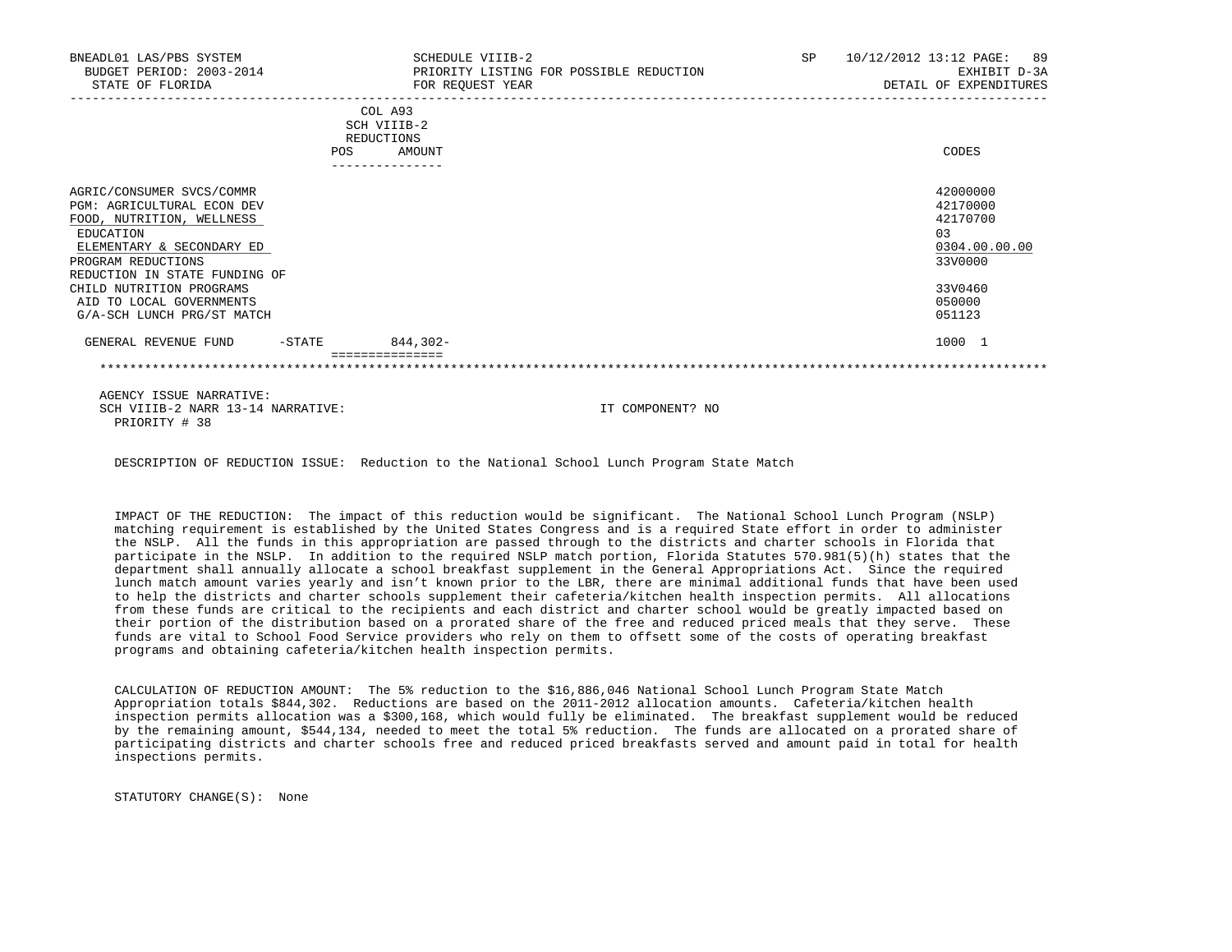| BNEADL01 LAS/PBS SYSTEM<br>BUDGET PERIOD: 2003-2014<br>STATE OF FLORIDA                                                                                                               |                          | SCHEDULE VIIIB-2<br>PRIORITY LISTING FOR POSSIBLE REDUCTION<br>FOR REQUEST YEAR | <b>SP</b> | 10/12/2012 13:12 PAGE:<br>89<br>EXHIBIT D-3A<br>DETAIL OF EXPENDITURES |
|---------------------------------------------------------------------------------------------------------------------------------------------------------------------------------------|--------------------------|---------------------------------------------------------------------------------|-----------|------------------------------------------------------------------------|
|                                                                                                                                                                                       | REDUCTIONS<br><b>POS</b> | COL A93<br>SCH VIIIB-2<br>AMOUNT<br>---------------                             |           | CODES                                                                  |
| AGRIC/CONSUMER SVCS/COMMR<br>PGM: AGRICULTURAL ECON DEV<br>FOOD, NUTRITION, WELLNESS<br>EDUCATION<br>ELEMENTARY & SECONDARY ED<br>PROGRAM REDUCTIONS<br>REDUCTION IN STATE FUNDING OF |                          |                                                                                 |           | 42000000<br>42170000<br>42170700<br>0.3<br>0304.00.00.00<br>33V0000    |
| CHILD NUTRITION PROGRAMS<br>AID TO LOCAL GOVERNMENTS<br>G/A-SCH LUNCH PRG/ST MATCH                                                                                                    |                          |                                                                                 |           | 33V0460<br>050000<br>051123                                            |
| GENERAL REVENUE FUND                                                                                                                                                                  | $-$ STATE                | $844.302 -$                                                                     |           | 1000 1                                                                 |
|                                                                                                                                                                                       |                          |                                                                                 |           |                                                                        |

 AGENCY ISSUE NARRATIVE: SCH VIIIB-2 NARR 13-14 NARRATIVE: IT COMPONENT? NO PRIORITY # 38

DESCRIPTION OF REDUCTION ISSUE: Reduction to the National School Lunch Program State Match

 IMPACT OF THE REDUCTION: The impact of this reduction would be significant. The National School Lunch Program (NSLP) matching requirement is established by the United States Congress and is a required State effort in order to administer the NSLP. All the funds in this appropriation are passed through to the districts and charter schools in Florida that participate in the NSLP. In addition to the required NSLP match portion, Florida Statutes 570.981(5)(h) states that the department shall annually allocate a school breakfast supplement in the General Appropriations Act. Since the required lunch match amount varies yearly and isn't known prior to the LBR, there are minimal additional funds that have been used to help the districts and charter schools supplement their cafeteria/kitchen health inspection permits. All allocations from these funds are critical to the recipients and each district and charter school would be greatly impacted based on their portion of the distribution based on a prorated share of the free and reduced priced meals that they serve. These funds are vital to School Food Service providers who rely on them to offsett some of the costs of operating breakfast programs and obtaining cafeteria/kitchen health inspection permits.

 CALCULATION OF REDUCTION AMOUNT: The 5% reduction to the \$16,886,046 National School Lunch Program State Match Appropriation totals \$844,302. Reductions are based on the 2011-2012 allocation amounts. Cafeteria/kitchen health inspection permits allocation was a \$300,168, which would fully be eliminated. The breakfast supplement would be reduced by the remaining amount, \$544,134, needed to meet the total 5% reduction. The funds are allocated on a prorated share of participating districts and charter schools free and reduced priced breakfasts served and amount paid in total for health inspections permits.

STATUTORY CHANGE(S): None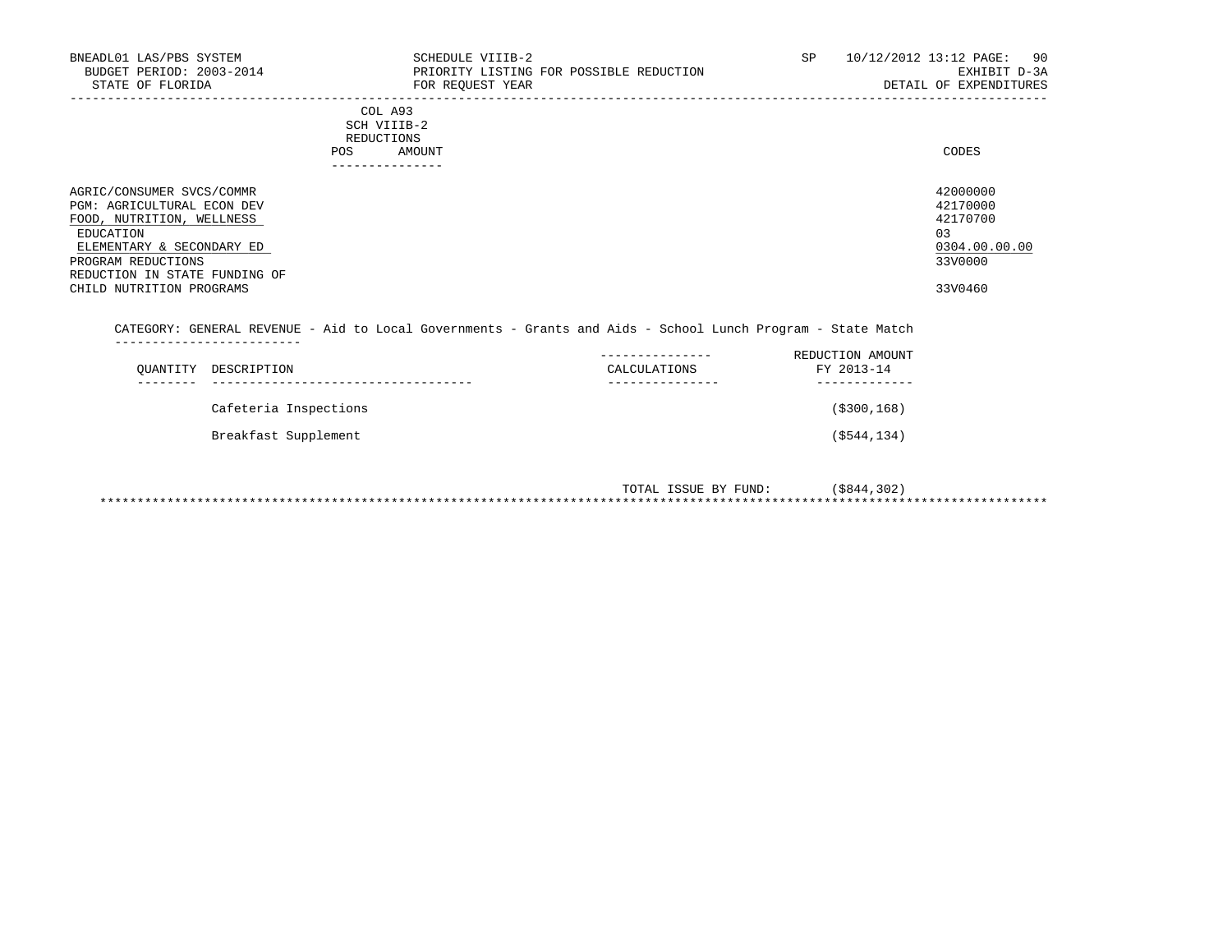| BNEADL01 LAS/PBS SYSTEM<br>BUDGET PERIOD: 2003-2014<br>STATE OF FLORIDA                                                                                                                                                  | SCHEDULE VIIIB-2<br>PRIORITY LISTING FOR POSSIBLE REDUCTION<br>FOR REQUEST YEAR                             | SP                                | 10/12/2012 13:12 PAGE: 90<br>EXHIBIT D-3A<br>DETAIL OF EXPENDITURES           |
|--------------------------------------------------------------------------------------------------------------------------------------------------------------------------------------------------------------------------|-------------------------------------------------------------------------------------------------------------|-----------------------------------|-------------------------------------------------------------------------------|
|                                                                                                                                                                                                                          | COL A93<br>SCH VIIIB-2<br>REDUCTIONS<br>AMOUNT<br>POS<br>---------------                                    |                                   | CODES                                                                         |
| AGRIC/CONSUMER SVCS/COMMR<br><b>PGM: AGRICULTURAL ECON DEV</b><br>FOOD, NUTRITION, WELLNESS<br>EDUCATION<br>ELEMENTARY & SECONDARY ED<br>PROGRAM REDUCTIONS<br>REDUCTION IN STATE FUNDING OF<br>CHILD NUTRITION PROGRAMS |                                                                                                             |                                   | 42000000<br>42170000<br>42170700<br>03<br>0304.00.00.00<br>33V0000<br>33V0460 |
|                                                                                                                                                                                                                          | CATEGORY: GENERAL REVENUE - Aid to Local Governments - Grants and Aids - School Lunch Program - State Match |                                   |                                                                               |
| $\bigcap$ דיחת דמוס קור שחיד המוסיקה היהו                                                                                                                                                                                | $C$ אר היה היה היה היה היה ה                                                                                | REDUCTION AMOUNT<br>1.1_1.000 701 |                                                                               |

| OUANTITY DESCRIPTION  | CALCULATIONS     | FY 2013-14     |
|-----------------------|------------------|----------------|
|                       | ---------------- | ------------   |
| Cafeteria Inspections |                  | ( \$300, 168)  |
| Breakfast Supplement  |                  | $($ \$544,134) |

| ISSUE BY FUND:<br>TOTAL | 5844,302) |
|-------------------------|-----------|
|                         |           |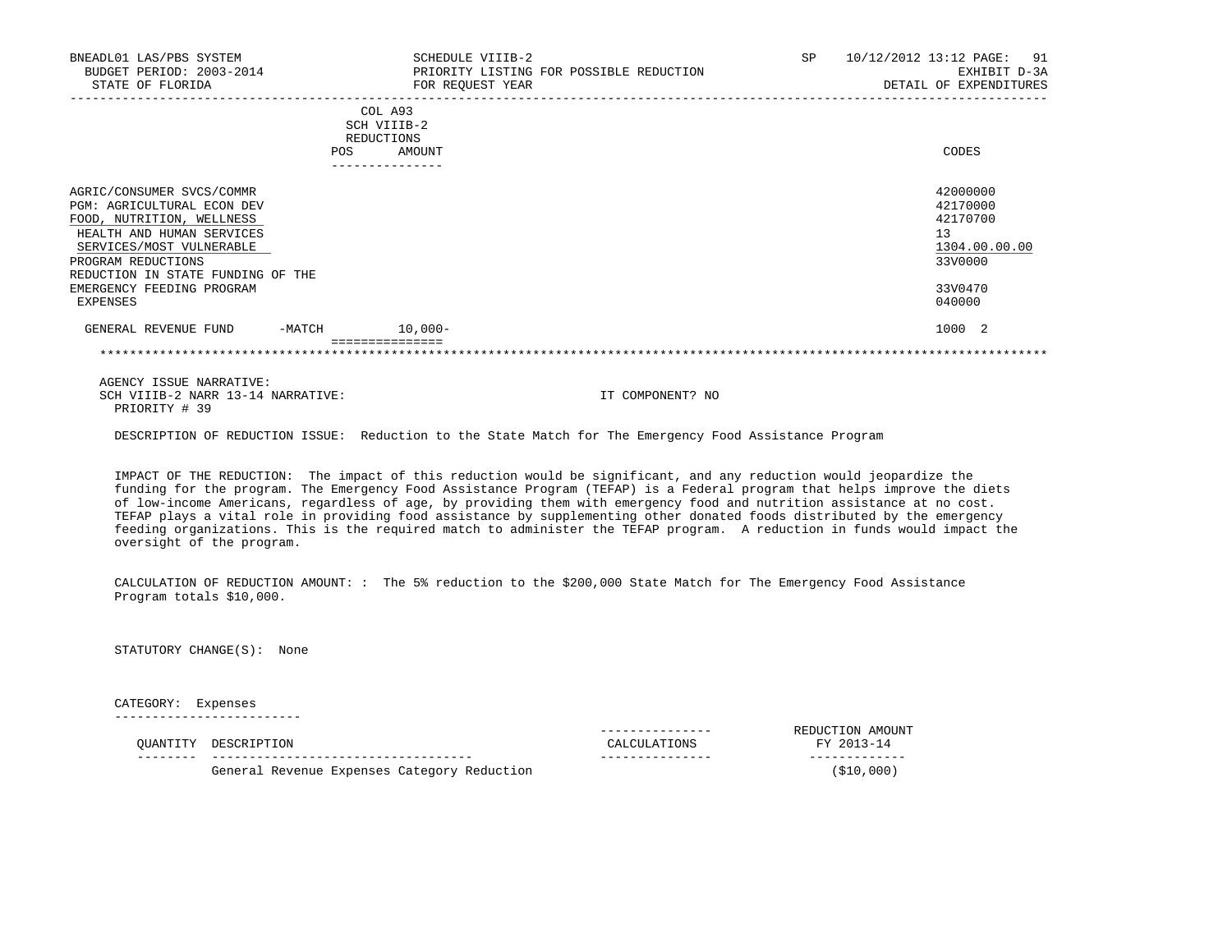| BNEADL01 LAS/PBS SYSTEM<br>BUDGET PERIOD: 2003-2014<br>STATE OF FLORIDA                                                                                                                                         |            | SCHEDULE VIIIB-2<br>PRIORITY LISTING FOR POSSIBLE REDUCTION<br>FOR REQUEST YEAR | SP | 10/12/2012 13:12 PAGE: 91<br>EXHIBIT D-3A<br>DETAIL OF EXPENDITURES |
|-----------------------------------------------------------------------------------------------------------------------------------------------------------------------------------------------------------------|------------|---------------------------------------------------------------------------------|----|---------------------------------------------------------------------|
|                                                                                                                                                                                                                 | <b>POS</b> | COL A93<br>SCH VIIIB-2<br>REDUCTIONS<br>AMOUNT                                  |    | CODES                                                               |
| AGRIC/CONSUMER SVCS/COMMR<br><b>PGM: AGRICULTURAL ECON DEV</b><br>FOOD, NUTRITION, WELLNESS<br>HEALTH AND HUMAN SERVICES<br>SERVICES/MOST VULNERABLE<br>PROGRAM REDUCTIONS<br>REDUCTION IN STATE FUNDING OF THE |            |                                                                                 |    | 42000000<br>42170000<br>42170700<br>13<br>1304.00.00.00<br>33V0000  |
| EMERGENCY FEEDING PROGRAM<br>EXPENSES                                                                                                                                                                           |            |                                                                                 |    | 33V0470<br>040000                                                   |
| GENERAL REVENUE FUND                                                                                                                                                                                            | -MATCH     | $10,000-$<br>===============                                                    |    | 1000 2                                                              |

 AGENCY ISSUE NARRATIVE: SCH VIIIB-2 NARR 13-14 NARRATIVE: **IT COMPONENT?** NO PRIORITY # 39

DESCRIPTION OF REDUCTION ISSUE: Reduction to the State Match for The Emergency Food Assistance Program

 IMPACT OF THE REDUCTION: The impact of this reduction would be significant, and any reduction would jeopardize the funding for the program. The Emergency Food Assistance Program (TEFAP) is a Federal program that helps improve the diets of low-income Americans, regardless of age, by providing them with emergency food and nutrition assistance at no cost. TEFAP plays a vital role in providing food assistance by supplementing other donated foods distributed by the emergency feeding organizations. This is the required match to administer the TEFAP program. A reduction in funds would impact the oversight of the program.

 CALCULATION OF REDUCTION AMOUNT: : The 5% reduction to the \$200,000 State Match for The Emergency Food Assistance Program totals \$10,000.

STATUTORY CHANGE(S): None

CATEGORY: Expenses

-------------------------

|                                             |              | REDUCTION AMOUNT |
|---------------------------------------------|--------------|------------------|
| OUANTITY DESCRIPTION                        | CALCULATIONS | FY 2013-14       |
|                                             |              |                  |
| General Revenue Expenses Category Reduction |              | $'$ \$10,000,    |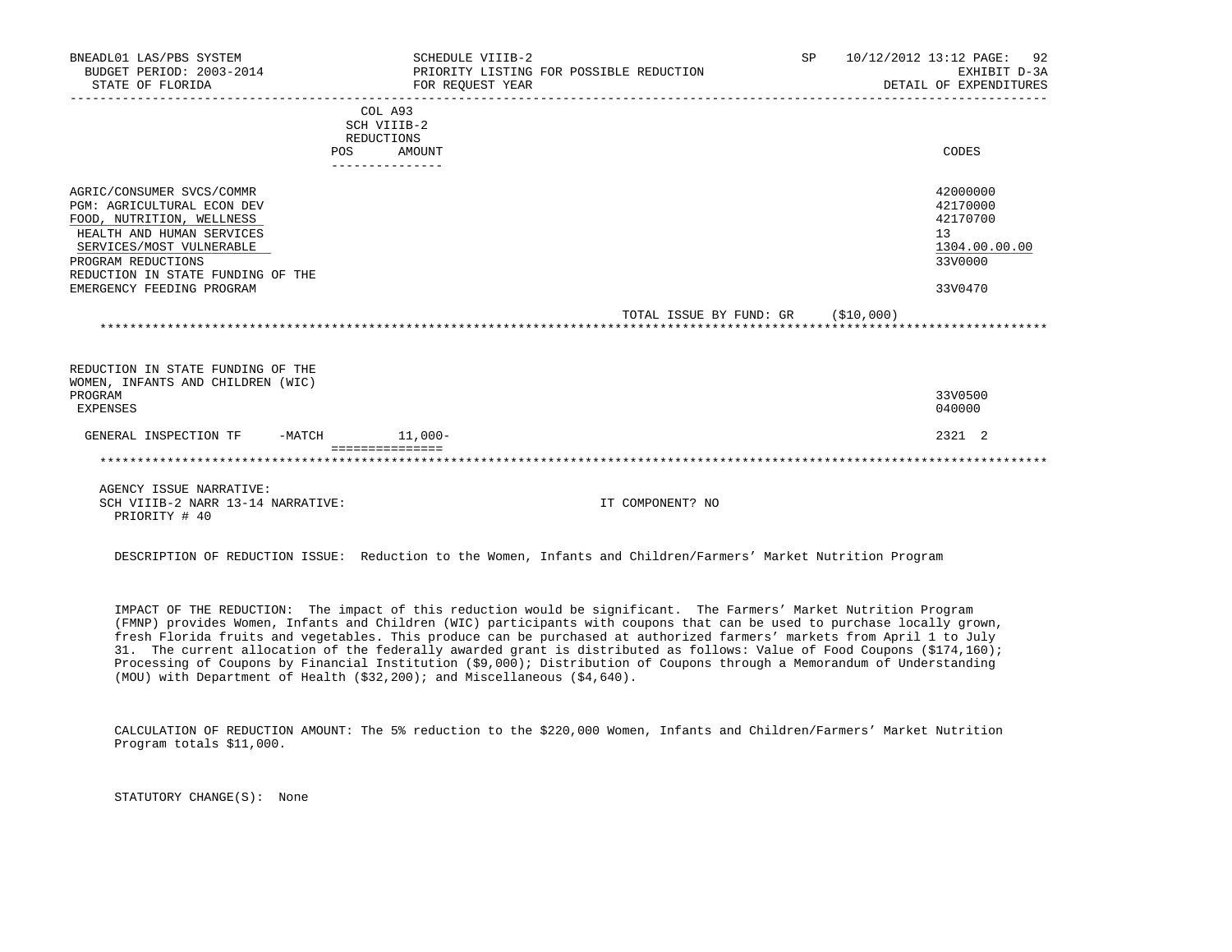| BNEADL01 LAS/PBS SYSTEM<br>BUDGET PERIOD: 2003-2014<br>STATE OF FLORIDA                                                                                                                                                                      | SCHEDULE VIIIB-2<br>FOR REOUEST YEAR                         | PRIORITY LISTING FOR POSSIBLE REDUCTION | SP<br>10/12/2012 13:12 PAGE: 92<br>DETAIL OF EXPENDITURES    | EXHIBIT D-3A  |
|----------------------------------------------------------------------------------------------------------------------------------------------------------------------------------------------------------------------------------------------|--------------------------------------------------------------|-----------------------------------------|--------------------------------------------------------------|---------------|
|                                                                                                                                                                                                                                              | COL A93<br>SCH VIIIB-2<br>REDUCTIONS<br>AMOUNT<br><b>POS</b> |                                         | CODES                                                        |               |
|                                                                                                                                                                                                                                              |                                                              |                                         |                                                              |               |
| AGRIC/CONSUMER SVCS/COMMR<br><b>PGM: AGRICULTURAL ECON DEV</b><br>FOOD, NUTRITION, WELLNESS<br>HEALTH AND HUMAN SERVICES<br>SERVICES/MOST VULNERABLE<br>PROGRAM REDUCTIONS<br>REDUCTION IN STATE FUNDING OF THE<br>EMERGENCY FEEDING PROGRAM |                                                              |                                         | 42000000<br>42170000<br>42170700<br>13<br>33V0000<br>33V0470 | 1304.00.00.00 |
|                                                                                                                                                                                                                                              |                                                              | TOTAL ISSUE BY FUND: GR (\$10,000)      |                                                              |               |
| REDUCTION IN STATE FUNDING OF THE<br>WOMEN, INFANTS AND CHILDREN (WIC)<br>PROGRAM<br>EXPENSES                                                                                                                                                |                                                              |                                         | 33V0500<br>040000                                            |               |
| GENERAL INSPECTION TF                                                                                                                                                                                                                        | $-MATCH$ 11,000-                                             |                                         | 2321 2                                                       |               |
|                                                                                                                                                                                                                                              |                                                              |                                         |                                                              |               |
| AGENCY ISSUE NARRATIVE:<br>SCH VIIIB-2 NARR 13-14 NARRATIVE:                                                                                                                                                                                 |                                                              | IT COMPONENT? NO                        |                                                              |               |

PRIORITY # 40

DESCRIPTION OF REDUCTION ISSUE: Reduction to the Women, Infants and Children/Farmers' Market Nutrition Program

 IMPACT OF THE REDUCTION: The impact of this reduction would be significant. The Farmers' Market Nutrition Program (FMNP) provides Women, Infants and Children (WIC) participants with coupons that can be used to purchase locally grown, fresh Florida fruits and vegetables. This produce can be purchased at authorized farmers' markets from April 1 to July 31. The current allocation of the federally awarded grant is distributed as follows: Value of Food Coupons (\$174,160); Processing of Coupons by Financial Institution (\$9,000); Distribution of Coupons through a Memorandum of Understanding (MOU) with Department of Health (\$32,200); and Miscellaneous (\$4,640).

 CALCULATION OF REDUCTION AMOUNT: The 5% reduction to the \$220,000 Women, Infants and Children/Farmers' Market Nutrition Program totals \$11,000.

STATUTORY CHANGE(S): None